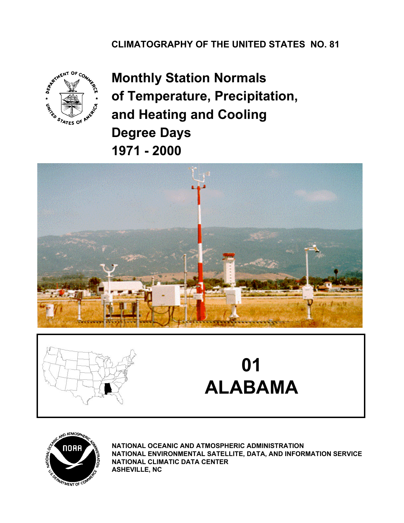

**Monthly Station Normals of Temperature, Precipitation, and Heating and Cooling Degree Days 1971 - 2000**





# **01 ALABAMA**



**NATIONAL OCEANIC AND ATMOSPHERIC ADMINISTRATION NATIONAL ENVIRONMENTAL SATELLITE, DATA, AND INFORMATION SERVICE NATIONAL CLIMATIC DATA CENTER ASHEVILLE, NC**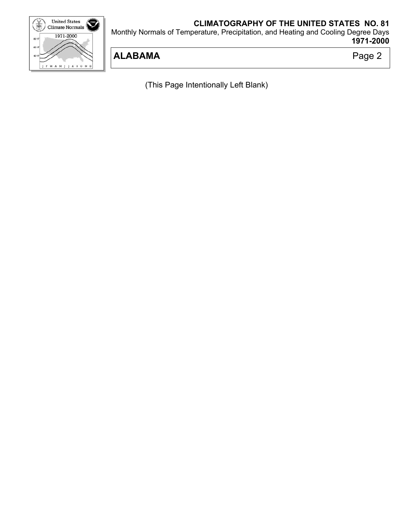

Monthly Normals of Temperature, Precipitation, and Heating and Cooling Degree Days **1971-2000** 

### **ALABAMA** Page 2

(This Page Intentionally Left Blank)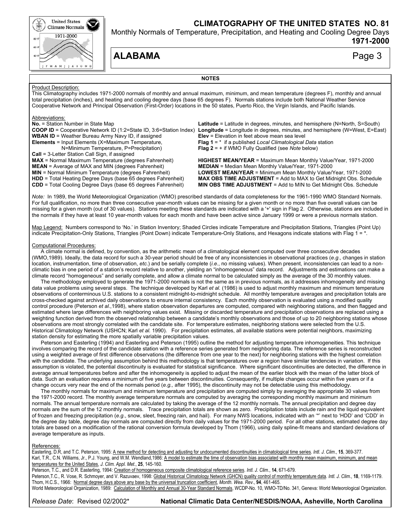

Monthly Normals of Temperature, Precipitation, and Heating and Cooling Degree Days **1971-2000** 

### **ALABAMA** Page 3

#### Product Description:

This Climatography includes 1971-2000 normals of monthly and annual maximum, minimum, and mean temperature (degrees F), monthly and annual total precipitation (inches), and heating and cooling degree days (base 65 degrees F). Normals stations include both National Weather Service Cooperative Network and Principal Observation (First-Order) locations in the 50 states, Puerto Rico, the Virgin Islands, and Pacific Islands. Abbreviations:<br>No. = Station Number in State Map **Latitude** = Latitude in degrees, minutes, and hemisphere (N=North, S=South) **COOP ID** = Cooperative Network ID (1:2=State ID, 3:6=Station Index) **Longitude** = Longitude in degrees, minutes, and hemisphere (W=West, E=East) **WBAN ID** = Weather Bureau Army Navy ID, if assigned **Elev** = Elevation in feet above mean sea level **Elements** = Input Elements (X=Maximum Temperature, **Flag 1** = \* if a published *Local Climatological Data* station<br>N=Minimum Temperature, P=Precipitation) **Flag 2** = + if WMO Fully Qualified (see Note below) **Flag 2** =  $+$  if WMO Fully Qualified (see *Note* below) **Call = 3-Letter Station Call Sign, if assigned<br><b>MAX = Normal Maximum Temperature (degrees Fahrenheit) MAX** = Normal Maximum Temperature (degrees Fahrenheit) **HIGHEST MEAN/YEAR** = Maximum Mean Monthly Value/Year, 1971-2000<br>**MEAN** = Average of MAX and MIN (degrees Fahrenheit) **MEDIAN** = Median Mean Monthly Value/Year, 1971-**MEDIAN** = Median Mean Monthly Value/Year, 1971-2000 **MIN** = Normal Minimum Temperature (degrees Fahrenheit) **LOWEST MEAN/YEAR** = Minimum Mean Monthly Value/Year, 1971-2000 **HDD** = Total Heating Degree Days (base 65 degrees Fahrenheit) **MAX OBS TIME ADJUSTMENT** = Add to MAX to Get Midnight Obs. Schedule **CDD** = Total Cooling Degree Days (base 65 degrees Fahrenheit) **MIN OBS TIME ADJUSTMENT** = **MIN OBS TIME ADJUSTMENT** = Add to MIN to Get Midnight Obs. Schedule *Note:* In 1989, the World Meteorological Organization (WMO) prescribed standards of data completeness for the 1961-1990 WMO Standard Normals.

**NOTES** 

For full qualification, no more than three consecutive year-month values can be missing for a given month or no more than five overall values can be missing for a given month (out of 30 values). Stations meeting these standards are indicated with a '+' sign in Flag 2. Otherwise, stations are included in the normals if they have at least 10 year-month values for each month and have been active since January 1999 or were a previous normals station.

Map Legend: Numbers correspond to 'No.' in Station Inventory; Shaded Circles indicate Temperature and Precipitation Stations, Triangles (Point Up) indicate Precipitation-Only Stations, Triangles (Point Down) indicate Temperature-Only Stations, and Hexagons indicate stations with Flag 1 = \*.

#### Computational Procedures:

A climate normal is defined, by convention, as the arithmetic mean of a climatological element computed over three consecutive decades (WMO,1989). Ideally, the data record for such a 30-year period should be free of any inconsistencies in observational practices (*e.g*., changes in station location, instrumentation, time of observation, *etc*.) and be serially complete (*i.e*., no missing values). When present, inconsistencies can lead to a nonclimatic bias in one period of a station's record relative to another, yielding an "inhomogeneous" data record. Adjustments and estimations can make a climate record "homogeneous" and serially complete, and allow a climate normal to be calculated simply as the average of the 30 monthly values.

The methodology employed to generate the 1971-2000 normals is not the same as in previous normals, as it addresses inhomogeneity and missing data value problems using several steps. The technique developed by Karl *et al.* (1986) is used to adjust monthly maximum and minimum temperature observations of conterminous U.S. stations to a consistent midnight-to-midnight schedule. All monthly temperature averages and precipitation totals are cross-checked against archived daily observations to ensure internal consistency. Each monthly observation is evaluated using a modified quality control procedure (Peterson *et al*.,1998), where station observation departures are computed, compared with neighboring stations, and then flagged and estimated where large differences with neighboring values exist. Missing or discarded temperature and precipitation observations are replaced using a weighting function derived from the observed relationship between a candidate's monthly observations and those of up to 20 neighboring stations whose observations are most strongly correlated with the candidate site. For temperature estimates, neighboring stations were selected from the U.S. Historical Climatology Network (USHCN; Karl *et al.* 1990). For precipitation estimates, all available stations were potential neighbors, maximizing station density for estimating the more spatially variable precipitation values.

Peterson and Easterling (1994) and Easterling and Peterson (1995) outline the method for adjusting temperature inhomogeneities. This technique involves comparing the record of the candidate station with a reference series generated from neighboring data. The reference series is reconstructed using a weighted average of first difference observations (the difference from one year to the next) for neighboring stations with the highest correlation with the candidate. The underlying assumption behind this methodology is that temperatures over a region have similar tendencies in variation. If this assumption is violated, the potential discontinuity is evaluated for statistical significance. Where significant discontinuities are detected, the difference in average annual temperatures before and after the inhomogeneity is applied to adjust the mean of the earlier block with the mean of the latter block of data. Such an evaluation requires a minimum of five years between discontinuities. Consequently, if multiple changes occur within five years or if a change occurs very near the end of the normals period (*e.g.,* after 1995), the discontinuity may not be detectable using this methodology.

The monthly normals for maximum and minimum temperature and precipitation are computed simply by averaging the appropriate 30 values from the 1971-2000 record. The monthly average temperature normals are computed by averaging the corresponding monthly maximum and minimum normals. The annual temperature normals are calculated by taking the average of the 12 monthly normals. The annual precipitation and degree day normals are the sum of the 12 monthly normals. Trace precipitation totals are shown as zero. Precipitation totals include rain and the liquid equivalent of frozen and freezing precipitation (*e.g*., snow, sleet, freezing rain, and hail). For many NWS locations, indicated with an '\*' next to 'HDD' and 'CDD' in the degree day table, degree day normals are computed directly from daily values for the 1971-2000 period. For all other stations, estimated degree day totals are based on a modification of the rational conversion formula developed by Thom (1966), using daily spline-fit means and standard deviations of average temperature as inputs.

#### **References**

Easterling, D.R, and T.C. Peterson, 1995: A new method for detecting and adjusting for undocumented discontinuities in climatological time series. *Intl. J. Clim*., **15**, 369-377. Karl, T.R., C.N. Williams, Jr., P.J. Young, and W.M. Wendland,1986: A model to estimate the time of observation bias associated with monthly mean maximum, minimum, and mean temperatures for the United States, *J. Clim. Appl. Met*., **25**, 145-160.

Peterson, T.C., and D.R. Easterling, 1994: Creation of homogeneous composite climatological reference series. *Intl. J. Clim*., **14**, 671-679.

Peterson,T.C., R. Vose, R. Schmoyer, and V. Razuvaev, 1998: Global Historical Climatology Network (GHCN) quality control of monthly temperature data. *Intl. J. Clim.*, **18**, 1169-1179. Thom, H.C.S., 1966: Normal degree days above any base by the universal truncation coefficient, *Month. Wea. Rev*., **94**, 461-465.

World Meteorological Organization, 1989: Calculation of Monthly and Annual 30-Year Standard Normals, WCDP-No. 10, WMO-TD/No. 341, Geneva: World Meteorological Organization.

*Release Date*: Revised 02/2002\* **National Climatic Data Center/NESDIS/NOAA, Asheville, North Carolina**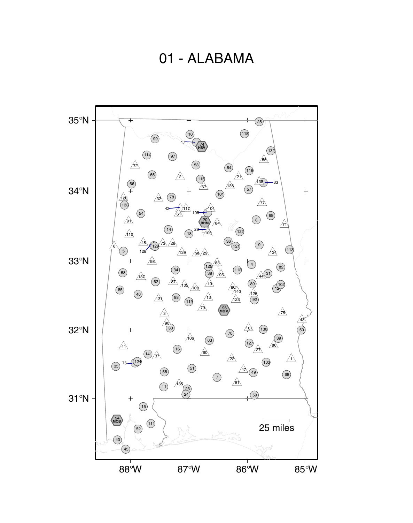# 01 - ALABAMA

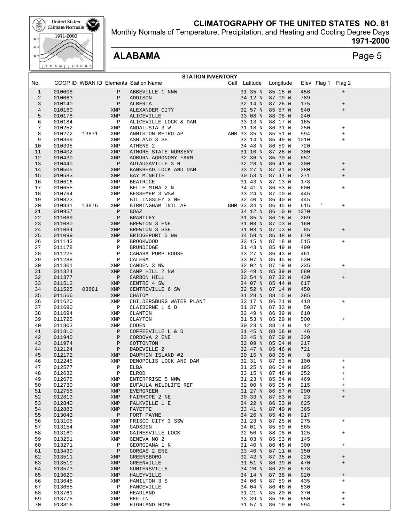

Monthly Normals of Temperature, Precipitation, and Heating and Cooling Degree Days **1971-2000** 

|                |        |       |              | <b>STATION INVENTORY</b>                                                                                                                                                                 |                         |         |      |                    |                                  |  |
|----------------|--------|-------|--------------|------------------------------------------------------------------------------------------------------------------------------------------------------------------------------------------|-------------------------|---------|------|--------------------|----------------------------------|--|
| No.            |        |       |              | COOP ID WBAN ID Elements Station Name                                                                                                                                                    | Call Latitude Longitude |         |      | Elev Flag 1 Flag 2 |                                  |  |
|                |        |       |              |                                                                                                                                                                                          |                         |         |      |                    |                                  |  |
| $\mathbf 1$    | 010008 |       | P            | ABBEVILLE 1 NNW                                                                                                                                                                          | 31 35 N                 | 85 15 W | 456  |                    | $\qquad \qquad +$                |  |
| $\overline{a}$ | 010063 |       | $\, {\bf P}$ | ADDISON                                                                                                                                                                                  | 34 12 N                 | 87 09 W | 789  |                    |                                  |  |
| 3              | 010140 |       | $\mathbf{P}$ | ALBERTA                                                                                                                                                                                  | 32 14 N                 | 87 26 W | 175  |                    | $^+$                             |  |
| $\overline{4}$ | 010160 |       | XNP          | ALEXANDER CITY                                                                                                                                                                           | 32 57 N                 | 85 57 W | 640  |                    | $+$                              |  |
| 5              | 010178 |       | XNP          | ALICEVILLE                                                                                                                                                                               | 33 08 N                 | 88 08 W | 240  |                    |                                  |  |
| 6              | 010184 |       | $\mathbf{P}$ | ALICEVILLE LOCK & DAM 33 13 N<br>ANDALUSIA 3 W 31 18 N<br>ANDALUSIA 3 W 31 18 N<br>ANNISTON METRO AP ANB 33 35 N<br>ASHLAND 3 SE 33 14 N<br>ATHENS 2 34 48 N                             |                         | 88 17 W | 165  |                    |                                  |  |
|                |        |       |              |                                                                                                                                                                                          |                         |         |      |                    |                                  |  |
| 7              | 010252 |       | XNP          |                                                                                                                                                                                          |                         | 86 31 W | 250  |                    | $\begin{array}{c} + \end{array}$ |  |
| 8              | 010272 | 13871 | XNP          |                                                                                                                                                                                          |                         | 85 51 W | 594  |                    | $+$                              |  |
| 9              | 010369 |       | XNP          |                                                                                                                                                                                          |                         | 85 49 W | 1010 |                    | $\ddot{}$                        |  |
| 10             | 010395 |       | XNP          |                                                                                                                                                                                          |                         | 86 59 W | 720  |                    |                                  |  |
| 11             | 010402 |       | XNP          | ATMORE STATE NURSERY                                                                                                                                                                     | 31 10 N                 | 87 26 W | 300  |                    |                                  |  |
| 12             | 010430 |       | XNP          | AUBURN AGRONOMY FARM<br>AUTAUGAVILLE 3 N<br>BANKHEAD LOCK AND DAM                                                                                                                        | 32 36 N                 | 85 30 W | 652  |                    |                                  |  |
| 13             | 010440 |       | $\, {\bf P}$ |                                                                                                                                                                                          | 32 28 N                 | 86 41 W | 200  |                    | $^+$                             |  |
| 14             | 010505 |       | XNP          |                                                                                                                                                                                          | 33 27 N                 | 87 21 W | 280  |                    | $\qquad \qquad +$                |  |
| 15             | 010583 |       |              |                                                                                                                                                                                          |                         | 87 47 W |      |                    |                                  |  |
|                |        |       | XNP          | BAY MINETTE                                                                                                                                                                              | 30 53 N                 |         | 271  |                    | $^{+}$                           |  |
| 16             | 010616 |       | XNP          |                                                                                                                                                                                          |                         | 87 13 W | 178  |                    |                                  |  |
| 17             | 010655 |       | XNP          |                                                                                                                                                                                          |                         | 86 53 W | 600  |                    | $^{+}$                           |  |
| 18             | 010764 |       | XNP          |                                                                                                                                                                                          |                         | 87 00 W | 445  |                    |                                  |  |
| 19             | 010823 |       | $\mathbf P$  |                                                                                                                                                                                          |                         | 86 40 W | 445  |                    |                                  |  |
| 20             | 010831 | 13876 | XNP          | BAT WINETTE<br>BEATRICE IS NATURE 1.5 UP AT 143 N<br>BELLE MINA 2 N<br>BEATRICE IN 143 N<br>BESSEMER 3 WSW<br>BILLINGSLEY 3 NE 32 40 N<br>BIRMINGHAM INTL AP BHM 33 34 N<br>BOAZ 34 12 N |                         | 86 45 W | 615  | $\star$            | $\ddot{}$                        |  |
| 21             | 010957 |       | $\, {\bf P}$ |                                                                                                                                                                                          |                         | 86 10 W | 1070 |                    |                                  |  |
| 22             | 011069 |       | $\mathbf P$  | BRANTLEY                                                                                                                                                                                 | 31 35 N                 | 86 16 W | 269  |                    |                                  |  |
| 23             | 011080 |       | XNP          | BREWTON 3 ENE                                                                                                                                                                            | 31 08 N                 | 87 03 W | 160  |                    |                                  |  |
|                |        |       |              |                                                                                                                                                                                          |                         |         |      |                    |                                  |  |
| 24             | 011084 |       | XNP          | BREWTON 3 SSE                                                                                                                                                                            | 31 03 N                 | 87 03 W | 85   |                    | $+$                              |  |
| 25             | 011099 |       | XNP          | BRIDGEPORT 5 NW                                                                                                                                                                          | 34 59 N                 | 85 48 W | 670  |                    |                                  |  |
| 26             | 011143 |       | $\mathbf P$  | <b>BROOKWOOD</b>                                                                                                                                                                         | 33 15 N                 | 87 18 W | 515  |                    | $\begin{array}{c} + \end{array}$ |  |
| 27             | 011178 |       | Ρ            | BRUNDIDGE                                                                                                                                                                                | 31 43 N                 | 85 49 W | 490  |                    |                                  |  |
| 28             | 011225 |       | Ρ            | CAHABA PUMP HOUSE                                                                                                                                                                        | 33 27 N                 | 86 43 W | 461  |                    |                                  |  |
| 29             | 011288 |       | Ρ            | CALERA                                                                                                                                                                                   | 33 07 N                 | 86 45 W | 530  |                    |                                  |  |
| 30             | 011301 |       | XNP          | CAMDEN 3 NW                                                                                                                                                                              | 32 02 N                 | 87 19 W | 235  |                    | $\begin{array}{c} + \end{array}$ |  |
| 31             | 011324 |       | XNP          | CAMP HILL 2 NW                                                                                                                                                                           | 32 49 N                 | 85 39 W | 680  |                    |                                  |  |
|                |        |       |              |                                                                                                                                                                                          |                         |         |      |                    |                                  |  |
| 32             | 011377 |       | $\, {\bf P}$ | CARBON HILL                                                                                                                                                                              | 33 54 N                 | 87 32 W | 430  |                    | $\qquad \qquad +$                |  |
| 33             | 011512 |       | XNP          | CENTRE 4 SW                                                                                                                                                                              | 34 07 N                 | 85 44 W | 617  |                    |                                  |  |
| 34             | 011525 | 03881 | XNP          | CENTREVILLE 6 SW                                                                                                                                                                         | 32 52 N                 | 87 14 W | 450  |                    |                                  |  |
| 35             | 011566 |       | XNP          | <b>CHATOM</b>                                                                                                                                                                            | 31 28 N                 | 88 15 W | 285  |                    |                                  |  |
| 36             | 011620 |       | XNP          |                                                                                                                                                                                          | 33 17 N                 | 86 21 W | 418  |                    | $\begin{array}{c} + \end{array}$ |  |
| 37             | 011690 |       | $\, {\bf P}$ | CHILDERSBURG WATER PLANT<br>CLAIBORNE L & D<br>CLANTON<br>CLAYTON<br>CODEN                                                                                                               | 31 37 N                 | 87 33 W | 50   |                    |                                  |  |
| 38             | 011694 |       | XNP          |                                                                                                                                                                                          | 32 49 N                 | 86 39 W | 610  |                    |                                  |  |
| 39             | 011725 |       | XNP          |                                                                                                                                                                                          | 31 53 N                 | 85 29 W | 500  |                    | $\ddot{}$                        |  |
| 40             | 011803 |       | XNP          |                                                                                                                                                                                          | 30 23 N                 | 88 14 W | 12   |                    |                                  |  |
| 41             | 011810 |       | $\mathbf P$  |                                                                                                                                                                                          | 31 45 N                 | 88 08 W | 46   |                    |                                  |  |
|                |        |       |              | COFFEEVILLE L & D                                                                                                                                                                        |                         |         |      |                    |                                  |  |
| 42             | 011940 |       | $\mathbf{P}$ | CORDOVA 2 ENE                                                                                                                                                                            | 33 45 N                 | 87 09 W | 320  |                    |                                  |  |
| 43             | 011974 |       | $\, {\bf P}$ | COTTONTON                                                                                                                                                                                | 32 09 N                 | 85 04 W | 217  |                    |                                  |  |
| 44             | 012124 |       | Ρ            | DADEVILLE 2                                                                                                                                                                              | 32 47 N                 | 85 46 W | 721  |                    |                                  |  |
| 45             | 012172 |       | XNP          | DAUPHIN ISLAND #2                                                                                                                                                                        | 30 15 N                 | 88 05 W | 8    |                    |                                  |  |
| 46             | 012245 |       | XNP          | DEMOPOLIS LOCK AND DAM                                                                                                                                                                   | 32 31 N                 | 87 53 W | 100  |                    | $\begin{array}{c} + \end{array}$ |  |
| 47             | 012577 |       | $\mathbf P$  | <b>ELBA</b>                                                                                                                                                                              | 31 25 N                 | 86 04 W | 195  |                    | $\ddot{}$                        |  |
| 48             | 012632 |       | Ρ            | ELROD                                                                                                                                                                                    | 33 15 N 87 48 W         |         | 252  |                    | $^{+}$                           |  |
| 49             | 012675 |       | XNP          | ENTERPRISE 5 NNW                                                                                                                                                                         | 31 23 N 85 54 W         |         | 469  |                    | $^{+}$                           |  |
| 50             | 012730 |       | XNP          | EUFAULA WILDLIFE REF                                                                                                                                                                     | 32 00 N                 | 85 O5 W | 215  |                    | $+$                              |  |
| 51             | 012758 |       | XNP          | EVERGREEN                                                                                                                                                                                | 31 27 N                 | 86 57 W | 290  |                    | $+$                              |  |
|                |        |       |              |                                                                                                                                                                                          |                         |         |      |                    |                                  |  |
| 52             | 012813 |       | XNP          | FAIRHOPE 2 NE                                                                                                                                                                            | 30 33 N                 | 87 53 W | 23   |                    | $+$                              |  |
| 53             | 012840 |       | XNP          | FALKVILLE 1 E                                                                                                                                                                            | 34 22 N                 | 86 53 W | 625  |                    |                                  |  |
| 54             | 012883 |       | XNP          | FAYETTE                                                                                                                                                                                  | 33 41 N                 | 87 49 W | 365  |                    |                                  |  |
| 55             | 013043 |       | $\mathbf{P}$ | FORT PAYNE                                                                                                                                                                               | 34 26 N                 | 85 43 W | 917  |                    |                                  |  |
| 56             | 013105 |       | XNP          | FRISCO CITY 3 SSW                                                                                                                                                                        | 31 23 N                 | 87 25 W | 275  |                    | $^{+}$                           |  |
| 57             | 013154 |       | XNP          | GADSDEN                                                                                                                                                                                  | 34 01 N                 | 85 59 W | 565  |                    |                                  |  |
| 58             | 013160 |       | XNP          | GAINESVILLE LOCK                                                                                                                                                                         | 32 50 N                 | 88 08 W | 125  |                    | $^{+}$                           |  |
| 59             | 013251 |       | XNP          | GENEVA NO 2                                                                                                                                                                              | 31 03 N                 | 85 53 W | 145  |                    |                                  |  |
| 60             | 013271 |       | Ρ            | GEORGIANA 1 N                                                                                                                                                                            | 31 40 N                 | 86 45 W | 300  |                    | $+$                              |  |
|                |        |       |              |                                                                                                                                                                                          |                         |         |      |                    |                                  |  |
| 61             | 013430 |       | $\, {\bf P}$ | GORGAS 2 ENE                                                                                                                                                                             | 33 40 N                 | 87 11 W | 350  |                    |                                  |  |
| 62             | 013511 |       | XNP          | GREENSBORO                                                                                                                                                                               | 32 42 N                 | 87 35 W | 220  |                    | $^{+}$                           |  |
| 63             | 013519 |       | XNP          | GREENVILLE                                                                                                                                                                               | 31 51 N                 | 86 39 W | 470  |                    | $+$                              |  |
| 64             | 013573 |       | XNP          | GUNTERSVILLE                                                                                                                                                                             | 34 20 N                 | 86 20 W | 578  |                    |                                  |  |
| 65             | 013620 |       | XNP          | HALEYVILLE                                                                                                                                                                               | 34 14 N                 | 87 38 W | 920  |                    | $^{+}$                           |  |
| 66             | 013645 |       | XNP          | HAMILTON 3 S                                                                                                                                                                             | 34 06 N                 | 87 59 W | 435  |                    | $+$                              |  |
| 67             | 013655 |       | $\mathbf P$  | HANCEVILLE                                                                                                                                                                               | 34 04 N                 | 86 46 W | 530  |                    |                                  |  |
| 68             | 013761 |       | XNP          | HEADLAND                                                                                                                                                                                 | 31 21 N                 | 85 20 W | 370  |                    | $^{+}$                           |  |
| 69             |        |       |              |                                                                                                                                                                                          |                         |         |      |                    |                                  |  |
|                | 013775 |       | XNP          | HEFLIN                                                                                                                                                                                   | 33 39 N                 | 85 36 W | 850  |                    | $^{+}$                           |  |
| 70             | 013816 |       | XNP          | HIGHLAND HOME                                                                                                                                                                            | 31 57 N                 | 86 19 W | 594  |                    | $^{+}$                           |  |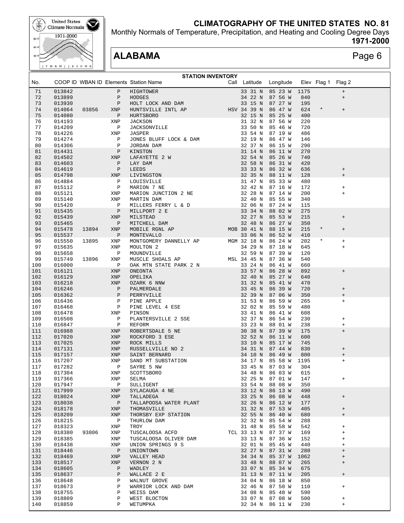

Monthly Normals of Temperature, Precipitation, and Heating and Cooling Degree Days **1971-2000** 

| <b>STATION INVENTORY</b> |                  |       |                             |                                                                                                                                                                                                                                                                                                |  |                    |                            |            |                    |                                  |  |
|--------------------------|------------------|-------|-----------------------------|------------------------------------------------------------------------------------------------------------------------------------------------------------------------------------------------------------------------------------------------------------------------------------------------|--|--------------------|----------------------------|------------|--------------------|----------------------------------|--|
| No.                      |                  |       |                             | COOP ID WBAN ID Elements Station Name                                                                                                                                                                                                                                                          |  |                    | Call Latitude Longitude    |            | Elev Flag 1 Flag 2 |                                  |  |
| 71                       | 013842           |       | Ρ                           | HIGHTOWER                                                                                                                                                                                                                                                                                      |  | 33 31 N            | 85 23 W                    | 1175       |                    | $+$                              |  |
| 72                       | 013899           |       | $\, {\bf P}$                | HODGES                                                                                                                                                                                                                                                                                         |  | 34 22 N            | 87 56 W                    | 840        |                    | $\qquad \qquad +$                |  |
| 73                       | 013930           |       | $\, {\bf P}$                | HOLT LOCK AND DAM                                                                                                                                                                                                                                                                              |  | 33 15 N            | 87 27 W                    | 195        |                    |                                  |  |
| 74                       | 014064           | 03856 | XNP                         |                                                                                                                                                                                                                                                                                                |  |                    | 86 47 W                    | 624        | $\star$            | $^+$                             |  |
| 75                       | 014080           |       | $\, {\bf P}$                | HUNTSVILLE INTL AP HSV 34 39 N<br>HURTSBORO 32 15 N<br>TROKSON 32 15 N                                                                                                                                                                                                                         |  |                    | 85 25 W                    | 400        |                    |                                  |  |
| 76                       | 014193           |       | XNP                         | HURTSBORO<br>JACKSON<br>JACKSONVILLE<br>JASPER<br>JONES BLUFF LOCK & DAM<br>JORDAN DAM                                                                                                                                                                                                         |  | 31 32 N            | 87 56 W                    | 220        |                    |                                  |  |
| 77                       | 014209           |       | Ρ                           |                                                                                                                                                                                                                                                                                                |  | 33 50 N            | 85 46 W                    | 720        |                    |                                  |  |
| 78<br>79                 | 014226<br>014274 |       | XNP<br>$\, {\bf P}$         |                                                                                                                                                                                                                                                                                                |  | 33 54 N<br>32 19 N | 87 19 W<br>86 47 W         | 486<br>146 |                    |                                  |  |
| 80                       | 014306           |       | $\mathbf P$                 |                                                                                                                                                                                                                                                                                                |  | 32 37 N            | 86 15 W                    | 290        |                    |                                  |  |
| 81                       | 014431           |       | $\, {\bf P}$                | KINSTON                                                                                                                                                                                                                                                                                        |  | 31 14 N            | 86 11 W                    | 270        |                    |                                  |  |
| 82                       | 014502           |       | XNP                         | LAFAYETTE 2 W                                                                                                                                                                                                                                                                                  |  | 32 54 N            | 85 26 W                    | 740        |                    |                                  |  |
| 83                       | 014603           |       | $\, {\bf P}$                | LAY DAM                                                                                                                                                                                                                                                                                        |  | 32 58 N            | 86 31 W                    | 420        |                    |                                  |  |
| 84                       | 014619           |       | $\, {\bf P}$                | LEEDS                                                                                                                                                                                                                                                                                          |  | 33 33 N            | 86 32 W                    | 636        |                    | $+$                              |  |
| 85                       | 014798           |       | XNP                         | LIVINGSTON                                                                                                                                                                                                                                                                                     |  | 32 35 N            | 88 11 W                    | 128        |                    | $\! + \!\!\!\!$                  |  |
| 86<br>87                 | 014884           |       | $\, {\bf P}$                | LOUISVILLE                                                                                                                                                                                                                                                                                     |  | 31 47 N            | 85 33 W                    | 480        |                    |                                  |  |
| 88                       | 015112<br>015121 |       | $\, {\bf p}$<br>XNP         | MARION 7 NE                                                                                                                                                                                                                                                                                    |  | 32 42 N<br>32 28 N | 87 16 W<br>87 14 W         | 172<br>200 |                    | $^{+}$<br>$\ddot{}$              |  |
| 89                       | 015140           |       | XNP                         |                                                                                                                                                                                                                                                                                                |  | 32 40 N            | 85 55 W                    | 340        |                    |                                  |  |
| 90                       | 015420           |       | $\, {\bf P}$                | MARION JUNCTION 2 NE<br>MARION JUNCTION 2 NE<br>MARTIN DAM<br>MILLERS FERRY L & D                                                                                                                                                                                                              |  | 32 06 N            | 87 24 W                    | 115        |                    |                                  |  |
| 91                       | 015435           |       | $\, {\bf P}$                | MILLPORT 2 E                                                                                                                                                                                                                                                                                   |  |                    | 88 02 W                    | 275        |                    |                                  |  |
| 92                       | 015439           |       | XNP                         | $\begin{array}{ccccccc} \text{D} & & & 32 & 06 & \text{N} & & \\ & & & 33 & 34 & \text{N} & & \\ & & & 32 & 27 & \text{N} & & \\ & & & 32 & 48 & \text{N} & & \\ & & & 33 & 36 & 41 & \text{N} & \\ & & & 33 & 36 & \text{N} & & \\ & & & & 33 & 36 & \text{N} & & \\ \end{array}$<br>MILSTEAD |  |                    | 85 53 W                    | 215        |                    | $\begin{array}{c} + \end{array}$ |  |
| 93                       | 015465           |       | $\, {\bf P}$                | MITCHELL DAM                                                                                                                                                                                                                                                                                   |  |                    | 86 27 W                    | 350        |                    |                                  |  |
| 94                       | 015478           | 13894 | XNP                         | MOBILE RGNL AP                                                                                                                                                                                                                                                                                 |  |                    | 88 15 W                    | 215        | $\star$            | $\qquad \qquad +$                |  |
| 95                       | 015537           |       | $\mathbf P$                 | MONTEVALLO                                                                                                                                                                                                                                                                                     |  |                    | 86 52 W<br>86 24 W         | 410        | $\star$            |                                  |  |
| 96<br>97                 | 015550<br>015635 | 13895 | XNP<br>XNP                  |                                                                                                                                                                                                                                                                                                |  |                    | 87 18 W                    | 202<br>645 |                    | $^{+}$<br>$^{+}$                 |  |
| 98                       | 015658           |       | $\, {\bf P}$                |                                                                                                                                                                                                                                                                                                |  |                    | 87 39 W                    | 120        |                    |                                  |  |
| 99                       | 015749           | 13896 | XNP                         |                                                                                                                                                                                                                                                                                                |  |                    | 87 36 W                    | 540        |                    |                                  |  |
| 100                      | 016000           |       | $\, {\bf P}$                |                                                                                                                                                                                                                                                                                                |  |                    | 86 41 W                    | 660        |                    |                                  |  |
| 101                      | 016121           |       | XNP                         |                                                                                                                                                                                                                                                                                                |  |                    | 86 28 W                    | 892        |                    | $^+$                             |  |
| 102                      | 016129           |       | XNP                         |                                                                                                                                                                                                                                                                                                |  |                    | 85 27 W                    | 640        |                    |                                  |  |
| 103                      | 016218           |       | XNP                         |                                                                                                                                                                                                                                                                                                |  |                    | 85 41 W                    | 470        |                    |                                  |  |
| 104<br>105               | 016246<br>016362 |       | $\mathbf P$<br>$\mathbf{P}$ |                                                                                                                                                                                                                                                                                                |  |                    | 86 39 W<br>87 06 W         | 720<br>350 |                    | $\, +$<br>$^{\mathrm{+}}$        |  |
| 106                      | 016436           |       | $\, {\bf P}$                | PINE APPLE                                                                                                                                                                                                                                                                                     |  | 31 53 N            | 86 59 W                    | 265        |                    | $\begin{array}{c} + \end{array}$ |  |
| 107                      | 016468           |       | Ρ                           | PINE LEVEL 4 ESE                                                                                                                                                                                                                                                                               |  | 32 02 N            | 85 59 W                    | 480        |                    |                                  |  |
| 108                      | 016478           |       | XNP                         | PINSON                                                                                                                                                                                                                                                                                         |  | 33 41 N            | 86 41 W                    | 608        |                    |                                  |  |
| 109                      | 016508           |       | $\, {\bf P}$                | PINSON<br>PLANTERSVILLE 2 SSE<br>DERODM                                                                                                                                                                                                                                                        |  | 32 37 N            | 86 54 W                    | 230        |                    | $+$                              |  |
| 110                      | 016847           |       | $\mathbf P$                 | REFORM                                                                                                                                                                                                                                                                                         |  | 33 23 N            | 88 01 W                    | 238        |                    | $^{+}$                           |  |
| 111                      | 016988           |       | XNP                         | ROBERTSDALE 5 NE                                                                                                                                                                                                                                                                               |  | 30 38 N            | 87 39 W                    | 175        |                    | $^{+}$                           |  |
| 112<br>113               | 017020<br>017025 |       | XNP<br>XNP                  | ROCKFORD 3 ESE<br>ROCK MILLS                                                                                                                                                                                                                                                                   |  | 32 52 N<br>33 10 N | 86 11 W<br>85 17 W         | 600<br>745 |                    |                                  |  |
| 114                      | 017131           |       | XNP                         | RUSSELLVILLE NO 2                                                                                                                                                                                                                                                                              |  | 34 31 N            | 87 44 W                    | 830        |                    | $\, +$                           |  |
| 115                      | 017157           |       | XNP                         | SAINT BERNARD                                                                                                                                                                                                                                                                                  |  | 34 10 N            | 86 49 W                    | 800        |                    |                                  |  |
| 116                      | 017207           |       | XNP                         | SAND MT SUBSTATION                                                                                                                                                                                                                                                                             |  |                    | 34 17 N 85 58 W            | 1195       |                    | $^{+}$                           |  |
| 117                      | 017282           |       | $\mathbf{P}$                | SAYRE 5 NW                                                                                                                                                                                                                                                                                     |  | 33 45 N 87 03 W    |                            | 304        |                    |                                  |  |
| 118                      | 017304           |       | XNP                         | SCOTTSBORO                                                                                                                                                                                                                                                                                     |  |                    | 34 48 N 86 03 W            | 615        |                    |                                  |  |
| 119                      | 017366           |       | XNP                         | SELMA                                                                                                                                                                                                                                                                                          |  |                    | 32 25 N 87 01 W            | 147        |                    | $^{+}$                           |  |
| 120<br>121               | 017947<br>017999 |       | Ρ<br>XNP                    | SULLIGENT<br>SYLACAUGA 4 NE                                                                                                                                                                                                                                                                    |  | 33 54 N            | 88 O8 W<br>33 12 N 86 13 W | 350<br>490 |                    |                                  |  |
| 122                      | 018024           |       | XNP                         | TALLADEGA                                                                                                                                                                                                                                                                                      |  | 33 25 N            | 86 08 W                    | 448        |                    | $+$                              |  |
| 123                      | 018038           |       | $\mathbb{P}$                | TALLAPOOSA WATER PLANT                                                                                                                                                                                                                                                                         |  | 32 26 N            | 86 12 W                    | 177        |                    |                                  |  |
| 124                      | 018178           |       | XNP                         | THOMASVILLE                                                                                                                                                                                                                                                                                    |  | 31 32 N            | 87 53 W                    | 405        |                    | $^{+}$                           |  |
| 125                      | 018209           |       | XNP                         | THORSBY EXP STATION                                                                                                                                                                                                                                                                            |  |                    | 32 55 N 86 40 W            | 680        |                    | $^{+}$                           |  |
| 126                      | 018215           |       | $\mathbf P$                 | THURLOW DAM                                                                                                                                                                                                                                                                                    |  | 32 32 N            | 85 54 W                    | 288        |                    |                                  |  |
| 127                      | 018323           |       | XNP                         | TROY                                                                                                                                                                                                                                                                                           |  | 31 48 N            | 85 58 W                    | 542        |                    | $^{+}$                           |  |
| 128<br>129               | 018380<br>018385 | 93806 | XNP<br>XNP                  | TUSCALOOSA ACFD<br>TUSCALOOSA OLIVER DAM                                                                                                                                                                                                                                                       |  | TCL 33 13 N        | 87 37 W<br>33 13 N 87 36 W | 169<br>152 |                    | $^{+}$<br>$^{+}$                 |  |
| 130                      | 018438           |       | XNP                         | UNION SPRINGS 9 S                                                                                                                                                                                                                                                                              |  | 32 01 N            | 85 45 W                    | 440        |                    | $^{+}$                           |  |
| 131                      | 018446           |       | $\mathbb{P}$                | UNIONTOWN                                                                                                                                                                                                                                                                                      |  | 32 27 N            | 87 31 W                    | 280        |                    | $^{+}$                           |  |
| 132                      | 018469           |       | XNP                         | VALLEY HEAD                                                                                                                                                                                                                                                                                    |  | 34 34 N            | 85 37 W                    | 1062       |                    | $+$                              |  |
| 133                      | 018517           |       | XNP                         | VERNON 2 N                                                                                                                                                                                                                                                                                     |  | 33 48 N            | 88 07 W                    | 265        |                    | $+$                              |  |
| 134                      | 018605           |       | $\mathbf{P}$                | WADLEY                                                                                                                                                                                                                                                                                         |  | 33 07 N            | 85 34 W                    | 675        |                    |                                  |  |
| 135                      | 018637           |       | $\, {\bf P}$                | WALLACE 2 E                                                                                                                                                                                                                                                                                    |  |                    | 31 13 N 87 11 W            | 205        |                    | $^{+}$                           |  |
| 136                      | 018648           |       | $\mathbf{P}$                | WALNUT GROVE                                                                                                                                                                                                                                                                                   |  | 34 04 N            | 86 18 W                    | 850        |                    |                                  |  |
| 137<br>138               | 018673<br>018755 |       | Ρ<br>Ρ                      | WARRIOR LOCK AND DAM<br>WEISS DAM                                                                                                                                                                                                                                                              |  | 32 46 N<br>34 08 N | 87 50 W<br>85 48 W         | 110<br>590 |                    | $^{+}$                           |  |
| 139                      | 018809           |       | Ρ                           | WEST BLOCTON                                                                                                                                                                                                                                                                                   |  |                    | 33 07 N 87 08 W            | 500        |                    | $^{+}$                           |  |
| 140                      | 018859           |       | Ρ                           | WETUMPKA                                                                                                                                                                                                                                                                                       |  |                    | 32 34 N 86 11 W            | 230        |                    | $^{+}$                           |  |
|                          |                  |       |                             |                                                                                                                                                                                                                                                                                                |  |                    |                            |            |                    |                                  |  |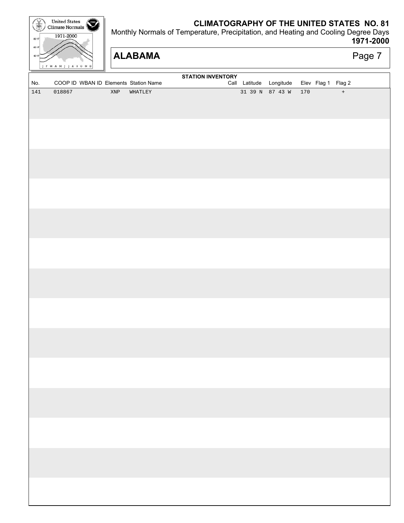

Monthly Normals of Temperature, Precipitation, and Heating and Cooling Degree Days **1971-2000** 

| <b>Service</b> |                                       |     |         |                          |                                            |  |       |
|----------------|---------------------------------------|-----|---------|--------------------------|--------------------------------------------|--|-------|
| No.            | COOP ID WBAN ID Elements Station Name |     |         | <b>STATION INVENTORY</b> | Call Latitude Longitude Elev Flag 1 Flag 2 |  |       |
| 141            | 018867                                | XNP | WHATLEY |                          | $31$ 39 N 87 43 W 170                      |  | $\pm$ |
|                |                                       |     |         |                          |                                            |  |       |
|                |                                       |     |         |                          |                                            |  |       |
|                |                                       |     |         |                          |                                            |  |       |
|                |                                       |     |         |                          |                                            |  |       |
|                |                                       |     |         |                          |                                            |  |       |
|                |                                       |     |         |                          |                                            |  |       |
|                |                                       |     |         |                          |                                            |  |       |
|                |                                       |     |         |                          |                                            |  |       |
|                |                                       |     |         |                          |                                            |  |       |
|                |                                       |     |         |                          |                                            |  |       |
|                |                                       |     |         |                          |                                            |  |       |
|                |                                       |     |         |                          |                                            |  |       |
|                |                                       |     |         |                          |                                            |  |       |
|                |                                       |     |         |                          |                                            |  |       |
|                |                                       |     |         |                          |                                            |  |       |
|                |                                       |     |         |                          |                                            |  |       |
|                |                                       |     |         |                          |                                            |  |       |
|                |                                       |     |         |                          |                                            |  |       |
|                |                                       |     |         |                          |                                            |  |       |
|                |                                       |     |         |                          |                                            |  |       |
|                |                                       |     |         |                          |                                            |  |       |
|                |                                       |     |         |                          |                                            |  |       |
|                |                                       |     |         |                          |                                            |  |       |
|                |                                       |     |         |                          |                                            |  |       |
|                |                                       |     |         |                          |                                            |  |       |
|                |                                       |     |         |                          |                                            |  |       |
|                |                                       |     |         |                          |                                            |  |       |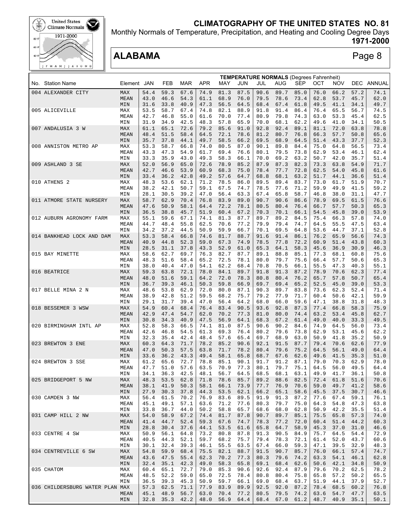

Monthly Normals of Temperature, Precipitation, and Heating and Cooling Degree Days

**1971-2000** 

| Page 8 |
|--------|
|--------|

|     |                                 |             |              |                |              |              |              |              | <b>TEMPERATURE NORMALS (Degrees Fahrenheit)</b> |              |              |              |              |              |              |
|-----|---------------------------------|-------------|--------------|----------------|--------------|--------------|--------------|--------------|-------------------------------------------------|--------------|--------------|--------------|--------------|--------------|--------------|
| No. | <b>Station Name</b>             | Element JAN |              | <b>FEB</b>     | <b>MAR</b>   | <b>APR</b>   | MAY          | <b>JUN</b>   | JUL                                             | <b>AUG</b>   | <b>SEP</b>   | <b>OCT</b>   | <b>NOV</b>   |              | DEC ANNUAL   |
|     | 004 ALEXANDER CITY              | MAX         | 54.4         | 59.3           | 67.6         | 74.9         | 81.3         | 87.5         | 90.6                                            | 89.7         | 85.0         | 76.0         | 66.2         | 57.2         | 74.1         |
|     |                                 | <b>MEAN</b> | 43.0         | 46.6           | 54.3         | 61.1         | 68.9         | 76.0         | 79.5                                            | 78.6         | 73.4         | 62.8         | 53.7         | 45.7         | 62.0         |
|     |                                 | MIN         | 31.6         | 33.8           | 40.9         | 47.3         | 56.5         | 64.5         | 68.4                                            | 67.4         | 61.8         | 49.5         | 41.1         | 34.1         | 49.7         |
|     | 005 ALICEVILLE                  | MAX         | 53.5         | 58.7           | 67.4         | 74.8         | 82.1         | 88.9         | 91.8                                            | 91.4         | 86.4         | 76.4         | 65.5         | 56.7         | 74.5         |
|     |                                 | MEAN<br>MIN | 42.7<br>31.9 | 46.8<br>34.9   | 55.0<br>42.5 | 61.6<br>48.3 | 70.0<br>57.8 | 77.4<br>65.9 | 80.9<br>70.0                                    | 79.8<br>68.1 | 74.3<br>62.2 | 63.0<br>49.6 | 53.3<br>41.0 | 45.4<br>34.1 | 62.5<br>50.5 |
|     | 007 ANDALUSIA 3 W               | MAX         | 61.1         | 65.1           | 72.6         | 79.2         | 85.6         | 91.0         | 92.8                                            | 92.4         | 89.1         | 81.1         | 72.0         | 63.8         | 78.8         |
|     |                                 | <b>MEAN</b> | 48.4         | 51.5           | 58.4         | 64.5         | 72.1         | 78.6         | 81.2                                            | 80.7         | 76.8         | 66.3         | 57.7         | 50.8         | 65.6         |
|     |                                 | MIN         | 35.7         | 37.8           | 44.1         | 49.7         | 58.5         | 66.2         | 69.5                                            | 68.9         | 64.5         | 51.4         | 43.3         | 37.7         | 52.3         |
|     | 008 ANNISTON METRO AP           | MAX         | 53.3         | 58.7           | 66.8         | 74.0         | 80.5         | 87.0         | 90.1                                            | 89.8         | 84.4         | 75.0         | 64.8         | 56.5         | 73.4         |
|     |                                 | MEAN        | 43.3         | 47.3           | 54.9         | 61.7         | 69.4         | 76.6         | 80.1                                            | 79.5         | 73.8         | 62.9         | 53.4         | 46.1         | 62.4         |
|     | 009 ASHLAND 3 SE                | MIN<br>MAX  | 33.3<br>52.0 | 35.9<br>56.9   | 43.0<br>65.0 | 49.3<br>72.6 | 58.3<br>78.9 | 66.1<br>85.2 | 70.0<br>87.9                                    | 69.2<br>87.3 | 63.2<br>82.3 | 50.7<br>73.3 | 42.0<br>63.8 | 35.7<br>54.9 | 51.4<br>71.7 |
|     |                                 | <b>MEAN</b> | 42.7         | 46.6           | 53.9         | 60.9         | 68.3         | 75.0         | 78.4                                            | 77.7         | 72.8         | 62.5         | 54.0         | 45.8         | 61.6         |
|     |                                 | MIN         | 33.4         | 36.2           | 42.8         | 49.2         | 57.6         | 64.7         | 68.8                                            | 68.1         | 63.2         | 51.7         | 44.1         | 36.6         | 51.4         |
|     | 010 ATHENS 2                    | MAX         | 48.3         | 53.6           | 62.1         | 71.2         | 78.5         | 86.0         | 89.5                                            | 89.4         | 83.7         | 73.0         | 61.7         | 51.9         | 70.7         |
|     |                                 | <b>MEAN</b> | 38.2         | 42.1           | 50.7         | 59.1         | 67.5         | 74.7         | 78.5                                            | 77.6         | 71.2         | 59.9         | 49.9         | 41.5         | 59.2         |
|     |                                 | MIN         | 28.1         | 30.5           | 39.2         | 47.0         | 56.4         | 63.3         | 67.4                                            | 65.8         | 58.7         | 46.8         | 38.0         | 31.1         | 47.7         |
|     | 011 ATMORE STATE NURSERY        | MAX         | 58.7         | 62.9           | 70.4         | 76.8         | 83.9         | 89.0         | 90.7                                            | 90.6         | 86.6         | 78.9         | 69.5         | 61.5         | 76.6         |
|     |                                 | <b>MEAN</b> | 47.6<br>36.5 | 50.9<br>38.8   | 58.1<br>45.7 | 64.4<br>51.9 | 72.2<br>60.4 | 78.1<br>67.2 | 80.5<br>70.3                                    | 80.4         | 76.4<br>66.1 | 66.7         | 57.7<br>45.8 | 50.3<br>39.0 | 65.3<br>53.9 |
|     | 012 AUBURN AGRONOMY FARM        | MIN<br>MAX  | 55.1         | 59.6           | 67.1         | 74.1         | 81.3         | 87.7         | 89.7                                            | 70.1<br>89.2 | 84.5         | 54.5<br>75.4 | 66.3         | 57.8         | 74.0         |
|     |                                 | MEAN        | 44.7         | 48.4           | 55.8         | 62.5         | 70.6         | 77.2         | 79.9                                            | 79.4         | 74.7         | 64.5         | 55.5         | 47.5         | 63.4         |
|     |                                 | MIN         | 34.2         | 37.2           | 44.5         | 50.9         | 59.9         | 66.7         | 70.1                                            | 69.5         | 64.8         | 53.6         | 44.7         | 37.1         | 52.8         |
|     | 014 BANKHEAD LOCK AND DAM       | MAX         | 53.3         | 58.4           | 66.8         | 74.6         | 81.7         | 88.7         | 91.6                                            | 91.4         | 86.1         | 76.2         | 65.9         | 56.6         | 74.3         |
|     |                                 | <b>MEAN</b> | 40.9         | 44.8           | 52.3         | 59.0         | 67.3         | 74.9         | 78.5                                            | 77.8         | 72.2         | 60.9         | 51.4         | 43.8         | 60.3         |
|     |                                 | MIN         | 28.5         | 31.1           | 37.8         | 43.3         | 52.9         | 61.0         | 65.3                                            | 64.1         | 58.3         | 45.6         | 36.9         | 30.9         | 46.3         |
|     | 015 BAY MINETTE                 | MAX         | 58.6         | 62.7           | 69.7         | 76.3         | 82.7         | 87.7         | 89.1                                            | 88.8         | 85.1         | 77.3         | 68.1         | 60.8         | 75.6         |
|     |                                 | MEAN<br>MIN | 48.3<br>38.0 | 51.6<br>40.4   | 58.4<br>47.0 | 65.2<br>54.1 | 72.5<br>62.2 | 78.1<br>68.4 | 80.0<br>70.8                                    | 79.7<br>70.5 | 75.6<br>66.1 | 66.4<br>55.5 | 57.7<br>47.3 | 50.6<br>40.3 | 65.3<br>55.1 |
|     | 016 BEATRICE                    | MAX         | 59.3         | 63.8           | 72.1         | 78.0         | 84.1         | 89.7         | 91.8                                            | 91.3         | 87.2         | 78.9         | 70.6         | 62.3         | 77.4         |
|     |                                 | <b>MEAN</b> | 48.0         | 51.6           | 59.1         | 64.2         | 72.0         | 78.3         | 80.8                                            | 80.4         | 76.2         | 65.7         | 57.8         | 50.7         | 65.4         |
|     |                                 | MIN         | 36.7         | 39.3           | 46.1         | 50.3         | 59.8         | 66.9         | 69.7                                            | 69.4         | 65.2         | 52.5         | 45.0         | 39.0         | 53.3         |
|     | 017 BELLE MINA 2 N              | MAX         | 48.6         | 53.8           | 62.9         | 72.0         | 80.0         | 87.1         | 90.3                                            | 89.7         | 83.8         | 73.6         | 62.3         | 52.4         | 71.4         |
|     |                                 | MEAN        | 38.9         | 42.8           | 51.2         | 59.5         | 68.2         | 75.7         | 79.2                                            | 77.9         | 71.7         | 60.4         | 50.6         | 42.1         | 59.9         |
|     | 018 BESSEMER 3 WSW              | MIN<br>MAX  | 29.1<br>54.9 | 31.7<br>60.4   | 39.4<br>68.4 | 47.0<br>76.4 | 56.4<br>83.4 | 64.2<br>90.5 | 68.0<br>93.6                                    | 66.0<br>92.8 | 59.6<br>87.3 | 47.1<br>77.4 | 38.8<br>66.8 | 31.8<br>58.3 | 48.3<br>75.9 |
|     |                                 | <b>MEAN</b> | 42.9         | 47.4           | 54.7         | 62.0         | 70.2         | 77.3         | 81.0                                            | 80.0         | 74.4         | 63.2         | 53.4         | 45.8         | 62.7         |
|     |                                 | MIN         | 30.8         | 34.3           | 40.9         | 47.5         | 56.9         | 64.1         | 68.3                                            | 67.2         | 61.4         | 49.0         | 40.0         | 33.3         | 49.5         |
|     | 020 BIRMINGHAM INTL AP          | MAX         | 52.8         | 58.3           | 66.5         | 74.1         | 81.0         | 87.5         | 90.6                                            | 90.2         | 84.6         | 74.9         | 64.5         | 56.0         | 73.4         |
|     |                                 | MEAN        | 42.6         | 46.8           | 54.5         | 61.3         | 69.3         | 76.4         | 80.2                                            | 79.6         | 73.8         | 62.9         | 53.1         | 45.6         | 62.2         |
|     |                                 | MIN         | 32.3         | 35.4           | 42.4         | 48.4         | 57.6         | 65.4         | 69.7                                            | 68.9         | 63.0         | 50.9         | 41.8         | 35.2         | 50.9         |
|     | 023 BREWTON 3 ENE               | MAX         | 60.3         | 64.3           | 71.7<br>57.5 | 78.2         | 85.2<br>71.7 | 90.6         | 92.1                                            | 91.5         | 87.7         | 79.4         | 70.6         | 62.6         | 77.9         |
|     |                                 | MEAN<br>MIN | 47.0<br>33.6 | 50.3<br>36.2   | 43.3         | 63.8<br>49.4 | 58.1         | 78.2<br>65.8 | 80.4<br>68.7                                    | 79.6<br>67.6 | 75.2<br>62.6 | 64.5<br>49.6 | 56.1<br>41.5 | 49.0<br>35.3 | 64.4<br>51.0 |
|     | 024 BREWTON 3 SSE               | MAX         | 61.2         | 65.6           | 72.7         | 78.8         | 85.1         | 90.1         | 91.7                                            | 91.2         | 87.1         | 79.0         | 70.3         | 62.9         | 78.0         |
|     |                                 | MEAN        | 47.7         | $51.0$         | 57.6         | 63.5         | 70.9         | 77.3         | 80.1                                            | 79.7         | 75.1         | 64.5         | 56.0         | 49.5         | 64.4         |
|     |                                 | MIN         | 34.1         | 36.3           | 42.5         | 48.1         | 56.7         | 64.5         | 68.5                                            | 68.1         | 63.1         | 49.9         | 41.7         | 36.1         | 50.8         |
|     | 025 BRIDGEPORT 5 NW             | MAX         | 48.3         | 53.5           | 62.8         | 71.8         |              | 78.6 85.7    | 89.2                                            | 88.6         | 82.5         | 72.4         | 61.8         | 51.6         | 70.6         |
|     |                                 | MEAN        | 38.1         | 41.9           | 50.3         | 58.1         | 66.1         | 73.9         | 77.7                                            | 76.9         | 70.6         | 59.0         | 49.7         | 41.2         | 58.6         |
|     |                                 | MIN         | 27.9         | 30.3           | 37.8         | 44.3         | 53.5         | 62.1         | 66.2                                            | 65.1         | 58.6         | 45.5         | 37.5         | 30.7         | 46.6         |
|     | 030 CAMDEN 3 NW                 | MAX<br>MEAN | 56.4<br>45.1 | 61.5<br>49.1   | 70.2<br>57.1 | 76.9<br>63.6 | 83.6<br>71.2 | 89.5<br>77.6 | 91.9<br>80.3                                    | 91.3<br>79.7 | 87.2<br>75.0 | 77.6<br>64.3 | 67.4<br>54.8 | 59.1<br>47.3 | 76.1<br>63.8 |
|     |                                 | MIN         | 33.8         | 36.7           | 44.0         | 50.2         | 58.8         | 65.7         | 68.6                                            | 68.0         | 62.8         | 50.9         | 42.2         | 35.5         | 51.4         |
|     | 031 CAMP HILL 2 NW              | MAX         | 54.0         | 58.9           | 67.2         | 74.4         | 81.7         | 87.8         | 90.7                                            | 89.7         | 85.1         | 75.5         | 65.8         | 57.3         | 74.0         |
|     |                                 | MEAN        | 41.4         | 44.7           | 52.4         | 59.3         | 67.6         | 74.7         | 78.3                                            | 77.2         | 72.0         | 60.4         | 51.4         | 44.2         | 60.3         |
|     |                                 | MIN         | 28.8         | 30.4           | 37.6         | 44.1         | 53.5         | 61.6         | 65.8                                            | 64.7         | 58.9         | 45.3         | 37.0         | 31.0         | 46.6         |
|     | 033 CENTRE 4 SW                 | MAX         | 50.9         | 56.1           | 64.8         | 73.2         | 80.8         | 87.8         | 91.3                                            | 90.5         | 84.9         | 75.7         | 64.5         | 54.4         | 72.9         |
|     |                                 | MEAN        | 40.5         | 44.3           | 52.1         | 59.7         | 68.2         | 75.7         | 79.4                                            | 78.3         | 72.1         | 61.4         | 52.0         | 43.7         | 60.6         |
|     |                                 | MIN         | 30.1         | 32.4           | 39.3         | 46.1         | 55.5         | 63.5         | 67.4                                            | 66.0         | 59.3         | 47.1         | 39.5         | 32.9         | 48.3         |
|     | 034 CENTREVILLE 6 SW            | MAX<br>MEAN | 54.8<br>43.6 | 59.9<br>47.5   | 68.4<br>55.4 | 75.5<br>62.3 | 82.1<br>70.2 | 88.7<br>77.3 | 91.5<br>80.3                                    | 90.7<br>79.6 | 85.7<br>74.2 | 76.0<br>63.3 | 66.1<br>54.1 | 57.4<br>46.1 | 74.7<br>62.8 |
|     |                                 | MIN         | 32.4         | 35.1           | 42.3         | 49.0         | 58.3         | 65.8         | 69.1                                            | 68.4         | 62.6         | 50.6         | 42.1         | 34.8         | 50.9         |
|     | 035 CHATOM                      | MAX         | 60.4         | 65.1           | 72.7         | 79.0         | 85.3         | 90.6         | 92.6                                            | 92.4         | 87.9         | 79.6         | 70.2         | 62.5         | 78.2         |
|     |                                 | MEAN        | 48.5         | 52.2           | 59.0         | 65.0         | 72.5         | 78.4         | 80.8                                            | 80.4         | 75.8         | 65.8         | 57.2         | 50.2         | 65.5         |
|     |                                 | MIN         | 36.5         | 39.3           | 45.3         | 50.9         | 59.7         | 66.1         | 69.0                                            | 68.4         | 63.7         | 51.9         | 44.1         | 37.9         | 52.7         |
|     | 036 CHILDERSBURG WATER PLAN MAX |             | 57.3         | 62.5           | 71.1         | 77.9         | 83.9         | 89.9         | 92.5                                            | 92.0         | 87.2         | 78.4         | 68.5         | 60.2         | 76.8         |
|     |                                 | MEAN        |              | 45.1 48.9      | 56.7         | 63.0         | 70.4         | 77.2         | 80.5                                            | 79.5         | 74.2         | 63.6         | 54.7         | 47.7         | 63.5         |
|     |                                 | MIN         |              | 32.8 35.3 42.2 |              | 48.0         | 56.9         | 64.4         | 68.4                                            | 67.0         | 61.2         | 48.7         | 40.9         | 35.1         | 50.1         |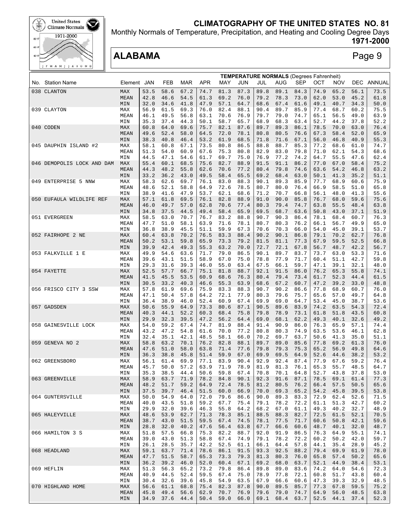

Monthly Normals of Temperature, Precipitation, and Heating and Cooling Degree Days **1971-2000** 

| No. Station Name           | Element JAN       |              | <b>FEB</b>   | <b>MAR</b>   | <b>APR</b>   | <b>MAY</b>   | JUN          | JUL          | AUG          | <b>TEMPERATURE NORMALS (Degrees Fahrenheit)</b><br><b>SEP</b> | OCT          | NOV.         | DEC.         | ANNUAL       |
|----------------------------|-------------------|--------------|--------------|--------------|--------------|--------------|--------------|--------------|--------------|---------------------------------------------------------------|--------------|--------------|--------------|--------------|
| 038<br>CLANTON             | MAX               | 53.5         | 58.6         | 67.2         | 74.7         | 81.3         | 87.3         | 89.8         | 89.1         | 84.3                                                          | 74.9         | 65.2         | 56.1         | 73.5         |
|                            | MEAN              | 42.8         | 46.6         | 54.5         | 61.3         | 69.2         | 76.0         | 79.2         | 78.3         | 73.0                                                          | 62.0         | 53.0         | 45.2         | 61.8         |
|                            | MIN               | 32.0         | 34.6         | 41.8         | 47.9         | 57.1         | 64.7         | 68.6         | 67.4         | 61.6                                                          | 49.1         | 40.7         | 34.3         | 50.0         |
| 039 CLAYTON                | MAX               | 56.9         | 61.5         | 69.3         | 76.0         | 82.4         | 88.1         | 90.4         | 89.7         | 85.9                                                          | 77.4         | 68.7         | 60.2         | 75.5         |
|                            | MEAN              | 46.1         | 49.5         | 56.8         | 63.1         | 70.6         | 76.9         | 79.7         | 79.0         | 74.7                                                          | 65.1         | 56.5         | 49.0         | 63.9         |
|                            | MIN               | 35.3         | 37.4         | 44.3         | 50.1         | 58.7         | 65.7         | 68.9         | 68.3         | 63.4                                                          | 52.7         | 44.2         | 37.8         | 52.2         |
| 040 CODEN                  | MAX               | 60.8         | 64.0         | 69.6         | 75.7         | 82.1         | 87.6         | 89.7         | 89.3         | 86.1                                                          | 78.5         | 70.0         | 63.0         | 76.4         |
|                            | MEAN              | 49.6         | 52.4         | 58.0         | 64.5         | 72.0         | 78.1         | 80.8         | 80.5         | 76.6                                                          | 67.3         | 58.4         | 52.0         | 65.9         |
|                            | MIN               | 38.3         | 40.8         | 46.4         | 53.2         | 61.9         | 68.5         | 71.8         | 71.6         | 67.1                                                          | 56.0         | 46.8         | 40.9         | 55.3         |
| 045 DAUPHIN ISLAND #2      | MAX               | 58.1         | 60.8         | 67.1         | 73.5         | 80.8         | 86.5         | 88.8         | 88.7         | 85.3                                                          | 77.2         | 68.6         | 61.0         | 74.7         |
|                            | <b>MEAN</b>       | 51.3<br>44.5 | 54.0         | 60.9         | 67.6         | 75.3<br>69.7 | 80.8<br>75.0 | 82.9         | 83.0<br>77.2 | 79.8<br>74.2                                                  | 71.0         | 62.1<br>55.5 | 54.3         | 68.6<br>62.4 |
| 046 DEMOPOLIS LOCK AND DAM | MIN<br><b>MAX</b> | 55.4         | 47.1<br>60.1 | 54.6<br>68.5 | 61.7<br>75.6 | 82.7         | 88.9         | 76.9<br>91.5 | 91.1         | 86.2                                                          | 64.7<br>77.0 | 67.0         | 47.6<br>58.4 | 75.2         |
|                            | <b>MEAN</b>       | 44.3         | 48.2         | 55.8         | 62.6         | 70.6         | 77.2         | 80.4         | 79.8         | 74.6                                                          | 63.6         | 54.2         | 46.8         | 63.2         |
|                            | MIN               | 33.2         | 36.2         | 43.0         | 49.5         | 58.4         | 65.5         | 69.2         | 68.4         | 63.0                                                          | 50.1         | 41.3         | 35.2         | 51.1         |
| 049 ENTERPRISE 5 NNW       | MAX               | 58.3         | 62.6         | 69.7         | 76.1         | 83.0         | 88.3         | 90.1         | 89.3         | 85.9                                                          | 77.7         | 68.9         | 60.6         | 75.9         |
|                            | MEAN              | 48.6         | 52.1         | 58.8         | 64.9         | 72.6         | 78.5         | 80.7         | 80.0         | 76.4                                                          | 66.9         | 58.5         | 51.0         | 65.8         |
|                            | MIN               | 38.9         | 41.6         | 47.9         | 53.7         | 62.1         | 68.6         | 71.2         | 70.7         | 66.8                                                          | 56.1         | 48.0         | 41.3         | 55.6         |
| 050 EUFAULA WILDLIFE REF   | MAX               | 57.1         | 61.8         | 69.5         | 76.1         | 82.8         | 88.9         | 91.0         | 90.0         | 85.8                                                          | 76.7         | 68.0         | 59.6         | 75.6         |
|                            | MEAN              | 46.0         | 49.7         | 57.0         | 62.8         | 70.6         | 77.4         | 80.3         | 79.4         | 74.7                                                          | 63.8         | 55.5         | 48.4         | 63.8         |
|                            | MIN               | 34.8         | 37.5         | 44.5         | 49.4         | 58.4         | 65.9         | 69.5         | 68.7         | 63.6                                                          | 50.8         | 43.0         | 37.1         | 51.9         |
| 051 EVERGREEN              | MAX               | 58.5         | 63.0         | 70.7         | 76.7         | 83.2         | 88.8         | 90.7         | 90.3         | 86.4                                                          | 78.1         | 68.4         | 60.7         | 76.3         |
|                            | <b>MEAN</b>       | 47.7         | 51.0         | 58.1         | 63.9         | 71.6         | 78.1         | 80.7         | 80.3         | 76.2                                                          | 66.1         | 56.7         | 49.9         | 65.0         |
|                            | MIN               | 36.8         | 38.9         | 45.5         | 51.1         | 59.9         | 67.3         | 70.6         | 70.3         | 66.0                                                          | 54.0         | 45.0         | 39.1         | 53.7         |
| 052 FAIRHOPE 2 NE          | MAX               | 60.4         | 63.8         | 70.2         | 76.5         | 83.3         | 88.4         | 90.2         | 90.1         | 86.8                                                          | 79.1         | 70.2         | 62.7         | 76.8         |
|                            | MEAN              | 50.2         | 53.1         | 59.8         | 65.9         | 73.3         | 79.2         | 81.5         | 81.1         | 77.3                                                          | 67.9         | 59.5         | 52.5         | 66.8         |
|                            | MIN               | 39.9         | 42.4         | 49.3         | 55.3         | 63.2         | 70.0         | 72.7         | 72.1         | 67.8                                                          | 56.7         | 48.7         | 42.2         | 56.7         |
| 053 FALKVILLE 1 E          | MAX               | 49.9         | 54.6         | 63.6         | 71.7         | 79.0         | 86.5         | 90.1         | 89.7         | 83.7                                                          | 73.7         | 63.0         | 53.3         | 71.6         |
|                            | MEAN              | 39.6         | 43.1         | 51.5         | 58.9         | 67.0         | 75.0         | 78.8         | 77.9         | 71.7                                                          | 60.4         | 51.1         | 42.7         | 59.8         |
|                            | MIN               | 29.3         | 31.6         | 39.3         | 46.0         | 55.0         | 63.4         | 67.5         | 66.1         | 59.7                                                          | 47.1         | 39.1         | 32.1         | 48.0         |
| 054 FAYETTE                | MAX               | 52.5<br>41.5 | 57.7<br>45.5 | 66.7<br>53.5 | 75.1<br>60.9 | 81.8<br>68.6 | 88.7<br>76.3 | 92.1<br>80.4 | 91.5<br>79.4 | 86.0<br>73.4                                                  | 76.2<br>61.7 | 65.3<br>52.3 | 55.8<br>44.4 | 74.1<br>61.5 |
|                            | MEAN<br>MIN       | 30.5         | 33.2         | 40.3         | 46.6         | 55.3         | 63.9         | 68.6         | 67.2         | 60.7                                                          | 47.2         | 39.2         | 33.0         | 48.8         |
| 056 FRISCO CITY 3 SSW      | MAX               | 57.8         | 61.9         | 69.6         | 75.9         | 83.3         | 88.3         | 90.7         | 90.2         | 86.6                                                          | 77.8         | 68.9         | 60.7         | 76.0         |
|                            | <b>MEAN</b>       | 47.1         | 50.4         | 57.8         | 64.2         | 72.1         | 77.9         | 80.3         | 79.6         | 75.7                                                          | 65.6         | 57.0         | 49.7         | 64.8         |
|                            | MIN               | 36.4         | 38.9         | 46.0         | 52.4         | 60.9         | 67.4         | 69.9         | 69.0         | 64.7                                                          | 53.4         | 45.0         | 38.7         | 53.6         |
| 057 GADSDEN                | MAX               | 50.6         | 55.9         | 64.9         | 73.3         | 80.6         | 87.1         | 90.5         | 89.6         | 83.9                                                          | 74.2         | 63.5         | 54.3         | 72.4         |
|                            | <b>MEAN</b>       | 40.3         | 44.1         | 52.2         | 60.3         | 68.4         | 75.8         | 79.8         | 78.9         | 73.1                                                          | 61.8         | 51.8         | 43.5         | 60.8         |
|                            | MIN               | 29.9         | 32.3         | 39.5         | 47.2         | 56.2         | 64.4         | 69.0         | 68.1         | 62.2                                                          | 49.3         | 40.1         | 32.6         | 49.2         |
| 058 GAINESVILLE LOCK       | MAX               | 54.0         | 59.2         | 67.4         | 74.7         | 81.9         | 88.4         | 91.4         | 90.9         | 86.0                                                          | 76.3         | 65.9         | 57.1         | 74.4         |
|                            | MEAN              | 43.2         | 47.2         | 54.8         | 61.6         | 70.0         | 77.2         | 80.8         | 80.3         | 74.9                                                          | 63.5         | 53.6         | 46.1         | 62.8         |
|                            | MIN               | 32.4         | 35.1         | 42.1         | 48.5         | 58.1         | 66.0         | 70.2         | 69.7         | 63.7                                                          | 50.6         | 41.3         | 35.0         | 51.1         |
| 059 GENEVA NO 2            | MAX               | 58.8         | 63.2         | 70.1         | 76.2         | 82.8         | 88.1         | 89.7         | 89.0         | 85.6                                                          | 77.8         | 69.2         | 61.3         | 76.0         |
|                            | MEAN              | 47.6         | 51.0         | 58.0         | 63.8         | 71.4         | 77.6         | 79.8         | 79.3         | 75.3                                                          | 65.2         | 56.9         | 49.8         | 64.6         |
|                            | MIN               | 36.3         | 38.8         | 45.8         | 51.4         | 59.9         | 67.0         | 69.9         | 69.5         | 64.9                                                          | 52.6         | 44.6         | 38.2         | 53.2         |
| 062 GREENSBORO             | MAX               | 56.1         | 61.4         | 69.9         | 77.1         | 83.9         | 90.4         | 92.9         | 92.4         | 87.4                                                          | 77.9         | 67.6         | 59.2         | 76.4         |
|                            | MEAN<br>MIN       | 45.7<br>35.3 | 50.0<br>38.5 | 57.2<br>44.4 | 63.9<br>50.6 | 71.9<br>59.8 | 78.9<br>67.4 | 81.9<br>70.8 | 81.3<br>70.1 | 76.1<br>64.8                                                  | 65.3<br>52.7 | 55.7<br>43.8 | 48.5<br>37.8 | 64.7<br>53.0 |
| 063 GREENVILLE             | MAX               | 58.9         | 63.7         | 71.9         | 78.2         | 84.8         | 90.1         | 92.3         | 91.6         | 87.1                                                          | 78.5         | 69.1         | 61.4         | 77.3         |
|                            | MEAN              | 48.2         | 51.7         | 59.2         | 64.9         | 72.4         | 78.5         | 81.2         | 80.5         | 76.2                                                          | 66.4         | 57.5         | 50.5         | 65.6         |
|                            | MIN               | 37.5         | 39.7         | 46.4         | 51.5         | 60.0         | 66.9         | 70.0         | 69.3         | 65.2                                                          | 54.2         | 45.8         | 39.5         | 53.8         |
| 064 GUNTERSVILLE           | MAX               | 50.0         | 54.9         | 64.0         | 72.0         | 79.6         | 86.6         | 90.0         | 89.3         | 83.3                                                          | 72.9         | 62.4         | 52.6         | 71.5         |
|                            | MEAN              | 40.0         | 43.5         | 51.8         | 59.2         | 67.7         | 75.4         | 79.1         | 78.2         | 72.2                                                          | 61.1         | 51.3         | 42.7         | 60.2         |
|                            | MIN               | 29.9         | 32.0         | 39.6         | 46.3         | 55.8         | 64.2         | 68.2         | 67.0         | 61.1                                                          | 49.3         | 40.2         | 32.7         | 48.9         |
| 065 HALEYVILLE             | MAX               | 48.6         | 53.9         | 62.7         | 71.3         | 78.3         | 85.1         | 88.5         | 88.3         | 82.7                                                          | 72.5         | 61.5         | 52.1         | 70.5         |
|                            | MEAN              | 38.7         | 43.0         | 51.5         | 59.5         | 67.4         | 74.5         | 78.1         | 77.5         | 71.7                                                          | 60.6         | 50.8         | 42.1         | 59.6         |
|                            | MIN               | 28.8         | 32.0         | 40.2         | 47.6         | 56.4         | 63.8         | 67.7         | 66.6         | 60.6                                                          | 48.7         | 40.1         | 32.0         | 48.7         |
| 066 HAMILTON 3 S           | MAX               | 51.8         | 57.5         | 66.8         | 75.3         | 82.2         | 88.7         | 92.0         | 91.9         | 86.5                                                          | 76.3         | 64.9         | 55.1         | 74.1         |
|                            | MEAN              | 39.0         | 43.0         | 51.3         | 58.8         | 67.4         | 74.9         | 79.1         | 78.2         | 72.2                                                          | 60.2         | 50.2         | 42.0         | 59.7         |
|                            | MIN               | 26.1         | 28.5         | 35.7         | 42.2         | 52.5         | 61.1         | 66.1         | 64.4         | 57.8                                                          | 44.1         | 35.4         | 28.9         | 45.2         |
| 068 HEADLAND               | MAX               | 59.1         | 63.7         | 71.4         | 78.6         | 86.1         | 91.5         | 93.3         | 92.5         | 88.2                                                          | 79.4         | 69.9         | 61.9         | 78.0         |
|                            | MEAN              | 47.7         | 51.5         | 58.7         | 65.3         | 73.3         | 79.3         | 81.3         | 80.3         | 76.0                                                          | 65.8         | 57.4         | 50.2         | 65.6         |
|                            | MIN               | 36.2         | 39.2         | 46.0         | 52.0         | 60.4         | 67.1         | 69.2         | 68.0         | 63.7                                                          | 52.1         | 44.9         | 38.4         | 53.1         |
| 069 HEFLIN                 | MAX               | 51.3         | 56.3         | 65.2<br>52.4 | 73.2<br>59.5 | 79.8<br>67.4 | 86.4<br>75.0 | 89.8         | 89.0<br>77.8 | 83.6                                                          | 74.2         | 64.0         | 54.6         | 72.3         |
|                            | MEAN<br>MIN       | 40.9<br>30.4 | 44.5<br>32.6 | 39.6         | 45.8         | 54.9         | 63.5         | 78.9<br>67.9 | 66.6         | 72.1<br>60.6                                                  | 60.8<br>47.3 | 51.7<br>39.3 | 43.8<br>32.9 | 60.4<br>48.5 |
| 070 HIGHLAND HOME          | MAX               | 56.6         | 61.1         | 68.8         | 75.4         | 82.3         | 87.8         | 90.0         | 89.5         | 85.7                                                          | 77.3         | 67.8         | 59.5         | 75.2         |
|                            | MEAN              | 45.8         | 49.4         | 56.6         | 62.9         | 70.7         | 76.9         | 79.6         | 79.0         | 74.7                                                          | 64.9         | 56.0         | 48.5         | 63.8         |
|                            | MIN               | 34.9         | 37.6         | 44.4         | 50.4         | 59.0         | 66.0         | 69.1         | 68.4         | 63.7                                                          | 52.5         |              | 44.1 37.4    | 52.3         |
|                            |                   |              |              |              |              |              |              |              |              |                                                               |              |              |              |              |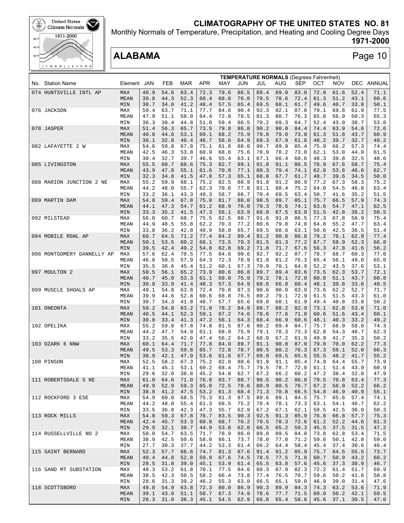

Monthly Normals of Temperature, Precipitation, and Heating and Cooling Degree Days

**1971-2000** 

### **ALABAMA**

| Page 10 |  |  |
|---------|--|--|
|---------|--|--|

| <b>APR</b><br><b>JUN</b><br>JUL<br><b>AUG</b><br><b>OCT</b><br>Element JAN<br>FEB<br><b>MAR</b><br>MAY<br>SEP<br><b>NOV</b><br>DEC ANNUAL<br><b>Station Name</b><br>No.<br>86.5<br>89.0<br>48.9<br>54.6<br>63.4<br>72.3<br>79.6<br>89.4<br>83.0<br>72.9<br>61.6<br>52.4<br>074 HUNTSVILLE INTL AP<br>MAX<br>71.1<br>68.6<br>39.8<br>44.3<br>52.3<br>60.4<br>76.0<br>79.5<br>78.6<br>72.4<br>51.2<br>43.1<br>60.6<br><b>MEAN</b><br>61.3<br>34.0<br>41.2<br>57.5<br>65.4<br>69.5<br>68.1<br>61.7<br>49.6<br>40.7<br>30.7<br>48.4<br>33.8<br>50.1<br>MIN<br>87.8<br>63.7<br>71.1<br>77.7<br>84.6<br>90.4<br>92.3<br>92.1<br>69.8<br>77.5<br>076 JACKSON<br>59.4<br>79.1<br>61.9<br>MAX<br>47.9<br>58.0<br>72.0<br>78.5<br>81.3<br>80.7<br>76.3<br>56.9<br>50.3<br>65.3<br>MEAN<br>51.1<br>64.4<br>65.8<br>36.3<br>44.8<br>59.4<br>66.5<br>69.3<br>64.7<br>43.9<br>38.7<br>53.0<br>MIN<br>38.4<br>51.0<br>70.2<br>52.4<br>51.4<br>65.7<br>73.5<br>79.8<br>86.8<br>90.2<br>90.0<br>84.4<br>74.4<br>63.9<br>54.6<br>72.6<br>078 JASPER<br>MAX<br>56.3<br>40.8<br>53.1<br>68.2<br>75.9<br>79.8<br>79.0<br>73.0<br>51.8<br>43.7<br>60.9<br><b>MEAN</b><br>44.6<br>60.1<br>61.3<br>32.8<br>40.4<br>46.7<br>56.6<br>64.9<br>69.3<br>67.9<br>61.6<br>48.2<br>39.7<br>32.7<br>49.2<br>MIN<br>30.1<br>59.8<br>67.8<br>81.8<br>88.0<br>89.9<br>85.4<br>75.9<br>66.2<br>57.3<br>74.4<br>082 LAFAYETTE 2 W<br>MAX<br>54.6<br>75.1<br>90.7<br>42.5<br>46.3<br>53.8<br>60.9<br>68.6<br>75.6<br>78.9<br>78.2<br>73.0<br>62.1<br>53.0<br>44.9<br>61.5<br>MEAN<br>32.7<br>39.7<br>55.4<br>63.1<br>67.1<br>66.4<br>60.6<br>48.3<br>39.8<br>32.5<br>48.6<br>MIN<br>30.4<br>46.6<br>55.5<br>60.7<br>68.6<br>75.3<br>82.7<br>89.1<br>91.8<br>91.1<br>86.5<br>76.9<br>67.6<br>58.7<br>75.4<br>085 LIVINGSTON<br>MAX<br>43.9<br>47.8<br>55.1<br>61.6<br>70.0<br>77.1<br>80.3<br>79.4<br>74.1<br>62.8<br>53.6<br>46.6<br>62.7<br><b>MEAN</b><br>32.3<br>34.8<br>41.5<br>47.8<br>57.3<br>65.1<br>68.8<br>67.7<br>61.7<br>48.7<br>39.6<br>34.5<br>50.0<br>MIN<br>55.2<br>59.9<br>68.1<br>75.2<br>82.5<br>88.9<br>91.2<br>86.9<br>77.2<br>67.3<br>58.3<br>75.2<br>91.8<br>088 MARION JUNCTION 2 NE<br>MAX<br>MEAN<br>44.2<br>48.0<br>55.7<br>62.3<br>70.6<br>77.8<br>81.1<br>80.4<br>75.2<br>64.0<br>54.5<br>46.8<br>63.4<br>33.2<br>36.1<br>43.3<br>49.3<br>58.7<br>66.7<br>70.4<br>69.5<br>63.4<br>50.7<br>41.6<br>35.2<br>51.5<br>MIN<br>88.0<br>85.1<br>54.8<br>59.4<br>67.8<br>75.0<br>81.7<br>90.5<br>89.7<br>75.7<br>66.5<br>57.9<br>74.3<br>089 MARTIN DAM<br>MAX<br>44.1<br>47.3<br>54.7<br>61.2<br>68.9<br>76.0<br>79.3<br>78.6<br>74.1<br>63.6<br>54.7<br>47.1<br>62.5<br><b>MEAN</b><br>33.3<br>35.2<br>41.5<br>47.3<br>56.1<br>63.9<br>68.0<br>67.5<br>63.0<br>51.5<br>42.8<br>36.2<br>50.5<br>MIN<br>68.7<br>86.5<br>56.0<br>60.7<br>75.5<br>82.5<br>88.7<br>91.6<br>91.0<br>77.3<br>67.8<br>58.9<br>75.4<br>092 MILSTEAD<br>MAX<br>70.3<br>79.8<br>44.9<br>48.5<br>55.8<br>62.2<br>77.2<br>80.6<br>74.8<br>64.0<br>55.2<br>47.7<br>63.4<br>MEAN<br>42.8<br>33.8<br>36.2<br>48.9<br>58.0<br>65.7<br>69.5<br>68.6<br>63.1<br>50.6<br>42.5<br>36.5<br>51.4<br>MIN<br>71.2<br>90.8<br>86.8<br>62.9<br>60.7<br>64.5<br>77.4<br>84.2<br>89.4<br>91.2<br>79.2<br>70.1<br>77.4<br>094 MOBILE RGNL AP<br>MAX<br>60.2<br>79.3<br>50.1<br>53.5<br>66.1<br>73.5<br>81.5<br>81.3<br>77.2<br>67.7<br>58.9<br>52.3<br>66.8<br><b>MEAN</b><br>49.2<br>62.8<br>69.2<br>67.6<br>41.6<br>56.2<br>39.5<br>42.4<br>54.8<br>71.8<br>71.7<br>56.3<br>47.8<br>MIN<br>70.5<br>87.7<br>57.6<br>62.4<br>77.5<br>84.6<br>90.6<br>92.7<br>92.2<br>78.7<br>68.7<br>60.3<br>77.0<br>096 MONTGOMERY DANNELLY AP<br>MAX<br>57.9<br>78.9<br>81.2<br>46.6<br>50.5<br>64.3<br>72.3<br>81.8<br>76.3<br>65.4<br>56.1<br>49.0<br>65.0<br>MEAN<br>60.1<br>67.3<br>64.9<br>35.5<br>45.4<br>51.2<br>70.9<br>70.1<br>52.2<br>43.5<br>37.6<br>53.1<br>MIN<br>38.6<br>80.6<br>86.8<br>89.4<br>83.6<br>62.3<br>50.5<br>56.1<br>65.2<br>73.9<br>89.7<br>73.5<br>53.7<br>72.1<br>097 MOULTON 2<br>MAX<br>40.7<br>53.3<br>69.0<br>75.9<br>79.2<br>78.1<br>72.0<br>60.8<br>51.1<br>43.7<br>60.8<br><b>MEAN</b><br>45.0<br>61.1<br>30.8<br>33.9<br>41.4<br>48.3<br>57.3<br>64.9<br>68.6<br>66.8<br>60.4<br>48.1<br>39.8<br>33.6<br>49.5<br>MIN<br>63.8<br>79.8<br>87.3<br>90.0<br>83.9<br>62.2<br>52.7<br>099 MUSCLE SHOALS AP<br>MAX<br>49.1<br>54.8<br>72.4<br>90.6<br>73.6<br>71.7<br>68.8<br>51.5<br>39.9<br>44.6<br>52.8<br>60.6<br>76.5<br>80.2<br>79.1<br>72.9<br>61.5<br>43.3<br>61.0<br>MEAN<br>41.8<br>57.7<br>65.6<br>69.8<br>68.1<br>61.9<br>49.4<br>40.8<br>33.8<br>50.2<br>MIN<br>30.7<br>34.3<br>48.7<br>88.2<br>82.9<br>50.2<br>54.8<br>63.2<br>71.0<br>78.2<br>84.9<br>88.7<br>73.1<br>62.8<br>53.6<br>71.0<br>101 ONEONTA<br>MAX<br>52.3<br>67.2<br>40.5<br>44.1<br>59.1<br>74.6<br>78.6<br>77.6<br>71.8<br>60.6<br>51.6<br>43.4<br>60.1<br><b>MEAN</b><br>66.9<br>30.8<br>33.4<br>41.3<br>47.2<br>56.1<br>64.3<br>68.4<br>60.6<br>48.1<br>40.3<br>33.2<br>49.2<br>MIN<br>55.2<br>59.8<br>67.8<br>74.8<br>81.5<br>87.6<br>90.2<br>89.4<br>84.7<br>75.7<br>66.9<br>58.0<br>74.3<br>102 OPELIKA<br>MAX<br>75.9<br>44.2<br>47.7<br>54.9<br>68.9<br>79.1<br>78.3<br>73.3<br>62.8<br>54.3<br>46.7<br>62.3<br>61.1<br>MEAN<br>33.2<br>35.5<br>42.0<br>47.4<br>56.2<br>64.2<br>68.0<br>67.2<br>61.9<br>49.9<br>41.7<br>35.3<br>50.2<br>MIN<br>71.7<br>89.7<br>90.8<br>64.4<br>77.8<br>84.0<br>91.1<br>87.0<br>79.0<br>70.0<br>62.2<br>77.3<br>103 OZARK 6 NNW<br>60.1<br>MAX<br>49.5<br>59.8<br>72.8<br>78.7<br>80.2<br>76.3<br>59.1<br>52.0<br>66.3<br>53.3<br>65.7<br>80.5<br>67.3<br>MEAN<br>38.9<br>42.1<br>47.9<br>53.6<br>61.6<br>67.7<br>69.9<br>69.5<br>65.5<br>55.5<br>48.2<br>41.7<br>55.2<br>MIN<br>85.4<br>52.5<br>58.2<br>67.3<br>75.2<br>82.0<br>88.6<br>91.8<br>91.1<br>74.9<br>64.4<br>55.7<br>73.9<br>108 PINSON<br>MAX<br>60.2<br>79.5<br>45.1<br>53.1<br>68.4<br>75.7<br>78.7<br>72.8<br>61.1<br>51.4<br>43.9<br>60.9<br>MEAN<br>41.1<br>45.2<br>54.8<br>62.7<br>67.2<br>66.2<br>60.2<br>29.6<br>32.0<br>38.8<br>47.2<br>38.4<br>32.0<br>47.9<br>MIN<br>64.6<br>90.5<br>90.2<br>86.8<br>MAX<br>61.0<br>71.0<br>76.8<br>83.7<br>88.7<br>79.5<br>70.8<br>63.4<br>77.3<br>111 ROBERTSDALE 5 NE<br>49.9<br>52.9<br>59.3<br>65.0<br>72.5<br>78.6<br>80.9<br>80.5<br>76.7<br>67.2<br>58.9<br>52.2<br>66.2<br>MEAN<br>MIN<br>38.8<br>41.2<br>47.5<br>53.2<br>61.3<br>68.4<br>71.3<br>70.8<br>66.5<br>54.8<br>46.9<br>40.9<br>55.1<br>112 ROCKFORD 3 ESE<br>54.9<br>60.0<br>68.5<br>75.3<br>81.3<br>87.5<br>89.6<br>89.1<br>84.5<br>75.7<br>65.6<br>57.4<br>74.1<br>MAX<br>MEAN<br>44.2<br>48.0<br>55.4<br>61.3<br>68.5<br>75.2<br>78.4<br>78.1<br>73.3<br>63.1<br>54.1<br>46.7<br>62.2<br>33.5<br>42.3<br>47.3<br>55.7<br>62.9<br>67.2<br>67.1<br>62.1<br>50.5<br>42.5<br>36.0<br>50.3<br>MIN<br>36.0<br>54.8<br>90.3<br>92.5<br>91.3<br>85.9<br>66.8<br>MAX<br>59.3<br>67.8<br>76.7<br>83.5<br>76.8<br>57.7<br>75.3<br>113 ROCK MILLS<br>MEAN<br>42.4<br>45.7<br>53.3<br>60.8<br>68.7<br>76.2<br>79.5<br>78.3<br>72.6<br>61.2<br>52.2<br>44.6<br>61.3<br>29.9<br>53.8<br>62.0<br>65.2<br>59.3<br>37.5<br>MIN<br>32.1<br>38.7<br>44.9<br>66.5<br>45.5<br>31.5<br>47.2<br>78.9<br>89.5<br>114 RUSSELLVILLE NO 2<br>50.0<br>54.7<br>63.5<br>71.7<br>86.0<br>89.8<br>84.0<br>73.8<br>62.8<br>53.4<br>71.5<br>MAX<br>50.6<br>MEAN<br>38.9<br>42.5<br>58.0<br>66.1<br>73.7<br>78.0<br>77.0<br>71.2<br>59.6<br>50.1<br>42.0<br>59.0<br>MIN<br>27.7<br>30.3<br>37.7<br>44.2<br>53.3<br>61.4<br>66.2<br>64.4<br>58.4<br>45.4<br>37.4<br>30.6<br>46.4<br>52.3<br>57.7<br>66.6<br>74.7<br>81.3<br>87.6<br>91.4<br>91.2<br>85.9<br>75.7<br>64.5<br>55.5<br>73.7<br>MAX<br>115 SAINT BERNARD<br>44.8<br>52.8<br>59.9<br>67.6<br>74.5<br>77.5<br>50.9<br>60.2<br>MEAN<br>40.4<br>78.5<br>71.8<br>60.7<br>43.2<br>28.5<br>39.0<br>53.9<br>61.4<br>63.8<br>57.6<br>45.6<br>37.3<br>MIN<br>31.8<br>45.1<br>65.5<br>30.9<br>46.7<br>77.5<br>48.3<br>53.2<br>61.8<br>70.1<br>84.6<br>88.3<br>87.9<br>82.3<br>72.2<br>61.4<br>51.7<br>69.9<br>116 SAND MT SUBSTATION<br>MAX<br>50.5<br>58.2<br>66.4<br>73.8<br>76.5<br>59.6<br>50.2<br>MEAN<br>38.5<br>42.3<br>77.4<br>70.7<br>41.6<br>58.8<br>39.2<br>46.2<br>55.3<br>65.1<br>MIN<br>28.6<br>31.3<br>63.0<br>66.5<br>59.0<br>46.9<br>39.0<br>31.4<br>47.6<br>49.8<br>63.8<br>72.3<br>80.0<br>86.9<br>89.9<br>63.2<br>MAX<br>54.9<br>90.3<br>84.3<br>74.3<br>53.6<br>71.9<br>118 SCOTTSBORO<br>58.7<br>50.2<br>39.1 43.0<br>51.1<br>67.3<br>74.9<br>78.6<br>77.7 71.5<br>60.0<br>42.1<br>59.5<br>MEAN<br>45.1 54.5 62.9<br>28.3 31.0<br>38.3<br>66.8<br>65.4<br>58.6<br>45.6 37.1 30.5<br>MIN<br>47.0 | <b>TEMPERATURE NORMALS (Degrees Fahrenheit)</b> |  |  |  |  |  |  |  |  |  |  |  |  |  |
|-----------------------------------------------------------------------------------------------------------------------------------------------------------------------------------------------------------------------------------------------------------------------------------------------------------------------------------------------------------------------------------------------------------------------------------------------------------------------------------------------------------------------------------------------------------------------------------------------------------------------------------------------------------------------------------------------------------------------------------------------------------------------------------------------------------------------------------------------------------------------------------------------------------------------------------------------------------------------------------------------------------------------------------------------------------------------------------------------------------------------------------------------------------------------------------------------------------------------------------------------------------------------------------------------------------------------------------------------------------------------------------------------------------------------------------------------------------------------------------------------------------------------------------------------------------------------------------------------------------------------------------------------------------------------------------------------------------------------------------------------------------------------------------------------------------------------------------------------------------------------------------------------------------------------------------------------------------------------------------------------------------------------------------------------------------------------------------------------------------------------------------------------------------------------------------------------------------------------------------------------------------------------------------------------------------------------------------------------------------------------------------------------------------------------------------------------------------------------------------------------------------------------------------------------------------------------------------------------------------------------------------------------------------------------------------------------------------------------------------------------------------------------------------------------------------------------------------------------------------------------------------------------------------------------------------------------------------------------------------------------------------------------------------------------------------------------------------------------------------------------------------------------------------------------------------------------------------------------------------------------------------------------------------------------------------------------------------------------------------------------------------------------------------------------------------------------------------------------------------------------------------------------------------------------------------------------------------------------------------------------------------------------------------------------------------------------------------------------------------------------------------------------------------------------------------------------------------------------------------------------------------------------------------------------------------------------------------------------------------------------------------------------------------------------------------------------------------------------------------------------------------------------------------------------------------------------------------------------------------------------------------------------------------------------------------------------------------------------------------------------------------------------------------------------------------------------------------------------------------------------------------------------------------------------------------------------------------------------------------------------------------------------------------------------------------------------------------------------------------------------------------------------------------------------------------------------------------------------------------------------------------------------------------------------------------------------------------------------------------------------------------------------------------------------------------------------------------------------------------------------------------------------------------------------------------------------------------------------------------------------------------------------------------------------------------------------------------------------------------------------------------------------------------------------------------------------------------------------------------------------------------------------------------------------------------------------------------------------------------------------------------------------------------------------------------------------------------------------------------------------------------------------------------------------------------------------------------------------------------------------------------------------------------------------------------------------------------------------------------------------------------------------------------------------------------------------------------------------------------------------------------------------------------------------------------------------------------------------------------------------------------------------------------------------------------------------------------------------------------------------------------------------------------------------------------------------------------------------------------------------------------------------------------------------------------------------------------------------------------------------------------------------------------------------------------------------------------------------------------------------------------------------------------------------------------------------------------------------------------------------------------------------------------------------------------------------------------------------------------------------------------------------------------------------------------------------------------------------------------------------------------------------------------------------------------------------------------------------------------------------------------------------------------------------------------------------------------------------------------------------------------------------------------------------------------------------------------------------------------------------------------------------------------------------------------------------------------------------------------------------------------------------------------------------------------------------------------------------------------------------------------------------------------------------------------------------------------------------------------------------------------------------------------------------------------------------------------------------------------------------------------------------------------------------------------------------------------------------------------------------------------------------------------------------------------------------------------------------------------------------------------------------------------------------------------------------------------------------------------------------------------------------------------------------------------------------------------------------------------------------------------------------------------------------------------------------------------------------------------------------------------------------------------------------------------------|-------------------------------------------------|--|--|--|--|--|--|--|--|--|--|--|--|--|
|                                                                                                                                                                                                                                                                                                                                                                                                                                                                                                                                                                                                                                                                                                                                                                                                                                                                                                                                                                                                                                                                                                                                                                                                                                                                                                                                                                                                                                                                                                                                                                                                                                                                                                                                                                                                                                                                                                                                                                                                                                                                                                                                                                                                                                                                                                                                                                                                                                                                                                                                                                                                                                                                                                                                                                                                                                                                                                                                                                                                                                                                                                                                                                                                                                                                                                                                                                                                                                                                                                                                                                                                                                                                                                                                                                                                                                                                                                                                                                                                                                                                                                                                                                                                                                                                                                                                                                                                                                                                                                                                                                                                                                                                                                                                                                                                                                                                                                                                                                                                                                                                                                                                                                                                                                                                                                                                                                                                                                                                                                                                                                                                                                                                                                                                                                                                                                                                                                                                                                                                                                                                                                                                                                                                                                                                                                                                                                                                                                                                                                                                                                                                                                                                                                                                                                                                                                                                                                                                                                                                                                                                                                                                                                                                                                                                                                                                                                                                                                                                                                                                                                                                                                                                                                                                                                                                                                                                                                                                                                                                                                                                                                                                                                                                                                                                                                                                                                                                                                                                                                                                                                                                                                                                                         |                                                 |  |  |  |  |  |  |  |  |  |  |  |  |  |
|                                                                                                                                                                                                                                                                                                                                                                                                                                                                                                                                                                                                                                                                                                                                                                                                                                                                                                                                                                                                                                                                                                                                                                                                                                                                                                                                                                                                                                                                                                                                                                                                                                                                                                                                                                                                                                                                                                                                                                                                                                                                                                                                                                                                                                                                                                                                                                                                                                                                                                                                                                                                                                                                                                                                                                                                                                                                                                                                                                                                                                                                                                                                                                                                                                                                                                                                                                                                                                                                                                                                                                                                                                                                                                                                                                                                                                                                                                                                                                                                                                                                                                                                                                                                                                                                                                                                                                                                                                                                                                                                                                                                                                                                                                                                                                                                                                                                                                                                                                                                                                                                                                                                                                                                                                                                                                                                                                                                                                                                                                                                                                                                                                                                                                                                                                                                                                                                                                                                                                                                                                                                                                                                                                                                                                                                                                                                                                                                                                                                                                                                                                                                                                                                                                                                                                                                                                                                                                                                                                                                                                                                                                                                                                                                                                                                                                                                                                                                                                                                                                                                                                                                                                                                                                                                                                                                                                                                                                                                                                                                                                                                                                                                                                                                                                                                                                                                                                                                                                                                                                                                                                                                                                                                                         |                                                 |  |  |  |  |  |  |  |  |  |  |  |  |  |
|                                                                                                                                                                                                                                                                                                                                                                                                                                                                                                                                                                                                                                                                                                                                                                                                                                                                                                                                                                                                                                                                                                                                                                                                                                                                                                                                                                                                                                                                                                                                                                                                                                                                                                                                                                                                                                                                                                                                                                                                                                                                                                                                                                                                                                                                                                                                                                                                                                                                                                                                                                                                                                                                                                                                                                                                                                                                                                                                                                                                                                                                                                                                                                                                                                                                                                                                                                                                                                                                                                                                                                                                                                                                                                                                                                                                                                                                                                                                                                                                                                                                                                                                                                                                                                                                                                                                                                                                                                                                                                                                                                                                                                                                                                                                                                                                                                                                                                                                                                                                                                                                                                                                                                                                                                                                                                                                                                                                                                                                                                                                                                                                                                                                                                                                                                                                                                                                                                                                                                                                                                                                                                                                                                                                                                                                                                                                                                                                                                                                                                                                                                                                                                                                                                                                                                                                                                                                                                                                                                                                                                                                                                                                                                                                                                                                                                                                                                                                                                                                                                                                                                                                                                                                                                                                                                                                                                                                                                                                                                                                                                                                                                                                                                                                                                                                                                                                                                                                                                                                                                                                                                                                                                                                                         |                                                 |  |  |  |  |  |  |  |  |  |  |  |  |  |
|                                                                                                                                                                                                                                                                                                                                                                                                                                                                                                                                                                                                                                                                                                                                                                                                                                                                                                                                                                                                                                                                                                                                                                                                                                                                                                                                                                                                                                                                                                                                                                                                                                                                                                                                                                                                                                                                                                                                                                                                                                                                                                                                                                                                                                                                                                                                                                                                                                                                                                                                                                                                                                                                                                                                                                                                                                                                                                                                                                                                                                                                                                                                                                                                                                                                                                                                                                                                                                                                                                                                                                                                                                                                                                                                                                                                                                                                                                                                                                                                                                                                                                                                                                                                                                                                                                                                                                                                                                                                                                                                                                                                                                                                                                                                                                                                                                                                                                                                                                                                                                                                                                                                                                                                                                                                                                                                                                                                                                                                                                                                                                                                                                                                                                                                                                                                                                                                                                                                                                                                                                                                                                                                                                                                                                                                                                                                                                                                                                                                                                                                                                                                                                                                                                                                                                                                                                                                                                                                                                                                                                                                                                                                                                                                                                                                                                                                                                                                                                                                                                                                                                                                                                                                                                                                                                                                                                                                                                                                                                                                                                                                                                                                                                                                                                                                                                                                                                                                                                                                                                                                                                                                                                                                                         |                                                 |  |  |  |  |  |  |  |  |  |  |  |  |  |
|                                                                                                                                                                                                                                                                                                                                                                                                                                                                                                                                                                                                                                                                                                                                                                                                                                                                                                                                                                                                                                                                                                                                                                                                                                                                                                                                                                                                                                                                                                                                                                                                                                                                                                                                                                                                                                                                                                                                                                                                                                                                                                                                                                                                                                                                                                                                                                                                                                                                                                                                                                                                                                                                                                                                                                                                                                                                                                                                                                                                                                                                                                                                                                                                                                                                                                                                                                                                                                                                                                                                                                                                                                                                                                                                                                                                                                                                                                                                                                                                                                                                                                                                                                                                                                                                                                                                                                                                                                                                                                                                                                                                                                                                                                                                                                                                                                                                                                                                                                                                                                                                                                                                                                                                                                                                                                                                                                                                                                                                                                                                                                                                                                                                                                                                                                                                                                                                                                                                                                                                                                                                                                                                                                                                                                                                                                                                                                                                                                                                                                                                                                                                                                                                                                                                                                                                                                                                                                                                                                                                                                                                                                                                                                                                                                                                                                                                                                                                                                                                                                                                                                                                                                                                                                                                                                                                                                                                                                                                                                                                                                                                                                                                                                                                                                                                                                                                                                                                                                                                                                                                                                                                                                                                                         |                                                 |  |  |  |  |  |  |  |  |  |  |  |  |  |
|                                                                                                                                                                                                                                                                                                                                                                                                                                                                                                                                                                                                                                                                                                                                                                                                                                                                                                                                                                                                                                                                                                                                                                                                                                                                                                                                                                                                                                                                                                                                                                                                                                                                                                                                                                                                                                                                                                                                                                                                                                                                                                                                                                                                                                                                                                                                                                                                                                                                                                                                                                                                                                                                                                                                                                                                                                                                                                                                                                                                                                                                                                                                                                                                                                                                                                                                                                                                                                                                                                                                                                                                                                                                                                                                                                                                                                                                                                                                                                                                                                                                                                                                                                                                                                                                                                                                                                                                                                                                                                                                                                                                                                                                                                                                                                                                                                                                                                                                                                                                                                                                                                                                                                                                                                                                                                                                                                                                                                                                                                                                                                                                                                                                                                                                                                                                                                                                                                                                                                                                                                                                                                                                                                                                                                                                                                                                                                                                                                                                                                                                                                                                                                                                                                                                                                                                                                                                                                                                                                                                                                                                                                                                                                                                                                                                                                                                                                                                                                                                                                                                                                                                                                                                                                                                                                                                                                                                                                                                                                                                                                                                                                                                                                                                                                                                                                                                                                                                                                                                                                                                                                                                                                                                                         |                                                 |  |  |  |  |  |  |  |  |  |  |  |  |  |
|                                                                                                                                                                                                                                                                                                                                                                                                                                                                                                                                                                                                                                                                                                                                                                                                                                                                                                                                                                                                                                                                                                                                                                                                                                                                                                                                                                                                                                                                                                                                                                                                                                                                                                                                                                                                                                                                                                                                                                                                                                                                                                                                                                                                                                                                                                                                                                                                                                                                                                                                                                                                                                                                                                                                                                                                                                                                                                                                                                                                                                                                                                                                                                                                                                                                                                                                                                                                                                                                                                                                                                                                                                                                                                                                                                                                                                                                                                                                                                                                                                                                                                                                                                                                                                                                                                                                                                                                                                                                                                                                                                                                                                                                                                                                                                                                                                                                                                                                                                                                                                                                                                                                                                                                                                                                                                                                                                                                                                                                                                                                                                                                                                                                                                                                                                                                                                                                                                                                                                                                                                                                                                                                                                                                                                                                                                                                                                                                                                                                                                                                                                                                                                                                                                                                                                                                                                                                                                                                                                                                                                                                                                                                                                                                                                                                                                                                                                                                                                                                                                                                                                                                                                                                                                                                                                                                                                                                                                                                                                                                                                                                                                                                                                                                                                                                                                                                                                                                                                                                                                                                                                                                                                                                                         |                                                 |  |  |  |  |  |  |  |  |  |  |  |  |  |
|                                                                                                                                                                                                                                                                                                                                                                                                                                                                                                                                                                                                                                                                                                                                                                                                                                                                                                                                                                                                                                                                                                                                                                                                                                                                                                                                                                                                                                                                                                                                                                                                                                                                                                                                                                                                                                                                                                                                                                                                                                                                                                                                                                                                                                                                                                                                                                                                                                                                                                                                                                                                                                                                                                                                                                                                                                                                                                                                                                                                                                                                                                                                                                                                                                                                                                                                                                                                                                                                                                                                                                                                                                                                                                                                                                                                                                                                                                                                                                                                                                                                                                                                                                                                                                                                                                                                                                                                                                                                                                                                                                                                                                                                                                                                                                                                                                                                                                                                                                                                                                                                                                                                                                                                                                                                                                                                                                                                                                                                                                                                                                                                                                                                                                                                                                                                                                                                                                                                                                                                                                                                                                                                                                                                                                                                                                                                                                                                                                                                                                                                                                                                                                                                                                                                                                                                                                                                                                                                                                                                                                                                                                                                                                                                                                                                                                                                                                                                                                                                                                                                                                                                                                                                                                                                                                                                                                                                                                                                                                                                                                                                                                                                                                                                                                                                                                                                                                                                                                                                                                                                                                                                                                                                                         |                                                 |  |  |  |  |  |  |  |  |  |  |  |  |  |
|                                                                                                                                                                                                                                                                                                                                                                                                                                                                                                                                                                                                                                                                                                                                                                                                                                                                                                                                                                                                                                                                                                                                                                                                                                                                                                                                                                                                                                                                                                                                                                                                                                                                                                                                                                                                                                                                                                                                                                                                                                                                                                                                                                                                                                                                                                                                                                                                                                                                                                                                                                                                                                                                                                                                                                                                                                                                                                                                                                                                                                                                                                                                                                                                                                                                                                                                                                                                                                                                                                                                                                                                                                                                                                                                                                                                                                                                                                                                                                                                                                                                                                                                                                                                                                                                                                                                                                                                                                                                                                                                                                                                                                                                                                                                                                                                                                                                                                                                                                                                                                                                                                                                                                                                                                                                                                                                                                                                                                                                                                                                                                                                                                                                                                                                                                                                                                                                                                                                                                                                                                                                                                                                                                                                                                                                                                                                                                                                                                                                                                                                                                                                                                                                                                                                                                                                                                                                                                                                                                                                                                                                                                                                                                                                                                                                                                                                                                                                                                                                                                                                                                                                                                                                                                                                                                                                                                                                                                                                                                                                                                                                                                                                                                                                                                                                                                                                                                                                                                                                                                                                                                                                                                                                                         |                                                 |  |  |  |  |  |  |  |  |  |  |  |  |  |
|                                                                                                                                                                                                                                                                                                                                                                                                                                                                                                                                                                                                                                                                                                                                                                                                                                                                                                                                                                                                                                                                                                                                                                                                                                                                                                                                                                                                                                                                                                                                                                                                                                                                                                                                                                                                                                                                                                                                                                                                                                                                                                                                                                                                                                                                                                                                                                                                                                                                                                                                                                                                                                                                                                                                                                                                                                                                                                                                                                                                                                                                                                                                                                                                                                                                                                                                                                                                                                                                                                                                                                                                                                                                                                                                                                                                                                                                                                                                                                                                                                                                                                                                                                                                                                                                                                                                                                                                                                                                                                                                                                                                                                                                                                                                                                                                                                                                                                                                                                                                                                                                                                                                                                                                                                                                                                                                                                                                                                                                                                                                                                                                                                                                                                                                                                                                                                                                                                                                                                                                                                                                                                                                                                                                                                                                                                                                                                                                                                                                                                                                                                                                                                                                                                                                                                                                                                                                                                                                                                                                                                                                                                                                                                                                                                                                                                                                                                                                                                                                                                                                                                                                                                                                                                                                                                                                                                                                                                                                                                                                                                                                                                                                                                                                                                                                                                                                                                                                                                                                                                                                                                                                                                                                                         |                                                 |  |  |  |  |  |  |  |  |  |  |  |  |  |
|                                                                                                                                                                                                                                                                                                                                                                                                                                                                                                                                                                                                                                                                                                                                                                                                                                                                                                                                                                                                                                                                                                                                                                                                                                                                                                                                                                                                                                                                                                                                                                                                                                                                                                                                                                                                                                                                                                                                                                                                                                                                                                                                                                                                                                                                                                                                                                                                                                                                                                                                                                                                                                                                                                                                                                                                                                                                                                                                                                                                                                                                                                                                                                                                                                                                                                                                                                                                                                                                                                                                                                                                                                                                                                                                                                                                                                                                                                                                                                                                                                                                                                                                                                                                                                                                                                                                                                                                                                                                                                                                                                                                                                                                                                                                                                                                                                                                                                                                                                                                                                                                                                                                                                                                                                                                                                                                                                                                                                                                                                                                                                                                                                                                                                                                                                                                                                                                                                                                                                                                                                                                                                                                                                                                                                                                                                                                                                                                                                                                                                                                                                                                                                                                                                                                                                                                                                                                                                                                                                                                                                                                                                                                                                                                                                                                                                                                                                                                                                                                                                                                                                                                                                                                                                                                                                                                                                                                                                                                                                                                                                                                                                                                                                                                                                                                                                                                                                                                                                                                                                                                                                                                                                                                                         |                                                 |  |  |  |  |  |  |  |  |  |  |  |  |  |
|                                                                                                                                                                                                                                                                                                                                                                                                                                                                                                                                                                                                                                                                                                                                                                                                                                                                                                                                                                                                                                                                                                                                                                                                                                                                                                                                                                                                                                                                                                                                                                                                                                                                                                                                                                                                                                                                                                                                                                                                                                                                                                                                                                                                                                                                                                                                                                                                                                                                                                                                                                                                                                                                                                                                                                                                                                                                                                                                                                                                                                                                                                                                                                                                                                                                                                                                                                                                                                                                                                                                                                                                                                                                                                                                                                                                                                                                                                                                                                                                                                                                                                                                                                                                                                                                                                                                                                                                                                                                                                                                                                                                                                                                                                                                                                                                                                                                                                                                                                                                                                                                                                                                                                                                                                                                                                                                                                                                                                                                                                                                                                                                                                                                                                                                                                                                                                                                                                                                                                                                                                                                                                                                                                                                                                                                                                                                                                                                                                                                                                                                                                                                                                                                                                                                                                                                                                                                                                                                                                                                                                                                                                                                                                                                                                                                                                                                                                                                                                                                                                                                                                                                                                                                                                                                                                                                                                                                                                                                                                                                                                                                                                                                                                                                                                                                                                                                                                                                                                                                                                                                                                                                                                                                                         |                                                 |  |  |  |  |  |  |  |  |  |  |  |  |  |
|                                                                                                                                                                                                                                                                                                                                                                                                                                                                                                                                                                                                                                                                                                                                                                                                                                                                                                                                                                                                                                                                                                                                                                                                                                                                                                                                                                                                                                                                                                                                                                                                                                                                                                                                                                                                                                                                                                                                                                                                                                                                                                                                                                                                                                                                                                                                                                                                                                                                                                                                                                                                                                                                                                                                                                                                                                                                                                                                                                                                                                                                                                                                                                                                                                                                                                                                                                                                                                                                                                                                                                                                                                                                                                                                                                                                                                                                                                                                                                                                                                                                                                                                                                                                                                                                                                                                                                                                                                                                                                                                                                                                                                                                                                                                                                                                                                                                                                                                                                                                                                                                                                                                                                                                                                                                                                                                                                                                                                                                                                                                                                                                                                                                                                                                                                                                                                                                                                                                                                                                                                                                                                                                                                                                                                                                                                                                                                                                                                                                                                                                                                                                                                                                                                                                                                                                                                                                                                                                                                                                                                                                                                                                                                                                                                                                                                                                                                                                                                                                                                                                                                                                                                                                                                                                                                                                                                                                                                                                                                                                                                                                                                                                                                                                                                                                                                                                                                                                                                                                                                                                                                                                                                                                                         |                                                 |  |  |  |  |  |  |  |  |  |  |  |  |  |
|                                                                                                                                                                                                                                                                                                                                                                                                                                                                                                                                                                                                                                                                                                                                                                                                                                                                                                                                                                                                                                                                                                                                                                                                                                                                                                                                                                                                                                                                                                                                                                                                                                                                                                                                                                                                                                                                                                                                                                                                                                                                                                                                                                                                                                                                                                                                                                                                                                                                                                                                                                                                                                                                                                                                                                                                                                                                                                                                                                                                                                                                                                                                                                                                                                                                                                                                                                                                                                                                                                                                                                                                                                                                                                                                                                                                                                                                                                                                                                                                                                                                                                                                                                                                                                                                                                                                                                                                                                                                                                                                                                                                                                                                                                                                                                                                                                                                                                                                                                                                                                                                                                                                                                                                                                                                                                                                                                                                                                                                                                                                                                                                                                                                                                                                                                                                                                                                                                                                                                                                                                                                                                                                                                                                                                                                                                                                                                                                                                                                                                                                                                                                                                                                                                                                                                                                                                                                                                                                                                                                                                                                                                                                                                                                                                                                                                                                                                                                                                                                                                                                                                                                                                                                                                                                                                                                                                                                                                                                                                                                                                                                                                                                                                                                                                                                                                                                                                                                                                                                                                                                                                                                                                                                                         |                                                 |  |  |  |  |  |  |  |  |  |  |  |  |  |
|                                                                                                                                                                                                                                                                                                                                                                                                                                                                                                                                                                                                                                                                                                                                                                                                                                                                                                                                                                                                                                                                                                                                                                                                                                                                                                                                                                                                                                                                                                                                                                                                                                                                                                                                                                                                                                                                                                                                                                                                                                                                                                                                                                                                                                                                                                                                                                                                                                                                                                                                                                                                                                                                                                                                                                                                                                                                                                                                                                                                                                                                                                                                                                                                                                                                                                                                                                                                                                                                                                                                                                                                                                                                                                                                                                                                                                                                                                                                                                                                                                                                                                                                                                                                                                                                                                                                                                                                                                                                                                                                                                                                                                                                                                                                                                                                                                                                                                                                                                                                                                                                                                                                                                                                                                                                                                                                                                                                                                                                                                                                                                                                                                                                                                                                                                                                                                                                                                                                                                                                                                                                                                                                                                                                                                                                                                                                                                                                                                                                                                                                                                                                                                                                                                                                                                                                                                                                                                                                                                                                                                                                                                                                                                                                                                                                                                                                                                                                                                                                                                                                                                                                                                                                                                                                                                                                                                                                                                                                                                                                                                                                                                                                                                                                                                                                                                                                                                                                                                                                                                                                                                                                                                                                                         |                                                 |  |  |  |  |  |  |  |  |  |  |  |  |  |
|                                                                                                                                                                                                                                                                                                                                                                                                                                                                                                                                                                                                                                                                                                                                                                                                                                                                                                                                                                                                                                                                                                                                                                                                                                                                                                                                                                                                                                                                                                                                                                                                                                                                                                                                                                                                                                                                                                                                                                                                                                                                                                                                                                                                                                                                                                                                                                                                                                                                                                                                                                                                                                                                                                                                                                                                                                                                                                                                                                                                                                                                                                                                                                                                                                                                                                                                                                                                                                                                                                                                                                                                                                                                                                                                                                                                                                                                                                                                                                                                                                                                                                                                                                                                                                                                                                                                                                                                                                                                                                                                                                                                                                                                                                                                                                                                                                                                                                                                                                                                                                                                                                                                                                                                                                                                                                                                                                                                                                                                                                                                                                                                                                                                                                                                                                                                                                                                                                                                                                                                                                                                                                                                                                                                                                                                                                                                                                                                                                                                                                                                                                                                                                                                                                                                                                                                                                                                                                                                                                                                                                                                                                                                                                                                                                                                                                                                                                                                                                                                                                                                                                                                                                                                                                                                                                                                                                                                                                                                                                                                                                                                                                                                                                                                                                                                                                                                                                                                                                                                                                                                                                                                                                                                                         |                                                 |  |  |  |  |  |  |  |  |  |  |  |  |  |
|                                                                                                                                                                                                                                                                                                                                                                                                                                                                                                                                                                                                                                                                                                                                                                                                                                                                                                                                                                                                                                                                                                                                                                                                                                                                                                                                                                                                                                                                                                                                                                                                                                                                                                                                                                                                                                                                                                                                                                                                                                                                                                                                                                                                                                                                                                                                                                                                                                                                                                                                                                                                                                                                                                                                                                                                                                                                                                                                                                                                                                                                                                                                                                                                                                                                                                                                                                                                                                                                                                                                                                                                                                                                                                                                                                                                                                                                                                                                                                                                                                                                                                                                                                                                                                                                                                                                                                                                                                                                                                                                                                                                                                                                                                                                                                                                                                                                                                                                                                                                                                                                                                                                                                                                                                                                                                                                                                                                                                                                                                                                                                                                                                                                                                                                                                                                                                                                                                                                                                                                                                                                                                                                                                                                                                                                                                                                                                                                                                                                                                                                                                                                                                                                                                                                                                                                                                                                                                                                                                                                                                                                                                                                                                                                                                                                                                                                                                                                                                                                                                                                                                                                                                                                                                                                                                                                                                                                                                                                                                                                                                                                                                                                                                                                                                                                                                                                                                                                                                                                                                                                                                                                                                                                                         |                                                 |  |  |  |  |  |  |  |  |  |  |  |  |  |
|                                                                                                                                                                                                                                                                                                                                                                                                                                                                                                                                                                                                                                                                                                                                                                                                                                                                                                                                                                                                                                                                                                                                                                                                                                                                                                                                                                                                                                                                                                                                                                                                                                                                                                                                                                                                                                                                                                                                                                                                                                                                                                                                                                                                                                                                                                                                                                                                                                                                                                                                                                                                                                                                                                                                                                                                                                                                                                                                                                                                                                                                                                                                                                                                                                                                                                                                                                                                                                                                                                                                                                                                                                                                                                                                                                                                                                                                                                                                                                                                                                                                                                                                                                                                                                                                                                                                                                                                                                                                                                                                                                                                                                                                                                                                                                                                                                                                                                                                                                                                                                                                                                                                                                                                                                                                                                                                                                                                                                                                                                                                                                                                                                                                                                                                                                                                                                                                                                                                                                                                                                                                                                                                                                                                                                                                                                                                                                                                                                                                                                                                                                                                                                                                                                                                                                                                                                                                                                                                                                                                                                                                                                                                                                                                                                                                                                                                                                                                                                                                                                                                                                                                                                                                                                                                                                                                                                                                                                                                                                                                                                                                                                                                                                                                                                                                                                                                                                                                                                                                                                                                                                                                                                                                                         |                                                 |  |  |  |  |  |  |  |  |  |  |  |  |  |
|                                                                                                                                                                                                                                                                                                                                                                                                                                                                                                                                                                                                                                                                                                                                                                                                                                                                                                                                                                                                                                                                                                                                                                                                                                                                                                                                                                                                                                                                                                                                                                                                                                                                                                                                                                                                                                                                                                                                                                                                                                                                                                                                                                                                                                                                                                                                                                                                                                                                                                                                                                                                                                                                                                                                                                                                                                                                                                                                                                                                                                                                                                                                                                                                                                                                                                                                                                                                                                                                                                                                                                                                                                                                                                                                                                                                                                                                                                                                                                                                                                                                                                                                                                                                                                                                                                                                                                                                                                                                                                                                                                                                                                                                                                                                                                                                                                                                                                                                                                                                                                                                                                                                                                                                                                                                                                                                                                                                                                                                                                                                                                                                                                                                                                                                                                                                                                                                                                                                                                                                                                                                                                                                                                                                                                                                                                                                                                                                                                                                                                                                                                                                                                                                                                                                                                                                                                                                                                                                                                                                                                                                                                                                                                                                                                                                                                                                                                                                                                                                                                                                                                                                                                                                                                                                                                                                                                                                                                                                                                                                                                                                                                                                                                                                                                                                                                                                                                                                                                                                                                                                                                                                                                                                                         |                                                 |  |  |  |  |  |  |  |  |  |  |  |  |  |
|                                                                                                                                                                                                                                                                                                                                                                                                                                                                                                                                                                                                                                                                                                                                                                                                                                                                                                                                                                                                                                                                                                                                                                                                                                                                                                                                                                                                                                                                                                                                                                                                                                                                                                                                                                                                                                                                                                                                                                                                                                                                                                                                                                                                                                                                                                                                                                                                                                                                                                                                                                                                                                                                                                                                                                                                                                                                                                                                                                                                                                                                                                                                                                                                                                                                                                                                                                                                                                                                                                                                                                                                                                                                                                                                                                                                                                                                                                                                                                                                                                                                                                                                                                                                                                                                                                                                                                                                                                                                                                                                                                                                                                                                                                                                                                                                                                                                                                                                                                                                                                                                                                                                                                                                                                                                                                                                                                                                                                                                                                                                                                                                                                                                                                                                                                                                                                                                                                                                                                                                                                                                                                                                                                                                                                                                                                                                                                                                                                                                                                                                                                                                                                                                                                                                                                                                                                                                                                                                                                                                                                                                                                                                                                                                                                                                                                                                                                                                                                                                                                                                                                                                                                                                                                                                                                                                                                                                                                                                                                                                                                                                                                                                                                                                                                                                                                                                                                                                                                                                                                                                                                                                                                                                                         |                                                 |  |  |  |  |  |  |  |  |  |  |  |  |  |
|                                                                                                                                                                                                                                                                                                                                                                                                                                                                                                                                                                                                                                                                                                                                                                                                                                                                                                                                                                                                                                                                                                                                                                                                                                                                                                                                                                                                                                                                                                                                                                                                                                                                                                                                                                                                                                                                                                                                                                                                                                                                                                                                                                                                                                                                                                                                                                                                                                                                                                                                                                                                                                                                                                                                                                                                                                                                                                                                                                                                                                                                                                                                                                                                                                                                                                                                                                                                                                                                                                                                                                                                                                                                                                                                                                                                                                                                                                                                                                                                                                                                                                                                                                                                                                                                                                                                                                                                                                                                                                                                                                                                                                                                                                                                                                                                                                                                                                                                                                                                                                                                                                                                                                                                                                                                                                                                                                                                                                                                                                                                                                                                                                                                                                                                                                                                                                                                                                                                                                                                                                                                                                                                                                                                                                                                                                                                                                                                                                                                                                                                                                                                                                                                                                                                                                                                                                                                                                                                                                                                                                                                                                                                                                                                                                                                                                                                                                                                                                                                                                                                                                                                                                                                                                                                                                                                                                                                                                                                                                                                                                                                                                                                                                                                                                                                                                                                                                                                                                                                                                                                                                                                                                                                                         |                                                 |  |  |  |  |  |  |  |  |  |  |  |  |  |
|                                                                                                                                                                                                                                                                                                                                                                                                                                                                                                                                                                                                                                                                                                                                                                                                                                                                                                                                                                                                                                                                                                                                                                                                                                                                                                                                                                                                                                                                                                                                                                                                                                                                                                                                                                                                                                                                                                                                                                                                                                                                                                                                                                                                                                                                                                                                                                                                                                                                                                                                                                                                                                                                                                                                                                                                                                                                                                                                                                                                                                                                                                                                                                                                                                                                                                                                                                                                                                                                                                                                                                                                                                                                                                                                                                                                                                                                                                                                                                                                                                                                                                                                                                                                                                                                                                                                                                                                                                                                                                                                                                                                                                                                                                                                                                                                                                                                                                                                                                                                                                                                                                                                                                                                                                                                                                                                                                                                                                                                                                                                                                                                                                                                                                                                                                                                                                                                                                                                                                                                                                                                                                                                                                                                                                                                                                                                                                                                                                                                                                                                                                                                                                                                                                                                                                                                                                                                                                                                                                                                                                                                                                                                                                                                                                                                                                                                                                                                                                                                                                                                                                                                                                                                                                                                                                                                                                                                                                                                                                                                                                                                                                                                                                                                                                                                                                                                                                                                                                                                                                                                                                                                                                                                                         |                                                 |  |  |  |  |  |  |  |  |  |  |  |  |  |
|                                                                                                                                                                                                                                                                                                                                                                                                                                                                                                                                                                                                                                                                                                                                                                                                                                                                                                                                                                                                                                                                                                                                                                                                                                                                                                                                                                                                                                                                                                                                                                                                                                                                                                                                                                                                                                                                                                                                                                                                                                                                                                                                                                                                                                                                                                                                                                                                                                                                                                                                                                                                                                                                                                                                                                                                                                                                                                                                                                                                                                                                                                                                                                                                                                                                                                                                                                                                                                                                                                                                                                                                                                                                                                                                                                                                                                                                                                                                                                                                                                                                                                                                                                                                                                                                                                                                                                                                                                                                                                                                                                                                                                                                                                                                                                                                                                                                                                                                                                                                                                                                                                                                                                                                                                                                                                                                                                                                                                                                                                                                                                                                                                                                                                                                                                                                                                                                                                                                                                                                                                                                                                                                                                                                                                                                                                                                                                                                                                                                                                                                                                                                                                                                                                                                                                                                                                                                                                                                                                                                                                                                                                                                                                                                                                                                                                                                                                                                                                                                                                                                                                                                                                                                                                                                                                                                                                                                                                                                                                                                                                                                                                                                                                                                                                                                                                                                                                                                                                                                                                                                                                                                                                                                                         |                                                 |  |  |  |  |  |  |  |  |  |  |  |  |  |
|                                                                                                                                                                                                                                                                                                                                                                                                                                                                                                                                                                                                                                                                                                                                                                                                                                                                                                                                                                                                                                                                                                                                                                                                                                                                                                                                                                                                                                                                                                                                                                                                                                                                                                                                                                                                                                                                                                                                                                                                                                                                                                                                                                                                                                                                                                                                                                                                                                                                                                                                                                                                                                                                                                                                                                                                                                                                                                                                                                                                                                                                                                                                                                                                                                                                                                                                                                                                                                                                                                                                                                                                                                                                                                                                                                                                                                                                                                                                                                                                                                                                                                                                                                                                                                                                                                                                                                                                                                                                                                                                                                                                                                                                                                                                                                                                                                                                                                                                                                                                                                                                                                                                                                                                                                                                                                                                                                                                                                                                                                                                                                                                                                                                                                                                                                                                                                                                                                                                                                                                                                                                                                                                                                                                                                                                                                                                                                                                                                                                                                                                                                                                                                                                                                                                                                                                                                                                                                                                                                                                                                                                                                                                                                                                                                                                                                                                                                                                                                                                                                                                                                                                                                                                                                                                                                                                                                                                                                                                                                                                                                                                                                                                                                                                                                                                                                                                                                                                                                                                                                                                                                                                                                                                                         |                                                 |  |  |  |  |  |  |  |  |  |  |  |  |  |
|                                                                                                                                                                                                                                                                                                                                                                                                                                                                                                                                                                                                                                                                                                                                                                                                                                                                                                                                                                                                                                                                                                                                                                                                                                                                                                                                                                                                                                                                                                                                                                                                                                                                                                                                                                                                                                                                                                                                                                                                                                                                                                                                                                                                                                                                                                                                                                                                                                                                                                                                                                                                                                                                                                                                                                                                                                                                                                                                                                                                                                                                                                                                                                                                                                                                                                                                                                                                                                                                                                                                                                                                                                                                                                                                                                                                                                                                                                                                                                                                                                                                                                                                                                                                                                                                                                                                                                                                                                                                                                                                                                                                                                                                                                                                                                                                                                                                                                                                                                                                                                                                                                                                                                                                                                                                                                                                                                                                                                                                                                                                                                                                                                                                                                                                                                                                                                                                                                                                                                                                                                                                                                                                                                                                                                                                                                                                                                                                                                                                                                                                                                                                                                                                                                                                                                                                                                                                                                                                                                                                                                                                                                                                                                                                                                                                                                                                                                                                                                                                                                                                                                                                                                                                                                                                                                                                                                                                                                                                                                                                                                                                                                                                                                                                                                                                                                                                                                                                                                                                                                                                                                                                                                                                                         |                                                 |  |  |  |  |  |  |  |  |  |  |  |  |  |
|                                                                                                                                                                                                                                                                                                                                                                                                                                                                                                                                                                                                                                                                                                                                                                                                                                                                                                                                                                                                                                                                                                                                                                                                                                                                                                                                                                                                                                                                                                                                                                                                                                                                                                                                                                                                                                                                                                                                                                                                                                                                                                                                                                                                                                                                                                                                                                                                                                                                                                                                                                                                                                                                                                                                                                                                                                                                                                                                                                                                                                                                                                                                                                                                                                                                                                                                                                                                                                                                                                                                                                                                                                                                                                                                                                                                                                                                                                                                                                                                                                                                                                                                                                                                                                                                                                                                                                                                                                                                                                                                                                                                                                                                                                                                                                                                                                                                                                                                                                                                                                                                                                                                                                                                                                                                                                                                                                                                                                                                                                                                                                                                                                                                                                                                                                                                                                                                                                                                                                                                                                                                                                                                                                                                                                                                                                                                                                                                                                                                                                                                                                                                                                                                                                                                                                                                                                                                                                                                                                                                                                                                                                                                                                                                                                                                                                                                                                                                                                                                                                                                                                                                                                                                                                                                                                                                                                                                                                                                                                                                                                                                                                                                                                                                                                                                                                                                                                                                                                                                                                                                                                                                                                                                                         |                                                 |  |  |  |  |  |  |  |  |  |  |  |  |  |
|                                                                                                                                                                                                                                                                                                                                                                                                                                                                                                                                                                                                                                                                                                                                                                                                                                                                                                                                                                                                                                                                                                                                                                                                                                                                                                                                                                                                                                                                                                                                                                                                                                                                                                                                                                                                                                                                                                                                                                                                                                                                                                                                                                                                                                                                                                                                                                                                                                                                                                                                                                                                                                                                                                                                                                                                                                                                                                                                                                                                                                                                                                                                                                                                                                                                                                                                                                                                                                                                                                                                                                                                                                                                                                                                                                                                                                                                                                                                                                                                                                                                                                                                                                                                                                                                                                                                                                                                                                                                                                                                                                                                                                                                                                                                                                                                                                                                                                                                                                                                                                                                                                                                                                                                                                                                                                                                                                                                                                                                                                                                                                                                                                                                                                                                                                                                                                                                                                                                                                                                                                                                                                                                                                                                                                                                                                                                                                                                                                                                                                                                                                                                                                                                                                                                                                                                                                                                                                                                                                                                                                                                                                                                                                                                                                                                                                                                                                                                                                                                                                                                                                                                                                                                                                                                                                                                                                                                                                                                                                                                                                                                                                                                                                                                                                                                                                                                                                                                                                                                                                                                                                                                                                                                                         |                                                 |  |  |  |  |  |  |  |  |  |  |  |  |  |
|                                                                                                                                                                                                                                                                                                                                                                                                                                                                                                                                                                                                                                                                                                                                                                                                                                                                                                                                                                                                                                                                                                                                                                                                                                                                                                                                                                                                                                                                                                                                                                                                                                                                                                                                                                                                                                                                                                                                                                                                                                                                                                                                                                                                                                                                                                                                                                                                                                                                                                                                                                                                                                                                                                                                                                                                                                                                                                                                                                                                                                                                                                                                                                                                                                                                                                                                                                                                                                                                                                                                                                                                                                                                                                                                                                                                                                                                                                                                                                                                                                                                                                                                                                                                                                                                                                                                                                                                                                                                                                                                                                                                                                                                                                                                                                                                                                                                                                                                                                                                                                                                                                                                                                                                                                                                                                                                                                                                                                                                                                                                                                                                                                                                                                                                                                                                                                                                                                                                                                                                                                                                                                                                                                                                                                                                                                                                                                                                                                                                                                                                                                                                                                                                                                                                                                                                                                                                                                                                                                                                                                                                                                                                                                                                                                                                                                                                                                                                                                                                                                                                                                                                                                                                                                                                                                                                                                                                                                                                                                                                                                                                                                                                                                                                                                                                                                                                                                                                                                                                                                                                                                                                                                                                                         |                                                 |  |  |  |  |  |  |  |  |  |  |  |  |  |
|                                                                                                                                                                                                                                                                                                                                                                                                                                                                                                                                                                                                                                                                                                                                                                                                                                                                                                                                                                                                                                                                                                                                                                                                                                                                                                                                                                                                                                                                                                                                                                                                                                                                                                                                                                                                                                                                                                                                                                                                                                                                                                                                                                                                                                                                                                                                                                                                                                                                                                                                                                                                                                                                                                                                                                                                                                                                                                                                                                                                                                                                                                                                                                                                                                                                                                                                                                                                                                                                                                                                                                                                                                                                                                                                                                                                                                                                                                                                                                                                                                                                                                                                                                                                                                                                                                                                                                                                                                                                                                                                                                                                                                                                                                                                                                                                                                                                                                                                                                                                                                                                                                                                                                                                                                                                                                                                                                                                                                                                                                                                                                                                                                                                                                                                                                                                                                                                                                                                                                                                                                                                                                                                                                                                                                                                                                                                                                                                                                                                                                                                                                                                                                                                                                                                                                                                                                                                                                                                                                                                                                                                                                                                                                                                                                                                                                                                                                                                                                                                                                                                                                                                                                                                                                                                                                                                                                                                                                                                                                                                                                                                                                                                                                                                                                                                                                                                                                                                                                                                                                                                                                                                                                                                                         |                                                 |  |  |  |  |  |  |  |  |  |  |  |  |  |
|                                                                                                                                                                                                                                                                                                                                                                                                                                                                                                                                                                                                                                                                                                                                                                                                                                                                                                                                                                                                                                                                                                                                                                                                                                                                                                                                                                                                                                                                                                                                                                                                                                                                                                                                                                                                                                                                                                                                                                                                                                                                                                                                                                                                                                                                                                                                                                                                                                                                                                                                                                                                                                                                                                                                                                                                                                                                                                                                                                                                                                                                                                                                                                                                                                                                                                                                                                                                                                                                                                                                                                                                                                                                                                                                                                                                                                                                                                                                                                                                                                                                                                                                                                                                                                                                                                                                                                                                                                                                                                                                                                                                                                                                                                                                                                                                                                                                                                                                                                                                                                                                                                                                                                                                                                                                                                                                                                                                                                                                                                                                                                                                                                                                                                                                                                                                                                                                                                                                                                                                                                                                                                                                                                                                                                                                                                                                                                                                                                                                                                                                                                                                                                                                                                                                                                                                                                                                                                                                                                                                                                                                                                                                                                                                                                                                                                                                                                                                                                                                                                                                                                                                                                                                                                                                                                                                                                                                                                                                                                                                                                                                                                                                                                                                                                                                                                                                                                                                                                                                                                                                                                                                                                                                                         |                                                 |  |  |  |  |  |  |  |  |  |  |  |  |  |
|                                                                                                                                                                                                                                                                                                                                                                                                                                                                                                                                                                                                                                                                                                                                                                                                                                                                                                                                                                                                                                                                                                                                                                                                                                                                                                                                                                                                                                                                                                                                                                                                                                                                                                                                                                                                                                                                                                                                                                                                                                                                                                                                                                                                                                                                                                                                                                                                                                                                                                                                                                                                                                                                                                                                                                                                                                                                                                                                                                                                                                                                                                                                                                                                                                                                                                                                                                                                                                                                                                                                                                                                                                                                                                                                                                                                                                                                                                                                                                                                                                                                                                                                                                                                                                                                                                                                                                                                                                                                                                                                                                                                                                                                                                                                                                                                                                                                                                                                                                                                                                                                                                                                                                                                                                                                                                                                                                                                                                                                                                                                                                                                                                                                                                                                                                                                                                                                                                                                                                                                                                                                                                                                                                                                                                                                                                                                                                                                                                                                                                                                                                                                                                                                                                                                                                                                                                                                                                                                                                                                                                                                                                                                                                                                                                                                                                                                                                                                                                                                                                                                                                                                                                                                                                                                                                                                                                                                                                                                                                                                                                                                                                                                                                                                                                                                                                                                                                                                                                                                                                                                                                                                                                                                                         |                                                 |  |  |  |  |  |  |  |  |  |  |  |  |  |
|                                                                                                                                                                                                                                                                                                                                                                                                                                                                                                                                                                                                                                                                                                                                                                                                                                                                                                                                                                                                                                                                                                                                                                                                                                                                                                                                                                                                                                                                                                                                                                                                                                                                                                                                                                                                                                                                                                                                                                                                                                                                                                                                                                                                                                                                                                                                                                                                                                                                                                                                                                                                                                                                                                                                                                                                                                                                                                                                                                                                                                                                                                                                                                                                                                                                                                                                                                                                                                                                                                                                                                                                                                                                                                                                                                                                                                                                                                                                                                                                                                                                                                                                                                                                                                                                                                                                                                                                                                                                                                                                                                                                                                                                                                                                                                                                                                                                                                                                                                                                                                                                                                                                                                                                                                                                                                                                                                                                                                                                                                                                                                                                                                                                                                                                                                                                                                                                                                                                                                                                                                                                                                                                                                                                                                                                                                                                                                                                                                                                                                                                                                                                                                                                                                                                                                                                                                                                                                                                                                                                                                                                                                                                                                                                                                                                                                                                                                                                                                                                                                                                                                                                                                                                                                                                                                                                                                                                                                                                                                                                                                                                                                                                                                                                                                                                                                                                                                                                                                                                                                                                                                                                                                                                                         |                                                 |  |  |  |  |  |  |  |  |  |  |  |  |  |
|                                                                                                                                                                                                                                                                                                                                                                                                                                                                                                                                                                                                                                                                                                                                                                                                                                                                                                                                                                                                                                                                                                                                                                                                                                                                                                                                                                                                                                                                                                                                                                                                                                                                                                                                                                                                                                                                                                                                                                                                                                                                                                                                                                                                                                                                                                                                                                                                                                                                                                                                                                                                                                                                                                                                                                                                                                                                                                                                                                                                                                                                                                                                                                                                                                                                                                                                                                                                                                                                                                                                                                                                                                                                                                                                                                                                                                                                                                                                                                                                                                                                                                                                                                                                                                                                                                                                                                                                                                                                                                                                                                                                                                                                                                                                                                                                                                                                                                                                                                                                                                                                                                                                                                                                                                                                                                                                                                                                                                                                                                                                                                                                                                                                                                                                                                                                                                                                                                                                                                                                                                                                                                                                                                                                                                                                                                                                                                                                                                                                                                                                                                                                                                                                                                                                                                                                                                                                                                                                                                                                                                                                                                                                                                                                                                                                                                                                                                                                                                                                                                                                                                                                                                                                                                                                                                                                                                                                                                                                                                                                                                                                                                                                                                                                                                                                                                                                                                                                                                                                                                                                                                                                                                                                                         |                                                 |  |  |  |  |  |  |  |  |  |  |  |  |  |
|                                                                                                                                                                                                                                                                                                                                                                                                                                                                                                                                                                                                                                                                                                                                                                                                                                                                                                                                                                                                                                                                                                                                                                                                                                                                                                                                                                                                                                                                                                                                                                                                                                                                                                                                                                                                                                                                                                                                                                                                                                                                                                                                                                                                                                                                                                                                                                                                                                                                                                                                                                                                                                                                                                                                                                                                                                                                                                                                                                                                                                                                                                                                                                                                                                                                                                                                                                                                                                                                                                                                                                                                                                                                                                                                                                                                                                                                                                                                                                                                                                                                                                                                                                                                                                                                                                                                                                                                                                                                                                                                                                                                                                                                                                                                                                                                                                                                                                                                                                                                                                                                                                                                                                                                                                                                                                                                                                                                                                                                                                                                                                                                                                                                                                                                                                                                                                                                                                                                                                                                                                                                                                                                                                                                                                                                                                                                                                                                                                                                                                                                                                                                                                                                                                                                                                                                                                                                                                                                                                                                                                                                                                                                                                                                                                                                                                                                                                                                                                                                                                                                                                                                                                                                                                                                                                                                                                                                                                                                                                                                                                                                                                                                                                                                                                                                                                                                                                                                                                                                                                                                                                                                                                                                                         |                                                 |  |  |  |  |  |  |  |  |  |  |  |  |  |
|                                                                                                                                                                                                                                                                                                                                                                                                                                                                                                                                                                                                                                                                                                                                                                                                                                                                                                                                                                                                                                                                                                                                                                                                                                                                                                                                                                                                                                                                                                                                                                                                                                                                                                                                                                                                                                                                                                                                                                                                                                                                                                                                                                                                                                                                                                                                                                                                                                                                                                                                                                                                                                                                                                                                                                                                                                                                                                                                                                                                                                                                                                                                                                                                                                                                                                                                                                                                                                                                                                                                                                                                                                                                                                                                                                                                                                                                                                                                                                                                                                                                                                                                                                                                                                                                                                                                                                                                                                                                                                                                                                                                                                                                                                                                                                                                                                                                                                                                                                                                                                                                                                                                                                                                                                                                                                                                                                                                                                                                                                                                                                                                                                                                                                                                                                                                                                                                                                                                                                                                                                                                                                                                                                                                                                                                                                                                                                                                                                                                                                                                                                                                                                                                                                                                                                                                                                                                                                                                                                                                                                                                                                                                                                                                                                                                                                                                                                                                                                                                                                                                                                                                                                                                                                                                                                                                                                                                                                                                                                                                                                                                                                                                                                                                                                                                                                                                                                                                                                                                                                                                                                                                                                                                                         |                                                 |  |  |  |  |  |  |  |  |  |  |  |  |  |
|                                                                                                                                                                                                                                                                                                                                                                                                                                                                                                                                                                                                                                                                                                                                                                                                                                                                                                                                                                                                                                                                                                                                                                                                                                                                                                                                                                                                                                                                                                                                                                                                                                                                                                                                                                                                                                                                                                                                                                                                                                                                                                                                                                                                                                                                                                                                                                                                                                                                                                                                                                                                                                                                                                                                                                                                                                                                                                                                                                                                                                                                                                                                                                                                                                                                                                                                                                                                                                                                                                                                                                                                                                                                                                                                                                                                                                                                                                                                                                                                                                                                                                                                                                                                                                                                                                                                                                                                                                                                                                                                                                                                                                                                                                                                                                                                                                                                                                                                                                                                                                                                                                                                                                                                                                                                                                                                                                                                                                                                                                                                                                                                                                                                                                                                                                                                                                                                                                                                                                                                                                                                                                                                                                                                                                                                                                                                                                                                                                                                                                                                                                                                                                                                                                                                                                                                                                                                                                                                                                                                                                                                                                                                                                                                                                                                                                                                                                                                                                                                                                                                                                                                                                                                                                                                                                                                                                                                                                                                                                                                                                                                                                                                                                                                                                                                                                                                                                                                                                                                                                                                                                                                                                                                                         |                                                 |  |  |  |  |  |  |  |  |  |  |  |  |  |
|                                                                                                                                                                                                                                                                                                                                                                                                                                                                                                                                                                                                                                                                                                                                                                                                                                                                                                                                                                                                                                                                                                                                                                                                                                                                                                                                                                                                                                                                                                                                                                                                                                                                                                                                                                                                                                                                                                                                                                                                                                                                                                                                                                                                                                                                                                                                                                                                                                                                                                                                                                                                                                                                                                                                                                                                                                                                                                                                                                                                                                                                                                                                                                                                                                                                                                                                                                                                                                                                                                                                                                                                                                                                                                                                                                                                                                                                                                                                                                                                                                                                                                                                                                                                                                                                                                                                                                                                                                                                                                                                                                                                                                                                                                                                                                                                                                                                                                                                                                                                                                                                                                                                                                                                                                                                                                                                                                                                                                                                                                                                                                                                                                                                                                                                                                                                                                                                                                                                                                                                                                                                                                                                                                                                                                                                                                                                                                                                                                                                                                                                                                                                                                                                                                                                                                                                                                                                                                                                                                                                                                                                                                                                                                                                                                                                                                                                                                                                                                                                                                                                                                                                                                                                                                                                                                                                                                                                                                                                                                                                                                                                                                                                                                                                                                                                                                                                                                                                                                                                                                                                                                                                                                                                                         |                                                 |  |  |  |  |  |  |  |  |  |  |  |  |  |
|                                                                                                                                                                                                                                                                                                                                                                                                                                                                                                                                                                                                                                                                                                                                                                                                                                                                                                                                                                                                                                                                                                                                                                                                                                                                                                                                                                                                                                                                                                                                                                                                                                                                                                                                                                                                                                                                                                                                                                                                                                                                                                                                                                                                                                                                                                                                                                                                                                                                                                                                                                                                                                                                                                                                                                                                                                                                                                                                                                                                                                                                                                                                                                                                                                                                                                                                                                                                                                                                                                                                                                                                                                                                                                                                                                                                                                                                                                                                                                                                                                                                                                                                                                                                                                                                                                                                                                                                                                                                                                                                                                                                                                                                                                                                                                                                                                                                                                                                                                                                                                                                                                                                                                                                                                                                                                                                                                                                                                                                                                                                                                                                                                                                                                                                                                                                                                                                                                                                                                                                                                                                                                                                                                                                                                                                                                                                                                                                                                                                                                                                                                                                                                                                                                                                                                                                                                                                                                                                                                                                                                                                                                                                                                                                                                                                                                                                                                                                                                                                                                                                                                                                                                                                                                                                                                                                                                                                                                                                                                                                                                                                                                                                                                                                                                                                                                                                                                                                                                                                                                                                                                                                                                                                                         |                                                 |  |  |  |  |  |  |  |  |  |  |  |  |  |
|                                                                                                                                                                                                                                                                                                                                                                                                                                                                                                                                                                                                                                                                                                                                                                                                                                                                                                                                                                                                                                                                                                                                                                                                                                                                                                                                                                                                                                                                                                                                                                                                                                                                                                                                                                                                                                                                                                                                                                                                                                                                                                                                                                                                                                                                                                                                                                                                                                                                                                                                                                                                                                                                                                                                                                                                                                                                                                                                                                                                                                                                                                                                                                                                                                                                                                                                                                                                                                                                                                                                                                                                                                                                                                                                                                                                                                                                                                                                                                                                                                                                                                                                                                                                                                                                                                                                                                                                                                                                                                                                                                                                                                                                                                                                                                                                                                                                                                                                                                                                                                                                                                                                                                                                                                                                                                                                                                                                                                                                                                                                                                                                                                                                                                                                                                                                                                                                                                                                                                                                                                                                                                                                                                                                                                                                                                                                                                                                                                                                                                                                                                                                                                                                                                                                                                                                                                                                                                                                                                                                                                                                                                                                                                                                                                                                                                                                                                                                                                                                                                                                                                                                                                                                                                                                                                                                                                                                                                                                                                                                                                                                                                                                                                                                                                                                                                                                                                                                                                                                                                                                                                                                                                                                                         |                                                 |  |  |  |  |  |  |  |  |  |  |  |  |  |
|                                                                                                                                                                                                                                                                                                                                                                                                                                                                                                                                                                                                                                                                                                                                                                                                                                                                                                                                                                                                                                                                                                                                                                                                                                                                                                                                                                                                                                                                                                                                                                                                                                                                                                                                                                                                                                                                                                                                                                                                                                                                                                                                                                                                                                                                                                                                                                                                                                                                                                                                                                                                                                                                                                                                                                                                                                                                                                                                                                                                                                                                                                                                                                                                                                                                                                                                                                                                                                                                                                                                                                                                                                                                                                                                                                                                                                                                                                                                                                                                                                                                                                                                                                                                                                                                                                                                                                                                                                                                                                                                                                                                                                                                                                                                                                                                                                                                                                                                                                                                                                                                                                                                                                                                                                                                                                                                                                                                                                                                                                                                                                                                                                                                                                                                                                                                                                                                                                                                                                                                                                                                                                                                                                                                                                                                                                                                                                                                                                                                                                                                                                                                                                                                                                                                                                                                                                                                                                                                                                                                                                                                                                                                                                                                                                                                                                                                                                                                                                                                                                                                                                                                                                                                                                                                                                                                                                                                                                                                                                                                                                                                                                                                                                                                                                                                                                                                                                                                                                                                                                                                                                                                                                                                                         |                                                 |  |  |  |  |  |  |  |  |  |  |  |  |  |
|                                                                                                                                                                                                                                                                                                                                                                                                                                                                                                                                                                                                                                                                                                                                                                                                                                                                                                                                                                                                                                                                                                                                                                                                                                                                                                                                                                                                                                                                                                                                                                                                                                                                                                                                                                                                                                                                                                                                                                                                                                                                                                                                                                                                                                                                                                                                                                                                                                                                                                                                                                                                                                                                                                                                                                                                                                                                                                                                                                                                                                                                                                                                                                                                                                                                                                                                                                                                                                                                                                                                                                                                                                                                                                                                                                                                                                                                                                                                                                                                                                                                                                                                                                                                                                                                                                                                                                                                                                                                                                                                                                                                                                                                                                                                                                                                                                                                                                                                                                                                                                                                                                                                                                                                                                                                                                                                                                                                                                                                                                                                                                                                                                                                                                                                                                                                                                                                                                                                                                                                                                                                                                                                                                                                                                                                                                                                                                                                                                                                                                                                                                                                                                                                                                                                                                                                                                                                                                                                                                                                                                                                                                                                                                                                                                                                                                                                                                                                                                                                                                                                                                                                                                                                                                                                                                                                                                                                                                                                                                                                                                                                                                                                                                                                                                                                                                                                                                                                                                                                                                                                                                                                                                                                                         |                                                 |  |  |  |  |  |  |  |  |  |  |  |  |  |
|                                                                                                                                                                                                                                                                                                                                                                                                                                                                                                                                                                                                                                                                                                                                                                                                                                                                                                                                                                                                                                                                                                                                                                                                                                                                                                                                                                                                                                                                                                                                                                                                                                                                                                                                                                                                                                                                                                                                                                                                                                                                                                                                                                                                                                                                                                                                                                                                                                                                                                                                                                                                                                                                                                                                                                                                                                                                                                                                                                                                                                                                                                                                                                                                                                                                                                                                                                                                                                                                                                                                                                                                                                                                                                                                                                                                                                                                                                                                                                                                                                                                                                                                                                                                                                                                                                                                                                                                                                                                                                                                                                                                                                                                                                                                                                                                                                                                                                                                                                                                                                                                                                                                                                                                                                                                                                                                                                                                                                                                                                                                                                                                                                                                                                                                                                                                                                                                                                                                                                                                                                                                                                                                                                                                                                                                                                                                                                                                                                                                                                                                                                                                                                                                                                                                                                                                                                                                                                                                                                                                                                                                                                                                                                                                                                                                                                                                                                                                                                                                                                                                                                                                                                                                                                                                                                                                                                                                                                                                                                                                                                                                                                                                                                                                                                                                                                                                                                                                                                                                                                                                                                                                                                                                                         |                                                 |  |  |  |  |  |  |  |  |  |  |  |  |  |
|                                                                                                                                                                                                                                                                                                                                                                                                                                                                                                                                                                                                                                                                                                                                                                                                                                                                                                                                                                                                                                                                                                                                                                                                                                                                                                                                                                                                                                                                                                                                                                                                                                                                                                                                                                                                                                                                                                                                                                                                                                                                                                                                                                                                                                                                                                                                                                                                                                                                                                                                                                                                                                                                                                                                                                                                                                                                                                                                                                                                                                                                                                                                                                                                                                                                                                                                                                                                                                                                                                                                                                                                                                                                                                                                                                                                                                                                                                                                                                                                                                                                                                                                                                                                                                                                                                                                                                                                                                                                                                                                                                                                                                                                                                                                                                                                                                                                                                                                                                                                                                                                                                                                                                                                                                                                                                                                                                                                                                                                                                                                                                                                                                                                                                                                                                                                                                                                                                                                                                                                                                                                                                                                                                                                                                                                                                                                                                                                                                                                                                                                                                                                                                                                                                                                                                                                                                                                                                                                                                                                                                                                                                                                                                                                                                                                                                                                                                                                                                                                                                                                                                                                                                                                                                                                                                                                                                                                                                                                                                                                                                                                                                                                                                                                                                                                                                                                                                                                                                                                                                                                                                                                                                                                                         |                                                 |  |  |  |  |  |  |  |  |  |  |  |  |  |
|                                                                                                                                                                                                                                                                                                                                                                                                                                                                                                                                                                                                                                                                                                                                                                                                                                                                                                                                                                                                                                                                                                                                                                                                                                                                                                                                                                                                                                                                                                                                                                                                                                                                                                                                                                                                                                                                                                                                                                                                                                                                                                                                                                                                                                                                                                                                                                                                                                                                                                                                                                                                                                                                                                                                                                                                                                                                                                                                                                                                                                                                                                                                                                                                                                                                                                                                                                                                                                                                                                                                                                                                                                                                                                                                                                                                                                                                                                                                                                                                                                                                                                                                                                                                                                                                                                                                                                                                                                                                                                                                                                                                                                                                                                                                                                                                                                                                                                                                                                                                                                                                                                                                                                                                                                                                                                                                                                                                                                                                                                                                                                                                                                                                                                                                                                                                                                                                                                                                                                                                                                                                                                                                                                                                                                                                                                                                                                                                                                                                                                                                                                                                                                                                                                                                                                                                                                                                                                                                                                                                                                                                                                                                                                                                                                                                                                                                                                                                                                                                                                                                                                                                                                                                                                                                                                                                                                                                                                                                                                                                                                                                                                                                                                                                                                                                                                                                                                                                                                                                                                                                                                                                                                                                                         |                                                 |  |  |  |  |  |  |  |  |  |  |  |  |  |
|                                                                                                                                                                                                                                                                                                                                                                                                                                                                                                                                                                                                                                                                                                                                                                                                                                                                                                                                                                                                                                                                                                                                                                                                                                                                                                                                                                                                                                                                                                                                                                                                                                                                                                                                                                                                                                                                                                                                                                                                                                                                                                                                                                                                                                                                                                                                                                                                                                                                                                                                                                                                                                                                                                                                                                                                                                                                                                                                                                                                                                                                                                                                                                                                                                                                                                                                                                                                                                                                                                                                                                                                                                                                                                                                                                                                                                                                                                                                                                                                                                                                                                                                                                                                                                                                                                                                                                                                                                                                                                                                                                                                                                                                                                                                                                                                                                                                                                                                                                                                                                                                                                                                                                                                                                                                                                                                                                                                                                                                                                                                                                                                                                                                                                                                                                                                                                                                                                                                                                                                                                                                                                                                                                                                                                                                                                                                                                                                                                                                                                                                                                                                                                                                                                                                                                                                                                                                                                                                                                                                                                                                                                                                                                                                                                                                                                                                                                                                                                                                                                                                                                                                                                                                                                                                                                                                                                                                                                                                                                                                                                                                                                                                                                                                                                                                                                                                                                                                                                                                                                                                                                                                                                                                                         |                                                 |  |  |  |  |  |  |  |  |  |  |  |  |  |
|                                                                                                                                                                                                                                                                                                                                                                                                                                                                                                                                                                                                                                                                                                                                                                                                                                                                                                                                                                                                                                                                                                                                                                                                                                                                                                                                                                                                                                                                                                                                                                                                                                                                                                                                                                                                                                                                                                                                                                                                                                                                                                                                                                                                                                                                                                                                                                                                                                                                                                                                                                                                                                                                                                                                                                                                                                                                                                                                                                                                                                                                                                                                                                                                                                                                                                                                                                                                                                                                                                                                                                                                                                                                                                                                                                                                                                                                                                                                                                                                                                                                                                                                                                                                                                                                                                                                                                                                                                                                                                                                                                                                                                                                                                                                                                                                                                                                                                                                                                                                                                                                                                                                                                                                                                                                                                                                                                                                                                                                                                                                                                                                                                                                                                                                                                                                                                                                                                                                                                                                                                                                                                                                                                                                                                                                                                                                                                                                                                                                                                                                                                                                                                                                                                                                                                                                                                                                                                                                                                                                                                                                                                                                                                                                                                                                                                                                                                                                                                                                                                                                                                                                                                                                                                                                                                                                                                                                                                                                                                                                                                                                                                                                                                                                                                                                                                                                                                                                                                                                                                                                                                                                                                                                                         |                                                 |  |  |  |  |  |  |  |  |  |  |  |  |  |
|                                                                                                                                                                                                                                                                                                                                                                                                                                                                                                                                                                                                                                                                                                                                                                                                                                                                                                                                                                                                                                                                                                                                                                                                                                                                                                                                                                                                                                                                                                                                                                                                                                                                                                                                                                                                                                                                                                                                                                                                                                                                                                                                                                                                                                                                                                                                                                                                                                                                                                                                                                                                                                                                                                                                                                                                                                                                                                                                                                                                                                                                                                                                                                                                                                                                                                                                                                                                                                                                                                                                                                                                                                                                                                                                                                                                                                                                                                                                                                                                                                                                                                                                                                                                                                                                                                                                                                                                                                                                                                                                                                                                                                                                                                                                                                                                                                                                                                                                                                                                                                                                                                                                                                                                                                                                                                                                                                                                                                                                                                                                                                                                                                                                                                                                                                                                                                                                                                                                                                                                                                                                                                                                                                                                                                                                                                                                                                                                                                                                                                                                                                                                                                                                                                                                                                                                                                                                                                                                                                                                                                                                                                                                                                                                                                                                                                                                                                                                                                                                                                                                                                                                                                                                                                                                                                                                                                                                                                                                                                                                                                                                                                                                                                                                                                                                                                                                                                                                                                                                                                                                                                                                                                                                                         |                                                 |  |  |  |  |  |  |  |  |  |  |  |  |  |
|                                                                                                                                                                                                                                                                                                                                                                                                                                                                                                                                                                                                                                                                                                                                                                                                                                                                                                                                                                                                                                                                                                                                                                                                                                                                                                                                                                                                                                                                                                                                                                                                                                                                                                                                                                                                                                                                                                                                                                                                                                                                                                                                                                                                                                                                                                                                                                                                                                                                                                                                                                                                                                                                                                                                                                                                                                                                                                                                                                                                                                                                                                                                                                                                                                                                                                                                                                                                                                                                                                                                                                                                                                                                                                                                                                                                                                                                                                                                                                                                                                                                                                                                                                                                                                                                                                                                                                                                                                                                                                                                                                                                                                                                                                                                                                                                                                                                                                                                                                                                                                                                                                                                                                                                                                                                                                                                                                                                                                                                                                                                                                                                                                                                                                                                                                                                                                                                                                                                                                                                                                                                                                                                                                                                                                                                                                                                                                                                                                                                                                                                                                                                                                                                                                                                                                                                                                                                                                                                                                                                                                                                                                                                                                                                                                                                                                                                                                                                                                                                                                                                                                                                                                                                                                                                                                                                                                                                                                                                                                                                                                                                                                                                                                                                                                                                                                                                                                                                                                                                                                                                                                                                                                                                                         |                                                 |  |  |  |  |  |  |  |  |  |  |  |  |  |
|                                                                                                                                                                                                                                                                                                                                                                                                                                                                                                                                                                                                                                                                                                                                                                                                                                                                                                                                                                                                                                                                                                                                                                                                                                                                                                                                                                                                                                                                                                                                                                                                                                                                                                                                                                                                                                                                                                                                                                                                                                                                                                                                                                                                                                                                                                                                                                                                                                                                                                                                                                                                                                                                                                                                                                                                                                                                                                                                                                                                                                                                                                                                                                                                                                                                                                                                                                                                                                                                                                                                                                                                                                                                                                                                                                                                                                                                                                                                                                                                                                                                                                                                                                                                                                                                                                                                                                                                                                                                                                                                                                                                                                                                                                                                                                                                                                                                                                                                                                                                                                                                                                                                                                                                                                                                                                                                                                                                                                                                                                                                                                                                                                                                                                                                                                                                                                                                                                                                                                                                                                                                                                                                                                                                                                                                                                                                                                                                                                                                                                                                                                                                                                                                                                                                                                                                                                                                                                                                                                                                                                                                                                                                                                                                                                                                                                                                                                                                                                                                                                                                                                                                                                                                                                                                                                                                                                                                                                                                                                                                                                                                                                                                                                                                                                                                                                                                                                                                                                                                                                                                                                                                                                                                                         |                                                 |  |  |  |  |  |  |  |  |  |  |  |  |  |
|                                                                                                                                                                                                                                                                                                                                                                                                                                                                                                                                                                                                                                                                                                                                                                                                                                                                                                                                                                                                                                                                                                                                                                                                                                                                                                                                                                                                                                                                                                                                                                                                                                                                                                                                                                                                                                                                                                                                                                                                                                                                                                                                                                                                                                                                                                                                                                                                                                                                                                                                                                                                                                                                                                                                                                                                                                                                                                                                                                                                                                                                                                                                                                                                                                                                                                                                                                                                                                                                                                                                                                                                                                                                                                                                                                                                                                                                                                                                                                                                                                                                                                                                                                                                                                                                                                                                                                                                                                                                                                                                                                                                                                                                                                                                                                                                                                                                                                                                                                                                                                                                                                                                                                                                                                                                                                                                                                                                                                                                                                                                                                                                                                                                                                                                                                                                                                                                                                                                                                                                                                                                                                                                                                                                                                                                                                                                                                                                                                                                                                                                                                                                                                                                                                                                                                                                                                                                                                                                                                                                                                                                                                                                                                                                                                                                                                                                                                                                                                                                                                                                                                                                                                                                                                                                                                                                                                                                                                                                                                                                                                                                                                                                                                                                                                                                                                                                                                                                                                                                                                                                                                                                                                                                                         |                                                 |  |  |  |  |  |  |  |  |  |  |  |  |  |
|                                                                                                                                                                                                                                                                                                                                                                                                                                                                                                                                                                                                                                                                                                                                                                                                                                                                                                                                                                                                                                                                                                                                                                                                                                                                                                                                                                                                                                                                                                                                                                                                                                                                                                                                                                                                                                                                                                                                                                                                                                                                                                                                                                                                                                                                                                                                                                                                                                                                                                                                                                                                                                                                                                                                                                                                                                                                                                                                                                                                                                                                                                                                                                                                                                                                                                                                                                                                                                                                                                                                                                                                                                                                                                                                                                                                                                                                                                                                                                                                                                                                                                                                                                                                                                                                                                                                                                                                                                                                                                                                                                                                                                                                                                                                                                                                                                                                                                                                                                                                                                                                                                                                                                                                                                                                                                                                                                                                                                                                                                                                                                                                                                                                                                                                                                                                                                                                                                                                                                                                                                                                                                                                                                                                                                                                                                                                                                                                                                                                                                                                                                                                                                                                                                                                                                                                                                                                                                                                                                                                                                                                                                                                                                                                                                                                                                                                                                                                                                                                                                                                                                                                                                                                                                                                                                                                                                                                                                                                                                                                                                                                                                                                                                                                                                                                                                                                                                                                                                                                                                                                                                                                                                                                                         |                                                 |  |  |  |  |  |  |  |  |  |  |  |  |  |
|                                                                                                                                                                                                                                                                                                                                                                                                                                                                                                                                                                                                                                                                                                                                                                                                                                                                                                                                                                                                                                                                                                                                                                                                                                                                                                                                                                                                                                                                                                                                                                                                                                                                                                                                                                                                                                                                                                                                                                                                                                                                                                                                                                                                                                                                                                                                                                                                                                                                                                                                                                                                                                                                                                                                                                                                                                                                                                                                                                                                                                                                                                                                                                                                                                                                                                                                                                                                                                                                                                                                                                                                                                                                                                                                                                                                                                                                                                                                                                                                                                                                                                                                                                                                                                                                                                                                                                                                                                                                                                                                                                                                                                                                                                                                                                                                                                                                                                                                                                                                                                                                                                                                                                                                                                                                                                                                                                                                                                                                                                                                                                                                                                                                                                                                                                                                                                                                                                                                                                                                                                                                                                                                                                                                                                                                                                                                                                                                                                                                                                                                                                                                                                                                                                                                                                                                                                                                                                                                                                                                                                                                                                                                                                                                                                                                                                                                                                                                                                                                                                                                                                                                                                                                                                                                                                                                                                                                                                                                                                                                                                                                                                                                                                                                                                                                                                                                                                                                                                                                                                                                                                                                                                                                                         |                                                 |  |  |  |  |  |  |  |  |  |  |  |  |  |
|                                                                                                                                                                                                                                                                                                                                                                                                                                                                                                                                                                                                                                                                                                                                                                                                                                                                                                                                                                                                                                                                                                                                                                                                                                                                                                                                                                                                                                                                                                                                                                                                                                                                                                                                                                                                                                                                                                                                                                                                                                                                                                                                                                                                                                                                                                                                                                                                                                                                                                                                                                                                                                                                                                                                                                                                                                                                                                                                                                                                                                                                                                                                                                                                                                                                                                                                                                                                                                                                                                                                                                                                                                                                                                                                                                                                                                                                                                                                                                                                                                                                                                                                                                                                                                                                                                                                                                                                                                                                                                                                                                                                                                                                                                                                                                                                                                                                                                                                                                                                                                                                                                                                                                                                                                                                                                                                                                                                                                                                                                                                                                                                                                                                                                                                                                                                                                                                                                                                                                                                                                                                                                                                                                                                                                                                                                                                                                                                                                                                                                                                                                                                                                                                                                                                                                                                                                                                                                                                                                                                                                                                                                                                                                                                                                                                                                                                                                                                                                                                                                                                                                                                                                                                                                                                                                                                                                                                                                                                                                                                                                                                                                                                                                                                                                                                                                                                                                                                                                                                                                                                                                                                                                                                                         |                                                 |  |  |  |  |  |  |  |  |  |  |  |  |  |
|                                                                                                                                                                                                                                                                                                                                                                                                                                                                                                                                                                                                                                                                                                                                                                                                                                                                                                                                                                                                                                                                                                                                                                                                                                                                                                                                                                                                                                                                                                                                                                                                                                                                                                                                                                                                                                                                                                                                                                                                                                                                                                                                                                                                                                                                                                                                                                                                                                                                                                                                                                                                                                                                                                                                                                                                                                                                                                                                                                                                                                                                                                                                                                                                                                                                                                                                                                                                                                                                                                                                                                                                                                                                                                                                                                                                                                                                                                                                                                                                                                                                                                                                                                                                                                                                                                                                                                                                                                                                                                                                                                                                                                                                                                                                                                                                                                                                                                                                                                                                                                                                                                                                                                                                                                                                                                                                                                                                                                                                                                                                                                                                                                                                                                                                                                                                                                                                                                                                                                                                                                                                                                                                                                                                                                                                                                                                                                                                                                                                                                                                                                                                                                                                                                                                                                                                                                                                                                                                                                                                                                                                                                                                                                                                                                                                                                                                                                                                                                                                                                                                                                                                                                                                                                                                                                                                                                                                                                                                                                                                                                                                                                                                                                                                                                                                                                                                                                                                                                                                                                                                                                                                                                                                                         |                                                 |  |  |  |  |  |  |  |  |  |  |  |  |  |
|                                                                                                                                                                                                                                                                                                                                                                                                                                                                                                                                                                                                                                                                                                                                                                                                                                                                                                                                                                                                                                                                                                                                                                                                                                                                                                                                                                                                                                                                                                                                                                                                                                                                                                                                                                                                                                                                                                                                                                                                                                                                                                                                                                                                                                                                                                                                                                                                                                                                                                                                                                                                                                                                                                                                                                                                                                                                                                                                                                                                                                                                                                                                                                                                                                                                                                                                                                                                                                                                                                                                                                                                                                                                                                                                                                                                                                                                                                                                                                                                                                                                                                                                                                                                                                                                                                                                                                                                                                                                                                                                                                                                                                                                                                                                                                                                                                                                                                                                                                                                                                                                                                                                                                                                                                                                                                                                                                                                                                                                                                                                                                                                                                                                                                                                                                                                                                                                                                                                                                                                                                                                                                                                                                                                                                                                                                                                                                                                                                                                                                                                                                                                                                                                                                                                                                                                                                                                                                                                                                                                                                                                                                                                                                                                                                                                                                                                                                                                                                                                                                                                                                                                                                                                                                                                                                                                                                                                                                                                                                                                                                                                                                                                                                                                                                                                                                                                                                                                                                                                                                                                                                                                                                                                                         |                                                 |  |  |  |  |  |  |  |  |  |  |  |  |  |
|                                                                                                                                                                                                                                                                                                                                                                                                                                                                                                                                                                                                                                                                                                                                                                                                                                                                                                                                                                                                                                                                                                                                                                                                                                                                                                                                                                                                                                                                                                                                                                                                                                                                                                                                                                                                                                                                                                                                                                                                                                                                                                                                                                                                                                                                                                                                                                                                                                                                                                                                                                                                                                                                                                                                                                                                                                                                                                                                                                                                                                                                                                                                                                                                                                                                                                                                                                                                                                                                                                                                                                                                                                                                                                                                                                                                                                                                                                                                                                                                                                                                                                                                                                                                                                                                                                                                                                                                                                                                                                                                                                                                                                                                                                                                                                                                                                                                                                                                                                                                                                                                                                                                                                                                                                                                                                                                                                                                                                                                                                                                                                                                                                                                                                                                                                                                                                                                                                                                                                                                                                                                                                                                                                                                                                                                                                                                                                                                                                                                                                                                                                                                                                                                                                                                                                                                                                                                                                                                                                                                                                                                                                                                                                                                                                                                                                                                                                                                                                                                                                                                                                                                                                                                                                                                                                                                                                                                                                                                                                                                                                                                                                                                                                                                                                                                                                                                                                                                                                                                                                                                                                                                                                                                                         |                                                 |  |  |  |  |  |  |  |  |  |  |  |  |  |
|                                                                                                                                                                                                                                                                                                                                                                                                                                                                                                                                                                                                                                                                                                                                                                                                                                                                                                                                                                                                                                                                                                                                                                                                                                                                                                                                                                                                                                                                                                                                                                                                                                                                                                                                                                                                                                                                                                                                                                                                                                                                                                                                                                                                                                                                                                                                                                                                                                                                                                                                                                                                                                                                                                                                                                                                                                                                                                                                                                                                                                                                                                                                                                                                                                                                                                                                                                                                                                                                                                                                                                                                                                                                                                                                                                                                                                                                                                                                                                                                                                                                                                                                                                                                                                                                                                                                                                                                                                                                                                                                                                                                                                                                                                                                                                                                                                                                                                                                                                                                                                                                                                                                                                                                                                                                                                                                                                                                                                                                                                                                                                                                                                                                                                                                                                                                                                                                                                                                                                                                                                                                                                                                                                                                                                                                                                                                                                                                                                                                                                                                                                                                                                                                                                                                                                                                                                                                                                                                                                                                                                                                                                                                                                                                                                                                                                                                                                                                                                                                                                                                                                                                                                                                                                                                                                                                                                                                                                                                                                                                                                                                                                                                                                                                                                                                                                                                                                                                                                                                                                                                                                                                                                                                                         |                                                 |  |  |  |  |  |  |  |  |  |  |  |  |  |
|                                                                                                                                                                                                                                                                                                                                                                                                                                                                                                                                                                                                                                                                                                                                                                                                                                                                                                                                                                                                                                                                                                                                                                                                                                                                                                                                                                                                                                                                                                                                                                                                                                                                                                                                                                                                                                                                                                                                                                                                                                                                                                                                                                                                                                                                                                                                                                                                                                                                                                                                                                                                                                                                                                                                                                                                                                                                                                                                                                                                                                                                                                                                                                                                                                                                                                                                                                                                                                                                                                                                                                                                                                                                                                                                                                                                                                                                                                                                                                                                                                                                                                                                                                                                                                                                                                                                                                                                                                                                                                                                                                                                                                                                                                                                                                                                                                                                                                                                                                                                                                                                                                                                                                                                                                                                                                                                                                                                                                                                                                                                                                                                                                                                                                                                                                                                                                                                                                                                                                                                                                                                                                                                                                                                                                                                                                                                                                                                                                                                                                                                                                                                                                                                                                                                                                                                                                                                                                                                                                                                                                                                                                                                                                                                                                                                                                                                                                                                                                                                                                                                                                                                                                                                                                                                                                                                                                                                                                                                                                                                                                                                                                                                                                                                                                                                                                                                                                                                                                                                                                                                                                                                                                                                                         |                                                 |  |  |  |  |  |  |  |  |  |  |  |  |  |
|                                                                                                                                                                                                                                                                                                                                                                                                                                                                                                                                                                                                                                                                                                                                                                                                                                                                                                                                                                                                                                                                                                                                                                                                                                                                                                                                                                                                                                                                                                                                                                                                                                                                                                                                                                                                                                                                                                                                                                                                                                                                                                                                                                                                                                                                                                                                                                                                                                                                                                                                                                                                                                                                                                                                                                                                                                                                                                                                                                                                                                                                                                                                                                                                                                                                                                                                                                                                                                                                                                                                                                                                                                                                                                                                                                                                                                                                                                                                                                                                                                                                                                                                                                                                                                                                                                                                                                                                                                                                                                                                                                                                                                                                                                                                                                                                                                                                                                                                                                                                                                                                                                                                                                                                                                                                                                                                                                                                                                                                                                                                                                                                                                                                                                                                                                                                                                                                                                                                                                                                                                                                                                                                                                                                                                                                                                                                                                                                                                                                                                                                                                                                                                                                                                                                                                                                                                                                                                                                                                                                                                                                                                                                                                                                                                                                                                                                                                                                                                                                                                                                                                                                                                                                                                                                                                                                                                                                                                                                                                                                                                                                                                                                                                                                                                                                                                                                                                                                                                                                                                                                                                                                                                                                                         |                                                 |  |  |  |  |  |  |  |  |  |  |  |  |  |
|                                                                                                                                                                                                                                                                                                                                                                                                                                                                                                                                                                                                                                                                                                                                                                                                                                                                                                                                                                                                                                                                                                                                                                                                                                                                                                                                                                                                                                                                                                                                                                                                                                                                                                                                                                                                                                                                                                                                                                                                                                                                                                                                                                                                                                                                                                                                                                                                                                                                                                                                                                                                                                                                                                                                                                                                                                                                                                                                                                                                                                                                                                                                                                                                                                                                                                                                                                                                                                                                                                                                                                                                                                                                                                                                                                                                                                                                                                                                                                                                                                                                                                                                                                                                                                                                                                                                                                                                                                                                                                                                                                                                                                                                                                                                                                                                                                                                                                                                                                                                                                                                                                                                                                                                                                                                                                                                                                                                                                                                                                                                                                                                                                                                                                                                                                                                                                                                                                                                                                                                                                                                                                                                                                                                                                                                                                                                                                                                                                                                                                                                                                                                                                                                                                                                                                                                                                                                                                                                                                                                                                                                                                                                                                                                                                                                                                                                                                                                                                                                                                                                                                                                                                                                                                                                                                                                                                                                                                                                                                                                                                                                                                                                                                                                                                                                                                                                                                                                                                                                                                                                                                                                                                                                                         |                                                 |  |  |  |  |  |  |  |  |  |  |  |  |  |
|                                                                                                                                                                                                                                                                                                                                                                                                                                                                                                                                                                                                                                                                                                                                                                                                                                                                                                                                                                                                                                                                                                                                                                                                                                                                                                                                                                                                                                                                                                                                                                                                                                                                                                                                                                                                                                                                                                                                                                                                                                                                                                                                                                                                                                                                                                                                                                                                                                                                                                                                                                                                                                                                                                                                                                                                                                                                                                                                                                                                                                                                                                                                                                                                                                                                                                                                                                                                                                                                                                                                                                                                                                                                                                                                                                                                                                                                                                                                                                                                                                                                                                                                                                                                                                                                                                                                                                                                                                                                                                                                                                                                                                                                                                                                                                                                                                                                                                                                                                                                                                                                                                                                                                                                                                                                                                                                                                                                                                                                                                                                                                                                                                                                                                                                                                                                                                                                                                                                                                                                                                                                                                                                                                                                                                                                                                                                                                                                                                                                                                                                                                                                                                                                                                                                                                                                                                                                                                                                                                                                                                                                                                                                                                                                                                                                                                                                                                                                                                                                                                                                                                                                                                                                                                                                                                                                                                                                                                                                                                                                                                                                                                                                                                                                                                                                                                                                                                                                                                                                                                                                                                                                                                                                                         |                                                 |  |  |  |  |  |  |  |  |  |  |  |  |  |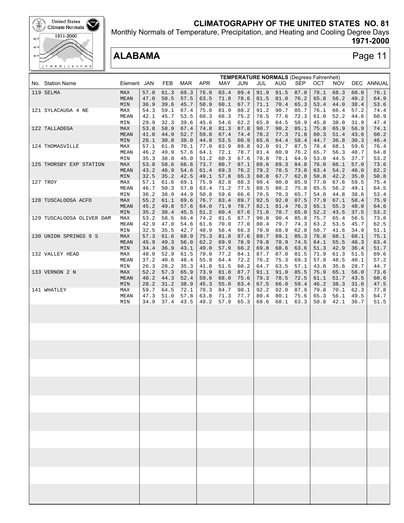**TEMPERATURE NORMALS** (Degrees Fahrenheit)



Monthly Normals of Temperature, Precipitation, and Heating and Cooling Degree Days

**1971-2000** 

| No. Station Name          | Element JAN |              | FEB          | <b>MAR</b>   | <b>APR</b>   | MAY          | JUN          | JUL          | AUG          | <b>SEP</b>   | ОСТ          | <b>NOV</b>   | DEC.         | ANNUAL       |
|---------------------------|-------------|--------------|--------------|--------------|--------------|--------------|--------------|--------------|--------------|--------------|--------------|--------------|--------------|--------------|
| 119 SELMA                 | MAX         | 57.0         | 61.3         | 69.3         | 76.0         | 83.4         | 89.4         | 91.9         | 91.5         | 87.0         | 78.1         | 68.3         | 60.0         | 76.1         |
|                           | MEAN        | 47.0         | 50.5         | 57.5         | 63.5         | 71.8         | 78.6         | 81.5         | 81.0         | 76.2         | 65.8         | 56.2         | 49.2         | 64.9         |
|                           | MIN         | 36.9         | 39.6         | 45.7         | 50.9         | 60.1         | 67.7         | 71.1         | 70.4         | 65.3         | 53.4         | 44.0         | 38.4         | 53.6         |
| 121 SYLACAUGA 4 NE        | MAX         | 54.3         | 59.1         | 67.4         | 75.0         | 81.9         | 88.2         | 91.2         | 90.7         | 85.7         | 76.1         | 66.4         | 57.2         | 74.4         |
|                           | MEAN        | 42.1         | 45.7         | 53.5         | 60.3         | 68.3         | 75.2         | 78.5         | 77.6         | 72.3         | 61.0         | 52.2         | 44.6         | 60.9         |
|                           | MIN         | 29.9         | 32.3         | 39.6         | 45.6         | 54.6         | 62.2         | 65.8         | 64.5         | 58.9         | 45.8         | 38.0         | 31.9         | 47.4         |
| 122 TALLADEGA             | MAX         | 53.8         | 58.9         | 67.4         | 74.8         | 81.3         | 87.8         | 90.7         | 90.2         | 85.1         | 75.8         | 65.9         | 56.9         | 74.1         |
|                           | <b>MEAN</b> | 41.0         | 44.9         | 52.7         | 59.8         | 67.4         | 74.4         | 78.2         | 77.3         | 71.8         | 60.3         | 51.4         | 43.6         | 60.2         |
|                           | MIN         | 28.1         | 30.8<br>61.8 | 38.0         | 44.8         | 53.5         | 60.9         | 65.6         | 64.4         | 58.4         | 44.7         | 36.8         | 30.3<br>59.6 | 46.4         |
| 124 THOMASVILLE           | MAX<br>MEAN | 57.1<br>46.2 | 49.9         | 70.1<br>57.6 | 77.0<br>64.1 | 83.9<br>72.1 | 89.8<br>78.7 | 92.0<br>81.4 | 91.7<br>80.9 | 87.5<br>76.2 | 78.4<br>65.7 | 68.1<br>56.3 | 48.7         | 76.4<br>64.8 |
|                           | MIN         | 35.3         | 38.0         | 45.0         | 51.2         | 60.3         | 67.6         | 70.8         | 70.1         | 64.9         | 53.0         | 44.5         | 37.7         | 53.2         |
| 125 THORSBY EXP STATION   | MAX         | 53.8         | 58.6         | 66.6         | 73.7         | 80.7         | 87.1         | 89.6         | 89.3         | 84.8         | 76.0         | 66.1         | 57.0         | 73.6         |
|                           | <b>MEAN</b> | 43.2         | 46.9         | 54.6         | 61.4         | 69.3         | 76.2         | 79.2         | 78.5         | 73.8         | 63.4         | 54.2         | 46.0         | 62.2         |
|                           | MIN         | 32.5         | 35.2         | 42.5         | 49.1         | 57.8         | 65.3         | 68.8         | 67.7         | 62.8         | 50.8         | 42.2         | 35.0         | 50.8         |
| 127 TROY                  | MAX         | 57.1         | 61.6         | 69.1         | 75.9         | 82.8         | 88.3         | 90.4         | 90.0         | 85.9         | 77.0         | 67.6         | 59.5         | 75.4         |
|                           | MEAN        | 46.7         | 50.3         | 57.0         | 63.4         | 71.2         | 77.5         | 80.5         | 80.2         | 75.8         | 65.5         | 56.2         | 49.1         | 64.5         |
|                           | MIN         | 36.2         | 38.9         | 44.9         | 50.8         | 59.6         | 66.6         | 70.5         | 70.3         | 65.7         | 54.0         | 44.8         | 38.6         | 53.4         |
| 128 TUSCALOOSA ACFD       | MAX         | 55.2         | 61.1         | 69.6         | 76.7         | 83.4         | 89.7         | 92.5         | 92.0         | 87.5         | 77.9         | 67.1         | 58.4         | 75.9         |
|                           | <b>MEAN</b> | 45.2         | 49.8         | 57.6         | 64.0         | 71.9         | 78.7         | 82.1         | 81.4         | 76.3         | 65.1         | 55.3         | 48.0         | 64.6         |
|                           | MIN         | 35.2         | 38.4         | 45.5         | 51.2         | 60.4         | 67.6         | 71.6         | 70.7         | 65.0         | 52.2         | 43.5         | 37.5         | 53.2         |
| 129 TUSCALOOSA OLIVER DAM | MAX         | 53.2         | 58.5         | 66.4         | 74.2         | 81.5         | 87.7         | 90.8         | 90.4         | 85.8         | 75.7         | 65.4         | 56.5         | 73.8         |
|                           | MEAN        | 42.9         | 47.0         | 54.6         | 61.6         | 70.0         | 77.0         | 80.4         | 79.7         | 74.3         | 63.2         | 53.5         | 45.7         | 62.5         |
|                           | MIN         | 32.5         | 35.5         | 42.7         | 48.9         | 58.4         | 66.3         | 70.0         | 68.9         | 62.8         | 50.7         | 41.6         | 34.9         | 51.1         |
| 130 UNION SPRINGS 9 S     | MAX         | 57.3         | 61.6         | 68.9         | 75.3         | 81.8         | 87.6         | 89.7         | 89.1         | 85.3         | 76.8         | 68.1         | 60.1         | 75.1         |
|                           | MEAN        | 45.9         | 49.3         | 56.0         | 62.2         | 69.9         | 76.9         | 79.8         | 78.9         | 74.5         | 64.1         | 55.5         | 48.3         | 63.4         |
|                           | MIN         | 34.4         | 36.9         | 43.1         | 49.0         | 57.9         | 66.2         | 69.8         | 68.6         | 63.6         | 51.3         | 42.9         | 36.4         | 51.7         |
| 132 VALLEY HEAD           | MAX         | 48.0         | 52.9         | 61.5         | 70.0         | 77.2         | 84.1         | 87.7         | 87.0         | 81.5         | 71.9         | 61.3         | 51.5         | 69.6         |
|                           | MEAN        | 37.2<br>26.3 | 40.6<br>28.2 | 48.4         | 55.9<br>41.8 | 64.4         | 72.2         | 76.2         | 75.3         | 69.3         | 57.9         | 48.5         | 40.1<br>28.7 | 57.2<br>44.7 |
| 133 VERNON 2 N            | MIN<br>MAX  | 52.2         | 57.3         | 35.3<br>65.9 | 73.9         | 51.5<br>81.0 | 60.2<br>87.7 | 64.7<br>91.1 | 63.5<br>91.0 | 57.1<br>85.5 | 43.8<br>75.9 | 35.6<br>65.1 | 56.0         | 73.6         |
|                           | MEAN        | 40.2         | 44.3         | 52.4         | 59.6         | 68.0         | 75.6         | 79.3         | 78.5         | 72.5         | 61.1         | 51.7         | 43.5         | 60.6         |
|                           | MIN         | 28.2         | 31.2         | 38.9         | 45.3         | 55.0         | 63.4         | 67.5         | 66.0         | 59.4         | 46.2         | 38.3         | 31.0         | 47.5         |
| 141 WHATLEY               | MAX         | 59.7         | 64.5         | 72.1         | 78.3         | 84.7         | 90.1         | 92.2         | 92.0         | 87.9         | 79.8         | 70.1         | 62.3         | 77.8         |
|                           | MEAN        | 47.3         | 51.0         | 57.8         | 63.8         | 71.3         | 77.7         | 80.4         | 80.1         | 75.6         | 65.3         | 56.1         | 49.5         | 64.7         |
|                           | MIN         | 34.9         | 37.4         | 43.5         | 49.2         | 57.9         | 65.3         | 68.6         | 68.1         | 63.3         | 50.8         | 42.1         | 36.7         | 51.5         |
|                           |             |              |              |              |              |              |              |              |              |              |              |              |              |              |
|                           |             |              |              |              |              |              |              |              |              |              |              |              |              |              |
|                           |             |              |              |              |              |              |              |              |              |              |              |              |              |              |
|                           |             |              |              |              |              |              |              |              |              |              |              |              |              |              |
|                           |             |              |              |              |              |              |              |              |              |              |              |              |              |              |
|                           |             |              |              |              |              |              |              |              |              |              |              |              |              |              |
|                           |             |              |              |              |              |              |              |              |              |              |              |              |              |              |
|                           |             |              |              |              |              |              |              |              |              |              |              |              |              |              |
|                           |             |              |              |              |              |              |              |              |              |              |              |              |              |              |
|                           |             |              |              |              |              |              |              |              |              |              |              |              |              |              |
|                           |             |              |              |              |              |              |              |              |              |              |              |              |              |              |
|                           |             |              |              |              |              |              |              |              |              |              |              |              |              |              |
|                           |             |              |              |              |              |              |              |              |              |              |              |              |              |              |
|                           |             |              |              |              |              |              |              |              |              |              |              |              |              |              |
|                           |             |              |              |              |              |              |              |              |              |              |              |              |              |              |
|                           |             |              |              |              |              |              |              |              |              |              |              |              |              |              |
|                           |             |              |              |              |              |              |              |              |              |              |              |              |              |              |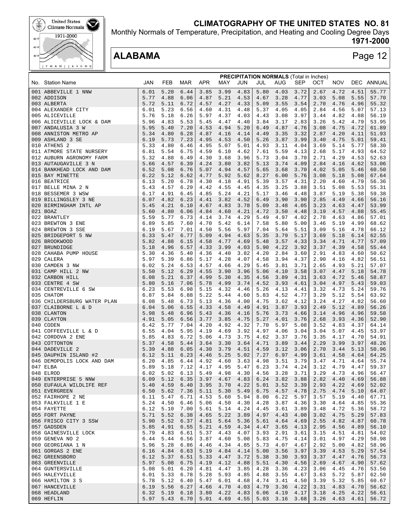

Monthly Normals of Temperature, Precipitation, and Heating and Cooling Degree Days **1971-2000** 

|                            | <b>PRECIPITATION NORMALS (Total in Inches)</b> |            |            |            |      |      |      |      |            |      |            |      |            |
|----------------------------|------------------------------------------------|------------|------------|------------|------|------|------|------|------------|------|------------|------|------------|
| No. Station Name           | JAN                                            | <b>FEB</b> | <b>MAR</b> | <b>APR</b> | MAY  | JUN  | JUL  | AUG  | <b>SEP</b> | OCT  | <b>NOV</b> |      | DEC ANNUAL |
| 001 ABBEVILLE<br>NNW<br>-1 | 6.01                                           | 5.20       | 6.44       | 3.85       | 3.99 | 4.83 | 5.80 | 4.03 | 3.72       | 2.67 | 4.72       | 4.51 | 55.77      |
| 002 ADDISON                | 5.77                                           | 4.88       | 6.06       | 4.87       | 5.21 | 4.53 | 4.67 | 3.28 | 4.77       | 3.03 | 5.08       | 5.55 | 57.70      |
| 003 ALBERTA                | 5.72                                           | 5.11       | 6.72       | 4.57       | 4.27 | 4.33 | 5.09 | 3.55 | 3.54       | 2.70 | 4.76       | 4.96 | 55.32      |
| 004 ALEXANDER CITY         | 6.01                                           | 5.23       | 6.56       | 4.60       | 4.31 | 4.48 | 5.37 | 4.05 | 4.05       | 2.84 | 4.56       | 5.07 | 57.13      |
| 005 ALICEVILLE             | 5.76                                           | 5.18       | 6.26       | 5.97       | 4.37 | 4.03 | 4.43 | 3.08 | 3.97       | 3.44 | 4.82       | 4.88 | 56.19      |
| 006 ALICEVILLE LOCK & DAM  | 5.96                                           | 4.83       | 5.53       | 5.45       | 4.47 | 4.40 | 3.84 | 3.17 | 2.83       | 3.26 | 5.42       | 4.79 | 53.95      |
| 007 ANDALUSIA 3 W          | 5.95                                           | 5.40       | 7.20       | 4.53       | 4.94 | 5.20 | 6.49 | 4.87 | 4.76       | 3.08 | 4.75       | 4.72 | 61.89      |
| 008 ANNISTON METRO AP      | 5.34                                           | 4.80       | 6.28       | 4.87       | 4.16 | 4.14 | 4.49 | 3.35 | 3.32       | 2.87 | 4.20       | 4.11 | 51.93      |
| 009 ASHLAND 3 SE           | 6.19                                           | 5.73       | 7.23       | 4.95       | 4.53 | 4.50 | 5.26 | 3.87 | 3.99       | 3.40 | 4.75       | 5.01 | 59.41      |
| 010 ATHENS 2               | 5.33                                           | 4.80       | 6.46       | 4.95       | 5.07 | 5.01 | 4.93 | 3.11 | 4.04       | 3.69 | 5.14       | 5.77 | 58.30      |
| 011 ATMORE STATE NURSERY   | 6.81                                           | 5.54       | 6.75       | 4.59       | 6.10 | 4.62 | 7.61 | 5.59 | 4.13       | 2.68 | 5.17       | 4.93 | 64.52      |
| 012 AUBURN AGRONOMY FARM   | 5.32                                           | 4.88       | 6.49       | 4.30       | 3.68 | 3.96 | 5.73 | 3.04 | 3.70       | 2.71 | 4.29       | 4.53 | 52.63      |
| 013 AUTAUGAVILLE 3 N       | 5.66                                           | 4.57       | 6.39       | 4.24       | 3.80 | 3.82 | 5.13 | 3.74 | 4.09       | 2.84 | 4.16       | 4.62 | 53.06      |
| 014 BANKHEAD LOCK AND DAM  | 6.52                                           | 5.08       | 6.76       | 5.07       | 4.94 | 4.57 | 5.65 | 3.68 | 3.70       | 4.02 | 5.05       | 5.46 | 60.50      |

| 7.23<br>4.95<br>4.53<br>4.50<br>5.26<br>3.87<br>3.99<br>3.40<br>4.75<br>5.01<br>59.41<br>009 ASHLAND 3 SE<br>6.19<br>5.73<br>4.80<br>6.46<br>4.95<br>5.07<br>5.01<br>4.93<br>3.11<br>4.04<br>3.69<br>5.14<br>5.77<br>58.30<br>010 ATHENS 2<br>5.33<br>7.61<br>5.59<br>5.17<br>64.52<br>011 ATMORE STATE NURSERY<br>6.81<br>5.54<br>6.75<br>4.59<br>6.10<br>4.62<br>4.13<br>2.68<br>4.93<br>52.63<br>012 AUBURN AGRONOMY FARM<br>5.32<br>4.88<br>6.49<br>4.30<br>3.68<br>3.96<br>5.73<br>3.04<br>3.70<br>2.71<br>4.29<br>4.53<br>4.09<br>53.06<br>5.66<br>4.57<br>6.39<br>4.24<br>3.80<br>3.82<br>5.13<br>3.74<br>2.84<br>4.16<br>4.62<br>013 AUTAUGAVILLE 3 N<br>4.94<br>4.57<br>3.68<br>4.02<br>5.05<br>60.50<br>6.52<br>5.08<br>6.76<br>5.07<br>5.65<br>3.70<br>5.46<br>014 BANKHEAD LOCK AND DAM<br>5.12<br>6.62<br>4.77<br>5.92<br>5.62<br>8.27<br>6.00<br>5.76<br>3.08<br>5.18<br>5.08<br>67.64<br>015 BAY MINETTE<br>6.22<br>56.36<br>016 BEATRICE<br>6.13<br>5.20<br>6.78<br>4.30<br>4.18<br>4.91<br>5.39<br>3.57<br>4.31<br>2.20<br>4.60<br>4.79<br>3.25<br>3.88<br>017 BELLE MINA 2 N<br>5.43<br>4.57<br>6.29<br>4.42<br>4.55<br>4.45<br>4.35<br>3.51<br>5.08<br>5.53<br>55.31<br>4.91<br>4.85<br>4.21<br>3.46<br>3.87<br>59.38<br>018 BESSEMER 3 WSW<br>6.17<br>6.45<br>5.24<br>5.17<br>4.48<br>5.19<br>5.38<br>6.07<br>4.82<br>6.23<br>4.41<br>3.82<br>4.52<br>6.49<br>3.90<br>3.90<br>2.85<br>4.49<br>4.66<br>56.16<br>019 BILLINGSLEY 3 NE<br>53.99<br>5.45<br>4.21<br>6.10<br>4.67<br>4.83<br>3.78<br>5.09<br>3.48<br>4.05<br>3.23<br>4.63<br>4.47<br>020 BIRMINGHAM INTL AP<br>5.60<br>4.80<br>6.06<br>4.84<br>4.60<br>4.21<br>4.72<br>3.50<br>4.48<br>3.19<br>4.57<br>4.88<br>55.45<br>$021$ BOAZ<br>4.97<br>2.78<br>022 BRANTLEY<br>5.59<br>5.77<br>6.73<br>4.14<br>3.74<br>4.29<br>5.49<br>4.02<br>4.63<br>4.86<br>57.01<br>023 BREWTON 3 ENE<br>6.89<br>5.85<br>7.60<br>4.70<br>5.42<br>6.14<br>7.58<br>5.80<br>5.00<br>3.46<br>5.19<br>4.99<br>68.62<br>7.01<br>4.50<br>5.56<br>5.97<br>7.04<br>5.64<br>5.51<br>3.09<br>66.12<br>024 BREWTON 3 SSE<br>6.19<br>5.67<br>5.16<br>4.78<br>4.63<br>62.55<br>025 BRIDGEPORT 5 NW<br>6.33<br>5.47<br>6.77<br>5.09<br>4.94<br>5.35<br>3.79<br>5.17<br>3.69<br>5.18<br>6.14<br>4.88<br>4.58<br>4.77<br>4.69<br>3.57<br>4.33<br>3.34<br>4.71<br>57.09<br>5.82<br>6.15<br>5.48<br>4.77<br>026 BROOKWOOD<br>5.90<br>4.22<br>55.44<br>5.18<br>4.96<br>6.57<br>4.33<br>3.99<br>4.03<br>3.92<br>3.37<br>4.39<br>4.58<br>027 BRUNDIDGE<br>3.82<br>4.20<br>2.84<br>2.91<br>4.83<br>5.30<br>4.36<br>5.40<br>4.36<br>4.40<br>3.60<br>4.60<br>50.62<br>028 CAHABA PUMP HOUSE<br>56.51<br>5.97<br>5.39<br>6.86<br>5.17<br>4.28<br>4.07<br>4.58<br>3.94<br>4.37<br>2.90<br>4.16<br>4.82<br>029 CALERA<br>5.24<br>4.29<br>3.71<br>5.21<br>57.07<br>6.02<br>6.53<br>4.57<br>4.66<br>5.45<br>3.81<br>2.65<br>4.93<br>030 CAMDEN 3 NW<br>54.78<br>031 CAMP HILL 2 NW<br>5.50<br>5.12<br>6.29<br>4.55<br>3.90<br>3.96<br>5.06<br>4.10<br>3.58<br>3.07<br>4.47<br>5.18<br>4.72<br>6.08<br>5.21<br>6.37<br>4.99<br>5.30<br>4.35<br>4.56<br>3.89<br>4.31<br>3.63<br>5.46<br>58.87<br>032 CARBON HILL<br>5.80<br>5.16<br>7.06<br>5.78<br>4.99<br>3.74<br>4.52<br>3.93<br>4.61<br>3.04<br>4.97<br>5.43<br>59.03<br>033 CENTRE 4 SW<br>3.32<br>6.23<br>5.53<br>6.98<br>5.15<br>4.32<br>4.46<br>5.26<br>4.13<br>4.41<br>4.73<br>5.24<br>59.76<br>034 CENTREVILLE 6 SW<br>5.83<br>4.52<br>4.77<br>3.29<br>6.87<br>5.84<br>6.88<br>5.22<br>5.44<br>4.60<br>5.12<br>5.54<br>63.92<br>035 CHATOM<br>56.60<br>6.08<br>5.48<br>6.73<br>5.13<br>4.36<br>4.00<br>4.75<br>3.62<br>4.12<br>3.24<br>4.27<br>4.82<br>036 CHILDERSBURG WATER PLAN<br>5.06<br>6.55<br>4.33<br>4.58<br>4.49<br>4.91<br>3.87<br>3.93<br>2.49<br>5.12<br>4.89<br>56.26<br>037 CLAIBORNE L & D<br>6.04<br>59.58<br>5.98<br>5.48<br>6.96<br>5.43<br>4.36<br>4.16<br>5.76<br>3.73<br>4.66<br>3.14<br>4.96<br>4.96<br>038 CLANTON<br>5.05<br>6.56<br>3.77<br>3.85<br>4.75<br>5.27<br>4.01<br>3.76<br>2.68<br>3.93<br>4.36<br>52.90<br>039 CLAYTON<br>4.91<br>6.42<br>5.77<br>7.04<br>4.20<br>4.92<br>4.32<br>7.70<br>5.97<br>5.08<br>3.52<br>4.83<br>4.37<br>64.14<br>040 CODEN<br>6.55<br>4.04<br>5.95<br>4.19<br>4.69<br>3.92<br>4.97<br>4.06<br>3.04<br>3.04<br>5.07<br>4.45<br>53.97<br>041 COFFEEVILLE L & D<br>4.73<br>54.91<br>042 CORDOVA 2 ENE<br>5.85<br>4.83<br>6.72<br>5.06<br>3.75<br>4.62<br>3.37<br>3.76<br>3.35<br>4.17<br>4.70<br>2.29<br>043 COTTONTON<br>5.37<br>4.58<br>5.44<br>3.64<br>3.30<br>3.64<br>4.71<br>3.89<br>3.44<br>3.99<br>3.97<br>48.26<br>5.39<br>4.88<br>6.05<br>4.30<br>3.79<br>4.51<br>4.59<br>3.12<br>3.06<br>2.70<br>3.44<br>5.13<br>50.96<br>044 DADEVILLE 2<br>6.12<br>5.11<br>6.23<br>4.46<br>5.25<br>5.02<br>7.27<br>6.97<br>4.99<br>3.61<br>4.58<br>4.64<br>64.25<br>045 DAUPHIN ISLAND #2<br>6.20<br>4.85<br>6.44<br>4.92<br>4.60<br>3.63<br>4.98<br>3.51<br>3.79<br>3.47<br>4.71<br>4.64<br>55.74<br>046 DEMOPOLIS LOCK AND DAM<br>047 ELBA<br>5.89<br>5.18<br>7.12<br>4.17<br>4.95<br>5.47<br>6.23<br>3.74<br>4.24<br>3.12<br>4.79<br>4.47<br>59.37<br>6.02<br>5.02<br>6.13<br>4.98<br>4.30<br>4.56<br>3.28<br>3.71<br>3.29<br>56.47<br>5.49<br>4.73<br>4.96<br>048 ELROD<br>5.12<br>4.83<br>3.82<br>3.88<br>2.82<br>56.88<br>049 ENTERPRISE 5 NNW<br>6.09<br>6.35<br>3.97<br>4.67<br>6.24<br>4.40<br>4.69<br>6.40<br>3.70<br>4.22<br>3.52<br>3.39<br>2.93<br>4.22<br>52.02<br>5.40<br>4.59<br>3.95<br>5.01<br>4.69<br>050 EUFAULA WILDLIFE REF<br>5.30<br>6.75<br>4.78<br>2.75<br>64.07<br>6.50<br>5.62<br>7.36<br>5.11<br>5.49<br>4.57<br>4.74<br>5.10<br>051 EVERGREEN<br>6.22<br>5.47<br>6.71<br>4.53<br>5.60<br>5.94<br>8.00<br>5.97<br>3.57<br>5.19<br>4.40<br>67.71<br>052 FAIRHOPE 2 NE<br>6.11<br>4.50<br>4.28<br>3.87<br>55.36<br>5.24<br>4.50<br>6.46<br>5.06<br>4.30<br>4.36<br>3.30<br>4.64<br>4.85<br>053 FALKVILLE 1 E<br>5.14<br>4.24<br>3.89<br>58.72<br>6.12<br>5.10<br>7.00<br>5.61<br>4.45<br>3.61<br>3.48<br>4.72<br>5.36<br>054 FAYETTE<br>5.71<br>5.52<br>5.22<br>3.89<br>3.02<br>5.29<br>57.83<br>6.38<br>4.65<br>4.97<br>4.43<br>4.00<br>4.75<br>055 FORT PAYNE<br>5.90<br>5.52<br>6.37<br>4.81 5.64<br>5.36<br>5.61<br>4.64<br>4.69<br>2.55<br>4.82<br>4.87<br>60.78<br>056 FRISCO CITY 3 SSW<br>56.10<br>6.55<br>057 GADSDEN<br>5.85<br>4.91<br>5.21<br>4.59<br>4.34<br>3.65<br>4.13<br>2.95<br>4.56<br>4.89<br>4.47<br>058 GAINESVILLE LOCK<br>4.83<br>6.61<br>4.43<br>4.07<br>3.93<br>2.91<br>3.61<br>3.15<br>4.51<br>4.81<br>54.02<br>5.79<br>5.37<br>059 GENEVA NO 2<br>5.44<br>6.56<br>4.60<br>5.08<br>4.75<br>4.14<br>3.01<br>4.97<br>4.29<br>58.98<br>6.44<br>3.87<br>5.83<br>060 GEORGIANA 1 N<br>4.34<br>4.85<br>4.07<br>4.67<br>2.92<br>5.00<br>4.82<br>58.96<br>5.96<br>5.28<br>6.86<br>4.46<br>5.73<br>061 GORGAS 2 ENE<br>4.84<br>4.84<br>4.14<br>3.56<br>3.97<br>3.39<br>4.53<br>5.29<br>57.54<br>6.16<br>6.63<br>5.19<br>5.00<br>3.30<br>4.47<br>4.76<br>56.73<br>062 GREENSBORO<br>6.12<br>5.37<br>6.51<br>5.33<br>4.47<br>3.72<br>5.38<br>3.93<br>3.37<br>5.08<br>4.12<br>4.88<br>4.30<br>2.69<br>4.67<br>57.62<br>063 GREENVILLE<br>5.97<br>6.75<br>4.19<br>5.51<br>4.56<br>4.90<br>4.47<br>3.36<br>4.45<br>064 GUNTERSVILLE<br>5.08<br>5.01<br>6.20<br>4.81<br>3.85<br>4.28<br>4.23<br>3.06<br>4.76<br>53.56<br>5.33<br>6.78<br>5.93<br>4.85<br>3.55<br>3.63<br>5.72<br>62.50<br>065 HALEYVILLE<br>6.01<br>5.28<br>4.88<br>4.67<br>5.87<br>3.41<br>5.32<br>60.67<br>066 HAMILTON 3 S<br>5.78<br>5.12<br>6.40<br>5.47<br>6.01<br>4.68<br>4.74<br>4.50<br>3.39<br>5.85<br>5.56<br>4.70<br>3.36<br>4.22<br>3.31<br>4.83<br>067 HANCEVILLE<br>6.19<br>6.27<br>4.66<br>4.03<br>4.79<br>4.70<br>56.62<br>4.22<br>4.25<br>068 HEADLAND<br>6.32<br>5.19<br>6.18<br>3.80<br>4.83<br>6.06<br>4.19<br>4.17<br>3.18<br>4.22<br>56.61<br>5.43<br>4.69<br>4.55<br>3.16<br>3.26<br>4.63 4.61<br>069 HEFLIN<br>5.97<br>6.70<br>5.01<br>5.03<br>3.68<br>56.72 | UU / ANDALUSIA J W    | 5.95 |      | 7.ZU | 4. JJ |      | 5.20 | 0. 42 | 4.01 | 4.70 | 5.00 | 4.73 | 4.14 | <b>0⊥.0</b> 2 |
|-----------------------------------------------------------------------------------------------------------------------------------------------------------------------------------------------------------------------------------------------------------------------------------------------------------------------------------------------------------------------------------------------------------------------------------------------------------------------------------------------------------------------------------------------------------------------------------------------------------------------------------------------------------------------------------------------------------------------------------------------------------------------------------------------------------------------------------------------------------------------------------------------------------------------------------------------------------------------------------------------------------------------------------------------------------------------------------------------------------------------------------------------------------------------------------------------------------------------------------------------------------------------------------------------------------------------------------------------------------------------------------------------------------------------------------------------------------------------------------------------------------------------------------------------------------------------------------------------------------------------------------------------------------------------------------------------------------------------------------------------------------------------------------------------------------------------------------------------------------------------------------------------------------------------------------------------------------------------------------------------------------------------------------------------------------------------------------------------------------------------------------------------------------------------------------------------------------------------------------------------------------------------------------------------------------------------------------------------------------------------------------------------------------------------------------------------------------------------------------------------------------------------------------------------------------------------------------------------------------------------------------------------------------------------------------------------------------------------------------------------------------------------------------------------------------------------------------------------------------------------------------------------------------------------------------------------------------------------------------------------------------------------------------------------------------------------------------------------------------------------------------------------------------------------------------------------------------------------------------------------------------------------------------------------------------------------------------------------------------------------------------------------------------------------------------------------------------------------------------------------------------------------------------------------------------------------------------------------------------------------------------------------------------------------------------------------------------------------------------------------------------------------------------------------------------------------------------------------------------------------------------------------------------------------------------------------------------------------------------------------------------------------------------------------------------------------------------------------------------------------------------------------------------------------------------------------------------------------------------------------------------------------------------------------------------------------------------------------------------------------------------------------------------------------------------------------------------------------------------------------------------------------------------------------------------------------------------------------------------------------------------------------------------------------------------------------------------------------------------------------------------------------------------------------------------------------------------------------------------------------------------------------------------------------------------------------------------------------------------------------------------------------------------------------------------------------------------------------------------------------------------------------------------------------------------------------------------------------------------------------------------------------------------------------------------------------------------------------------------------------------------------------------------------------------------------------------------------------------------------------------------------------------------------------------------------------------------------------------------------------------------------------------------------------------------------------------------------------------------------------------------------------------------------------------------------------------------------------------------------------------------------------------------------------------------------------------------------------------------------------------------------------------------------------------------------------------------------------------------------------------------------------------------------------------------------------------------------------------------------------------------------------------------------------------------------------------------------------------------------------------------------------------------------------------------------------------------------------------------------------------------------------------------------------------------------------------------------------------------------------------------------------------------------------------------------------------------------------------------------------------------------------------------------------------------------------------------------------------------------------------------------------------------------------------------------------------------------------------------------------------------------------------------------------------------------------------------------------------------------------------------------------------------------------------------------------------------------------------------------------------------------------------------------------------------------------------------------------------------------------------------------------------------------------------------------------------------------------------------------------------------------------------------------------------------------------------------------------------------------------------------------------------------------------------------------------------------------------------------------------------------------------------------------------------------------------------------------------------------------------------------------------------------------------------------------|-----------------------|------|------|------|-------|------|------|-------|------|------|------|------|------|---------------|
|                                                                                                                                                                                                                                                                                                                                                                                                                                                                                                                                                                                                                                                                                                                                                                                                                                                                                                                                                                                                                                                                                                                                                                                                                                                                                                                                                                                                                                                                                                                                                                                                                                                                                                                                                                                                                                                                                                                                                                                                                                                                                                                                                                                                                                                                                                                                                                                                                                                                                                                                                                                                                                                                                                                                                                                                                                                                                                                                                                                                                                                                                                                                                                                                                                                                                                                                                                                                                                                                                                                                                                                                                                                                                                                                                                                                                                                                                                                                                                                                                                                                                                                                                                                                                                                                                                                                                                                                                                                                                                                                                                                                                                                                                                                                                                                                                                                                                                                                                                                                                                                                                                                                                                                                                                                                                                                                                                                                                                                                                                                                                                                                                                                                                                                                                                                                                                                                                                                                                                                                                                                                                                                                                                                                                                                                                                                                                                                                                                                                                                                                                                                                                                                                                                                                                                                                                                                                                                                                                                                                                                                                                                                                                                                                                                                                                                                                                                                                                                                                                                                                                                                                                                                                                                                                                                                                                                                                                                                                         | 008 ANNISTON METRO AP | 5.34 | 4.80 | 6.28 | 4.87  | 4.16 | 4.14 | 4.49  | 3.35 | 3.32 | 2.87 | 4.20 | 4.11 | 51.93         |
|                                                                                                                                                                                                                                                                                                                                                                                                                                                                                                                                                                                                                                                                                                                                                                                                                                                                                                                                                                                                                                                                                                                                                                                                                                                                                                                                                                                                                                                                                                                                                                                                                                                                                                                                                                                                                                                                                                                                                                                                                                                                                                                                                                                                                                                                                                                                                                                                                                                                                                                                                                                                                                                                                                                                                                                                                                                                                                                                                                                                                                                                                                                                                                                                                                                                                                                                                                                                                                                                                                                                                                                                                                                                                                                                                                                                                                                                                                                                                                                                                                                                                                                                                                                                                                                                                                                                                                                                                                                                                                                                                                                                                                                                                                                                                                                                                                                                                                                                                                                                                                                                                                                                                                                                                                                                                                                                                                                                                                                                                                                                                                                                                                                                                                                                                                                                                                                                                                                                                                                                                                                                                                                                                                                                                                                                                                                                                                                                                                                                                                                                                                                                                                                                                                                                                                                                                                                                                                                                                                                                                                                                                                                                                                                                                                                                                                                                                                                                                                                                                                                                                                                                                                                                                                                                                                                                                                                                                                                                         |                       |      |      |      |       |      |      |       |      |      |      |      |      |               |
|                                                                                                                                                                                                                                                                                                                                                                                                                                                                                                                                                                                                                                                                                                                                                                                                                                                                                                                                                                                                                                                                                                                                                                                                                                                                                                                                                                                                                                                                                                                                                                                                                                                                                                                                                                                                                                                                                                                                                                                                                                                                                                                                                                                                                                                                                                                                                                                                                                                                                                                                                                                                                                                                                                                                                                                                                                                                                                                                                                                                                                                                                                                                                                                                                                                                                                                                                                                                                                                                                                                                                                                                                                                                                                                                                                                                                                                                                                                                                                                                                                                                                                                                                                                                                                                                                                                                                                                                                                                                                                                                                                                                                                                                                                                                                                                                                                                                                                                                                                                                                                                                                                                                                                                                                                                                                                                                                                                                                                                                                                                                                                                                                                                                                                                                                                                                                                                                                                                                                                                                                                                                                                                                                                                                                                                                                                                                                                                                                                                                                                                                                                                                                                                                                                                                                                                                                                                                                                                                                                                                                                                                                                                                                                                                                                                                                                                                                                                                                                                                                                                                                                                                                                                                                                                                                                                                                                                                                                                                         |                       |      |      |      |       |      |      |       |      |      |      |      |      |               |
|                                                                                                                                                                                                                                                                                                                                                                                                                                                                                                                                                                                                                                                                                                                                                                                                                                                                                                                                                                                                                                                                                                                                                                                                                                                                                                                                                                                                                                                                                                                                                                                                                                                                                                                                                                                                                                                                                                                                                                                                                                                                                                                                                                                                                                                                                                                                                                                                                                                                                                                                                                                                                                                                                                                                                                                                                                                                                                                                                                                                                                                                                                                                                                                                                                                                                                                                                                                                                                                                                                                                                                                                                                                                                                                                                                                                                                                                                                                                                                                                                                                                                                                                                                                                                                                                                                                                                                                                                                                                                                                                                                                                                                                                                                                                                                                                                                                                                                                                                                                                                                                                                                                                                                                                                                                                                                                                                                                                                                                                                                                                                                                                                                                                                                                                                                                                                                                                                                                                                                                                                                                                                                                                                                                                                                                                                                                                                                                                                                                                                                                                                                                                                                                                                                                                                                                                                                                                                                                                                                                                                                                                                                                                                                                                                                                                                                                                                                                                                                                                                                                                                                                                                                                                                                                                                                                                                                                                                                                                         |                       |      |      |      |       |      |      |       |      |      |      |      |      |               |
|                                                                                                                                                                                                                                                                                                                                                                                                                                                                                                                                                                                                                                                                                                                                                                                                                                                                                                                                                                                                                                                                                                                                                                                                                                                                                                                                                                                                                                                                                                                                                                                                                                                                                                                                                                                                                                                                                                                                                                                                                                                                                                                                                                                                                                                                                                                                                                                                                                                                                                                                                                                                                                                                                                                                                                                                                                                                                                                                                                                                                                                                                                                                                                                                                                                                                                                                                                                                                                                                                                                                                                                                                                                                                                                                                                                                                                                                                                                                                                                                                                                                                                                                                                                                                                                                                                                                                                                                                                                                                                                                                                                                                                                                                                                                                                                                                                                                                                                                                                                                                                                                                                                                                                                                                                                                                                                                                                                                                                                                                                                                                                                                                                                                                                                                                                                                                                                                                                                                                                                                                                                                                                                                                                                                                                                                                                                                                                                                                                                                                                                                                                                                                                                                                                                                                                                                                                                                                                                                                                                                                                                                                                                                                                                                                                                                                                                                                                                                                                                                                                                                                                                                                                                                                                                                                                                                                                                                                                                                         |                       |      |      |      |       |      |      |       |      |      |      |      |      |               |
|                                                                                                                                                                                                                                                                                                                                                                                                                                                                                                                                                                                                                                                                                                                                                                                                                                                                                                                                                                                                                                                                                                                                                                                                                                                                                                                                                                                                                                                                                                                                                                                                                                                                                                                                                                                                                                                                                                                                                                                                                                                                                                                                                                                                                                                                                                                                                                                                                                                                                                                                                                                                                                                                                                                                                                                                                                                                                                                                                                                                                                                                                                                                                                                                                                                                                                                                                                                                                                                                                                                                                                                                                                                                                                                                                                                                                                                                                                                                                                                                                                                                                                                                                                                                                                                                                                                                                                                                                                                                                                                                                                                                                                                                                                                                                                                                                                                                                                                                                                                                                                                                                                                                                                                                                                                                                                                                                                                                                                                                                                                                                                                                                                                                                                                                                                                                                                                                                                                                                                                                                                                                                                                                                                                                                                                                                                                                                                                                                                                                                                                                                                                                                                                                                                                                                                                                                                                                                                                                                                                                                                                                                                                                                                                                                                                                                                                                                                                                                                                                                                                                                                                                                                                                                                                                                                                                                                                                                                                                         |                       |      |      |      |       |      |      |       |      |      |      |      |      |               |
|                                                                                                                                                                                                                                                                                                                                                                                                                                                                                                                                                                                                                                                                                                                                                                                                                                                                                                                                                                                                                                                                                                                                                                                                                                                                                                                                                                                                                                                                                                                                                                                                                                                                                                                                                                                                                                                                                                                                                                                                                                                                                                                                                                                                                                                                                                                                                                                                                                                                                                                                                                                                                                                                                                                                                                                                                                                                                                                                                                                                                                                                                                                                                                                                                                                                                                                                                                                                                                                                                                                                                                                                                                                                                                                                                                                                                                                                                                                                                                                                                                                                                                                                                                                                                                                                                                                                                                                                                                                                                                                                                                                                                                                                                                                                                                                                                                                                                                                                                                                                                                                                                                                                                                                                                                                                                                                                                                                                                                                                                                                                                                                                                                                                                                                                                                                                                                                                                                                                                                                                                                                                                                                                                                                                                                                                                                                                                                                                                                                                                                                                                                                                                                                                                                                                                                                                                                                                                                                                                                                                                                                                                                                                                                                                                                                                                                                                                                                                                                                                                                                                                                                                                                                                                                                                                                                                                                                                                                                                         |                       |      |      |      |       |      |      |       |      |      |      |      |      |               |
|                                                                                                                                                                                                                                                                                                                                                                                                                                                                                                                                                                                                                                                                                                                                                                                                                                                                                                                                                                                                                                                                                                                                                                                                                                                                                                                                                                                                                                                                                                                                                                                                                                                                                                                                                                                                                                                                                                                                                                                                                                                                                                                                                                                                                                                                                                                                                                                                                                                                                                                                                                                                                                                                                                                                                                                                                                                                                                                                                                                                                                                                                                                                                                                                                                                                                                                                                                                                                                                                                                                                                                                                                                                                                                                                                                                                                                                                                                                                                                                                                                                                                                                                                                                                                                                                                                                                                                                                                                                                                                                                                                                                                                                                                                                                                                                                                                                                                                                                                                                                                                                                                                                                                                                                                                                                                                                                                                                                                                                                                                                                                                                                                                                                                                                                                                                                                                                                                                                                                                                                                                                                                                                                                                                                                                                                                                                                                                                                                                                                                                                                                                                                                                                                                                                                                                                                                                                                                                                                                                                                                                                                                                                                                                                                                                                                                                                                                                                                                                                                                                                                                                                                                                                                                                                                                                                                                                                                                                                                         |                       |      |      |      |       |      |      |       |      |      |      |      |      |               |
|                                                                                                                                                                                                                                                                                                                                                                                                                                                                                                                                                                                                                                                                                                                                                                                                                                                                                                                                                                                                                                                                                                                                                                                                                                                                                                                                                                                                                                                                                                                                                                                                                                                                                                                                                                                                                                                                                                                                                                                                                                                                                                                                                                                                                                                                                                                                                                                                                                                                                                                                                                                                                                                                                                                                                                                                                                                                                                                                                                                                                                                                                                                                                                                                                                                                                                                                                                                                                                                                                                                                                                                                                                                                                                                                                                                                                                                                                                                                                                                                                                                                                                                                                                                                                                                                                                                                                                                                                                                                                                                                                                                                                                                                                                                                                                                                                                                                                                                                                                                                                                                                                                                                                                                                                                                                                                                                                                                                                                                                                                                                                                                                                                                                                                                                                                                                                                                                                                                                                                                                                                                                                                                                                                                                                                                                                                                                                                                                                                                                                                                                                                                                                                                                                                                                                                                                                                                                                                                                                                                                                                                                                                                                                                                                                                                                                                                                                                                                                                                                                                                                                                                                                                                                                                                                                                                                                                                                                                                                         |                       |      |      |      |       |      |      |       |      |      |      |      |      |               |
|                                                                                                                                                                                                                                                                                                                                                                                                                                                                                                                                                                                                                                                                                                                                                                                                                                                                                                                                                                                                                                                                                                                                                                                                                                                                                                                                                                                                                                                                                                                                                                                                                                                                                                                                                                                                                                                                                                                                                                                                                                                                                                                                                                                                                                                                                                                                                                                                                                                                                                                                                                                                                                                                                                                                                                                                                                                                                                                                                                                                                                                                                                                                                                                                                                                                                                                                                                                                                                                                                                                                                                                                                                                                                                                                                                                                                                                                                                                                                                                                                                                                                                                                                                                                                                                                                                                                                                                                                                                                                                                                                                                                                                                                                                                                                                                                                                                                                                                                                                                                                                                                                                                                                                                                                                                                                                                                                                                                                                                                                                                                                                                                                                                                                                                                                                                                                                                                                                                                                                                                                                                                                                                                                                                                                                                                                                                                                                                                                                                                                                                                                                                                                                                                                                                                                                                                                                                                                                                                                                                                                                                                                                                                                                                                                                                                                                                                                                                                                                                                                                                                                                                                                                                                                                                                                                                                                                                                                                                                         |                       |      |      |      |       |      |      |       |      |      |      |      |      |               |
|                                                                                                                                                                                                                                                                                                                                                                                                                                                                                                                                                                                                                                                                                                                                                                                                                                                                                                                                                                                                                                                                                                                                                                                                                                                                                                                                                                                                                                                                                                                                                                                                                                                                                                                                                                                                                                                                                                                                                                                                                                                                                                                                                                                                                                                                                                                                                                                                                                                                                                                                                                                                                                                                                                                                                                                                                                                                                                                                                                                                                                                                                                                                                                                                                                                                                                                                                                                                                                                                                                                                                                                                                                                                                                                                                                                                                                                                                                                                                                                                                                                                                                                                                                                                                                                                                                                                                                                                                                                                                                                                                                                                                                                                                                                                                                                                                                                                                                                                                                                                                                                                                                                                                                                                                                                                                                                                                                                                                                                                                                                                                                                                                                                                                                                                                                                                                                                                                                                                                                                                                                                                                                                                                                                                                                                                                                                                                                                                                                                                                                                                                                                                                                                                                                                                                                                                                                                                                                                                                                                                                                                                                                                                                                                                                                                                                                                                                                                                                                                                                                                                                                                                                                                                                                                                                                                                                                                                                                                                         |                       |      |      |      |       |      |      |       |      |      |      |      |      |               |
|                                                                                                                                                                                                                                                                                                                                                                                                                                                                                                                                                                                                                                                                                                                                                                                                                                                                                                                                                                                                                                                                                                                                                                                                                                                                                                                                                                                                                                                                                                                                                                                                                                                                                                                                                                                                                                                                                                                                                                                                                                                                                                                                                                                                                                                                                                                                                                                                                                                                                                                                                                                                                                                                                                                                                                                                                                                                                                                                                                                                                                                                                                                                                                                                                                                                                                                                                                                                                                                                                                                                                                                                                                                                                                                                                                                                                                                                                                                                                                                                                                                                                                                                                                                                                                                                                                                                                                                                                                                                                                                                                                                                                                                                                                                                                                                                                                                                                                                                                                                                                                                                                                                                                                                                                                                                                                                                                                                                                                                                                                                                                                                                                                                                                                                                                                                                                                                                                                                                                                                                                                                                                                                                                                                                                                                                                                                                                                                                                                                                                                                                                                                                                                                                                                                                                                                                                                                                                                                                                                                                                                                                                                                                                                                                                                                                                                                                                                                                                                                                                                                                                                                                                                                                                                                                                                                                                                                                                                                                         |                       |      |      |      |       |      |      |       |      |      |      |      |      |               |
|                                                                                                                                                                                                                                                                                                                                                                                                                                                                                                                                                                                                                                                                                                                                                                                                                                                                                                                                                                                                                                                                                                                                                                                                                                                                                                                                                                                                                                                                                                                                                                                                                                                                                                                                                                                                                                                                                                                                                                                                                                                                                                                                                                                                                                                                                                                                                                                                                                                                                                                                                                                                                                                                                                                                                                                                                                                                                                                                                                                                                                                                                                                                                                                                                                                                                                                                                                                                                                                                                                                                                                                                                                                                                                                                                                                                                                                                                                                                                                                                                                                                                                                                                                                                                                                                                                                                                                                                                                                                                                                                                                                                                                                                                                                                                                                                                                                                                                                                                                                                                                                                                                                                                                                                                                                                                                                                                                                                                                                                                                                                                                                                                                                                                                                                                                                                                                                                                                                                                                                                                                                                                                                                                                                                                                                                                                                                                                                                                                                                                                                                                                                                                                                                                                                                                                                                                                                                                                                                                                                                                                                                                                                                                                                                                                                                                                                                                                                                                                                                                                                                                                                                                                                                                                                                                                                                                                                                                                                                         |                       |      |      |      |       |      |      |       |      |      |      |      |      |               |
|                                                                                                                                                                                                                                                                                                                                                                                                                                                                                                                                                                                                                                                                                                                                                                                                                                                                                                                                                                                                                                                                                                                                                                                                                                                                                                                                                                                                                                                                                                                                                                                                                                                                                                                                                                                                                                                                                                                                                                                                                                                                                                                                                                                                                                                                                                                                                                                                                                                                                                                                                                                                                                                                                                                                                                                                                                                                                                                                                                                                                                                                                                                                                                                                                                                                                                                                                                                                                                                                                                                                                                                                                                                                                                                                                                                                                                                                                                                                                                                                                                                                                                                                                                                                                                                                                                                                                                                                                                                                                                                                                                                                                                                                                                                                                                                                                                                                                                                                                                                                                                                                                                                                                                                                                                                                                                                                                                                                                                                                                                                                                                                                                                                                                                                                                                                                                                                                                                                                                                                                                                                                                                                                                                                                                                                                                                                                                                                                                                                                                                                                                                                                                                                                                                                                                                                                                                                                                                                                                                                                                                                                                                                                                                                                                                                                                                                                                                                                                                                                                                                                                                                                                                                                                                                                                                                                                                                                                                                                         |                       |      |      |      |       |      |      |       |      |      |      |      |      |               |
|                                                                                                                                                                                                                                                                                                                                                                                                                                                                                                                                                                                                                                                                                                                                                                                                                                                                                                                                                                                                                                                                                                                                                                                                                                                                                                                                                                                                                                                                                                                                                                                                                                                                                                                                                                                                                                                                                                                                                                                                                                                                                                                                                                                                                                                                                                                                                                                                                                                                                                                                                                                                                                                                                                                                                                                                                                                                                                                                                                                                                                                                                                                                                                                                                                                                                                                                                                                                                                                                                                                                                                                                                                                                                                                                                                                                                                                                                                                                                                                                                                                                                                                                                                                                                                                                                                                                                                                                                                                                                                                                                                                                                                                                                                                                                                                                                                                                                                                                                                                                                                                                                                                                                                                                                                                                                                                                                                                                                                                                                                                                                                                                                                                                                                                                                                                                                                                                                                                                                                                                                                                                                                                                                                                                                                                                                                                                                                                                                                                                                                                                                                                                                                                                                                                                                                                                                                                                                                                                                                                                                                                                                                                                                                                                                                                                                                                                                                                                                                                                                                                                                                                                                                                                                                                                                                                                                                                                                                                                         |                       |      |      |      |       |      |      |       |      |      |      |      |      |               |
|                                                                                                                                                                                                                                                                                                                                                                                                                                                                                                                                                                                                                                                                                                                                                                                                                                                                                                                                                                                                                                                                                                                                                                                                                                                                                                                                                                                                                                                                                                                                                                                                                                                                                                                                                                                                                                                                                                                                                                                                                                                                                                                                                                                                                                                                                                                                                                                                                                                                                                                                                                                                                                                                                                                                                                                                                                                                                                                                                                                                                                                                                                                                                                                                                                                                                                                                                                                                                                                                                                                                                                                                                                                                                                                                                                                                                                                                                                                                                                                                                                                                                                                                                                                                                                                                                                                                                                                                                                                                                                                                                                                                                                                                                                                                                                                                                                                                                                                                                                                                                                                                                                                                                                                                                                                                                                                                                                                                                                                                                                                                                                                                                                                                                                                                                                                                                                                                                                                                                                                                                                                                                                                                                                                                                                                                                                                                                                                                                                                                                                                                                                                                                                                                                                                                                                                                                                                                                                                                                                                                                                                                                                                                                                                                                                                                                                                                                                                                                                                                                                                                                                                                                                                                                                                                                                                                                                                                                                                                         |                       |      |      |      |       |      |      |       |      |      |      |      |      |               |
|                                                                                                                                                                                                                                                                                                                                                                                                                                                                                                                                                                                                                                                                                                                                                                                                                                                                                                                                                                                                                                                                                                                                                                                                                                                                                                                                                                                                                                                                                                                                                                                                                                                                                                                                                                                                                                                                                                                                                                                                                                                                                                                                                                                                                                                                                                                                                                                                                                                                                                                                                                                                                                                                                                                                                                                                                                                                                                                                                                                                                                                                                                                                                                                                                                                                                                                                                                                                                                                                                                                                                                                                                                                                                                                                                                                                                                                                                                                                                                                                                                                                                                                                                                                                                                                                                                                                                                                                                                                                                                                                                                                                                                                                                                                                                                                                                                                                                                                                                                                                                                                                                                                                                                                                                                                                                                                                                                                                                                                                                                                                                                                                                                                                                                                                                                                                                                                                                                                                                                                                                                                                                                                                                                                                                                                                                                                                                                                                                                                                                                                                                                                                                                                                                                                                                                                                                                                                                                                                                                                                                                                                                                                                                                                                                                                                                                                                                                                                                                                                                                                                                                                                                                                                                                                                                                                                                                                                                                                                         |                       |      |      |      |       |      |      |       |      |      |      |      |      |               |
|                                                                                                                                                                                                                                                                                                                                                                                                                                                                                                                                                                                                                                                                                                                                                                                                                                                                                                                                                                                                                                                                                                                                                                                                                                                                                                                                                                                                                                                                                                                                                                                                                                                                                                                                                                                                                                                                                                                                                                                                                                                                                                                                                                                                                                                                                                                                                                                                                                                                                                                                                                                                                                                                                                                                                                                                                                                                                                                                                                                                                                                                                                                                                                                                                                                                                                                                                                                                                                                                                                                                                                                                                                                                                                                                                                                                                                                                                                                                                                                                                                                                                                                                                                                                                                                                                                                                                                                                                                                                                                                                                                                                                                                                                                                                                                                                                                                                                                                                                                                                                                                                                                                                                                                                                                                                                                                                                                                                                                                                                                                                                                                                                                                                                                                                                                                                                                                                                                                                                                                                                                                                                                                                                                                                                                                                                                                                                                                                                                                                                                                                                                                                                                                                                                                                                                                                                                                                                                                                                                                                                                                                                                                                                                                                                                                                                                                                                                                                                                                                                                                                                                                                                                                                                                                                                                                                                                                                                                                                         |                       |      |      |      |       |      |      |       |      |      |      |      |      |               |
|                                                                                                                                                                                                                                                                                                                                                                                                                                                                                                                                                                                                                                                                                                                                                                                                                                                                                                                                                                                                                                                                                                                                                                                                                                                                                                                                                                                                                                                                                                                                                                                                                                                                                                                                                                                                                                                                                                                                                                                                                                                                                                                                                                                                                                                                                                                                                                                                                                                                                                                                                                                                                                                                                                                                                                                                                                                                                                                                                                                                                                                                                                                                                                                                                                                                                                                                                                                                                                                                                                                                                                                                                                                                                                                                                                                                                                                                                                                                                                                                                                                                                                                                                                                                                                                                                                                                                                                                                                                                                                                                                                                                                                                                                                                                                                                                                                                                                                                                                                                                                                                                                                                                                                                                                                                                                                                                                                                                                                                                                                                                                                                                                                                                                                                                                                                                                                                                                                                                                                                                                                                                                                                                                                                                                                                                                                                                                                                                                                                                                                                                                                                                                                                                                                                                                                                                                                                                                                                                                                                                                                                                                                                                                                                                                                                                                                                                                                                                                                                                                                                                                                                                                                                                                                                                                                                                                                                                                                                                         |                       |      |      |      |       |      |      |       |      |      |      |      |      |               |
|                                                                                                                                                                                                                                                                                                                                                                                                                                                                                                                                                                                                                                                                                                                                                                                                                                                                                                                                                                                                                                                                                                                                                                                                                                                                                                                                                                                                                                                                                                                                                                                                                                                                                                                                                                                                                                                                                                                                                                                                                                                                                                                                                                                                                                                                                                                                                                                                                                                                                                                                                                                                                                                                                                                                                                                                                                                                                                                                                                                                                                                                                                                                                                                                                                                                                                                                                                                                                                                                                                                                                                                                                                                                                                                                                                                                                                                                                                                                                                                                                                                                                                                                                                                                                                                                                                                                                                                                                                                                                                                                                                                                                                                                                                                                                                                                                                                                                                                                                                                                                                                                                                                                                                                                                                                                                                                                                                                                                                                                                                                                                                                                                                                                                                                                                                                                                                                                                                                                                                                                                                                                                                                                                                                                                                                                                                                                                                                                                                                                                                                                                                                                                                                                                                                                                                                                                                                                                                                                                                                                                                                                                                                                                                                                                                                                                                                                                                                                                                                                                                                                                                                                                                                                                                                                                                                                                                                                                                                                         |                       |      |      |      |       |      |      |       |      |      |      |      |      |               |
|                                                                                                                                                                                                                                                                                                                                                                                                                                                                                                                                                                                                                                                                                                                                                                                                                                                                                                                                                                                                                                                                                                                                                                                                                                                                                                                                                                                                                                                                                                                                                                                                                                                                                                                                                                                                                                                                                                                                                                                                                                                                                                                                                                                                                                                                                                                                                                                                                                                                                                                                                                                                                                                                                                                                                                                                                                                                                                                                                                                                                                                                                                                                                                                                                                                                                                                                                                                                                                                                                                                                                                                                                                                                                                                                                                                                                                                                                                                                                                                                                                                                                                                                                                                                                                                                                                                                                                                                                                                                                                                                                                                                                                                                                                                                                                                                                                                                                                                                                                                                                                                                                                                                                                                                                                                                                                                                                                                                                                                                                                                                                                                                                                                                                                                                                                                                                                                                                                                                                                                                                                                                                                                                                                                                                                                                                                                                                                                                                                                                                                                                                                                                                                                                                                                                                                                                                                                                                                                                                                                                                                                                                                                                                                                                                                                                                                                                                                                                                                                                                                                                                                                                                                                                                                                                                                                                                                                                                                                                         |                       |      |      |      |       |      |      |       |      |      |      |      |      |               |
|                                                                                                                                                                                                                                                                                                                                                                                                                                                                                                                                                                                                                                                                                                                                                                                                                                                                                                                                                                                                                                                                                                                                                                                                                                                                                                                                                                                                                                                                                                                                                                                                                                                                                                                                                                                                                                                                                                                                                                                                                                                                                                                                                                                                                                                                                                                                                                                                                                                                                                                                                                                                                                                                                                                                                                                                                                                                                                                                                                                                                                                                                                                                                                                                                                                                                                                                                                                                                                                                                                                                                                                                                                                                                                                                                                                                                                                                                                                                                                                                                                                                                                                                                                                                                                                                                                                                                                                                                                                                                                                                                                                                                                                                                                                                                                                                                                                                                                                                                                                                                                                                                                                                                                                                                                                                                                                                                                                                                                                                                                                                                                                                                                                                                                                                                                                                                                                                                                                                                                                                                                                                                                                                                                                                                                                                                                                                                                                                                                                                                                                                                                                                                                                                                                                                                                                                                                                                                                                                                                                                                                                                                                                                                                                                                                                                                                                                                                                                                                                                                                                                                                                                                                                                                                                                                                                                                                                                                                                                         |                       |      |      |      |       |      |      |       |      |      |      |      |      |               |
|                                                                                                                                                                                                                                                                                                                                                                                                                                                                                                                                                                                                                                                                                                                                                                                                                                                                                                                                                                                                                                                                                                                                                                                                                                                                                                                                                                                                                                                                                                                                                                                                                                                                                                                                                                                                                                                                                                                                                                                                                                                                                                                                                                                                                                                                                                                                                                                                                                                                                                                                                                                                                                                                                                                                                                                                                                                                                                                                                                                                                                                                                                                                                                                                                                                                                                                                                                                                                                                                                                                                                                                                                                                                                                                                                                                                                                                                                                                                                                                                                                                                                                                                                                                                                                                                                                                                                                                                                                                                                                                                                                                                                                                                                                                                                                                                                                                                                                                                                                                                                                                                                                                                                                                                                                                                                                                                                                                                                                                                                                                                                                                                                                                                                                                                                                                                                                                                                                                                                                                                                                                                                                                                                                                                                                                                                                                                                                                                                                                                                                                                                                                                                                                                                                                                                                                                                                                                                                                                                                                                                                                                                                                                                                                                                                                                                                                                                                                                                                                                                                                                                                                                                                                                                                                                                                                                                                                                                                                                         |                       |      |      |      |       |      |      |       |      |      |      |      |      |               |
|                                                                                                                                                                                                                                                                                                                                                                                                                                                                                                                                                                                                                                                                                                                                                                                                                                                                                                                                                                                                                                                                                                                                                                                                                                                                                                                                                                                                                                                                                                                                                                                                                                                                                                                                                                                                                                                                                                                                                                                                                                                                                                                                                                                                                                                                                                                                                                                                                                                                                                                                                                                                                                                                                                                                                                                                                                                                                                                                                                                                                                                                                                                                                                                                                                                                                                                                                                                                                                                                                                                                                                                                                                                                                                                                                                                                                                                                                                                                                                                                                                                                                                                                                                                                                                                                                                                                                                                                                                                                                                                                                                                                                                                                                                                                                                                                                                                                                                                                                                                                                                                                                                                                                                                                                                                                                                                                                                                                                                                                                                                                                                                                                                                                                                                                                                                                                                                                                                                                                                                                                                                                                                                                                                                                                                                                                                                                                                                                                                                                                                                                                                                                                                                                                                                                                                                                                                                                                                                                                                                                                                                                                                                                                                                                                                                                                                                                                                                                                                                                                                                                                                                                                                                                                                                                                                                                                                                                                                                                         |                       |      |      |      |       |      |      |       |      |      |      |      |      |               |
|                                                                                                                                                                                                                                                                                                                                                                                                                                                                                                                                                                                                                                                                                                                                                                                                                                                                                                                                                                                                                                                                                                                                                                                                                                                                                                                                                                                                                                                                                                                                                                                                                                                                                                                                                                                                                                                                                                                                                                                                                                                                                                                                                                                                                                                                                                                                                                                                                                                                                                                                                                                                                                                                                                                                                                                                                                                                                                                                                                                                                                                                                                                                                                                                                                                                                                                                                                                                                                                                                                                                                                                                                                                                                                                                                                                                                                                                                                                                                                                                                                                                                                                                                                                                                                                                                                                                                                                                                                                                                                                                                                                                                                                                                                                                                                                                                                                                                                                                                                                                                                                                                                                                                                                                                                                                                                                                                                                                                                                                                                                                                                                                                                                                                                                                                                                                                                                                                                                                                                                                                                                                                                                                                                                                                                                                                                                                                                                                                                                                                                                                                                                                                                                                                                                                                                                                                                                                                                                                                                                                                                                                                                                                                                                                                                                                                                                                                                                                                                                                                                                                                                                                                                                                                                                                                                                                                                                                                                                                         |                       |      |      |      |       |      |      |       |      |      |      |      |      |               |
|                                                                                                                                                                                                                                                                                                                                                                                                                                                                                                                                                                                                                                                                                                                                                                                                                                                                                                                                                                                                                                                                                                                                                                                                                                                                                                                                                                                                                                                                                                                                                                                                                                                                                                                                                                                                                                                                                                                                                                                                                                                                                                                                                                                                                                                                                                                                                                                                                                                                                                                                                                                                                                                                                                                                                                                                                                                                                                                                                                                                                                                                                                                                                                                                                                                                                                                                                                                                                                                                                                                                                                                                                                                                                                                                                                                                                                                                                                                                                                                                                                                                                                                                                                                                                                                                                                                                                                                                                                                                                                                                                                                                                                                                                                                                                                                                                                                                                                                                                                                                                                                                                                                                                                                                                                                                                                                                                                                                                                                                                                                                                                                                                                                                                                                                                                                                                                                                                                                                                                                                                                                                                                                                                                                                                                                                                                                                                                                                                                                                                                                                                                                                                                                                                                                                                                                                                                                                                                                                                                                                                                                                                                                                                                                                                                                                                                                                                                                                                                                                                                                                                                                                                                                                                                                                                                                                                                                                                                                                         |                       |      |      |      |       |      |      |       |      |      |      |      |      |               |
|                                                                                                                                                                                                                                                                                                                                                                                                                                                                                                                                                                                                                                                                                                                                                                                                                                                                                                                                                                                                                                                                                                                                                                                                                                                                                                                                                                                                                                                                                                                                                                                                                                                                                                                                                                                                                                                                                                                                                                                                                                                                                                                                                                                                                                                                                                                                                                                                                                                                                                                                                                                                                                                                                                                                                                                                                                                                                                                                                                                                                                                                                                                                                                                                                                                                                                                                                                                                                                                                                                                                                                                                                                                                                                                                                                                                                                                                                                                                                                                                                                                                                                                                                                                                                                                                                                                                                                                                                                                                                                                                                                                                                                                                                                                                                                                                                                                                                                                                                                                                                                                                                                                                                                                                                                                                                                                                                                                                                                                                                                                                                                                                                                                                                                                                                                                                                                                                                                                                                                                                                                                                                                                                                                                                                                                                                                                                                                                                                                                                                                                                                                                                                                                                                                                                                                                                                                                                                                                                                                                                                                                                                                                                                                                                                                                                                                                                                                                                                                                                                                                                                                                                                                                                                                                                                                                                                                                                                                                                         |                       |      |      |      |       |      |      |       |      |      |      |      |      |               |
|                                                                                                                                                                                                                                                                                                                                                                                                                                                                                                                                                                                                                                                                                                                                                                                                                                                                                                                                                                                                                                                                                                                                                                                                                                                                                                                                                                                                                                                                                                                                                                                                                                                                                                                                                                                                                                                                                                                                                                                                                                                                                                                                                                                                                                                                                                                                                                                                                                                                                                                                                                                                                                                                                                                                                                                                                                                                                                                                                                                                                                                                                                                                                                                                                                                                                                                                                                                                                                                                                                                                                                                                                                                                                                                                                                                                                                                                                                                                                                                                                                                                                                                                                                                                                                                                                                                                                                                                                                                                                                                                                                                                                                                                                                                                                                                                                                                                                                                                                                                                                                                                                                                                                                                                                                                                                                                                                                                                                                                                                                                                                                                                                                                                                                                                                                                                                                                                                                                                                                                                                                                                                                                                                                                                                                                                                                                                                                                                                                                                                                                                                                                                                                                                                                                                                                                                                                                                                                                                                                                                                                                                                                                                                                                                                                                                                                                                                                                                                                                                                                                                                                                                                                                                                                                                                                                                                                                                                                                                         |                       |      |      |      |       |      |      |       |      |      |      |      |      |               |
|                                                                                                                                                                                                                                                                                                                                                                                                                                                                                                                                                                                                                                                                                                                                                                                                                                                                                                                                                                                                                                                                                                                                                                                                                                                                                                                                                                                                                                                                                                                                                                                                                                                                                                                                                                                                                                                                                                                                                                                                                                                                                                                                                                                                                                                                                                                                                                                                                                                                                                                                                                                                                                                                                                                                                                                                                                                                                                                                                                                                                                                                                                                                                                                                                                                                                                                                                                                                                                                                                                                                                                                                                                                                                                                                                                                                                                                                                                                                                                                                                                                                                                                                                                                                                                                                                                                                                                                                                                                                                                                                                                                                                                                                                                                                                                                                                                                                                                                                                                                                                                                                                                                                                                                                                                                                                                                                                                                                                                                                                                                                                                                                                                                                                                                                                                                                                                                                                                                                                                                                                                                                                                                                                                                                                                                                                                                                                                                                                                                                                                                                                                                                                                                                                                                                                                                                                                                                                                                                                                                                                                                                                                                                                                                                                                                                                                                                                                                                                                                                                                                                                                                                                                                                                                                                                                                                                                                                                                                                         |                       |      |      |      |       |      |      |       |      |      |      |      |      |               |
|                                                                                                                                                                                                                                                                                                                                                                                                                                                                                                                                                                                                                                                                                                                                                                                                                                                                                                                                                                                                                                                                                                                                                                                                                                                                                                                                                                                                                                                                                                                                                                                                                                                                                                                                                                                                                                                                                                                                                                                                                                                                                                                                                                                                                                                                                                                                                                                                                                                                                                                                                                                                                                                                                                                                                                                                                                                                                                                                                                                                                                                                                                                                                                                                                                                                                                                                                                                                                                                                                                                                                                                                                                                                                                                                                                                                                                                                                                                                                                                                                                                                                                                                                                                                                                                                                                                                                                                                                                                                                                                                                                                                                                                                                                                                                                                                                                                                                                                                                                                                                                                                                                                                                                                                                                                                                                                                                                                                                                                                                                                                                                                                                                                                                                                                                                                                                                                                                                                                                                                                                                                                                                                                                                                                                                                                                                                                                                                                                                                                                                                                                                                                                                                                                                                                                                                                                                                                                                                                                                                                                                                                                                                                                                                                                                                                                                                                                                                                                                                                                                                                                                                                                                                                                                                                                                                                                                                                                                                                         |                       |      |      |      |       |      |      |       |      |      |      |      |      |               |
|                                                                                                                                                                                                                                                                                                                                                                                                                                                                                                                                                                                                                                                                                                                                                                                                                                                                                                                                                                                                                                                                                                                                                                                                                                                                                                                                                                                                                                                                                                                                                                                                                                                                                                                                                                                                                                                                                                                                                                                                                                                                                                                                                                                                                                                                                                                                                                                                                                                                                                                                                                                                                                                                                                                                                                                                                                                                                                                                                                                                                                                                                                                                                                                                                                                                                                                                                                                                                                                                                                                                                                                                                                                                                                                                                                                                                                                                                                                                                                                                                                                                                                                                                                                                                                                                                                                                                                                                                                                                                                                                                                                                                                                                                                                                                                                                                                                                                                                                                                                                                                                                                                                                                                                                                                                                                                                                                                                                                                                                                                                                                                                                                                                                                                                                                                                                                                                                                                                                                                                                                                                                                                                                                                                                                                                                                                                                                                                                                                                                                                                                                                                                                                                                                                                                                                                                                                                                                                                                                                                                                                                                                                                                                                                                                                                                                                                                                                                                                                                                                                                                                                                                                                                                                                                                                                                                                                                                                                                                         |                       |      |      |      |       |      |      |       |      |      |      |      |      |               |
|                                                                                                                                                                                                                                                                                                                                                                                                                                                                                                                                                                                                                                                                                                                                                                                                                                                                                                                                                                                                                                                                                                                                                                                                                                                                                                                                                                                                                                                                                                                                                                                                                                                                                                                                                                                                                                                                                                                                                                                                                                                                                                                                                                                                                                                                                                                                                                                                                                                                                                                                                                                                                                                                                                                                                                                                                                                                                                                                                                                                                                                                                                                                                                                                                                                                                                                                                                                                                                                                                                                                                                                                                                                                                                                                                                                                                                                                                                                                                                                                                                                                                                                                                                                                                                                                                                                                                                                                                                                                                                                                                                                                                                                                                                                                                                                                                                                                                                                                                                                                                                                                                                                                                                                                                                                                                                                                                                                                                                                                                                                                                                                                                                                                                                                                                                                                                                                                                                                                                                                                                                                                                                                                                                                                                                                                                                                                                                                                                                                                                                                                                                                                                                                                                                                                                                                                                                                                                                                                                                                                                                                                                                                                                                                                                                                                                                                                                                                                                                                                                                                                                                                                                                                                                                                                                                                                                                                                                                                                         |                       |      |      |      |       |      |      |       |      |      |      |      |      |               |
|                                                                                                                                                                                                                                                                                                                                                                                                                                                                                                                                                                                                                                                                                                                                                                                                                                                                                                                                                                                                                                                                                                                                                                                                                                                                                                                                                                                                                                                                                                                                                                                                                                                                                                                                                                                                                                                                                                                                                                                                                                                                                                                                                                                                                                                                                                                                                                                                                                                                                                                                                                                                                                                                                                                                                                                                                                                                                                                                                                                                                                                                                                                                                                                                                                                                                                                                                                                                                                                                                                                                                                                                                                                                                                                                                                                                                                                                                                                                                                                                                                                                                                                                                                                                                                                                                                                                                                                                                                                                                                                                                                                                                                                                                                                                                                                                                                                                                                                                                                                                                                                                                                                                                                                                                                                                                                                                                                                                                                                                                                                                                                                                                                                                                                                                                                                                                                                                                                                                                                                                                                                                                                                                                                                                                                                                                                                                                                                                                                                                                                                                                                                                                                                                                                                                                                                                                                                                                                                                                                                                                                                                                                                                                                                                                                                                                                                                                                                                                                                                                                                                                                                                                                                                                                                                                                                                                                                                                                                                         |                       |      |      |      |       |      |      |       |      |      |      |      |      |               |
|                                                                                                                                                                                                                                                                                                                                                                                                                                                                                                                                                                                                                                                                                                                                                                                                                                                                                                                                                                                                                                                                                                                                                                                                                                                                                                                                                                                                                                                                                                                                                                                                                                                                                                                                                                                                                                                                                                                                                                                                                                                                                                                                                                                                                                                                                                                                                                                                                                                                                                                                                                                                                                                                                                                                                                                                                                                                                                                                                                                                                                                                                                                                                                                                                                                                                                                                                                                                                                                                                                                                                                                                                                                                                                                                                                                                                                                                                                                                                                                                                                                                                                                                                                                                                                                                                                                                                                                                                                                                                                                                                                                                                                                                                                                                                                                                                                                                                                                                                                                                                                                                                                                                                                                                                                                                                                                                                                                                                                                                                                                                                                                                                                                                                                                                                                                                                                                                                                                                                                                                                                                                                                                                                                                                                                                                                                                                                                                                                                                                                                                                                                                                                                                                                                                                                                                                                                                                                                                                                                                                                                                                                                                                                                                                                                                                                                                                                                                                                                                                                                                                                                                                                                                                                                                                                                                                                                                                                                                                         |                       |      |      |      |       |      |      |       |      |      |      |      |      |               |
|                                                                                                                                                                                                                                                                                                                                                                                                                                                                                                                                                                                                                                                                                                                                                                                                                                                                                                                                                                                                                                                                                                                                                                                                                                                                                                                                                                                                                                                                                                                                                                                                                                                                                                                                                                                                                                                                                                                                                                                                                                                                                                                                                                                                                                                                                                                                                                                                                                                                                                                                                                                                                                                                                                                                                                                                                                                                                                                                                                                                                                                                                                                                                                                                                                                                                                                                                                                                                                                                                                                                                                                                                                                                                                                                                                                                                                                                                                                                                                                                                                                                                                                                                                                                                                                                                                                                                                                                                                                                                                                                                                                                                                                                                                                                                                                                                                                                                                                                                                                                                                                                                                                                                                                                                                                                                                                                                                                                                                                                                                                                                                                                                                                                                                                                                                                                                                                                                                                                                                                                                                                                                                                                                                                                                                                                                                                                                                                                                                                                                                                                                                                                                                                                                                                                                                                                                                                                                                                                                                                                                                                                                                                                                                                                                                                                                                                                                                                                                                                                                                                                                                                                                                                                                                                                                                                                                                                                                                                                         |                       |      |      |      |       |      |      |       |      |      |      |      |      |               |
|                                                                                                                                                                                                                                                                                                                                                                                                                                                                                                                                                                                                                                                                                                                                                                                                                                                                                                                                                                                                                                                                                                                                                                                                                                                                                                                                                                                                                                                                                                                                                                                                                                                                                                                                                                                                                                                                                                                                                                                                                                                                                                                                                                                                                                                                                                                                                                                                                                                                                                                                                                                                                                                                                                                                                                                                                                                                                                                                                                                                                                                                                                                                                                                                                                                                                                                                                                                                                                                                                                                                                                                                                                                                                                                                                                                                                                                                                                                                                                                                                                                                                                                                                                                                                                                                                                                                                                                                                                                                                                                                                                                                                                                                                                                                                                                                                                                                                                                                                                                                                                                                                                                                                                                                                                                                                                                                                                                                                                                                                                                                                                                                                                                                                                                                                                                                                                                                                                                                                                                                                                                                                                                                                                                                                                                                                                                                                                                                                                                                                                                                                                                                                                                                                                                                                                                                                                                                                                                                                                                                                                                                                                                                                                                                                                                                                                                                                                                                                                                                                                                                                                                                                                                                                                                                                                                                                                                                                                                                         |                       |      |      |      |       |      |      |       |      |      |      |      |      |               |
|                                                                                                                                                                                                                                                                                                                                                                                                                                                                                                                                                                                                                                                                                                                                                                                                                                                                                                                                                                                                                                                                                                                                                                                                                                                                                                                                                                                                                                                                                                                                                                                                                                                                                                                                                                                                                                                                                                                                                                                                                                                                                                                                                                                                                                                                                                                                                                                                                                                                                                                                                                                                                                                                                                                                                                                                                                                                                                                                                                                                                                                                                                                                                                                                                                                                                                                                                                                                                                                                                                                                                                                                                                                                                                                                                                                                                                                                                                                                                                                                                                                                                                                                                                                                                                                                                                                                                                                                                                                                                                                                                                                                                                                                                                                                                                                                                                                                                                                                                                                                                                                                                                                                                                                                                                                                                                                                                                                                                                                                                                                                                                                                                                                                                                                                                                                                                                                                                                                                                                                                                                                                                                                                                                                                                                                                                                                                                                                                                                                                                                                                                                                                                                                                                                                                                                                                                                                                                                                                                                                                                                                                                                                                                                                                                                                                                                                                                                                                                                                                                                                                                                                                                                                                                                                                                                                                                                                                                                                                         |                       |      |      |      |       |      |      |       |      |      |      |      |      |               |
|                                                                                                                                                                                                                                                                                                                                                                                                                                                                                                                                                                                                                                                                                                                                                                                                                                                                                                                                                                                                                                                                                                                                                                                                                                                                                                                                                                                                                                                                                                                                                                                                                                                                                                                                                                                                                                                                                                                                                                                                                                                                                                                                                                                                                                                                                                                                                                                                                                                                                                                                                                                                                                                                                                                                                                                                                                                                                                                                                                                                                                                                                                                                                                                                                                                                                                                                                                                                                                                                                                                                                                                                                                                                                                                                                                                                                                                                                                                                                                                                                                                                                                                                                                                                                                                                                                                                                                                                                                                                                                                                                                                                                                                                                                                                                                                                                                                                                                                                                                                                                                                                                                                                                                                                                                                                                                                                                                                                                                                                                                                                                                                                                                                                                                                                                                                                                                                                                                                                                                                                                                                                                                                                                                                                                                                                                                                                                                                                                                                                                                                                                                                                                                                                                                                                                                                                                                                                                                                                                                                                                                                                                                                                                                                                                                                                                                                                                                                                                                                                                                                                                                                                                                                                                                                                                                                                                                                                                                                                         |                       |      |      |      |       |      |      |       |      |      |      |      |      |               |
|                                                                                                                                                                                                                                                                                                                                                                                                                                                                                                                                                                                                                                                                                                                                                                                                                                                                                                                                                                                                                                                                                                                                                                                                                                                                                                                                                                                                                                                                                                                                                                                                                                                                                                                                                                                                                                                                                                                                                                                                                                                                                                                                                                                                                                                                                                                                                                                                                                                                                                                                                                                                                                                                                                                                                                                                                                                                                                                                                                                                                                                                                                                                                                                                                                                                                                                                                                                                                                                                                                                                                                                                                                                                                                                                                                                                                                                                                                                                                                                                                                                                                                                                                                                                                                                                                                                                                                                                                                                                                                                                                                                                                                                                                                                                                                                                                                                                                                                                                                                                                                                                                                                                                                                                                                                                                                                                                                                                                                                                                                                                                                                                                                                                                                                                                                                                                                                                                                                                                                                                                                                                                                                                                                                                                                                                                                                                                                                                                                                                                                                                                                                                                                                                                                                                                                                                                                                                                                                                                                                                                                                                                                                                                                                                                                                                                                                                                                                                                                                                                                                                                                                                                                                                                                                                                                                                                                                                                                                                         |                       |      |      |      |       |      |      |       |      |      |      |      |      |               |
|                                                                                                                                                                                                                                                                                                                                                                                                                                                                                                                                                                                                                                                                                                                                                                                                                                                                                                                                                                                                                                                                                                                                                                                                                                                                                                                                                                                                                                                                                                                                                                                                                                                                                                                                                                                                                                                                                                                                                                                                                                                                                                                                                                                                                                                                                                                                                                                                                                                                                                                                                                                                                                                                                                                                                                                                                                                                                                                                                                                                                                                                                                                                                                                                                                                                                                                                                                                                                                                                                                                                                                                                                                                                                                                                                                                                                                                                                                                                                                                                                                                                                                                                                                                                                                                                                                                                                                                                                                                                                                                                                                                                                                                                                                                                                                                                                                                                                                                                                                                                                                                                                                                                                                                                                                                                                                                                                                                                                                                                                                                                                                                                                                                                                                                                                                                                                                                                                                                                                                                                                                                                                                                                                                                                                                                                                                                                                                                                                                                                                                                                                                                                                                                                                                                                                                                                                                                                                                                                                                                                                                                                                                                                                                                                                                                                                                                                                                                                                                                                                                                                                                                                                                                                                                                                                                                                                                                                                                                                         |                       |      |      |      |       |      |      |       |      |      |      |      |      |               |
|                                                                                                                                                                                                                                                                                                                                                                                                                                                                                                                                                                                                                                                                                                                                                                                                                                                                                                                                                                                                                                                                                                                                                                                                                                                                                                                                                                                                                                                                                                                                                                                                                                                                                                                                                                                                                                                                                                                                                                                                                                                                                                                                                                                                                                                                                                                                                                                                                                                                                                                                                                                                                                                                                                                                                                                                                                                                                                                                                                                                                                                                                                                                                                                                                                                                                                                                                                                                                                                                                                                                                                                                                                                                                                                                                                                                                                                                                                                                                                                                                                                                                                                                                                                                                                                                                                                                                                                                                                                                                                                                                                                                                                                                                                                                                                                                                                                                                                                                                                                                                                                                                                                                                                                                                                                                                                                                                                                                                                                                                                                                                                                                                                                                                                                                                                                                                                                                                                                                                                                                                                                                                                                                                                                                                                                                                                                                                                                                                                                                                                                                                                                                                                                                                                                                                                                                                                                                                                                                                                                                                                                                                                                                                                                                                                                                                                                                                                                                                                                                                                                                                                                                                                                                                                                                                                                                                                                                                                                                         |                       |      |      |      |       |      |      |       |      |      |      |      |      |               |
|                                                                                                                                                                                                                                                                                                                                                                                                                                                                                                                                                                                                                                                                                                                                                                                                                                                                                                                                                                                                                                                                                                                                                                                                                                                                                                                                                                                                                                                                                                                                                                                                                                                                                                                                                                                                                                                                                                                                                                                                                                                                                                                                                                                                                                                                                                                                                                                                                                                                                                                                                                                                                                                                                                                                                                                                                                                                                                                                                                                                                                                                                                                                                                                                                                                                                                                                                                                                                                                                                                                                                                                                                                                                                                                                                                                                                                                                                                                                                                                                                                                                                                                                                                                                                                                                                                                                                                                                                                                                                                                                                                                                                                                                                                                                                                                                                                                                                                                                                                                                                                                                                                                                                                                                                                                                                                                                                                                                                                                                                                                                                                                                                                                                                                                                                                                                                                                                                                                                                                                                                                                                                                                                                                                                                                                                                                                                                                                                                                                                                                                                                                                                                                                                                                                                                                                                                                                                                                                                                                                                                                                                                                                                                                                                                                                                                                                                                                                                                                                                                                                                                                                                                                                                                                                                                                                                                                                                                                                                         |                       |      |      |      |       |      |      |       |      |      |      |      |      |               |
|                                                                                                                                                                                                                                                                                                                                                                                                                                                                                                                                                                                                                                                                                                                                                                                                                                                                                                                                                                                                                                                                                                                                                                                                                                                                                                                                                                                                                                                                                                                                                                                                                                                                                                                                                                                                                                                                                                                                                                                                                                                                                                                                                                                                                                                                                                                                                                                                                                                                                                                                                                                                                                                                                                                                                                                                                                                                                                                                                                                                                                                                                                                                                                                                                                                                                                                                                                                                                                                                                                                                                                                                                                                                                                                                                                                                                                                                                                                                                                                                                                                                                                                                                                                                                                                                                                                                                                                                                                                                                                                                                                                                                                                                                                                                                                                                                                                                                                                                                                                                                                                                                                                                                                                                                                                                                                                                                                                                                                                                                                                                                                                                                                                                                                                                                                                                                                                                                                                                                                                                                                                                                                                                                                                                                                                                                                                                                                                                                                                                                                                                                                                                                                                                                                                                                                                                                                                                                                                                                                                                                                                                                                                                                                                                                                                                                                                                                                                                                                                                                                                                                                                                                                                                                                                                                                                                                                                                                                                                         |                       |      |      |      |       |      |      |       |      |      |      |      |      |               |
|                                                                                                                                                                                                                                                                                                                                                                                                                                                                                                                                                                                                                                                                                                                                                                                                                                                                                                                                                                                                                                                                                                                                                                                                                                                                                                                                                                                                                                                                                                                                                                                                                                                                                                                                                                                                                                                                                                                                                                                                                                                                                                                                                                                                                                                                                                                                                                                                                                                                                                                                                                                                                                                                                                                                                                                                                                                                                                                                                                                                                                                                                                                                                                                                                                                                                                                                                                                                                                                                                                                                                                                                                                                                                                                                                                                                                                                                                                                                                                                                                                                                                                                                                                                                                                                                                                                                                                                                                                                                                                                                                                                                                                                                                                                                                                                                                                                                                                                                                                                                                                                                                                                                                                                                                                                                                                                                                                                                                                                                                                                                                                                                                                                                                                                                                                                                                                                                                                                                                                                                                                                                                                                                                                                                                                                                                                                                                                                                                                                                                                                                                                                                                                                                                                                                                                                                                                                                                                                                                                                                                                                                                                                                                                                                                                                                                                                                                                                                                                                                                                                                                                                                                                                                                                                                                                                                                                                                                                                                         |                       |      |      |      |       |      |      |       |      |      |      |      |      |               |
|                                                                                                                                                                                                                                                                                                                                                                                                                                                                                                                                                                                                                                                                                                                                                                                                                                                                                                                                                                                                                                                                                                                                                                                                                                                                                                                                                                                                                                                                                                                                                                                                                                                                                                                                                                                                                                                                                                                                                                                                                                                                                                                                                                                                                                                                                                                                                                                                                                                                                                                                                                                                                                                                                                                                                                                                                                                                                                                                                                                                                                                                                                                                                                                                                                                                                                                                                                                                                                                                                                                                                                                                                                                                                                                                                                                                                                                                                                                                                                                                                                                                                                                                                                                                                                                                                                                                                                                                                                                                                                                                                                                                                                                                                                                                                                                                                                                                                                                                                                                                                                                                                                                                                                                                                                                                                                                                                                                                                                                                                                                                                                                                                                                                                                                                                                                                                                                                                                                                                                                                                                                                                                                                                                                                                                                                                                                                                                                                                                                                                                                                                                                                                                                                                                                                                                                                                                                                                                                                                                                                                                                                                                                                                                                                                                                                                                                                                                                                                                                                                                                                                                                                                                                                                                                                                                                                                                                                                                                                         |                       |      |      |      |       |      |      |       |      |      |      |      |      |               |
|                                                                                                                                                                                                                                                                                                                                                                                                                                                                                                                                                                                                                                                                                                                                                                                                                                                                                                                                                                                                                                                                                                                                                                                                                                                                                                                                                                                                                                                                                                                                                                                                                                                                                                                                                                                                                                                                                                                                                                                                                                                                                                                                                                                                                                                                                                                                                                                                                                                                                                                                                                                                                                                                                                                                                                                                                                                                                                                                                                                                                                                                                                                                                                                                                                                                                                                                                                                                                                                                                                                                                                                                                                                                                                                                                                                                                                                                                                                                                                                                                                                                                                                                                                                                                                                                                                                                                                                                                                                                                                                                                                                                                                                                                                                                                                                                                                                                                                                                                                                                                                                                                                                                                                                                                                                                                                                                                                                                                                                                                                                                                                                                                                                                                                                                                                                                                                                                                                                                                                                                                                                                                                                                                                                                                                                                                                                                                                                                                                                                                                                                                                                                                                                                                                                                                                                                                                                                                                                                                                                                                                                                                                                                                                                                                                                                                                                                                                                                                                                                                                                                                                                                                                                                                                                                                                                                                                                                                                                                         |                       |      |      |      |       |      |      |       |      |      |      |      |      |               |
|                                                                                                                                                                                                                                                                                                                                                                                                                                                                                                                                                                                                                                                                                                                                                                                                                                                                                                                                                                                                                                                                                                                                                                                                                                                                                                                                                                                                                                                                                                                                                                                                                                                                                                                                                                                                                                                                                                                                                                                                                                                                                                                                                                                                                                                                                                                                                                                                                                                                                                                                                                                                                                                                                                                                                                                                                                                                                                                                                                                                                                                                                                                                                                                                                                                                                                                                                                                                                                                                                                                                                                                                                                                                                                                                                                                                                                                                                                                                                                                                                                                                                                                                                                                                                                                                                                                                                                                                                                                                                                                                                                                                                                                                                                                                                                                                                                                                                                                                                                                                                                                                                                                                                                                                                                                                                                                                                                                                                                                                                                                                                                                                                                                                                                                                                                                                                                                                                                                                                                                                                                                                                                                                                                                                                                                                                                                                                                                                                                                                                                                                                                                                                                                                                                                                                                                                                                                                                                                                                                                                                                                                                                                                                                                                                                                                                                                                                                                                                                                                                                                                                                                                                                                                                                                                                                                                                                                                                                                                         |                       |      |      |      |       |      |      |       |      |      |      |      |      |               |
|                                                                                                                                                                                                                                                                                                                                                                                                                                                                                                                                                                                                                                                                                                                                                                                                                                                                                                                                                                                                                                                                                                                                                                                                                                                                                                                                                                                                                                                                                                                                                                                                                                                                                                                                                                                                                                                                                                                                                                                                                                                                                                                                                                                                                                                                                                                                                                                                                                                                                                                                                                                                                                                                                                                                                                                                                                                                                                                                                                                                                                                                                                                                                                                                                                                                                                                                                                                                                                                                                                                                                                                                                                                                                                                                                                                                                                                                                                                                                                                                                                                                                                                                                                                                                                                                                                                                                                                                                                                                                                                                                                                                                                                                                                                                                                                                                                                                                                                                                                                                                                                                                                                                                                                                                                                                                                                                                                                                                                                                                                                                                                                                                                                                                                                                                                                                                                                                                                                                                                                                                                                                                                                                                                                                                                                                                                                                                                                                                                                                                                                                                                                                                                                                                                                                                                                                                                                                                                                                                                                                                                                                                                                                                                                                                                                                                                                                                                                                                                                                                                                                                                                                                                                                                                                                                                                                                                                                                                                                         |                       |      |      |      |       |      |      |       |      |      |      |      |      |               |
|                                                                                                                                                                                                                                                                                                                                                                                                                                                                                                                                                                                                                                                                                                                                                                                                                                                                                                                                                                                                                                                                                                                                                                                                                                                                                                                                                                                                                                                                                                                                                                                                                                                                                                                                                                                                                                                                                                                                                                                                                                                                                                                                                                                                                                                                                                                                                                                                                                                                                                                                                                                                                                                                                                                                                                                                                                                                                                                                                                                                                                                                                                                                                                                                                                                                                                                                                                                                                                                                                                                                                                                                                                                                                                                                                                                                                                                                                                                                                                                                                                                                                                                                                                                                                                                                                                                                                                                                                                                                                                                                                                                                                                                                                                                                                                                                                                                                                                                                                                                                                                                                                                                                                                                                                                                                                                                                                                                                                                                                                                                                                                                                                                                                                                                                                                                                                                                                                                                                                                                                                                                                                                                                                                                                                                                                                                                                                                                                                                                                                                                                                                                                                                                                                                                                                                                                                                                                                                                                                                                                                                                                                                                                                                                                                                                                                                                                                                                                                                                                                                                                                                                                                                                                                                                                                                                                                                                                                                                                         |                       |      |      |      |       |      |      |       |      |      |      |      |      |               |
|                                                                                                                                                                                                                                                                                                                                                                                                                                                                                                                                                                                                                                                                                                                                                                                                                                                                                                                                                                                                                                                                                                                                                                                                                                                                                                                                                                                                                                                                                                                                                                                                                                                                                                                                                                                                                                                                                                                                                                                                                                                                                                                                                                                                                                                                                                                                                                                                                                                                                                                                                                                                                                                                                                                                                                                                                                                                                                                                                                                                                                                                                                                                                                                                                                                                                                                                                                                                                                                                                                                                                                                                                                                                                                                                                                                                                                                                                                                                                                                                                                                                                                                                                                                                                                                                                                                                                                                                                                                                                                                                                                                                                                                                                                                                                                                                                                                                                                                                                                                                                                                                                                                                                                                                                                                                                                                                                                                                                                                                                                                                                                                                                                                                                                                                                                                                                                                                                                                                                                                                                                                                                                                                                                                                                                                                                                                                                                                                                                                                                                                                                                                                                                                                                                                                                                                                                                                                                                                                                                                                                                                                                                                                                                                                                                                                                                                                                                                                                                                                                                                                                                                                                                                                                                                                                                                                                                                                                                                                         |                       |      |      |      |       |      |      |       |      |      |      |      |      |               |
|                                                                                                                                                                                                                                                                                                                                                                                                                                                                                                                                                                                                                                                                                                                                                                                                                                                                                                                                                                                                                                                                                                                                                                                                                                                                                                                                                                                                                                                                                                                                                                                                                                                                                                                                                                                                                                                                                                                                                                                                                                                                                                                                                                                                                                                                                                                                                                                                                                                                                                                                                                                                                                                                                                                                                                                                                                                                                                                                                                                                                                                                                                                                                                                                                                                                                                                                                                                                                                                                                                                                                                                                                                                                                                                                                                                                                                                                                                                                                                                                                                                                                                                                                                                                                                                                                                                                                                                                                                                                                                                                                                                                                                                                                                                                                                                                                                                                                                                                                                                                                                                                                                                                                                                                                                                                                                                                                                                                                                                                                                                                                                                                                                                                                                                                                                                                                                                                                                                                                                                                                                                                                                                                                                                                                                                                                                                                                                                                                                                                                                                                                                                                                                                                                                                                                                                                                                                                                                                                                                                                                                                                                                                                                                                                                                                                                                                                                                                                                                                                                                                                                                                                                                                                                                                                                                                                                                                                                                                                         |                       |      |      |      |       |      |      |       |      |      |      |      |      |               |
|                                                                                                                                                                                                                                                                                                                                                                                                                                                                                                                                                                                                                                                                                                                                                                                                                                                                                                                                                                                                                                                                                                                                                                                                                                                                                                                                                                                                                                                                                                                                                                                                                                                                                                                                                                                                                                                                                                                                                                                                                                                                                                                                                                                                                                                                                                                                                                                                                                                                                                                                                                                                                                                                                                                                                                                                                                                                                                                                                                                                                                                                                                                                                                                                                                                                                                                                                                                                                                                                                                                                                                                                                                                                                                                                                                                                                                                                                                                                                                                                                                                                                                                                                                                                                                                                                                                                                                                                                                                                                                                                                                                                                                                                                                                                                                                                                                                                                                                                                                                                                                                                                                                                                                                                                                                                                                                                                                                                                                                                                                                                                                                                                                                                                                                                                                                                                                                                                                                                                                                                                                                                                                                                                                                                                                                                                                                                                                                                                                                                                                                                                                                                                                                                                                                                                                                                                                                                                                                                                                                                                                                                                                                                                                                                                                                                                                                                                                                                                                                                                                                                                                                                                                                                                                                                                                                                                                                                                                                                         |                       |      |      |      |       |      |      |       |      |      |      |      |      |               |
|                                                                                                                                                                                                                                                                                                                                                                                                                                                                                                                                                                                                                                                                                                                                                                                                                                                                                                                                                                                                                                                                                                                                                                                                                                                                                                                                                                                                                                                                                                                                                                                                                                                                                                                                                                                                                                                                                                                                                                                                                                                                                                                                                                                                                                                                                                                                                                                                                                                                                                                                                                                                                                                                                                                                                                                                                                                                                                                                                                                                                                                                                                                                                                                                                                                                                                                                                                                                                                                                                                                                                                                                                                                                                                                                                                                                                                                                                                                                                                                                                                                                                                                                                                                                                                                                                                                                                                                                                                                                                                                                                                                                                                                                                                                                                                                                                                                                                                                                                                                                                                                                                                                                                                                                                                                                                                                                                                                                                                                                                                                                                                                                                                                                                                                                                                                                                                                                                                                                                                                                                                                                                                                                                                                                                                                                                                                                                                                                                                                                                                                                                                                                                                                                                                                                                                                                                                                                                                                                                                                                                                                                                                                                                                                                                                                                                                                                                                                                                                                                                                                                                                                                                                                                                                                                                                                                                                                                                                                                         |                       |      |      |      |       |      |      |       |      |      |      |      |      |               |
|                                                                                                                                                                                                                                                                                                                                                                                                                                                                                                                                                                                                                                                                                                                                                                                                                                                                                                                                                                                                                                                                                                                                                                                                                                                                                                                                                                                                                                                                                                                                                                                                                                                                                                                                                                                                                                                                                                                                                                                                                                                                                                                                                                                                                                                                                                                                                                                                                                                                                                                                                                                                                                                                                                                                                                                                                                                                                                                                                                                                                                                                                                                                                                                                                                                                                                                                                                                                                                                                                                                                                                                                                                                                                                                                                                                                                                                                                                                                                                                                                                                                                                                                                                                                                                                                                                                                                                                                                                                                                                                                                                                                                                                                                                                                                                                                                                                                                                                                                                                                                                                                                                                                                                                                                                                                                                                                                                                                                                                                                                                                                                                                                                                                                                                                                                                                                                                                                                                                                                                                                                                                                                                                                                                                                                                                                                                                                                                                                                                                                                                                                                                                                                                                                                                                                                                                                                                                                                                                                                                                                                                                                                                                                                                                                                                                                                                                                                                                                                                                                                                                                                                                                                                                                                                                                                                                                                                                                                                                         |                       |      |      |      |       |      |      |       |      |      |      |      |      |               |
|                                                                                                                                                                                                                                                                                                                                                                                                                                                                                                                                                                                                                                                                                                                                                                                                                                                                                                                                                                                                                                                                                                                                                                                                                                                                                                                                                                                                                                                                                                                                                                                                                                                                                                                                                                                                                                                                                                                                                                                                                                                                                                                                                                                                                                                                                                                                                                                                                                                                                                                                                                                                                                                                                                                                                                                                                                                                                                                                                                                                                                                                                                                                                                                                                                                                                                                                                                                                                                                                                                                                                                                                                                                                                                                                                                                                                                                                                                                                                                                                                                                                                                                                                                                                                                                                                                                                                                                                                                                                                                                                                                                                                                                                                                                                                                                                                                                                                                                                                                                                                                                                                                                                                                                                                                                                                                                                                                                                                                                                                                                                                                                                                                                                                                                                                                                                                                                                                                                                                                                                                                                                                                                                                                                                                                                                                                                                                                                                                                                                                                                                                                                                                                                                                                                                                                                                                                                                                                                                                                                                                                                                                                                                                                                                                                                                                                                                                                                                                                                                                                                                                                                                                                                                                                                                                                                                                                                                                                                                         |                       |      |      |      |       |      |      |       |      |      |      |      |      |               |
|                                                                                                                                                                                                                                                                                                                                                                                                                                                                                                                                                                                                                                                                                                                                                                                                                                                                                                                                                                                                                                                                                                                                                                                                                                                                                                                                                                                                                                                                                                                                                                                                                                                                                                                                                                                                                                                                                                                                                                                                                                                                                                                                                                                                                                                                                                                                                                                                                                                                                                                                                                                                                                                                                                                                                                                                                                                                                                                                                                                                                                                                                                                                                                                                                                                                                                                                                                                                                                                                                                                                                                                                                                                                                                                                                                                                                                                                                                                                                                                                                                                                                                                                                                                                                                                                                                                                                                                                                                                                                                                                                                                                                                                                                                                                                                                                                                                                                                                                                                                                                                                                                                                                                                                                                                                                                                                                                                                                                                                                                                                                                                                                                                                                                                                                                                                                                                                                                                                                                                                                                                                                                                                                                                                                                                                                                                                                                                                                                                                                                                                                                                                                                                                                                                                                                                                                                                                                                                                                                                                                                                                                                                                                                                                                                                                                                                                                                                                                                                                                                                                                                                                                                                                                                                                                                                                                                                                                                                                                         |                       |      |      |      |       |      |      |       |      |      |      |      |      |               |
|                                                                                                                                                                                                                                                                                                                                                                                                                                                                                                                                                                                                                                                                                                                                                                                                                                                                                                                                                                                                                                                                                                                                                                                                                                                                                                                                                                                                                                                                                                                                                                                                                                                                                                                                                                                                                                                                                                                                                                                                                                                                                                                                                                                                                                                                                                                                                                                                                                                                                                                                                                                                                                                                                                                                                                                                                                                                                                                                                                                                                                                                                                                                                                                                                                                                                                                                                                                                                                                                                                                                                                                                                                                                                                                                                                                                                                                                                                                                                                                                                                                                                                                                                                                                                                                                                                                                                                                                                                                                                                                                                                                                                                                                                                                                                                                                                                                                                                                                                                                                                                                                                                                                                                                                                                                                                                                                                                                                                                                                                                                                                                                                                                                                                                                                                                                                                                                                                                                                                                                                                                                                                                                                                                                                                                                                                                                                                                                                                                                                                                                                                                                                                                                                                                                                                                                                                                                                                                                                                                                                                                                                                                                                                                                                                                                                                                                                                                                                                                                                                                                                                                                                                                                                                                                                                                                                                                                                                                                                         |                       |      |      |      |       |      |      |       |      |      |      |      |      |               |
|                                                                                                                                                                                                                                                                                                                                                                                                                                                                                                                                                                                                                                                                                                                                                                                                                                                                                                                                                                                                                                                                                                                                                                                                                                                                                                                                                                                                                                                                                                                                                                                                                                                                                                                                                                                                                                                                                                                                                                                                                                                                                                                                                                                                                                                                                                                                                                                                                                                                                                                                                                                                                                                                                                                                                                                                                                                                                                                                                                                                                                                                                                                                                                                                                                                                                                                                                                                                                                                                                                                                                                                                                                                                                                                                                                                                                                                                                                                                                                                                                                                                                                                                                                                                                                                                                                                                                                                                                                                                                                                                                                                                                                                                                                                                                                                                                                                                                                                                                                                                                                                                                                                                                                                                                                                                                                                                                                                                                                                                                                                                                                                                                                                                                                                                                                                                                                                                                                                                                                                                                                                                                                                                                                                                                                                                                                                                                                                                                                                                                                                                                                                                                                                                                                                                                                                                                                                                                                                                                                                                                                                                                                                                                                                                                                                                                                                                                                                                                                                                                                                                                                                                                                                                                                                                                                                                                                                                                                                                         |                       |      |      |      |       |      |      |       |      |      |      |      |      |               |
|                                                                                                                                                                                                                                                                                                                                                                                                                                                                                                                                                                                                                                                                                                                                                                                                                                                                                                                                                                                                                                                                                                                                                                                                                                                                                                                                                                                                                                                                                                                                                                                                                                                                                                                                                                                                                                                                                                                                                                                                                                                                                                                                                                                                                                                                                                                                                                                                                                                                                                                                                                                                                                                                                                                                                                                                                                                                                                                                                                                                                                                                                                                                                                                                                                                                                                                                                                                                                                                                                                                                                                                                                                                                                                                                                                                                                                                                                                                                                                                                                                                                                                                                                                                                                                                                                                                                                                                                                                                                                                                                                                                                                                                                                                                                                                                                                                                                                                                                                                                                                                                                                                                                                                                                                                                                                                                                                                                                                                                                                                                                                                                                                                                                                                                                                                                                                                                                                                                                                                                                                                                                                                                                                                                                                                                                                                                                                                                                                                                                                                                                                                                                                                                                                                                                                                                                                                                                                                                                                                                                                                                                                                                                                                                                                                                                                                                                                                                                                                                                                                                                                                                                                                                                                                                                                                                                                                                                                                                                         |                       |      |      |      |       |      |      |       |      |      |      |      |      |               |
|                                                                                                                                                                                                                                                                                                                                                                                                                                                                                                                                                                                                                                                                                                                                                                                                                                                                                                                                                                                                                                                                                                                                                                                                                                                                                                                                                                                                                                                                                                                                                                                                                                                                                                                                                                                                                                                                                                                                                                                                                                                                                                                                                                                                                                                                                                                                                                                                                                                                                                                                                                                                                                                                                                                                                                                                                                                                                                                                                                                                                                                                                                                                                                                                                                                                                                                                                                                                                                                                                                                                                                                                                                                                                                                                                                                                                                                                                                                                                                                                                                                                                                                                                                                                                                                                                                                                                                                                                                                                                                                                                                                                                                                                                                                                                                                                                                                                                                                                                                                                                                                                                                                                                                                                                                                                                                                                                                                                                                                                                                                                                                                                                                                                                                                                                                                                                                                                                                                                                                                                                                                                                                                                                                                                                                                                                                                                                                                                                                                                                                                                                                                                                                                                                                                                                                                                                                                                                                                                                                                                                                                                                                                                                                                                                                                                                                                                                                                                                                                                                                                                                                                                                                                                                                                                                                                                                                                                                                                                         |                       |      |      |      |       |      |      |       |      |      |      |      |      |               |
|                                                                                                                                                                                                                                                                                                                                                                                                                                                                                                                                                                                                                                                                                                                                                                                                                                                                                                                                                                                                                                                                                                                                                                                                                                                                                                                                                                                                                                                                                                                                                                                                                                                                                                                                                                                                                                                                                                                                                                                                                                                                                                                                                                                                                                                                                                                                                                                                                                                                                                                                                                                                                                                                                                                                                                                                                                                                                                                                                                                                                                                                                                                                                                                                                                                                                                                                                                                                                                                                                                                                                                                                                                                                                                                                                                                                                                                                                                                                                                                                                                                                                                                                                                                                                                                                                                                                                                                                                                                                                                                                                                                                                                                                                                                                                                                                                                                                                                                                                                                                                                                                                                                                                                                                                                                                                                                                                                                                                                                                                                                                                                                                                                                                                                                                                                                                                                                                                                                                                                                                                                                                                                                                                                                                                                                                                                                                                                                                                                                                                                                                                                                                                                                                                                                                                                                                                                                                                                                                                                                                                                                                                                                                                                                                                                                                                                                                                                                                                                                                                                                                                                                                                                                                                                                                                                                                                                                                                                                                         |                       |      |      |      |       |      |      |       |      |      |      |      |      |               |
|                                                                                                                                                                                                                                                                                                                                                                                                                                                                                                                                                                                                                                                                                                                                                                                                                                                                                                                                                                                                                                                                                                                                                                                                                                                                                                                                                                                                                                                                                                                                                                                                                                                                                                                                                                                                                                                                                                                                                                                                                                                                                                                                                                                                                                                                                                                                                                                                                                                                                                                                                                                                                                                                                                                                                                                                                                                                                                                                                                                                                                                                                                                                                                                                                                                                                                                                                                                                                                                                                                                                                                                                                                                                                                                                                                                                                                                                                                                                                                                                                                                                                                                                                                                                                                                                                                                                                                                                                                                                                                                                                                                                                                                                                                                                                                                                                                                                                                                                                                                                                                                                                                                                                                                                                                                                                                                                                                                                                                                                                                                                                                                                                                                                                                                                                                                                                                                                                                                                                                                                                                                                                                                                                                                                                                                                                                                                                                                                                                                                                                                                                                                                                                                                                                                                                                                                                                                                                                                                                                                                                                                                                                                                                                                                                                                                                                                                                                                                                                                                                                                                                                                                                                                                                                                                                                                                                                                                                                                                         |                       |      |      |      |       |      |      |       |      |      |      |      |      |               |
|                                                                                                                                                                                                                                                                                                                                                                                                                                                                                                                                                                                                                                                                                                                                                                                                                                                                                                                                                                                                                                                                                                                                                                                                                                                                                                                                                                                                                                                                                                                                                                                                                                                                                                                                                                                                                                                                                                                                                                                                                                                                                                                                                                                                                                                                                                                                                                                                                                                                                                                                                                                                                                                                                                                                                                                                                                                                                                                                                                                                                                                                                                                                                                                                                                                                                                                                                                                                                                                                                                                                                                                                                                                                                                                                                                                                                                                                                                                                                                                                                                                                                                                                                                                                                                                                                                                                                                                                                                                                                                                                                                                                                                                                                                                                                                                                                                                                                                                                                                                                                                                                                                                                                                                                                                                                                                                                                                                                                                                                                                                                                                                                                                                                                                                                                                                                                                                                                                                                                                                                                                                                                                                                                                                                                                                                                                                                                                                                                                                                                                                                                                                                                                                                                                                                                                                                                                                                                                                                                                                                                                                                                                                                                                                                                                                                                                                                                                                                                                                                                                                                                                                                                                                                                                                                                                                                                                                                                                                                         |                       |      |      |      |       |      |      |       |      |      |      |      |      |               |
|                                                                                                                                                                                                                                                                                                                                                                                                                                                                                                                                                                                                                                                                                                                                                                                                                                                                                                                                                                                                                                                                                                                                                                                                                                                                                                                                                                                                                                                                                                                                                                                                                                                                                                                                                                                                                                                                                                                                                                                                                                                                                                                                                                                                                                                                                                                                                                                                                                                                                                                                                                                                                                                                                                                                                                                                                                                                                                                                                                                                                                                                                                                                                                                                                                                                                                                                                                                                                                                                                                                                                                                                                                                                                                                                                                                                                                                                                                                                                                                                                                                                                                                                                                                                                                                                                                                                                                                                                                                                                                                                                                                                                                                                                                                                                                                                                                                                                                                                                                                                                                                                                                                                                                                                                                                                                                                                                                                                                                                                                                                                                                                                                                                                                                                                                                                                                                                                                                                                                                                                                                                                                                                                                                                                                                                                                                                                                                                                                                                                                                                                                                                                                                                                                                                                                                                                                                                                                                                                                                                                                                                                                                                                                                                                                                                                                                                                                                                                                                                                                                                                                                                                                                                                                                                                                                                                                                                                                                                                         |                       |      |      |      |       |      |      |       |      |      |      |      |      |               |
|                                                                                                                                                                                                                                                                                                                                                                                                                                                                                                                                                                                                                                                                                                                                                                                                                                                                                                                                                                                                                                                                                                                                                                                                                                                                                                                                                                                                                                                                                                                                                                                                                                                                                                                                                                                                                                                                                                                                                                                                                                                                                                                                                                                                                                                                                                                                                                                                                                                                                                                                                                                                                                                                                                                                                                                                                                                                                                                                                                                                                                                                                                                                                                                                                                                                                                                                                                                                                                                                                                                                                                                                                                                                                                                                                                                                                                                                                                                                                                                                                                                                                                                                                                                                                                                                                                                                                                                                                                                                                                                                                                                                                                                                                                                                                                                                                                                                                                                                                                                                                                                                                                                                                                                                                                                                                                                                                                                                                                                                                                                                                                                                                                                                                                                                                                                                                                                                                                                                                                                                                                                                                                                                                                                                                                                                                                                                                                                                                                                                                                                                                                                                                                                                                                                                                                                                                                                                                                                                                                                                                                                                                                                                                                                                                                                                                                                                                                                                                                                                                                                                                                                                                                                                                                                                                                                                                                                                                                                                         |                       |      |      |      |       |      |      |       |      |      |      |      |      |               |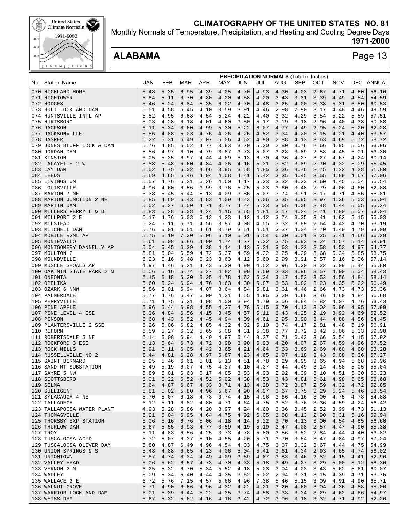

Monthly Normals of Temperature, Precipitation, and Heating and Cooling Degree Days

**1971-2000** 

|     |                               | <b>PRECIPITATION NORMALS (Total in Inches)</b> |               |                      |               |            |               |         |               |               |               |            |                             |                        |
|-----|-------------------------------|------------------------------------------------|---------------|----------------------|---------------|------------|---------------|---------|---------------|---------------|---------------|------------|-----------------------------|------------------------|
| No. | <b>Station Name</b>           | JAN                                            | <b>FEB</b>    | MAR                  | <b>APR</b>    | <b>MAY</b> | <b>JUN</b>    | JUL     | AUG           | <b>SEP</b>    | OCT           | <b>NOV</b> |                             | DEC ANNUAL             |
|     | 070 HIGHLAND HOME             | 5.48                                           | 5.35          | 6.95                 | 4.39          | 4.05       | 4.70          | 4.93    | 4.30          | 4.03          | 2.67          | 4.71       | 4.60                        | 56.16                  |
|     | 071 HIGHTOWER                 | 5.84                                           | 5.11          | 6.70                 | 4.80          | 4.20       | 4.58          | 4.20    | 3.43          | 3.31          | 3.39          | 4.49       | 4.54                        | 54.59                  |
|     | 072 HODGES                    | 5.46                                           | 5.24          | 6.84                 | 5.35          | 6.02       | 4.70          | 4.48    | 3.25          | 4.00          | 3.38          | 5.31       | 6.50                        | 60.53                  |
|     | 073 HOLT LOCK AND DAM         | 5.51                                           | 4.58          | 5.45                 | 4.10          | 3.59       | 3.91          | 4.46    | 2.98          | 2.90          | 3.17          | 4.48       | 4.46                        | 49.59                  |
|     | 074 HUNTSVILLE INTL AP        | 5.52                                           | 4.95          | 6.68                 | 4.54          | 5.24       | 4.22          | 4.40    | 3.32          | 4.29          | 3.54          | 5.22       | 5.59                        | 57.51                  |
|     | 075 HURTSBORO                 | 5.03                                           | 4.28          | 6.18                 | 4.01          | 4.60       | 3.50          | 5.17    | 3.19          | 3.18          | 2.96          | 4.40       | 4.38                        | 50.88                  |
|     | 076 JACKSON                   | 6.11                                           | 5.34          | 6.60                 | 4.99          | 5.30       | 5.22          | 6.07    | 4.77          | 4.49          | 2.95          | 5.24       | 5.20                        | 62.28                  |
|     | 077 JACKSONVILLE              | 5.56                                           | 4.88          | 6.03                 | 4.76          | 4.26       | 4.26          | 4.52    | 3.34          | 4.20          | 3.15          | 4.21       | 4.40                        | 53.57                  |
|     | 078 JASPER                    | 6.22                                           | 5.31          | 6.49                 | 5.07          | 5.06       | 4.62          | 4.90    | 2.88          | 4.13          | 3.63          | 4.69       | 5.72                        | 58.72                  |
|     | 079 JONES BLUFF LOCK & DAM    | 5.76                                           | 4.85          | 6.52                 | 4.77          | 3.93       | 3.70          | 5.20    | 2.80          | 3.76          | 2.66          | 4.95       | 5.06                        | 53.96                  |
|     | 080 JORDAN DAM                | 5.56                                           | 4.97          | 6.10                 | 4.79          | 3.87       | 3.73          | 5.07    | 3.28          | 3.89          | 2.58          | 4.45       | 5.01                        | 53.30                  |
|     | 081 KINSTON                   | 6.05                                           | 5.35          | 6.97                 | 4.44          | 4.69       | 5.13          | 6.70    | 4.36          | 4.27          | 3.27          | 4.67       | 4.24                        | 60.14                  |
|     | 082 LAFAYETTE 2 W             | 5.88                                           | 5.48          | 6.60                 | 4.84          | 4.36       | 4.16          | 5.31    | 3.82          | 3.89          | 2.70          | 4.32       | 5.09                        | 56.45                  |
|     | 083 LAY DAM                   | 5.52                                           | 4.75          | 6.02                 | 4.66          | 3.95       | 3.58          | 4.85    | 3.36          | 3.76          | 2.75          | 4.22       | 4.38                        | 51.80                  |
|     | 084 LEEDS                     | 5.69                                           | 4.65          | 6.46                 | 4.94          | 4.58       | 4.41          | 5.42    | 3.35          | 4.45          | 3.55          | 4.89       | 4.67                        | 57.06                  |
|     | 085 LIVINGSTON                | 5.57                                           | 4.76          | 6.31                 | 5.26          | 4.50       | 4.17          | 5.23    | 3.32          | 3.33          | 3.60          | 4.45       | 5.04                        | 55.54                  |
|     | $0.05 + 0.027 + 0.027 + 0.07$ | $\sim$                                         | $\sim$ $\sim$ | $\sim$ $\sim$ $\sim$ | $\sim$ $\sim$ | $\sim$     | $\sim$ $\sim$ | $ \sim$ | $\sim$ $\sim$ | $\sim$ $\sim$ | $\sim$ $\sim$ | $\sim$     | $\sim$ $\sim$ $\sim$ $\sim$ | $\Gamma$ $\cap$ $\cap$ |

| 079 JONES BLUFF LOCK & DAM                                                                                                                                                                                                                                        | 5.76 | 4.85               | 6.52 | 4.77 | 3.93           | 3.70                 | 5.20                                                          | 2.80                 | 3.76      | 2.66 | 4.95                 | 5.06 | 53.96                  |
|-------------------------------------------------------------------------------------------------------------------------------------------------------------------------------------------------------------------------------------------------------------------|------|--------------------|------|------|----------------|----------------------|---------------------------------------------------------------|----------------------|-----------|------|----------------------|------|------------------------|
| $\widetilde{N}$<br>080 JORDAN DAM                                                                                                                                                                                                                                 | 5.56 | 4.97               | 6.10 | 4.79 | 3.87           | 3.73                 | 5.07                                                          | 3.28                 | 3.89      | 2.58 | 4.45                 | 5.01 | 53.30                  |
| 081 KINSTON                                                                                                                                                                                                                                                       | 6.05 | 5.35               | 6.97 | 4.44 | 4.69           | 5.13                 | 6.70                                                          | 4.36                 | 4.27      | 3.27 | 4.67                 | 4.24 | 60.14                  |
| 082 LAFAYETTE 2 W                                                                                                                                                                                                                                                 | 5.88 | 5.48               | 6.60 | 4.84 | 4.36           | 4.16                 | 5.31                                                          | 3.82                 | 3.89      | 2.70 | 4.32                 | 5.09 | 56.45                  |
| 083 LAY DAM                                                                                                                                                                                                                                                       | 5.52 | 4.75               | 6.02 | 4.66 | 3.95           | 3.58                 | 4.85                                                          | 3.36                 | 3.76      | 2.75 | 4.22                 | 4.38 | 51.80                  |
| 084 LEEDS                                                                                                                                                                                                                                                         | 5.69 | 4.65               | 6.46 | 4.94 | 4.58           | 4.41                 | 5.42                                                          | 3.35                 | 4.45      | 3.55 | 4.89                 | 4.67 | 57.06                  |
| 085 LIVINGSTON                                                                                                                                                                                                                                                    | 5.57 | 4.76               | 6.31 | 5.26 | 4.50           | 4.17                 | 5.23                                                          | 3.32                 | 3.33      | 3.60 | 4.45                 | 5.04 | 55.54                  |
| 086 LOUISVILLE                                                                                                                                                                                                                                                    | 4.96 | 4.60               | 6.56 | 3.99 | 3.76           | 5.25                 | 5.23                                                          | 3.60                 | 3.48      | 2.79 | 4.06                 | 4.60 | 52.88                  |
| 087 MARION 7 NE                                                                                                                                                                                                                                                   | 6.38 | 5.45               | 6.44 | 5.13 | 4.09           | 3.86                 | 5.07                                                          | 3.74                 | 3.91      | 3.17 | 4.71                 | 4.86 | 56.81                  |
|                                                                                                                                                                                                                                                                   | 5.85 | 4.69               | 6.43 | 4.83 | 4.09           | 4.43                 | 5.06                                                          | 3.35                 | 3.95      | 2.97 | 4.36                 | 5.03 | 55.04                  |
|                                                                                                                                                                                                                                                                   | 5.52 | 5.27               | 6.50 | 4.71 | 3.77           | 4.44                 | 5.33                                                          | 3.65                 | 4.08      | 2.48 | 4.44                 | 5.05 | 55.24                  |
| 087 MARION / NE<br>088 MARION JUNCTION 2 NE<br>089 MARTIN DAM<br>090 MILLERS FERRY L & D                                                                                                                                                                          | 5.83 | 5.28               | 6.08 | 4.24 | 4.16           | 3.65                 | 4.81                                                          | 3.17                 | 3.24      | 2.71 | 4.80                 | 5.07 | 53.04                  |
| 090 MILLLPORT 2 E<br>092 MILSTEAD<br>093 MITCHELL DAM<br>094 MOBILE RGNL AP<br>095 MONTEVALLO<br>096 MONTEVALLO<br>096 MONTEVALLO<br>096 MONTEVALLO                                                                                                               | 6.17 | 4.76               | 6.03 | 5.13 | 4.23           | 4.12                 | 4.12                                                          | 3.74                 | 3.35      | 3.41 | 4.82                 | 5.15 | 55.03                  |
|                                                                                                                                                                                                                                                                   | 5.24 | 5.11               | 6.71 | 4.56 | 3.97           | 4.08                 | 4.55                                                          | 3.32                 | 3.89      | 2.64 | 4.42                 | 4.70 | 53.19                  |
|                                                                                                                                                                                                                                                                   | 5.76 | 5.01               | 6.51 | 4.61 | 3.79           | 3.51                 | 4.51                                                          | 3.37                 | 4.04      | 2.70 | 4.49                 | 4.79 | 53.09                  |
|                                                                                                                                                                                                                                                                   | 5.75 | 5.10               | 7.20 | 5.06 | 6.10           | 5.01                 | 6.54                                                          | 6.20                 | 6.01      | 3.25 | 5.41                 | 4.66 | 66.29                  |
|                                                                                                                                                                                                                                                                   | 6.61 | 5.08               | 6.86 | 4.90 | 4.74           | 4.77                 | 5.32                                                          | 3.75                 | 3.93      | 3.24 | 4.57                 | 5.14 | 58.91                  |
|                                                                                                                                                                                                                                                                   | 5.04 | 5.45               | 6.39 | 4.38 | 4.14           | 4.13                 | 5.31                                                          | 3.63                 | 4.22      | 2.58 | 4.53                 | 4.97 | 54.77                  |
|                                                                                                                                                                                                                                                                   |      | 5.04               | 6.59 | 4.72 | 5.37           | 4.59                 | 4.22                                                          | 3.25                 | 4.29      | 3.68 | 5.34                 | 5.85 | 58.75                  |
| 097 MOULTON 2<br>098 MOUNDVILLE<br>099 MUSCLE SHOALS AP 4.97                                                                                                                                                                                                      |      | 5.16               | 6.48 | 5.23 | 3.63           | 4.12                 | 5.60                                                          | 2.99                 | 3.91      | 3.57 | 5.16                 | 5.06 | 57.14                  |
|                                                                                                                                                                                                                                                                   |      | 4.46               | 6.21 | 4.43 | 5.30           | 4.90                 | 4.52                                                          | 2.96                 | 4.30      | 3.22 | 5.09                 | 5.44 | 55.80                  |
| $\mathbb{R}^2$<br>100 OAK MTN STATE PARK 2 N                                                                                                                                                                                                                      |      | 5.16               | 5.74 | 5.27 | 4.82           | 4.99                 | 5.59                                                          | 3.33                 | 3.96      | 3.57 | 4.90                 | 5.04 | 58.43                  |
|                                                                                                                                                                                                                                                                   |      | 5.18               | 6.30 | 5.25 | 4.78           | 4.62                 | 5.24                                                          | 3.17                 | 4.53      | 3.52 | 4.56                 | 4.84 | 58.14                  |
|                                                                                                                                                                                                                                                                   |      | 5.24               | 6.94 | 4.76 | 3.63           | 4.30                 | 5.87                                                          | 3.53                 | 3.82      | 3.23 | 4.35                 | 5.22 | 56.49                  |
|                                                                                                                                                                                                                                                                   |      | 5.01               | 6.94 | 4.07 | 3.64           | 4.84                 | 5.81                                                          | 3.61                 | 4.46      | 2.66 | 4.73                 | 4.73 | 56.36                  |
|                                                                                                                                                                                                                                                                   |      | 4.76               | 6.47 | 5.00 | 4.31           | 4.55                 | 4.95                                                          | 3.29                 | 4.68      | 3.46 | 4.60                 | 4.84 | 56.68                  |
|                                                                                                                                                                                                                                                                   |      | 4.75               | 6.21 | 4.98 | 4.00           | 3.94                 | 4.79                                                          | 3.56                 | 3.84      | 2.82 | 4.07                 | 4.76 | 53.43                  |
|                                                                                                                                                                                                                                                                   |      | 5.44               | 6.98 | 4.55 | 4.27           | 4.78                 | 5.15                                                          | 3.70                 | 4.13      | 3.02 | 5.06                 | 4.95 | 57.99                  |
| 00 OAK MTN STATE FEW.<br>01 ONEONTA<br>02 OPELIKA<br>103 OZARK 6 NNW<br>104 PALMERDALE<br>105 PERRYVILLE<br>106 PINE APPLE<br>107 PINE LEVEL 4 ESE<br>107 PINE LEVEL 4 ESE<br>108 PINSON<br>108 PINSON<br>108 PINSON<br>108 PINSON<br>108 PINSON<br>108 PI        |      | 4.84               | 6.56 | 4.15 | 3.45           | 4.57                 | 5.11                                                          | 3.43                 | 4.25      | 2.19 | 3.92                 | 4.69 | 52.52                  |
|                                                                                                                                                                                                                                                                   |      | 4.43               | 6.52 | 4.45 | 4.94           | 4.09                 | 4.61                                                          | 2.95                 | 3.90      | 3.44 | 4.88                 | 4.56 | 54.45                  |
|                                                                                                                                                                                                                                                                   |      | 5.06               | 6.82 | 4.85 | 4.32           | 4.02                 | 5.19                                                          | 3.74                 | 4.17      | 2.81 | 4.48                 | 5.19 | 56.91                  |
| 109 PLANTERSVILLE 2 SSE<br>110 REFORM<br>111 ROBERTSDALE 5 NE<br>112 ROCKFORD 3 ESE<br>113 ROCK MILLS<br>114 RUSSELLVILLE NO 2<br>114 CALUT DENNADD                                                                                                               | 6.59 | 5.27               | 6.32 | 5.65 | 5.08           | 4.31                 | 5.38                                                          | 3.77                 | 3.72      | 3.42 | 5.06                 | 5.33 | 59.90                  |
|                                                                                                                                                                                                                                                                   | 6.14 | 5.08               | 6.94 | 4.49 | 4.97           | 5.44                 | 8.37                                                          | 6.71                 | 6.43      | 3.66 | 5.54                 | 4.15 | 67.92                  |
|                                                                                                                                                                                                                                                                   | 6.13 | 5.64               | 6.73 | 4.72 | 3.98           | 3.90                 | 5.93                                                          | 4.20                 | 4.07      | 2.67 | 4.59                 | 4.96 | 57.52                  |
|                                                                                                                                                                                                                                                                   | 5.91 | 5.11               | 6.05 | 4.42 | 3.65           | 4.21                 | 4.64                                                          | 3.63                 | 3.69      | 2.69 | 4.60                 | 4.68 | 53.28                  |
|                                                                                                                                                                                                                                                                   | 5.44 | 4.81               | 6.28 | 4.97 | 5.87           | 4.23                 | 4.65                                                          | 2.97                 | 4.18      | 3.43 | 5.08                 | 5.36 | 57.27                  |
| 115 SAINT BERNARD<br>.<br>PATION<br>IF                                                                                                                                                                                                                            | 5.95 | 5.46               | 6.61 | 5.01 | 5.13           | 4.51                 | 4.78                                                          | 3.29                 | 4.95      | 3.65 | 4.94                 | 5.68 | 59.96                  |
| 116 SAND MT SUBSTATION                                                                                                                                                                                                                                            | 5.49 | 5.19               | 6.07 | 4.75 | 4.37           | 4.10                 | 4.37                                                          | 3.44                 | 4.49      | 3.14 | 4.58                 | 5.05 | 55.04                  |
| 117 SAYRE 5 NW                                                                                                                                                                                                                                                    | 5.89 | 5.01               | 6.63 | 5.17 | 4.85           | 3.83                 | 4.93                                                          | 2.92                 | 4.39      | 3.10 | 4.51                 | 5.00 | 56.23                  |
| 118 SCOTTSBORO                                                                                                                                                                                                                                                    | 6.01 | 5.22               | 6.52 | 4.52 | 5.02           | 4.38                 | 4.53                                                          | 3.43                 | 4.81      | 3.61 | 4.98                 | 5.65 | 58.68                  |
| 119 SELMA                                                                                                                                                                                                                                                         | 5.64 | 4.87               | 6.67 | 4.33 | 3.71           | 4.13                 | 4.28                                                          | 3.72                 | 3.87      | 2.59 | 4.32                 | 4.72 | 52.85                  |
| 120 SULLIGENT<br>$\begin{tabular}{ c c c c } \hline 120 & \textit{SULLIGENT} \\ \hline 121 & \textit{STLACAUGA} & 4 & \textit{NE} \\ \hline 122 & \textit{TALLADEGA} & & & 6.12 \\ \hline 123 & \textit{TALLAPOOSA WATER PLANT} & & 4.93 \\ \hline \end{tabular}$ | 5.81 | 5.02               | 5.80 | 4.96 | 5.67           | 4.90                 | 4.97                                                          | 3.67                 | 3.75      | 3.29 | 5.24                 | 5.46 | 58.54                  |
|                                                                                                                                                                                                                                                                   |      | 5.07               | 6.18 | 4.73 | 3.74           | 4.15                 | 4.96                                                          | 3.66                 | 4.16      | 3.00 | 4.75                 | 4.78 | 54.88                  |
|                                                                                                                                                                                                                                                                   |      | 5.11               | 6.82 | 4.80 | 4.71           | 4.64                 | 4.75                                                          | 3.52                 | 3.76      | 3.36 | 4.59                 | 4.24 | 56.42                  |
|                                                                                                                                                                                                                                                                   |      | 5.28               | 5.86 | 4.20 | 3.97           | 4.24                 | 4.60                                                          | 3.36                 | 3.45      | 2.52 | 3.99                 | 4.73 | 51.13                  |
|                                                                                                                                                                                                                                                                   |      | 5.04               | 6.95 | 4.64 | 4.75           | 4.92                 | 6.05                                                          | 3.88                 | 4.13      | 2.90 | 5.31                 | 5.16 | 59.94                  |
| 125                                                                                                                                                                                                                                                               | 6.06 | 5.16               | 6.76 | 5.06 | 4.18           | 4.14                 | 5.22                                                          | 3.70                 | 4.13      | 3.00 | 4.54                 | 4.65 | 56.60                  |
| 126 THURLOW DAM                                                                                                                                                                                                                                                   | 5.67 | 5.55               | 6.93 | 4.77 | 3.59           | 4.19                 | 5.19                                                          | 3.47                 | 4.08      | 2.57 | 4.47                 | 4.90 | 55.38                  |
| THORSBY EXP STATION<br>THURLOW DAM<br>TROY<br>TUSCALOOSA ACFD<br>127 TROY                                                                                                                                                                                         | 5.11 | 4.83               | 6.56 | 4.25 | 3.73           | 4.78                 | 5.80                                                          | 3.56                 | 3.52      |      | 2.84 4.44            | 4.40 | 53.82                  |
| 128 TUSCALOOSA ACFD 5.72 5.07 6.37                                                                                                                                                                                                                                |      |                    |      |      |                |                      | $5.10 \quad 4.55 \quad 4.20 \quad 5.71 \quad 3.70 \quad 3.54$ |                      |           |      |                      |      | $3.47$ 4.84 4.97 57.24 |
| 129 TUSCALOOSA OLIVER DAM                                                                                                                                                                                                                                         |      | 5.80 4.87          | 6.49 |      | 4.96 4.54      | 4.03                 |                                                               | 4.75 3.37 3.32       |           |      | $3.67$ $4.44$ $4.75$ |      | 54.99                  |
| 130 UNION SPRINGS 9 S                                                                                                                                                                                                                                             |      | 5.48 4.88          | 6.65 |      | 4.23 4.06      | 5.04                 |                                                               | $5.41$ $3.61$ $4.34$ |           |      | 2.93 4.65 4.74       |      | 56.02                  |
| 131 UNIONTOWN                                                                                                                                                                                                                                                     |      | 5.87 4.74          | 6.34 |      | 4.49 4.09      | 3.89                 | 4.87                                                          |                      | 3.83 3.46 |      | 2.82 4.15 4.41       |      | 52.96                  |
| 132 VALLEY HEAD                                                                                                                                                                                                                                                   |      | $6.06$ 5.62        | 6.57 |      | 4.73 4.70      | 4.33                 | $5.18$                                                        |                      | 3.49 4.27 |      | $3.29$ 5.00          | 5.12 | 58.36                  |
| 133 VERNON 2 N                                                                                                                                                                                                                                                    | 6.25 | 5.32               | 6.70 | 5.34 | 5.52           | 4.18                 | 5.03                                                          | 3.04                 | 4.03      | 3.43 | 5.62                 | 5.61 | 60.07                  |
| 134 WADLEY                                                                                                                                                                                                                                                        | 6.09 | 5.34               | 6.40 | 4.44 | 4.35           | 3.62                 | 5.02                                                          | 2.94                 | 3.31      | 3.15 | 4.39                 | 4.71 | 53.76                  |
| 135 WALLACE 2 E                                                                                                                                                                                                                                                   | 6.72 | 5.76               | 7.15 | 4.57 | 5.66           | 4.96                 |                                                               | 7.38 5.46            | 5.15      | 3.09 | 4.91                 | 4.90 | 65.71                  |
| 136 WALNUT GROVE                                                                                                                                                                                                                                                  | 5.71 | 4.90               | 6.66 |      | 4.96 4.32 4.22 |                      |                                                               | $4.21$ $3.20$ $4.60$ |           |      | 3.04 4.36 4.88       |      | 55.06                  |
| 137 WARRIOR LOCK AND DAM                                                                                                                                                                                                                                          |      | $6.01$ 5.39 $6.44$ |      |      | 5.22 4.35 3.74 |                      |                                                               | $4.58$ $3.33$ $3.34$ |           |      | 3.29 4.62 4.66       |      | 54.97                  |
| 138 WEISS DAM                                                                                                                                                                                                                                                     |      | 5.67 5.32 5.62     |      |      |                | $4.16$ $4.16$ $3.42$ |                                                               | $4.72$ $3.06$ $3.18$ |           |      | 3.32 4.71 4.92       |      | 52.26                  |
|                                                                                                                                                                                                                                                                   |      |                    |      |      |                |                      |                                                               |                      |           |      |                      |      |                        |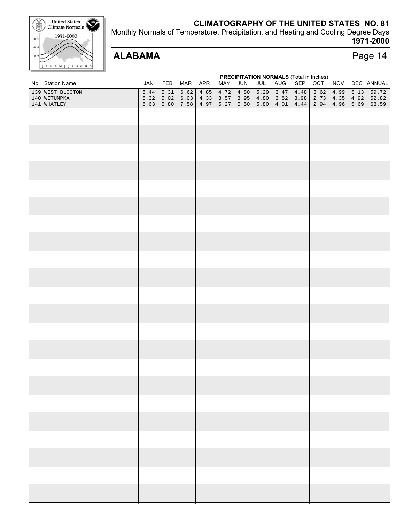

Monthly Normals of Temperature, Precipitation, and Heating and Cooling Degree Days **1971-2000** 

| <b>PRECIPITATION NORMALS</b> (Total in Inches)<br>JAN FEB MAR APR MAY JUN JUL AUG SEP OCT NOV DEC ANNUAL<br>No. Station Name<br>6.44 5.31 6.62 4.85 4.72 4.80 5.29 3.47 4.48 3.62 4.99 5.13 59.72<br>139 WEST BLOCTON<br>5.32 5.02 6.03 4.33 3.57 3.95 4.80 3.82 3.98 2.73 4.35 4.92 52.82<br>140 WETUMPKA |
|------------------------------------------------------------------------------------------------------------------------------------------------------------------------------------------------------------------------------------------------------------------------------------------------------------|
|                                                                                                                                                                                                                                                                                                            |
|                                                                                                                                                                                                                                                                                                            |
|                                                                                                                                                                                                                                                                                                            |
| 6.63 5.80 7.58 4.97 5.27 5.50 5.80 4.01 4.44 2.94 4.96 5.69 63.59<br>141 WHATLEY                                                                                                                                                                                                                           |
|                                                                                                                                                                                                                                                                                                            |
|                                                                                                                                                                                                                                                                                                            |
|                                                                                                                                                                                                                                                                                                            |
|                                                                                                                                                                                                                                                                                                            |
|                                                                                                                                                                                                                                                                                                            |
|                                                                                                                                                                                                                                                                                                            |
|                                                                                                                                                                                                                                                                                                            |
|                                                                                                                                                                                                                                                                                                            |
|                                                                                                                                                                                                                                                                                                            |
|                                                                                                                                                                                                                                                                                                            |
|                                                                                                                                                                                                                                                                                                            |
|                                                                                                                                                                                                                                                                                                            |
|                                                                                                                                                                                                                                                                                                            |
|                                                                                                                                                                                                                                                                                                            |
|                                                                                                                                                                                                                                                                                                            |
|                                                                                                                                                                                                                                                                                                            |
|                                                                                                                                                                                                                                                                                                            |
|                                                                                                                                                                                                                                                                                                            |
|                                                                                                                                                                                                                                                                                                            |
|                                                                                                                                                                                                                                                                                                            |
|                                                                                                                                                                                                                                                                                                            |
|                                                                                                                                                                                                                                                                                                            |
|                                                                                                                                                                                                                                                                                                            |
|                                                                                                                                                                                                                                                                                                            |
|                                                                                                                                                                                                                                                                                                            |
|                                                                                                                                                                                                                                                                                                            |
|                                                                                                                                                                                                                                                                                                            |
|                                                                                                                                                                                                                                                                                                            |
|                                                                                                                                                                                                                                                                                                            |
|                                                                                                                                                                                                                                                                                                            |
|                                                                                                                                                                                                                                                                                                            |
|                                                                                                                                                                                                                                                                                                            |
|                                                                                                                                                                                                                                                                                                            |
|                                                                                                                                                                                                                                                                                                            |
|                                                                                                                                                                                                                                                                                                            |
|                                                                                                                                                                                                                                                                                                            |
|                                                                                                                                                                                                                                                                                                            |
|                                                                                                                                                                                                                                                                                                            |
|                                                                                                                                                                                                                                                                                                            |
|                                                                                                                                                                                                                                                                                                            |
|                                                                                                                                                                                                                                                                                                            |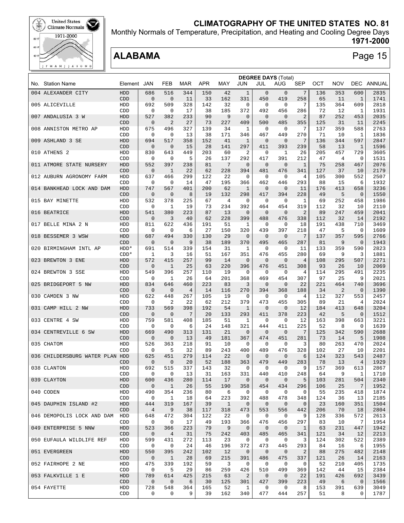

Monthly Normals of Temperature, Precipitation, and Heating and Cooling Degree Days **1971-2000** 

|     |                             |             |                     |                     |            |           |           |                       |                     | <b>DEGREE DAYS (Total)</b> |                       |            |                |                |              |
|-----|-----------------------------|-------------|---------------------|---------------------|------------|-----------|-----------|-----------------------|---------------------|----------------------------|-----------------------|------------|----------------|----------------|--------------|
| No. | <b>Station Name</b>         | Element JAN |                     | <b>FEB</b>          | <b>MAR</b> | APR       | MAY       | JUN                   | JUL                 | AUG                        | <b>SEP</b>            | OCT        | <b>NOV</b>     | DEC.           | ANNUAL       |
| 004 | ALEXANDER CITY              | <b>HDD</b>  | 686                 | 516                 | 344        | 150       | 42        | 1                     | $\mathbf{0}$        | $\mathbf{0}$               | 7                     | 136        | 353            | 600            | 2835         |
|     |                             | CDD         | $\mathbf{0}$        | $\Omega$            | 11         | 33        | 162       | 331                   | 450                 | 419                        | 258                   | 65         | 11             | $\mathbf 1$    | 1741         |
| 005 | ALICEVILLE                  | HDD         | 692                 | 509                 | 328        | 142       | 32        | $\mathbf 0$           | 0                   | 0                          | 7                     | 135        | 364            | 609            | 2818         |
|     |                             | CDD         | $\mathbf 0$         | $\Omega$            | 17         | 38        | 185       | 372                   | 492                 | 456                        | 286                   | 72         | 12             | 1              | 1931         |
| 007 | ANDALUSIA 3 W               | HDD         | 527                 | 382                 | 233        | 90        | 9         | $\Omega$              | $\mathbf 0$         | 0                          | $\overline{2}$        | 87         | 252            | 453            | 2035         |
|     |                             | CDD         | $\mathbf{0}$        | $\overline{2}$      | 27         | 73        | 227       | 409                   | 500                 | 485                        | 355                   | 125        | 31             | 11             | 2245         |
| 008 | ANNISTON METRO AP           | HDD<br>CDD  | 675<br>0            | 496<br>0            | 327<br>13  | 139<br>38 | 34<br>171 | 1<br>346              | 0<br>467            | 0<br>449                   | 7<br>270              | 137<br>71  | 359<br>10      | 588<br>1       | 2763<br>1836 |
| 009 | ASHLAND 3 SE                | HDD         | 694                 | 517                 | 358        | 152       | 41        | $\mathbf 1$           | $\mathbf 0$         | $\mathbf{0}$               | 7                     | 136        | 344            | 597            | 2847         |
|     |                             | CDD         | $\mathbf{0}$        | $\mathbf 0$         | 15         | 28        | 141       | 297                   | 411                 | 393                        | 239                   | 58         | 13             | 1              | 1596         |
| 010 | ATHENS <sub>2</sub>         | HDD         | 830                 | 643                 | 449        | 203       | 60        | 2                     | 0                   | 1                          | 26                    | 205        | 457            | 729            | 3605         |
|     |                             | CDD         | 0                   | $\Omega$            | 5          | 26        | 137       | 292                   | 417                 | 391                        | 212                   | 47         | 4              | $\mathbf 0$    | 1531         |
|     | 011 ATMORE STATE NURSERY    | HDD         | 552                 | 397                 | 238        | 81        | 7         | $\mathbf{0}$          | $\mathbf{0}$        | $\mathbf{0}$               | $\mathbf{1}$          | 75         | 258            | 467            | 2076         |
| 012 | AUBURN AGRONOMY FARM        | CDD<br>HDD  | $\mathbf{0}$<br>637 | 1<br>466            | 22<br>299  | 62<br>122 | 228<br>22 | 394<br>0              | 481<br>0            | 476<br>0                   | 341<br>4              | 127<br>105 | 37<br>300      | 10<br>552      | 2179<br>2507 |
|     |                             | CDD         | 0                   | $\Omega$            | 14         | 47        | 195       | 366                   | 462                 | 446                        | 293                   | 88         | 15             | 6              | 1932         |
|     | 014 BANKHEAD LOCK AND DAM   | HDD         | 747                 | 567                 | 401        | 200       | 62        | $\mathbf{1}$          | $\mathbf{0}$        | $\mathbf{0}$               | 11                    | 176        | 413            | 658            | 3236         |
|     |                             | CDD         | $\mathbf{0}$        | $\mathbf{0}$        | 8          | 19        | 132       | 298                   | 417                 | 394                        | 228                   | 49         | 5              | $\mathbf 0$    | 1550         |
| 015 | BAY MINETTE                 | HDD         | 532                 | 378                 | 225        | 67        | 4         | 0                     | 0                   | 0                          | 1                     | 69         | 252            | 458            | 1986         |
|     |                             | CDD         | $\mathbf 0$         | 1                   | 19         | 73        | 234       | 392                   | 464                 | 454                        | 319                   | 112        | 32             | 10             | 2110         |
|     | 016 BEATRICE                | HDD<br>CDD  | 541<br>$\mathbf{0}$ | 380<br>3            | 223<br>40  | 87<br>62  | 13<br>228 | $\overline{0}$<br>399 | $\mathbf{0}$<br>488 | $\mathbf{0}$<br>476        | $\overline{2}$<br>338 | 89<br>112  | 247<br>32      | 459<br>14      | 2041<br>2192 |
| 017 | BELLE MINA 2 N              | HDD         | 811                 | 622                 | 436        | 191       | 51        | 1                     | $\mathbf 0$         | $\mathbf 0$                | 18                    | 191        | 438            | 710            | 3469         |
|     |                             | CDD         | $\mathbf 0$         | $\Omega$            | 6          | 27        | 150       | 320                   | 439                 | 397                        | 218                   | 47         | 5              | $\mathbf 0$    | 1609         |
| 018 | BESSEMER 3 WSW              | HDD         | 687                 | 494                 | 330        | 130       | 29        | $\overline{0}$        | $\mathbf 0$         | 0                          | 7                     | 137        | 357            | 595            | 2766         |
|     |                             | CDD         | $\mathbf{0}$        | $\mathbf{0}$        | 9          | 38        | 189       | 370                   | 495                 | 465                        | 287                   | 81         | 9              | $\mathbf 0$    | 1943         |
| 020 | BIRMINGHAM INTL AP          | $HDD*$      | 691                 | 514                 | 339        | 154       | 31        | 1                     | 0                   | 0                          | 11                    | 133        | 359            | 590            | 2823         |
|     |                             | $CDD*$      | 1<br>572            | 3<br>415            | 16         | 51<br>99  | 167       | 351                   | 476                 | 455                        | 280                   | 69         | 9              | 3              | 1881<br>2271 |
| 023 | BREWTON 3 ENE               | HDD<br>CDD  | $\mathbf 0$         | $\mathbf{1}$        | 257<br>25  | 63        | 14<br>220 | $\mathbf 0$<br>396    | $\mathbf 0$<br>476  | 0<br>451                   | 4<br>308              | 108<br>93  | 295<br>26      | 507<br>10      | 2069         |
| 024 | BREWTON 3 SSE               | HDD         | 549                 | 396                 | 257        | 110       | 19        | 0                     | 0                   | 0                          | 4                     | 114        | 295            | 491            | 2235         |
|     |                             | CDD         | 0                   | 1                   | 26         | 64        | 201       | 368                   | 469                 | 454                        | 307                   | 97         | 25             | 9              | 2021         |
| 025 | BRIDGEPORT 5 NW             | HDD         | 834                 | 646                 | 460        | 223       | 83        | 3                     | $\mathbf 0$         | 0                          | 22                    | 221        | 464            | 740            | 3696         |
|     |                             | CDD         | $\mathbf{0}$        | $\mathbf{0}$        | 4          | 14        | 116       | 270                   | 394                 | 368                        | 188                   | 34         | $\overline{2}$ | $\mathbf 0$    | 1390         |
| 030 | CAMDEN 3 NW                 | HDD         | 622<br>0            | 448<br>2            | 267<br>22  | 105       | 19        | 0<br>379              | 0<br>473            | 0<br>455                   | 4<br>305              | 112<br>89  | 327            | 553<br>4       | 2457<br>2024 |
| 031 | CAMP HILL 2 NW              | CDD<br>HDD  | 733                 | 569                 | 398        | 62<br>192 | 212<br>54 | 1                     | $\mathbf{0}$        | $\mathbf 0$                | 12                    | 184        | 21<br>413      | 648            | 3204         |
|     |                             | CDD         | $\mathbf{0}$        | $\mathbf{0}$        | 7          | 20        | 133       | 293                   | 411                 | 378                        | 223                   | 42         | 5              | $\mathbf{0}$   | 1512         |
| 033 | CENTRE 4 SW                 | HDD         | 759                 | 581                 | 408        | 185       | 51        | 1                     | 0                   | 0                          | 12                    | 163        | 398            | 663            | 3221         |
|     |                             | CDD         | 0                   | 0                   | 6          | 24        | 148       | 321                   | 444                 | 411                        | 225                   | 52         | 8              | $\mathbf 0$    | 1639         |
| 034 | CENTREVILLE 6 SW            | HDD         | 669                 | 490                 | 313        | 131       | 21        | $\mathbf 0$           | $\mathbf{0}$        | $\mathbf{0}$               | 7                     | 125        | 342            | 590            | 2688         |
| 035 | CHATOM                      | CDD<br>HDD  | $\mathbf{0}$<br>526 | $\Omega$<br>363     | 13<br>218  | 49<br>91  | 181<br>10 | 367<br>0              | 474<br>0            | 451<br>0                   | 281<br>3              | 73<br>80   | 14<br>263      | 5<br>470       | 1908<br>2024 |
|     |                             | CDD         | 0                   | 5                   | 32         | 89        | 243       | 400                   | 489                 | 476                        | 328                   | 102        | 27             | 10             | 2201         |
| 036 | CHILDERSBURG WATER PLAN HDD |             | 625                 | 451                 | 279        | 114       | 22        | $\overline{0}$        | $\mathbf{0}$        | $\mathbf 0$                | 6                     | 124        | 323            | 543            | 2487         |
|     |                             | CDD         | $\Omega$            | $\Omega$            | 20         | 52        | 188       | 363                   | 479                 | 449                        | 283                   | 78         | 13             | $\overline{4}$ | 1929         |
|     | 038 CLANTON                 | HDD         | 692                 | 515                 | 337        | 143       | 32        | $\Omega$              | $\Omega$            | $\Omega$                   | 9                     | 157        | 369            | 613            | 2867         |
|     |                             | CDD         | $\mathbf 0$         | $\mathbf 0$         | 13         | 31        | 163       | 331                   | 440                 | 410                        | 248                   | 64         | 9              | $\mathbf{1}$   | 1710         |
|     | 039 CLAYTON                 | HDD<br>CDD  | 600<br>$\mathbf 0$  | 436<br>$\mathbf{1}$ | 280<br>26  | 114<br>55 | 17<br>190 | $\mathbf 0$<br>358    | $\mathbf 0$<br>454  | $\mathbf{0}$<br>434        | 5<br>296              | 103<br>106 | 281<br>25      | 504<br>7       | 2340<br>1952 |
|     | 040 CODEN                   | HDD         | 490                 | 354                 | 236        | 80        | 6         | 0                     | 0                   | 0                          | 0                     | 55         | 235            | 418            | 1874         |
|     |                             | CDD         | 0                   | 1                   | 18         | 64        | 223       | 392                   | 488                 | 478                        | 348                   | 124        | 36             | 13             | 2185         |
|     | 045 DAUPHIN ISLAND #2       | HDD         | 444                 | 319                 | 167        | 39        | 1         | $\mathbf 0$           | $\mathbf 0$         | $\mathbf 0$                | $\mathbf 0$           | 23         | 160            | 351            | 1504         |
|     |                             | CDD         | $\overline{4}$      | 9                   | 38         | 117       | 318       | 473                   | 553                 | 556                        | 442                   | 206        | 70             | 18             | 2804         |
|     | 046 DEMOPOLIS LOCK AND DAM  | HDD         | 648                 | 472                 | 304        | 122       | 22        | 0                     | 0                   | 0                          | 9                     | 128        | 336            | 572            | 2613         |
|     |                             | CDD         | 0<br>523            | $\mathbf 0$<br>366  | 17<br>223  | 49<br>79  | 193<br>9  | 366<br>$\mathbf 0$    | 476<br>0            | 456<br>$\mathbf 0$         | 297<br>1              | 83<br>63   | 10<br>231      | 7<br>447       | 1954<br>1942 |
|     | 049 ENTERPRISE 5 NNW        | HDD<br>CDD  | $\mathbf 0$         | $\overline{4}$      | 31         | 75        | 242       | 403                   | 485                 | 465                        | 341                   | 121        | 34             | 12             | 2213         |
|     | 050 EUFAULA WILDLIFE REF    | HDD         | 599                 | 431                 | 272        | 113       | 23        | 0                     | 0                   | 0                          | 3                     | 124        | 302            | 522            | 2389         |
|     |                             | CDD         | 0                   | 0                   | 24         | 46        | 196       | 372                   | 473                 | 445                        | 293                   | 84         | 16             | 6              | 1955         |
|     | 051 EVERGREEN               | HDD         | 550                 | 395                 | 242        | 102       | 12        | $\mathbf 0$           | $\mathbf 0$         | $\mathbf 0$                | $\overline{2}$        | 88         | 275            | 482            | 2148         |
|     |                             | CDD         | $\mathbf 0$         | $\mathbf{1}$        | 28         | 69        | 215       | 391                   | 486                 | 475                        | 337                   | 121        | 26             | 14             | 2163         |
|     | 052 FAIRHOPE 2 NE           | HDD         | 475                 | 339                 | 192        | 59        | 3         | 0                     | 0                   | 0<br>499                   | 0                     | 52         | 210            | 405            | 1735         |
|     | 053 FALKVILLE 1 E           | CDD<br>HDD  | 0<br>789            | 5<br>614            | 29<br>425  | 86<br>215 | 259<br>63 | 426<br>$\overline{c}$ | 510<br>0            | $\mathbf 0$                | 369<br>22             | 142<br>191 | 44<br>426      | 15<br>692      | 2384<br>3439 |
|     |                             | CDD         | $\mathbf 0$         | $\mathbf 0$         | 6          | 30        | 125       | 301                   | 427                 | 399                        | 223                   | 49         | 6              | 0              | 1566         |
|     | 054 FAYETTE                 | HDD         | 728                 | 548                 | 364        | 165       | 52        | 1                     | 0                   | 0                          | 8                     | 153        | 391            | 639            | 3049         |
|     |                             | CDD         | 0                   | $\mathbf 0$         | 9          | 39        | 162       | 340                   | 477                 | 444                        | 257                   | 51         | 8              | 0              | 1787         |
|     |                             |             |                     |                     |            |           |           |                       |                     |                            |                       |            |                |                |              |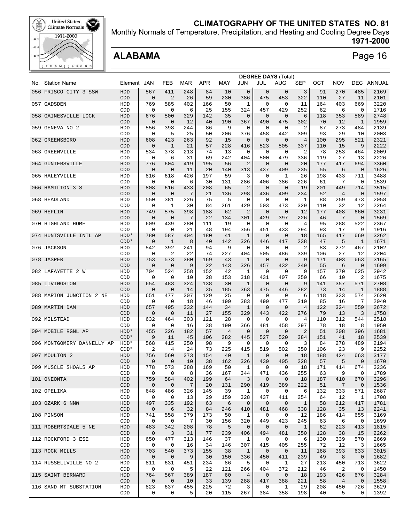

Monthly Normals of Temperature, Precipitation, and Heating and Cooling Degree Days **1971-2000** 

|     |                            |                   |                     |                       |            |            |                       |                       |                     | <b>DEGREE DAYS (Total)</b> |                       |            |                |                     |              |
|-----|----------------------------|-------------------|---------------------|-----------------------|------------|------------|-----------------------|-----------------------|---------------------|----------------------------|-----------------------|------------|----------------|---------------------|--------------|
| No. | <b>Station Name</b>        | Element JAN       |                     | <b>FEB</b>            | <b>MAR</b> | <b>APR</b> | MAY                   | JUN                   | JUL                 | AUG                        | <b>SEP</b>            | OCT        | <b>NOV</b>     | DEC.                | ANNUAL       |
| 056 | FRISCO CITY 3 SSW          | HDD               | 567                 | 411                   | 248        | 84         | 10                    | $\overline{0}$        | $\mathbf{0}$        | $\mathbf{0}$               | 3                     | 91         | 270            | 485                 | 2169         |
| 057 | GADSDEN                    | CDD<br>HDD        | 0<br>769            | 2<br>585              | 26<br>402  | 59<br>166  | 230<br>50             | 386<br>1              | 475<br>0            | 453<br>0                   | 322<br>11             | 110<br>164 | 27<br>403      | 11<br>669           | 2101<br>3220 |
|     |                            | CDD               | 0                   | 0                     | 6          | 25         | 155                   | 324                   | 457                 | 429                        | 252                   | 62         | 6              | $\Omega$            | 1716         |
| 058 | GAINESVILLE LOCK           | HDD               | 676                 | 500                   | 329        | 142        | 35                    | $\mathbf 0$           | 0                   | $\mathbf{0}$               | 6                     | 118        | 353            | 589                 | 2748         |
| 059 | GENEVA NO 2                | CDD<br>HDD        | $\mathbf{0}$<br>556 | $\mathbf{0}$<br>398   | 12<br>244  | 40<br>86   | 190<br>9              | 367<br>0              | 490<br>0            | 475<br>0                   | 302<br>2              | 70<br>87   | 12<br>273      | $\mathbf{1}$<br>484 | 1959<br>2139 |
|     |                            | CDD               | 0                   | 5                     | 25         | 50         | 206                   | 376                   | 458                 | 442                        | 309                   | 93         | 29             | 10                  | 2003         |
|     | 062 GREENSBORO             | HDD               | 608<br>$\mathbf{0}$ | 423<br>$\mathbf{1}$   | 263<br>21  | 92<br>57   | 15<br>228             | 0                     | $\mathbf{0}$<br>523 | $\mathbf{0}$<br>505        | 4<br>337              | 100<br>110 | 295<br>15      | 521<br>9            | 2321<br>2222 |
| 063 | GREENVILLE                 | CDD<br>HDD        | 534                 | 378                   | 213        | 74         | 13                    | 416<br>0              | 0                   | 0                          | 2                     | 78         | 253            | 464                 | 2009         |
|     |                            | CDD               | 0                   | 6                     | 31         | 69         | 242                   | 404                   | 500                 | 479                        | 336                   | 119        | 27             | 13                  | 2226         |
|     | 064 GUNTERSVILLE           | HDD<br>CDD        | 776<br>$\mathbf{0}$ | 604<br>$\mathbf{0}$   | 419<br>11  | 195<br>20  | 56<br>140             | $\overline{2}$<br>313 | $\mathbf 0$<br>437  | $\mathbf 0$<br>409         | 20<br>235             | 177<br>55  | 417<br>6       | 694<br>$\mathbf{0}$ | 3360<br>1626 |
|     | 065 HALEYVILLE             | HDD               | 816                 | 618                   | 426        | 197        | 59                    | 3                     | 0                   | 1                          | 26                    | 198        | 433            | 711                 | 3488         |
|     | 066 HAMILTON 3 S           | CDD               | 0<br>808            | 0<br>616              | 6<br>433   | 30<br>208  | 131<br>65             | 286<br>$\overline{2}$ | 406<br>$\mathbf 0$  | 386<br>$\mathbf 0$         | 226<br>19             | 61<br>201  | 7<br>449       | 0<br>714            | 1539<br>3515 |
|     |                            | HDD<br>CDD        | $\mathbf{0}$        | $\mathbf{0}$          | 7          | 21         | 136                   | 298                   | 436                 | 409                        | 234                   | 52         | $\overline{4}$ | $\mathbf{0}$        | 1597         |
| 068 | HEADLAND                   | HDD               | 550                 | 381                   | 226        | 75         | 5                     | 0                     | 0                   | 0                          | 1                     | 88         | 259            | 473                 | 2058         |
| 069 | HEFLIN                     | CDD<br><b>HDD</b> | $\mathbf 0$<br>749  | 1<br>575              | 30<br>398  | 84<br>188  | 261<br>62             | 429<br>$\overline{2}$ | 503<br>$\mathbf 0$  | 473<br>$\mathbf 0$         | 329<br>12             | 110<br>177 | 32<br>408      | 12<br>660           | 2264<br>3231 |
|     |                            | CDD               | $\mathbf{0}$        | $\mathbf{0}$          | 7          | 22         | 134                   | 301                   | 429                 | 397                        | 226                   | 46         | 7              | $\mathbf{0}$        | 1569         |
| 070 | HIGHLAND HOME              | HDD               | 609                 | 439                   | 280        | 111        | 19                    | 0                     | 0                   | $\mathbf 0$<br>433         | 4<br>294              | 95         | 288            | 522                 | 2367         |
|     | 074 HUNTSVILLE INTL AP     | CDD<br>$HDD*$     | 0<br>780            | 0<br>587              | 21<br>404  | 48<br>180  | 194<br>41             | 356<br>$\mathbf{1}$   | 451<br>$\mathbf 0$  | $\mathbf 0$                | 18                    | 93<br>165  | 17<br>417      | 9<br>669            | 1916<br>3262 |
|     |                            | $CDD*$            | 0                   | $\mathbf{1}$          | 8          | 40         | 142                   | 326                   | 446                 | 417                        | 238                   | 47         | 5              | $\mathbf{1}$        | 1671         |
|     | 076 JACKSON                | HDD<br>CDD        | 542<br>$\mathbf 0$  | 392<br>$\overline{2}$ | 241<br>22  | 94<br>74   | 9<br>227              | 0<br>404              | 0<br>505            | 0<br>486                   | 2<br>339              | 83<br>106  | 272<br>27      | 467<br>12           | 2102<br>2204 |
| 078 | JASPER                     | <b>HDD</b>        | 753                 | 573                   | 380        | 169        | 43                    | $\mathbf{1}$          | 0                   | $\mathbf{0}$               | 9                     | 171        | 403            | 663                 | 3165         |
|     |                            | CDD               | 0                   | $\Omega$              | 9          | 22         | 143                   | 326                   | 457                 | 432                        | 249                   | 55         | 6<br>370       | $\mathbf{0}$        | 1699         |
|     | 082 LAFAYETTE 2 W          | HDD<br>CDD        | 704<br>0            | 524<br>0              | 358<br>10  | 152<br>28  | 42<br>153             | 1<br>318              | 0<br>431            | 0<br>407                   | 9<br>250              | 157<br>66  | 10             | 625<br>2            | 2942<br>1675 |
|     | 085 LIVINGSTON             | HDD               | 654                 | 483                   | 324        | 138        | 30                    | 1                     | $\mathbf{0}$        | $\mathbf{0}$               | 9                     | 141        | 357            | 571                 | 2708         |
| 088 | MARION JUNCTION 2 NE       | CDD<br>HDD        | $\mathbf{0}$<br>651 | $\mathbf{0}$<br>477   | 14<br>307  | 35<br>129  | 185<br>25             | 363<br>0              | 475<br>0            | 446<br>0                   | 282<br>6              | 73<br>118  | 14<br>333      | 1<br>574            | 1888<br>2620 |
|     |                            | CDD               | 0                   | 0                     | 18         | 46         | 199                   | 383                   | 499                 | 477                        | 310                   | 85         | 16             | 7                   | 2040         |
| 089 | MARTIN DAM                 | HDD<br>CDD        | 657<br>$\mathbf{0}$ | 495<br>$\mathbf{0}$   | 332<br>11  | 144<br>27  | 34<br>155             | 1<br>329              | $\mathbf{0}$<br>443 | $\mathbf{0}$<br>422        | $\overline{4}$<br>276 | 122<br>79  | 324<br>13      | 559<br>3            | 2672<br>1758 |
|     | 092 MILSTEAD               | HDD               | 632                 | 464                   | 303        | 121        | 28                    | 0                     | 0                   | 0                          | 4                     | 110        | 312            | 544                 | 2518         |
|     |                            | CDD               | 0                   | $\Omega$              | 16         | 38         | 190                   | 366                   | 481                 | 458                        | 297                   | 78         | 18             | 8                   | 1950         |
|     | 094 MOBILE RGNL AP         | HDD*<br>$CDD*$    | 455<br>9            | 326<br>11             | 182<br>45  | 57<br>106  | $\overline{4}$<br>282 | $\mathbf 0$<br>445    | $\mathbf{0}$<br>527 | $\mathbf{0}$<br>520        | $\overline{2}$<br>384 | 51<br>151  | 208<br>41      | 396<br>18           | 1681<br>2539 |
|     | 096 MONTGOMERY DANNELLY AP | $HDD*$            | 568                 | 415                   | 250        | 98         | 9                     | 0                     | 0                   | $\mathbf 0$                | 3                     | 84         | 278            | 489                 | 2194         |
| 097 | MOULTON <sub>2</sub>       | $CDD*$<br>HDD     | 2<br>756            | 4<br>560              | 24<br>373  | 73<br>154  | 225<br>40             | 415<br>$\mathbf 1$    | 519<br>$\mathbf{0}$ | 502<br>$\overline{0}$      | 350<br>18             | 106<br>188 | 23<br>424      | 9<br>663            | 2252<br>3177 |
|     |                            | CDD               | $\mathbf{0}$        | $\mathbf{0}$          | 10         | 38         | 162                   | 326                   | 439                 | 405                        | 228                   | 57         | 5              | $\mathbf{0}$        | 1670         |
|     | 099 MUSCLE SHOALS AP       | HDD               | 778                 | 573                   | 388        | 169        | 50                    | 1                     | 0                   | 0                          | 18                    | 171        | 414            | 674                 | 3236         |
|     | 101 ONEONTA                | CDD<br>HDD        | $\mathsf 0$<br>759  | 0<br>584              | 8<br>402   | 36<br>199  | 167<br>64             | 344<br>3              | 471<br>$\mathbf 0$  | 436<br>$\mathbb O$         | 255<br>18             | 63<br>187  | 9<br>410       | 0<br>670            | 1789<br>3296 |
|     |                            | CDD               | 0                   | $\mathbf 0$           | 7          | 20         | 131                   | 290                   | 419                 | 389                        | 222                   | 51         | 7              | $\mathbf 0$         | 1536         |
|     | 102 OPELIKA                | HDD<br>CDD        | 648<br>0            | 486<br>0              | 326<br>13  | 145<br>29  | 39<br>159             | 1<br>328              | 0<br>437            | $\mathbb O$<br>411         | 6<br>254              | 132<br>64  | 333<br>12      | 571<br>1            | 2687<br>1708 |
|     | 103 OZARK 6 NNW            | HDD               | 497                 | 335                   | 192        | 63         | 6                     | $\mathbf 0$           | $\mathbf 0$         | $\overline{0}$             | $\mathbf{1}$          | 58         | 212            | 417                 | 1781         |
|     |                            | CDD               | 0                   | 6                     | 32         | 84         | 246                   | 410                   | 481                 | 468                        | 338                   | 128        | 35             | 13                  | 2241         |
|     | 108 PINSON                 | HDD<br>CDD        | 741<br>0            | 558<br>0              | 379<br>7   | 173<br>30  | 50<br>156             | 1<br>320              | 0<br>449            | $\mathbf 0$<br>423         | 12<br>245             | 186<br>63  | 414<br>6       | 655<br>0            | 3169<br>1699 |
|     | 111 ROBERTSDALE 5 NE       | HDD               | 483                 | 342                   | 208        | 78         | 5                     | $\mathbf 0$           | $\mathbf 0$         | $\mathbf 0$                | $\mathbf{1}$          | 62         | 223            | 413                 | 1815         |
|     | 112 ROCKFORD 3 ESE         | CDD<br>HDD        | 0<br>650            | 3<br>477              | 31<br>313  | 77<br>146  | 239<br>37             | 406<br>1              | 494<br>0            | 481<br>$\mathbf 0$         | 350<br>6              | 128<br>130 | 38<br>339      | 15<br>570           | 2262<br>2669 |
|     |                            | CDD               | 0                   | $\mathbf 0$           | 16         | 34         | 146                   | 307                   | 415                 | 405                        | 255                   | 72         | 12             | 3                   | 1665         |
|     | 113 ROCK MILLS             | HDD               | 703                 | 540                   | 373        | 155        | 38                    | $\mathbf{1}$          | $\mathbf 0$         | $\mathbf 0$                | 11                    | 168        | 393            | 633                 | 3015         |
|     | 114 RUSSELLVILLE NO 2      | CDD<br>HDD        | 0<br>811            | $\mathbf 0$<br>631    | 9<br>451   | 30<br>234  | 150<br>86             | 336<br>5              | 450<br>0            | 411<br>1                   | 239<br>27             | 49<br>213  | 8<br>450       | 0<br>713            | 1682<br>3622 |
|     |                            | CDD               | 0                   | 0                     | 5          | 22         | 121                   | 266                   | 404                 | 372                        | 212                   | 46         | 2              | 0                   | 1450         |
|     | 115 SAINT BERNARD          | HDD<br>CDD        | 764<br>0            | 567<br>$\mathbf 0$    | 389<br>10  | 187<br>33  | 60<br>139             | 4<br>288              | $\mathbf 0$<br>417  | $\mathbf 0$<br>388         | 18<br>221             | 193<br>58  | 426<br>4       | 676<br>0            | 3284<br>1558 |
|     | 116 SAND MT SUBSTATION     | HDD               | 823                 | 637                   | 455        | 225        | 72                    | 3                     | 0                   | 1                          | 29                    | 208        | 450            | 726                 | 3629         |
|     |                            | CDD               | 0                   | 0                     | 5          | 20         | 115                   | 267                   | 384                 | 358                        | 198                   | 40         | 5              | 0                   | 1392         |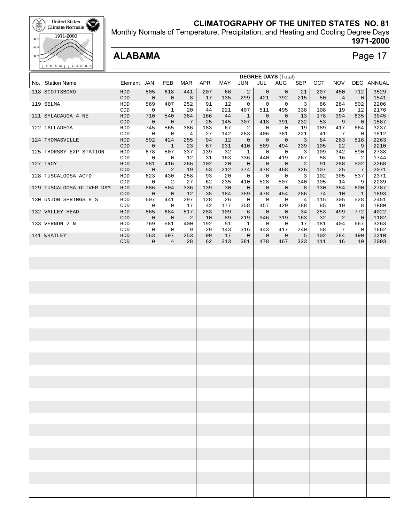

Monthly Normals of Temperature, Precipitation, and Heating and Cooling Degree Days **1971-2000** 

|                           |             |                            |                       |                       |            |           |                       | <b>DEGREE DAYS (Total)</b> |                     |             |            |                       |                     |              |
|---------------------------|-------------|----------------------------|-----------------------|-----------------------|------------|-----------|-----------------------|----------------------------|---------------------|-------------|------------|-----------------------|---------------------|--------------|
| No. Station Name          | Element JAN |                            | <b>FEB</b>            | <b>MAR</b>            | <b>APR</b> | MAY       | <b>JUN</b>            | JUL                        | <b>AUG</b>          | <b>SEP</b>  | OCT        | <b>NOV</b>            |                     | DEC ANNUAL   |
| 118 SCOTTSBORO            | HDD         | 805                        | 618                   | 441                   | 207        | 66        | $\overline{a}$        | $\mathsf{O}\xspace$        | $\mathsf{O}\xspace$ | 21          | 207        | 450                   | 712                 | 3529         |
|                           | CDD         | $\mathsf{O}\xspace$        | $\mathbb O$           | 8                     | 17         | 135       | 299                   | 421                        | 392                 | 215         | 50         | $\overline{4}$        | $\mathsf{O}\xspace$ | 1541         |
| 119 SELMA                 | HDD<br>CDD  | 569<br>0                   | 407<br>1              | 252<br>20             | 91<br>44   | 12<br>221 | $\mathsf 0$<br>407    | $\mathbf 0$<br>511         | $\mathsf 0$<br>495  | 3<br>338    | 86<br>108  | 284<br>19             | 502<br>12           | 2206<br>2176 |
| 121 SYLACAUGA 4 NE        | HDD         | 710                        | 540                   | 364                   | 166        | 44        | $\mathbf{1}$          | $\mathsf{O}\xspace$        | $\mathsf{O}\xspace$ | 13          | 178        | 394                   | 635                 | 3045         |
|                           | CDD         | $\mathsf{O}\xspace$        | $\mathbb O$           | 7                     | 25         | 145       | 307                   | 418                        | 391                 | 232         | 53         | $\mathsf 9$           | $\mathbf 0$         | 1587         |
| 122 TALLADEGA             | HDD<br>CDD  | 745<br>$\mathsf{O}$        | 565<br>$\mathbf 0$    | 386<br>4              | 183<br>27  | 67<br>142 | $\overline{2}$<br>283 | 0<br>406                   | 0<br>381            | 19<br>221   | 189<br>41  | 417<br>7              | 664<br>0            | 3237<br>1512 |
| 124 THOMASVILLE           | HDD         | 592                        | 424                   | 255                   | 94         | 12        | $\mathsf{O}\xspace$   | $\mathbb O$                | $\mathsf{O}\xspace$ | $\mathsf 3$ | 84         | 283                   | 516                 | 2263         |
| 125 THORSBY EXP STATION   | CDD<br>HDD  | $\mathsf{O}\xspace$<br>678 | $\mathbf{1}$<br>507   | 23<br>337             | 67<br>139  | 231<br>32 | 410<br>$\mathbf{1}$   | 509<br>0                   | 494<br>0            | 339<br>3    | 105<br>109 | 22<br>342             | 9<br>590            | 2210<br>2738 |
|                           | CDD         | 0                          | $\mathbf 0$           | 12                    | 31         | 163       | 336                   | 440                        | 419                 | 267         | 58         | 16                    | 2                   | 1744         |
| 127 TROY                  | HDD         | 581                        | 416                   | 266                   | 102        | 20        | $\mathsf{O}\xspace$   | $\mathbb O$                | $\mathsf{O}\xspace$ | $\sqrt{2}$  | 91         | 288                   | 502                 | 2268         |
| 128 TUSCALOOSA ACFD       | CDD<br>HDD  | $\mathbf 0$<br>623         | 2<br>430              | 19<br>258             | 53<br>93   | 212<br>20 | 374<br>0              | 478<br>0                   | 468<br>0            | 326<br>3    | 107<br>102 | 25<br>305             | 7<br>537            | 2071<br>2371 |
|                           | CDD         | 0                          | 2                     | 27                    | 62         | 235       | 410                   | 528                        | 507                 | 340         | 105        | 14                    | 9                   | 2239         |
| 129 TUSCALOOSA OLIVER DAM | HDD         | 686                        | 504                   | 336                   | 139        | 30        | $\mathsf{O}\xspace$   | $\mathbf 0$                | $\mathbf 0$         | 8           | 130        | 354                   | 600                 | 2787         |
| 130 UNION SPRINGS 9 S     | CDD<br>HDD  | $\mathbf 0$<br>607         | $\mathbf 0$<br>441    | 12<br>297             | 35<br>128  | 184<br>26 | 359<br>0              | 478<br>0                   | 454<br>0            | 286<br>4    | 74<br>115  | 10<br>305             | $\mathbf{1}$<br>528 | 1893<br>2451 |
|                           | CDD         | 0                          | 0                     | 17                    | 42         | 177       | 358                   | 457                        | 429                 | 288         | 85         | 19                    | 8                   | 1880         |
| 132 VALLEY HEAD           | HDD         | 865                        | 684                   | 517                   | 283        | 109       | $\sqrt{6}$            | $\mathbf 0$                | $\mathsf{O}$        | 34          | 253        | 499                   | 772                 | 4022         |
| 133 VERNON 2 N            | CDD<br>HDD  | 0<br>769                   | $\mathbf 0$<br>581    | $\overline{c}$<br>400 | 10<br>192  | 89<br>51  | 219<br>1              | 346<br>0                   | 319<br>0            | 163<br>17   | 32<br>181  | $\overline{c}$<br>404 | $\mathbf 0$<br>667  | 1182<br>3263 |
|                           | CDD         | 0                          | 0                     | 9                     | 29         | 143       | 316                   | 443                        | 417                 | 240         | 58         | 7                     | 0                   | 1662         |
| 141 WHATLEY               | HDD         | 563<br>$\mathbf 0$         | 397<br>$\overline{4}$ | 253<br>28             | 99<br>62   | 17<br>213 | $\mathsf{O}\xspace$   | $\mathsf{O}\xspace$<br>478 | $\mathsf{O}$        | 5           | 102        | 284                   | 490                 | 2210<br>2093 |
|                           | CDD         |                            |                       |                       |            |           | 381                   |                            | 467                 | 323         | 111        | 16                    | 10                  |              |
|                           |             |                            |                       |                       |            |           |                       |                            |                     |             |            |                       |                     |              |
|                           |             |                            |                       |                       |            |           |                       |                            |                     |             |            |                       |                     |              |
|                           |             |                            |                       |                       |            |           |                       |                            |                     |             |            |                       |                     |              |
|                           |             |                            |                       |                       |            |           |                       |                            |                     |             |            |                       |                     |              |
|                           |             |                            |                       |                       |            |           |                       |                            |                     |             |            |                       |                     |              |
|                           |             |                            |                       |                       |            |           |                       |                            |                     |             |            |                       |                     |              |
|                           |             |                            |                       |                       |            |           |                       |                            |                     |             |            |                       |                     |              |
|                           |             |                            |                       |                       |            |           |                       |                            |                     |             |            |                       |                     |              |
|                           |             |                            |                       |                       |            |           |                       |                            |                     |             |            |                       |                     |              |
|                           |             |                            |                       |                       |            |           |                       |                            |                     |             |            |                       |                     |              |
|                           |             |                            |                       |                       |            |           |                       |                            |                     |             |            |                       |                     |              |
|                           |             |                            |                       |                       |            |           |                       |                            |                     |             |            |                       |                     |              |
|                           |             |                            |                       |                       |            |           |                       |                            |                     |             |            |                       |                     |              |
|                           |             |                            |                       |                       |            |           |                       |                            |                     |             |            |                       |                     |              |
|                           |             |                            |                       |                       |            |           |                       |                            |                     |             |            |                       |                     |              |
|                           |             |                            |                       |                       |            |           |                       |                            |                     |             |            |                       |                     |              |
|                           |             |                            |                       |                       |            |           |                       |                            |                     |             |            |                       |                     |              |
|                           |             |                            |                       |                       |            |           |                       |                            |                     |             |            |                       |                     |              |
|                           |             |                            |                       |                       |            |           |                       |                            |                     |             |            |                       |                     |              |
|                           |             |                            |                       |                       |            |           |                       |                            |                     |             |            |                       |                     |              |
|                           |             |                            |                       |                       |            |           |                       |                            |                     |             |            |                       |                     |              |
|                           |             |                            |                       |                       |            |           |                       |                            |                     |             |            |                       |                     |              |
|                           |             |                            |                       |                       |            |           |                       |                            |                     |             |            |                       |                     |              |
|                           |             |                            |                       |                       |            |           |                       |                            |                     |             |            |                       |                     |              |
|                           |             |                            |                       |                       |            |           |                       |                            |                     |             |            |                       |                     |              |
|                           |             |                            |                       |                       |            |           |                       |                            |                     |             |            |                       |                     |              |
|                           |             |                            |                       |                       |            |           |                       |                            |                     |             |            |                       |                     |              |
|                           |             |                            |                       |                       |            |           |                       |                            |                     |             |            |                       |                     |              |
|                           |             |                            |                       |                       |            |           |                       |                            |                     |             |            |                       |                     |              |
|                           |             |                            |                       |                       |            |           |                       |                            |                     |             |            |                       |                     |              |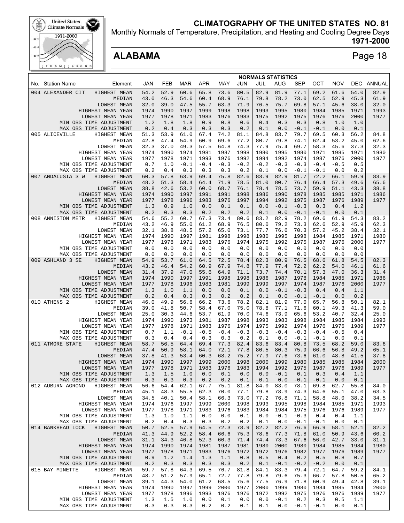

Monthly Normals of Temperature, Precipitation, and Heating and Cooling Degree Days **1971-2000** 

|     |                     |                                         |              |              |              |              |              |              | <b>NORMALS STATISTICS</b> |              |                |                |              |              |              |
|-----|---------------------|-----------------------------------------|--------------|--------------|--------------|--------------|--------------|--------------|---------------------------|--------------|----------------|----------------|--------------|--------------|--------------|
| No. | <b>Station Name</b> | Element                                 | JAN          | <b>FEB</b>   | <b>MAR</b>   | APR          | MAY          | JUN          | JUL                       | AUG          | SEP            | OCT            | <b>NOV</b>   |              | DEC ANNUAL   |
|     | 004 ALEXANDER CIT   | HIGHEST MEAN                            | 54.2         | 52.9         | 60.6         | 65.8         | 73.6         | 80.5         | 82.9                      | 81.9         | 77.1           | 69.2           | 61.6         | 54.0         | 82.9         |
|     |                     | MEDIAN                                  | 43.0         | 46.3         | 54.6         | 60.4         | 68.9         | 76.1         | 79.8                      | 78.2         | 73.0           | 62.5           | 52.9         | 45.3         | 61.9         |
|     |                     | <b>LOWEST MEAN</b>                      | 32.0         | 39.0         | 47.5         | 55.7         | 63.3         | 71.9         | 76.5                      | 75.7         | 69.8           | 57.1           | 45.6         | 38.0         | 32.0         |
|     |                     | HIGHEST MEAN YEAR                       | 1974         | 1990         | 1997         | 1999         | 1998         | 1998         | 1993                      | 1995         | 1980           | 1984           | 1985         | 1971         | 1993         |
|     |                     | LOWEST MEAN YEAR                        | 1977         | 1978         | 1971         | 1983         | 1976         | 1983         | 1975                      | 1992         | 1975           | 1976           | 1976         | 2000         | 1977         |
|     |                     | MIN OBS TIME ADJUSTMENT                 | 1.2          | 1.8          | 1.8          | 0.9          | 0.8          | 0.6          | 0.4                       | 0.3          | 0.3            | 0.8            | 1.0          | 1.0          |              |
|     | 005 ALICEVILLE      | MAX OBS TIME ADJUSTMENT<br>HIGHEST MEAN | 0.2<br>51.3  | 0.4<br>53.9  | 0.3<br>61.0  | 0.3<br>67.4  | 0.3<br>74.2  | 0.2<br>81.1  | 0.1<br>84.8               | 0.0<br>83.7  | $-0.1$<br>79.7 | $-0.1$<br>69.5 | 0.0<br>60.3  | 0.1<br>56.2  | 84.8         |
|     |                     | MEDIAN                                  | 42.8         | 47.4         | 54.9         | 60.9         | 69.6         | 77.2         | 80.7                      | 79.8         | 74.1           | 62.4           | 53.2         | 45.0         | 62.6         |
|     |                     | <b>LOWEST MEAN</b>                      | 32.3         | 37.0         | 49.3         | 57.5         | 64.8         | 74.3         | 77.9                      | 75.4         | 69.7           | 58.3           | 45.6         | 37.3         | 32.3         |
|     |                     | HIGHEST MEAN YEAR                       | 1974         | 1990         | 1974         | 1981         | 1987         | 1998         | 1980                      | 1995         | 1980           | 1971           | 1985         | 1971         | 1980         |
|     |                     | LOWEST MEAN YEAR                        | 1977         | 1978         | 1971         | 1993         | 1976         | 1992         | 1994                      | 1992         | 1974           | 1987           | 1976         | 2000         | 1977         |
|     |                     | MIN OBS TIME ADJUSTMENT                 | 0.7          | 1.0          | $-0.1$       | $-0.4$       | $-0.3$       | $-0.2$       | $-0.2$                    | $-0.3$       | $-0.3$         | $-0.4$         | $-0.5$       | 0.5          |              |
|     |                     | MAX OBS TIME ADJUSTMENT                 | 0.2          | 0.4          | 0.3          | 0.3          | 0.3          | 0.2          | 0.1                       | 0.0          | $-0.1$         | $-0.1$         | 0.0          | 0.2          |              |
|     | 007 ANDALUSIA 3 W   | HIGHEST MEAN<br>MEDIAN                  | 60.3<br>48.2 | 57.8<br>51.3 | 63.9<br>58.4 | 69.4<br>64.4 | 75.8<br>71.9 | 82.6<br>78.5 | 83.9<br>81.0              | 82.9<br>80.7 | 81.7<br>76.4   | 72.2<br>66.4   | 66.1<br>57.3 | 59.9<br>49.6 | 83.9<br>65.6 |
|     |                     | <b>LOWEST MEAN</b>                      | 38.8         | 42.6         | 53.2         | 60.0         | 68.7         | 76.1         | 78.4                      | 78.5         | 73.7           | 59.9           | 51.1         | 43.3         | 38.8         |
|     |                     | HIGHEST MEAN YEAR                       | 1974         | 1990         | 1997         | 1991         | 1991         | 1998         | 1986                      | 1990         | 1978           | 1985           | 1985         | 1971         | 1986         |
|     |                     | LOWEST MEAN YEAR                        | 1977         | 1978         | 1996         | 1983         | 1976         | 1997         | 1994                      | 1992         | 1975           | 1987           | 1976         | 1989         | 1977         |
|     |                     | MIN OBS TIME ADJUSTMENT                 | 1.3          | 0.9          | 1.0          | 0.0          | 0.1          | 0.1          | 0.0                       | $-0.1$       | $-0.3$         | 0.3            | 0.4          | 1.2          |              |
|     |                     | MAX OBS TIME ADJUSTMENT                 | 0.2          | 0.3          | 0.3          | 0.2          | 0.2          | 0.2          | 0.1                       | 0.0          | $-0.1$         | $-0.1$         | 0.0          | 0.1          |              |
|     | 008 ANNISTON METR   | HIGHEST MEAN                            | 54.6         | 55.2         | 60.7         | 67.3         | 73.4         | 80.6         | 83.2                      | 82.9         | 78.2           | 69.6           | 61.9         | 54.3         | 83.2         |
|     |                     | MEDIAN<br><b>LOWEST MEAN</b>            | 43.2<br>32.1 | 46.9<br>38.8 | 55.0<br>48.5 | 61.2<br>57.2 | 68.9<br>65.0 | 76.5<br>73.1 | 80.0<br>77.7              | 79.2<br>76.6 | 73.3<br>70.3   | 62.6<br>57.2   | 52.9<br>45.2 | 45.9<br>38.4 | 62.3<br>32.1 |
|     |                     | HIGHEST MEAN YEAR                       | 1974         | 1990         | 1997         | 1981         | 1998         | 1998         | 1980                      | 1995         | 1998           | 1984           | 1985         | 1971         | 1980         |
|     |                     | LOWEST MEAN YEAR                        | 1977         | 1978         | 1971         | 1983         | 1976         | 1974         | 1975                      | 1992         | 1975           | 1987           | 1976         | 2000         | 1977         |
|     |                     | MIN OBS TIME ADJUSTMENT                 | 0.0          | 0.0          | 0.0          | 0.0          | 0.0          | 0.0          | 0.0                       | 0.0          | 0.0            | 0.0            | 0.0          | 0.0          |              |
|     |                     | MAX OBS TIME ADJUSTMENT                 | 0.0          | 0.0          | 0.0          | 0.0          | 0.0          | 0.0          | 0.0                       | 0.0          | 0.0            | 0.0            | 0.0          | 0.0          |              |
|     | 009 ASHLAND 3 SE    | HIGHEST MEAN                            | 54.9         | 53.7         | 61.0         | 64.5         | 72.5         | 78.4         | 82.3                      | 80.9         | 76.5           | 68.6           | 61.8         | 54.5         | 82.3         |
|     |                     | MEDIAN                                  | 43.2<br>31.4 | 46.4<br>37.9 | 54.2<br>47.0 | 60.9<br>55.6 | 67.9         | 74.8         | 77.9<br>73.7              | 77.4<br>74.4 | 72.2<br>70.1   | 62.2           | 54.0<br>47.0 | 46.1<br>36.3 | 61.6<br>31.4 |
|     |                     | LOWEST MEAN<br>HIGHEST MEAN YEAR        | 1974         | 1990         | 1997         | 1991         | 64.9<br>1998 | 71.1<br>1998 | 1986                      | 1987         | 1978           | 57.3<br>1984   | 1985         | 1971         | 1986         |
|     |                     | LOWEST MEAN YEAR                        | 1977         | 1978         | 1996         | 1983         | 1981         | 1999         | 1999                      | 1997         | 1974           | 1987           | 1976         | 2000         | 1977         |
|     |                     | MIN OBS TIME ADJUSTMENT                 | 1.3          | 1.0          | 1.1          | 0.0          | 0.0          | 0.1          | 0.0                       | $-0.1$       | $-0.3$         | 0.4            | 0.4          | 1.1          |              |
|     |                     | MAX OBS TIME ADJUSTMENT                 | 0.2          | 0.4          | 0.3          | 0.3          | 0.2          | 0.2          | 0.1                       | 0.0          | $-0.1$         | $-0.1$         | 0.0          | 0.2          |              |
|     | 010 ATHENS 2        | HIGHEST MEAN                            | 46.0         | 49.9         | 56.6         | 66.2         | 73.6         | 78.2         | 82.1                      | 81.9         | 77.0           | 65.7           | 56.8         | 50.1         | 82.1         |
|     |                     | MEDIAN                                  | 39.0         | 41.8         | 50.7         | 58.4         | 67.0         | 75.0<br>70.0 | 78.8                      | 77.1         | 71.6           | 60.1           | 49.3<br>40.7 | 41.3         | 59.0         |
|     |                     | <b>LOWEST MEAN</b><br>HIGHEST MEAN YEAR | 25.0<br>1974 | 30.3<br>1990 | 44.6<br>1973 | 53.7<br>1981 | 61.9<br>1987 | 1998         | 74.6<br>1993              | 73.9<br>1983 | 65.6<br>1998   | 53.2<br>1984   | 1985         | 32.4<br>1984 | 25.0<br>1993 |
|     |                     | LOWEST MEAN YEAR                        | 1977         | 1978         | 1971         | 1983         | 1976         | 1974         | 1975                      | 1992         | 1974           | 1976           | 1976         | 1989         | 1977         |
|     |                     | MIN OBS TIME ADJUSTMENT                 | 0.7          | 1.1          | $-0.1$       | $-0.5$       | $-0.4$       | $-0.3$       | $-0.3$                    | $-0.4$       | $-0.3$         | $-0.4$         | $-0.5$       | 0.4          |              |
|     |                     | MAX OBS TIME ADJUSTMENT                 | 0.3          | 0.4          | 0.4          | 0.3          | 0.3          | 0.2          | 0.1                       | 0.0          | $-0.1$         | $-0.1$         | 0.0          | 0.1          |              |
|     | 011 ATMORE STATE    | HIGHEST MEAN                            | 58.7         | 56.5         | 64.4         | 69.4         | 77.3         | 82.4         | 83.6                      | 83.4         | 80.8           | 73.5           | 68.2         | 59.0         | 83.6         |
|     |                     | MEDIAN                                  | 47.4         | 50.9         | 58.1         | 64.0         | 72.1         | 77.8         | 80.5                      | 80.3         | 75.9           | 66.6           | 56.8         | 49.2         | 65.1         |
|     |                     | <b>LOWEST MEAN</b><br>HIGHEST MEAN YEAR | 37.8<br>1974 | 41.3<br>1990 | 53.4<br>1997 | 60.3<br>1999 | 68.2<br>2000 | 75.2<br>1998 | 77.9<br>2000              | 77.6<br>1999 | 73.6<br>1980   | 61.0<br>1985   | 48.8<br>1985 | 41.5<br>1984 | 37.8<br>2000 |
|     |                     | LOWEST MEAN YEAR                        | 1977         | 1978         | 1971         | 1983         | 1976         | 1983         | 1994                      | 1992         | 1975           | 1987           | 1976         | 1989         | 1977         |
|     |                     | MIN OBS TIME ADJUSTMENT                 | 1.3          | 1.5          | 1.0          | 0.0          | 0.1          | 0.0          | 0.0                       | $-0.1$       | $0.1\,$        | 0.3            | 0.4          | 1.1          |              |
|     |                     | MAX OBS TIME ADJUSTMENT                 | 0.3          | 0.3          | 0.3          | 0.2          | $0.2\,$      | 0.1          | 0.1                       | 0.0          | $-0.1$         | $-0.1$         | 0.0          | 0.1          |              |
|     | 012 AUBURN AGRONO   | HIGHEST MEAN                            | 56.6         | 54.4         | 62.1         | 67.7         | 75.1         | 81.8         | 84.0                      | 83.0         | 78.1           | 69.8           | 62.7         | 55.8         | 84.0         |
|     |                     | MEDIAN                                  | 45.1         | 48.3         | 55.5         | 62.3         | 70.0         | 77.1         | 79.8                      | 78.9         | 74.3           | 64.6           | 55.1         | 47.0         | 63.3         |
|     |                     | <b>LOWEST MEAN</b>                      | 34.5<br>1974 | 40.1         | 50.4         | 58.1<br>1999 | 66.3         | 73.0         | 77.2<br>1993              | 76.8         | 71.1           | 58.8           | 48.0<br>1985 | 38.2         | 34.5<br>1993 |
|     |                     | HIGHEST MEAN YEAR<br>LOWEST MEAN YEAR   | 1977         | 1976<br>1978 | 1997<br>1971 | 1983         | 2000<br>1976 | 1998<br>1983 | 1984                      | 1995<br>1984 | 1998<br>1975   | 1984<br>1976   | 1976         | 1971<br>1989 | 1977         |
|     |                     | MIN OBS TIME ADJUSTMENT                 | 1.3          | 1.0          | 1.1          | 0.0          | 0.0          | 0.1          | 0.0                       | $-0.1$       | $-0.3$         | 0.4            | 0.4          | 1.1          |              |
|     |                     | MAX OBS TIME ADJUSTMENT                 | 0.2          | $0.4$        | 0.3          | 0.3          | 0.2          | 0.2          | 0.1                       | 0.0          | $-0.1$         | $-0.1$         | $0.0$        | 0.1          |              |
|     | 014 BANKHEAD LOCK   | HIGHEST MEAN                            | 50.7         | 52.5         | 57.9         | 64.5         | 72.3         | 78.9         | 82.2                      | 82.2         | 76.6           | 66.9           | 58.1         | 52.1         | 82.2         |
|     |                     | MEDIAN                                  | 41.3         | 44.9         | 52.2         | 58.4         | 66.6         | 75.3         | 78.6                      | 77.3         | 71.8           | 61.0           | 50.9         | 43.6         | 60.2         |
|     |                     | <b>LOWEST MEAN</b>                      | 31.1         | 34.3         | 46.8         | 52.3         | 60.3         | 71.4         | 74.4                      | 73.3         | 67.6           | 56.0           | 42.7         | 33.0         | 31.1         |
|     |                     | HIGHEST MEAN YEAR<br>LOWEST MEAN YEAR   | 1974<br>1977 | 1990<br>1978 | 1974<br>1971 | 1981<br>1983 | 1987<br>1976 | 1981<br>1972 | 1980<br>1972              | 2000<br>1976 | 1980<br>1982   | 1984<br>1977   | 1985<br>1976 | 1984<br>1989 | 1980<br>1977 |
|     |                     | MIN OBS TIME ADJUSTMENT                 | 0.9          | 1.2          | 1.4          | 1.3          | 1.1          | 0.8          | 0.5                       | 0.4          | 0.2            | 0.5            | 0.8          | 0.7          |              |
|     |                     | MAX OBS TIME ADJUSTMENT                 | 0.2          | 0.3          | 0.3          | 0.3          | 0.3          | 0.2          | 0.1                       | $-0.1$       | $-0.2$         | $-0.2$         | 0.0          | 0.1          |              |
|     | 015 BAY MINETTE     | HIGHEST MEAN                            | 59.7         | 57.8         | 64.3         | 69.5         | 76.7         | 81.8         | 84.1                      | 83.3         | 79.4           | 72.1           | 64.7         | 59.2         | 84.1         |
|     |                     | MEDIAN                                  | 48.7         | 51.2         | 57.9         | 65.1         | 72.7         | 77.8         | 79.8                      | 79.6         | 75.3           | 66.7           | 57.8         | 50.5         | 65.2         |
|     |                     | LOWEST MEAN                             | 39.1         | 44.3         | 54.0         | 61.2         | 68.5         | 75.6         | 77.5                      | 76.9         | 71.8           | 60.9           | 49.4         | 42.8         | 39.1         |
|     |                     | HIGHEST MEAN YEAR<br>LOWEST MEAN YEAR   | 1974<br>1977 | 1990<br>1978 | 1997<br>1996 | 1999<br>1993 | 2000<br>1976 | 1977<br>1976 | 2000<br>1972              | 1999<br>1992 | 1980<br>1975   | 1984<br>1976   | 1985<br>1976 | 1984<br>1989 | 2000<br>1977 |
|     |                     | MIN OBS TIME ADJUSTMENT                 | 1.3          | 1.5          | 1.0          | 0.0          | 0.1          | 0.0          | 0.0                       | $-0.1$       | 0.2            | 0.3            | 0.5          | 1.1          |              |
|     |                     | MAX OBS TIME ADJUSTMENT                 | 0.3          | 0.3          | 0.3          | 0.2          | 0.2          | 0.1          | 0.1                       | 0.0          | $-0.1$         | $-0.1$         | 0.0          | 0.1          |              |
|     |                     |                                         |              |              |              |              |              |              |                           |              |                |                |              |              |              |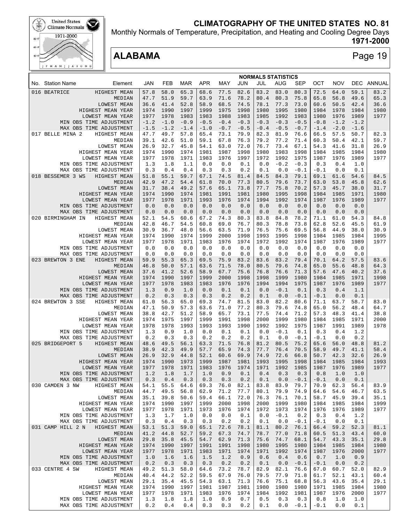

Monthly Normals of Temperature, Precipitation, and Heating and Cooling Degree Days **1971-2000** 

|       |                     |                                                    |                  |                  |                  |                  |                  |                  |                  | <b>NORMALS STATISTICS</b> |                  |                  |                  |                  |              |
|-------|---------------------|----------------------------------------------------|------------------|------------------|------------------|------------------|------------------|------------------|------------------|---------------------------|------------------|------------------|------------------|------------------|--------------|
| No. I | <b>Station Name</b> | Element                                            | JAN              | <b>FEB</b>       | <b>MAR</b>       | <b>APR</b>       | MAY              | JUN              | JUL              | AUG                       | <b>SEP</b>       | OCT              | <b>NOV</b>       |                  | DEC ANNUAL   |
|       | 016 BEATRICE        | HIGHEST MEAN                                       | 57.8             | 58.0             | 65.3             | 68.6             | 77.5             | 82.6             | 83.2             | 83.0                      | 80.3             | 72.5             | 64.0             | 59.1             | 83.2         |
|       |                     | MEDIAN                                             | 47.7             | 51.9             | 59.7             | 63.9             | 71.6             | 78.2             | 80.4             | 80.3                      | 75.8             | 65.8             | 56.8             | 49.6             | 65.3         |
|       |                     | <b>LOWEST MEAN</b>                                 | 36.6             | 41.4             | 52.8             | 58.9             | 68.5             | 74.5             | 78.1             | 77.3                      | 73.0             | 60.6             | 50.5             | 42.4             | 36.6         |
|       |                     | HIGHEST MEAN YEAR                                  | 1974             | 1990             | 1997             | 1999             | 1975             | 1998             | 1980             | 1995                      | 1980             | 1984             | 1978             | 1984             | 1980         |
|       |                     | LOWEST MEAN YEAR                                   | 1977             | 1978             | 1983             | 1983             | 1988             | 1983             | 1985             | 1992                      | 1983             | 1980             | 1976             | 1989             | 1977         |
|       |                     | MIN OBS TIME ADJUSTMENT<br>MAX OBS TIME ADJUSTMENT | $-1.2$<br>$-1.5$ | $-1.0$<br>$-1.2$ | $-0.9$<br>$-1.4$ | $-0.5$<br>$-1.0$ | $-0.4$<br>$-0.7$ | $-0.3$<br>$-0.5$ | $-0.3$<br>$-0.4$ | $-0.3$<br>$-0.5$          | $-0.5$<br>$-0.7$ | $-0.8$<br>$-1.4$ | $-1.2$<br>$-2.0$ | $-1.2$<br>$-1.6$ |              |
|       | 017 BELLE MINA 2    | HIGHEST MEAN                                       | 47.7             | 49.7             | 57.8             | 65.4             | 73.1             | 79.9             | 82.3             | 81.9                      | 76.6             | 66.5             | 57.5             | 50.7             | 82.3         |
|       |                     | MEDIAN                                             | 39.1             | 42.6             | 51.0             | 59.1             | 67.8             | 76.3             | 79.2             | 77.2                      | 71.4             | 60.3             | 50.4             | 42.1             | 59.7         |
|       |                     | <b>LOWEST MEAN</b>                                 | 26.9             | 32.7             | 45.8             | 54.1             | 63.0             | 72.0             | 76.7             | 73.4                      | 67.1             | 54.3             | 41.6             | 31.8             | 26.9         |
|       |                     | HIGHEST MEAN YEAR                                  | 1974             | 1990             | 1974             | 1981             | 1987             | 1998             | 1980             | 1983                      | 1998             | 1984             | 1985             | 1984             | 1980         |
|       |                     | LOWEST MEAN YEAR                                   | 1977             | 1978             | 1971             | 1983             | 1976             | 1997             | 1972             | 1992                      | 1975             | 1987             | 1976             | 1989             | 1977         |
|       |                     | MIN OBS TIME ADJUSTMENT<br>MAX OBS TIME ADJUSTMENT | 1.3<br>0.3       | 1.8<br>0.4       | 1.1<br>0.4       | 0.0<br>0.3       | 0.0<br>0.3       | 0.1<br>0.2       | 0.0<br>0.1       | $-0.2$<br>0.0             | $-0.3$<br>$-0.1$ | 0.3<br>$-0.1$    | 0.4<br>0.0       | 1.0<br>0.1       |              |
|       | 018 BESSEMER 3 WS   | <b>HIGHEST MEAN</b>                                | 51.8             | 55.1             | 59.7             | 67.1             | 74.5             | 81.4             | 84.5             | 84.3                      | 79.1             | 69.1             | 61.6             | 54.6             | 84.5         |
|       |                     | MEDIAN                                             | 42.9             | 47.2             | 54.4             | 61.8             | 70.0             | 77.3             | 80.5             | 79.6                      | 73.7             | 63.0             | 53.8             | 45.8             | 62.6         |
|       |                     | LOWEST MEAN                                        | 31.7             | 38.4             | 49.2             | 57.6             | 65.1             | 73.8             | 77.7             | 75.8                      | 70.2             | 57.3             | 45.7             | 38.0             | 31.7         |
|       |                     | HIGHEST MEAN YEAR                                  | 1974             | 1990             | 1974             | 1981             | 1991             | 1981             | 1980             | 1995                      | 1998             | 1984             | 1985             | 1971             | 1980         |
|       |                     | LOWEST MEAN YEAR                                   | 1977             | 1978             | 1971             | 1993             | 1976             | 1974             | 1994             | 1992                      | 1974             | 1987             | 1976             | 1989             | 1977         |
|       |                     | MIN OBS TIME ADJUSTMENT<br>MAX OBS TIME ADJUSTMENT | 0.0<br>0.0       | 0.0<br>0.0       | 0.0<br>0.0       | 0.0<br>0.0       | 0.0<br>0.0       | 0.0<br>0.0       | 0.0<br>0.0       | 0.0<br>0.0                | 0.0<br>0.0       | 0.0<br>0.0       | 0.0<br>0.0       | 0.0<br>0.0       |              |
|       | 020 BIRMINGHAM IN   | HIGHEST MEAN                                       | 52.1             | 54.5             | 60.6             | 67.2             | 74.3             | 80.3             | 83.8             | 84.8                      | 78.2             | 71.1             | 61.0             | 54.3             | 84.8         |
|       |                     | MEDIAN                                             | 42.8             | 46.7             | 54.5             | 60.8             | 69.0             | 76.7             | 80.3             | 78.8                      | 73.8             | 62.8             | 52.6             | 45.5             | 61.9         |
|       |                     | <b>LOWEST MEAN</b>                                 | 30.9             | 36.7             | 48.0             | 56.6             | 63.5             | 71.9             | 76.5             | 75.6                      | 69.5             | 56.8             | 44.9             | 38.0             | 30.9         |
|       |                     | HIGHEST MEAN YEAR                                  | 1974             | 1990             | 1974             | 1999             | 2000             | 1998             | 1993             | 1995                      | 1998             | 1984             | 1985             | 1984             | 1995         |
|       |                     | LOWEST MEAN YEAR                                   | 1977             | 1978             | 1971             | 1983             | 1976             | 1974             | 1972             | 1992                      | 1974<br>0.0      | 1987             | 1976             | 1989             | 1977         |
|       |                     | MIN OBS TIME ADJUSTMENT<br>MAX OBS TIME ADJUSTMENT | 0.0<br>0.0       | 0.0<br>0.0       | 0.0<br>0.0       | 0.0<br>0.0       | 0.0<br>0.0       | 0.0<br>0.0       | 0.0<br>0.0       | 0.0<br>0.0                | 0.0              | 0.0<br>0.0       | 0.0<br>0.0       | 0.0<br>0.0       |              |
|       | 023 BREWTON 3 ENE   | <b>HIGHEST MEAN</b>                                | 59.9             | 55.3             | 65.3             | 69.5             | 75.9             | 83.2             | 83.6             | 83.2                      | 79.4             | 70.1             | 64.2             | 57.5             | 83.6         |
|       |                     | MEDIAN                                             | 46.8             | 50.0             | 57.1             | 63.6             | 71.5             | 78.0             | 80.5             | 79.6                      | 74.8             | 65.0             | 55.6             | 48.8             | 64.3         |
|       |                     | <b>LOWEST MEAN</b>                                 | 37.6             | 41.2             | 52.6             | 58.9             | 67.7             | 75.6             | 76.8             | 76.6                      | 71.3             | 57.6             | 47.6             | 40.2             | 37.6         |
|       |                     | HIGHEST MEAN YEAR                                  | 1974             | 1990             | 1997             | 1999             | 2000             | 1998             | 1998             | 1999                      | 1980             | 1984             | 1985             | 1971             | 1998         |
|       |                     | LOWEST MEAN YEAR<br>MIN OBS TIME ADJUSTMENT        | 1977<br>1.3      | 1978<br>0.9      | 1983<br>1.0      | 1983<br>0.0      | 1976<br>0.1      | 1976<br>0.1      | 1994<br>0.0      | 1994<br>$-0.1$            | 1975<br>0.1      | 1987<br>0.3      | 1976<br>0.4      | 1989<br>1.1      | 1977         |
|       |                     | MAX OBS TIME ADJUSTMENT                            | 0.2              | 0.3              | 0.3              | 0.3              | 0.2              | 0.2              | 0.1              | 0.0                       | $-0.1$           | $-0.1$           | 0.0              | 0.1              |              |
|       | 024 BREWTON 3 SSE   | HIGHEST MEAN                                       | 61.0             | 56.3             | 65.0             | 69.3             | 74.7             | 81.5             | 83.0             | 82.2                      | 80.6             | 71.1             | 63.7             | 58.7             | 83.0         |
|       |                     | MEDIAN                                             | 47.1             | 50.9             | 57.3             | 63.6             | 71.0             | 77.2             | 80.3             | 79.6                      | 74.8             | 65.0             | 56.2             | 48.4             | 64.7         |
|       |                     | <b>LOWEST MEAN</b>                                 | 38.8             | 42.7             | 51.2             | 58.9             | 65.7             | 73.1             | 77.5             | 74.4                      | 71.2             | 57.3             | 48.3             | 41.4             | 38.8         |
|       |                     | HIGHEST MEAN YEAR                                  | 1974             | 1975             | 1997             | 1999             | 1991             | 1998             | 2000             | 1999                      | 1980             | 1984             | 1985             | 1971             | 2000<br>1978 |
|       |                     | LOWEST MEAN YEAR<br>MIN OBS TIME ADJUSTMENT        | 1978<br>1.3      | 1978<br>0.9      | 1993<br>1.0      | 1993<br>0.0      | 1993<br>0.1      | 1990<br>0.1      | 1992<br>0.0      | 1992<br>$-0.1$            | 1975<br>0.1      | 1987<br>0.3      | 1991<br>0.4      | 1989<br>1.2      |              |
|       |                     | MAX OBS TIME ADJUSTMENT                            | 0.2              | 0.3              | 0.3              | 0.2              | 0.2              | 0.2              | 0.1              | 0.0                       | $-0.1$           | $-0.1$           | 0.0              | 0.2              |              |
|       | 025 BRIDGEPORT 5    | HIGHEST MEAN                                       | 48.6             | 49.5             | 56.1             | 63.3             | 71.5             | 76.8             | 81.2             | 80.5                      | 75.2             | 65.6             | 56.0             | 48.8             | 81.2         |
|       |                     | MEDIAN                                             | 38.9             | 42.3             | 49.9             | 57.7             | 65.9             | 74.3             | 77.7             | 76.4                      | 70.5             | 58.9             | 49.7             | 41.1             | 58.4         |
|       |                     | <b>LOWEST MEAN</b>                                 | 26.9             | 32.9             | 44.8             | 52.1             | 60.6             | 69.9             | 74.9             | 72.6                      | 66.8             | 50.7             | 42.3             | 32.6             | 26.9         |
|       |                     | HIGHEST MEAN YEAR<br>LOWEST MEAN YEAR              | 1974<br>1977     | 1990<br>1978     | 1973<br>1971     | 1999<br>1983     | 1987<br>1976     | 1981<br>1974     | 1993<br>1971     | 1995<br>1992              | 1998<br>1985     | 1984<br>1987     | 1985<br>1976     | 1984<br>1989     | 1993<br>1977 |
|       |                     | MIN OBS TIME ADJUSTMENT                            | 1.2              | 1.8              | 1.7              | 1.0              | 0.9              | 0.1              | 0.4              | 0.3                       | 0.3              | 0.8              | 1.0              | 1.0              |              |
|       |                     | MAX OBS TIME ADJUSTMENT                            | 0.3              | 0.4              | 0.3              | 0.3              | 0.3              | 0.2              | 0.1              | 0.0                       | $-0.1$           | $-0.1$           | 0.0              | 0.1              |              |
|       | 030 CAMDEN 3 NW     | HIGHEST MEAN                                       | 54.1             | 55.5             | 64.6             | 69.3             | 76.0             | 82.1             | 83.8             | 83.9                      | 79.7             | 70.9             | 62.3             | 56.4             | 83.9         |
|       |                     | MEDIAN                                             | 44.7             | 49.5             | 56.8             | 62.9             | 71.2             | 77.7             | 80.1             | 79.9                      | 74.9             | 64.6             | 54.6             | 46.7             | 63.5         |
|       |                     | LOWEST MEAN                                        | 35.1             | 39.8<br>1990     | 50.6<br>1997     | 59.4             | 66.1<br>2000     | 72.0<br>1998     | 76.3             | 76.1<br>1999              | 70.1<br>1980     | 58.7             | 45.9             | 39.4             | 35.1<br>1999 |
|       |                     | HIGHEST MEAN YEAR<br>LOWEST MEAN YEAR              | 1974<br>1977     | 1978             | 1971             | 1999<br>1973     | 1976             | 1974             | 2000<br>1972     | 1973                      | 1974             | 1984<br>1976     | 1985<br>1976     | 1984<br>1989     | 1977         |
|       |                     | MIN OBS TIME ADJUSTMENT                            | 1.3              | 1.7              | 1.0              | 0.0              | 0.0              | 0.1              | 0.0              | $-0.1$                    | 0.2              | 0.3              | 0.4              | 1.2              |              |
|       |                     | MAX OBS TIME ADJUSTMENT                            | 0.3              | 0.4              | 0.3              | 0.3              | 0.2              | 0.2              | 0.1              | 0.0                       | $-0.1$           | $-0.1$           | 0.0              | 0.1              |              |
|       | 031 CAMP HILL 2 N   | HIGHEST MEAN                                       | 53.1             | 51.3             | 59.0             | 65.1             | 72.6             | 78.1             | 81.1             | 80.2                      | 76.1             | 66.4             | 59.2             | 52.3             | 81.1         |
|       |                     | MEDIAN                                             | 41.2             | 44.8             | 52.7             | 59.2             | 67.3             | 74.7             | 78.7             | 77.0                      | 71.8             | 60.5             | 51.3             | 43.4             | 60.0         |
|       |                     | LOWEST MEAN<br>HIGHEST MEAN YEAR                   | 29.8<br>1974     | 35.8<br>1990     | 45.5<br>1997     | 54.7<br>1991     | 62.9<br>1991     | 71.3<br>1998     | 75.6<br>1980     | 74.7<br>1995              | 68.1<br>1980     | 54.7<br>1984     | 43.3<br>1985     | 35.1<br>1984     | 29.8<br>1980 |
|       |                     | LOWEST MEAN YEAR                                   | 1977             | 1978             | 1971             | 1983             | 1971             | 1974             | 1971             | 1992                      | 1974             | 1987             | 1976             | 2000             | 1977         |
|       |                     | MIN OBS TIME ADJUSTMENT                            | 1.0              | 1.6              | 1.6              | 1.5              | 1.2              | 0.9              | 0.6              | 0.4                       | 0.6              | 0.7              | 1.0              | 0.9              |              |
|       |                     | MAX OBS TIME ADJUSTMENT                            | 0.2              | 0.3              | 0.3              | 0.3              | 0.2              | 0.2              | 0.1              | 0.0                       | $-0.1$           | $-0.1$           | 0.0              | 0.2              |              |
|       | 033 CENTRE 4 SW     | HIGHEST MEAN                                       | 49.2             | 51.3             | 58.0             | 64.6             | 73.2             | 78.7             | 82.9             | 82.1                      | 76.6             | 67.0             | 60.7             | 52.0             | 82.9         |
|       |                     | MEDIAN                                             | 40.4             | 44.2             | 52.2             | 59.5             | 67.9             | 76.0             | 79.5             | 77.9                      | 71.8             | 61.7             | 52.1             | 43.1             | 60.4         |
|       |                     | LOWEST MEAN<br>HIGHEST MEAN YEAR                   | 29.1<br>1974     | 35.4<br>1990     | 45.5<br>1997     | 54.3<br>1981     | 63.1<br>1987     | 71.3<br>1981     | 76.6<br>1980     | 75.1<br>1980              | 68.8<br>1980     | 56.3<br>1971     | 43.6<br>1985     | 35.4<br>1984     | 29.1<br>1980 |
|       |                     | LOWEST MEAN YEAR                                   | 1977             | 1978             | 1971             | 1983             | 1976             | 1974             | 1984             | 1992                      | 1981             | 1987             | 1976             | 2000             | 1977         |
|       |                     | MIN OBS TIME ADJUSTMENT                            | 1.3              | 1.8              | 1.8              | 1.0              | 0.9              | 0.7              | 0.5              | 0.3                       | 0.3              | 0.8              | 1.0              | 1.0              |              |
|       |                     | MAX OBS TIME ADJUSTMENT                            | 0.2              | 0.4              | 0.4              | 0.3              | 0.3              | 0.2              | 0.1              | 0.0                       | $-0.1$           | $-0.1$           | 0.0              | 0.1              |              |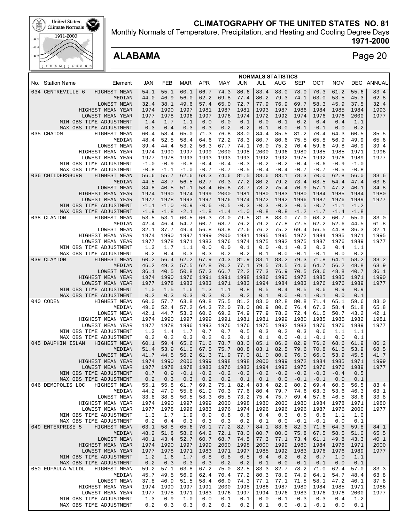

Monthly Normals of Temperature, Precipitation, and Heating and Cooling Degree Days **1971-2000** 

|     |                                                                     |                  |                  |                  |                  |                   |                  |                  | <b>NORMALS STATISTICS</b> |                       |                  |                  |                  |            |
|-----|---------------------------------------------------------------------|------------------|------------------|------------------|------------------|-------------------|------------------|------------------|---------------------------|-----------------------|------------------|------------------|------------------|------------|
| No. | <b>Station Name</b><br>Element                                      | JAN              | <b>FEB</b>       | <b>MAR</b>       | APR              | MAY               | JUN              | JUL              | AUG                       | SEP                   | OCT              | <b>NOV</b>       |                  | DEC ANNUAL |
|     | 034 CENTREVILLE 6<br>HIGHEST MEAN                                   | 54.1             | 55.1             | 60.1             | 66.7             | 74.3              | 80.6             | 83.4             | 83.0                      | 78.0                  | 70.3             | 61.2             | 55.6             | 83.4       |
|     | MEDIAN                                                              | 44.0             | 46.9             | 56.0             | 62.2             | 69.8              | 77.4             | 80.2             | 79.3                      | 74.1                  | 63.0             | 53.5             | 45.3             | 62.8       |
|     | <b>LOWEST MEAN</b>                                                  | 32.4             | 38.1             | 49.6             | 57.4             | 65.0              | 72.7             | 77.9             | 76.9                      | 69.7                  | 58.3             | 45.9             | 37.5             | 32.4       |
|     | HIGHEST MEAN YEAR                                                   | 1974             | 1990             | 1997             | 1981             | 1987              | 1981             | 1993             | 1987                      | 1986                  | 1984             | 1985             | 1984             | 1993       |
|     | LOWEST MEAN YEAR                                                    | 1977             | 1978             | 1996             | 1997             | 1976              | 1974             | 1972             | 1992                      | 1974                  | 1976             | 1976             | 2000             | 1977       |
|     | MIN OBS TIME ADJUSTMENT                                             | 1.4<br>0.3       | 1.7<br>0.4       | 1.1<br>0.3       | 0.0<br>0.3       | 0.0<br>0.2        | 0.1<br>0.2       | 0.0<br>0.1       | $-0.1$<br>0.0             | 0.2<br>$-0.1$         | 0.4<br>$-0.1$    | 0.4<br>0.0       | 1.1<br>0.2       |            |
|     | MAX OBS TIME ADJUSTMENT<br>035 CHATOM<br>HIGHEST MEAN               | 60.4             | 58.4             | 65.0             | 71.3             | 76.8              | 83.0             | 84.4             | 85.5                      | 81.2                  | 70.4             | 64.3             | 60.5             | 85.5       |
|     | MEDIAN                                                              | 48.4             | 52.5             | 58.4             | 64.6             | 72.2              | 78.3             | 80.7             | 80.6                      | 75.5                  | 65.8             | 56.9             | 49.9             | 65.6       |
|     | <b>LOWEST MEAN</b>                                                  | 39.4             | 44.4             | 53.2             | 56.3             | 67.7              | 74.1             | 76.0             | 75.2                      | 70.4                  | 59.6             | 49.8             | 40.9             | 39.4       |
|     | HIGHEST MEAN YEAR                                                   | 1974             | 1990             | 1997             | 1999             | 2000              | 1998             | 2000             | 1996                      | 1980                  | 1985             | 1985             | 1971             | 1996       |
|     | LOWEST MEAN YEAR                                                    | 1977             | 1978             | 1993             | 1993             | 1993              | 1993             | 1992             | 1992                      | 1975                  | 1992             | 1976             | 1989             | 1977       |
|     | MIN OBS TIME ADJUSTMENT<br>MAX OBS TIME ADJUSTMENT                  | $-1.0$<br>$-0.8$ | $-0.9$<br>$-1.1$ | $-0.8$<br>$-1.0$ | $-0.4$<br>$-0.7$ | $-0.4$<br>$-0.7$  | $-0.3$<br>$-0.5$ | $-0.2$<br>$-0.4$ | $-0.2$<br>$-0.4$          | $-0.4$<br>$-0.7$      | $-0.6$<br>$-0.7$ | $-0.9$<br>$-0.5$ | $-1.0$<br>$-0.8$ |            |
|     | 036 CHILDERSBURG<br><b>HIGHEST MEAN</b>                             | 56.6             | 55.7             | 62.6             | 68.3             | 74.6              | 81.5             | 83.6             | 83.1                      | 78.3                  | 70.0             | 62.8             | 56.0             | 83.6       |
|     | MEDIAN                                                              | 44.5             | 48.7             | 56.5             | 62.7             | 70.3              | 77.2             | 80.2             | 79.2                      | 73.4                  | 63.5             | 54.4             | 47.4             | 63.6       |
|     | <b>LOWEST MEAN</b>                                                  | 34.8             | 40.5             | 51.1             | 58.4             | 65.8              | 73.7             | 78.2             | 75.4                      | 70.9                  | 57.1             | 47.2             | 40.1             | 34.8       |
|     | HIGHEST MEAN YEAR                                                   | 1974             | 1990             | 1974             | 1999             | 2000              | 1981             | 1980             | 1983                      | 1980                  | 1984             | 1985             | 1984             | 1980       |
|     | LOWEST MEAN YEAR                                                    | 1977             | 1978             | 1993             | 1997             | 1976              | 1974             | 1972             | 1992                      | 1996                  | 1987             | 1976             | 1989             | 1977       |
|     | MIN OBS TIME ADJUSTMENT                                             | $-1.1$           | $-1.0$           | $-0.9$           | $-0.6$           | $-0.5$            | $-0.3$           | $-0.3$           | $-0.3$                    | $-0.5$                | $-0.7$           | $-1.1$           | $-1.2$           |            |
|     | MAX OBS TIME ADJUSTMENT<br>038 CLANTON<br>HIGHEST MEAN              | $-1.9$<br>53.5   | $-1.8$<br>53.1   | $-2.1$<br>60.5   | $-1.8$<br>66.3   | $-1.4$<br>73.0    | $-1.0$<br>79.5   | $-0.8$<br>81.8   | $-0.8$<br>83.0            | $-1.2$<br>77.0        | $-1.7$<br>68.2   | $-1.4$<br>60.7   | $-1.8$<br>55.0   | 83.0       |
|     | MEDIAN                                                              | 42.4             | 46.4             | 54.7             | 60.7             | 68.7              | 76.2             | 79.2             | 77.8                      | 72.5                  | 62.2             | 52.6             | 44.5             | 61.8       |
|     | <b>LOWEST MEAN</b>                                                  | 32.1             | 37.7             | 49.4             | 56.8             | 63.8              | 72.6             | 76.2             | 75.2                      | 69.4                  | 56.5             | 44.8             | 36.3             | 32.1       |
|     | HIGHEST MEAN YEAR                                                   | 1974             | 1990             | 1997             | 1999             | 2000              | 1981             | 1995             | 1995                      | 1972                  | 1984             | 1985             | 1971             | 1995       |
|     | LOWEST MEAN YEAR                                                    | 1977             | 1978             | 1971             | 1983             | 1976              | 1974             | 1975             | 1992                      | 1975                  | 1987             | 1976             | 1989             | 1977       |
|     | MIN OBS TIME ADJUSTMENT                                             | 1.3              | 1.7              | 1.1              | 0.0              | 0.0               | 0.1              | 0.0              | $-0.1$                    | $-0.3$                | 0.3              | 0.4              | 1.1              |            |
|     | MAX OBS TIME ADJUSTMENT<br>039 CLAYTON<br>HIGHEST MEAN              | 0.2<br>60.2      | 0.4<br>56.4      | 0.3<br>62.2      | 0.3<br>67.9      | 0.2<br>74.3       | 0.2<br>81.9      | 0.1<br>83.1      | 0.0<br>83.2               | $-0.1$<br>79.3        | $-0.1$<br>71.8   | 0.0<br>64.1      | 0.2<br>58.2      | 83.2       |
|     | MEDIAN                                                              | 46.2             | 49.3             | 57.5             | 62.8             | 70.2              | 77.1             | 79.5             | 78.5                      | 74.6                  | 64.7             | 56.2             | 48.8             | 63.9       |
|     | <b>LOWEST MEAN</b>                                                  | 36.1             | 40.5             | 50.8             | 57.3             | 66.7              | 72.2             | 77.3             | 76.9                      | 70.5                  | 59.6             | 48.8             | 40.7             | 36.1       |
|     | HIGHEST MEAN YEAR                                                   | 1974             | 1990             | 1976             | 1991             | 1991              | 1998             | 1986             | 1990                      | 1972                  | 1985             | 1985             | 1971             | 1990       |
|     | LOWEST MEAN YEAR                                                    | 1977             | 1978             | 1983             | 1983             | 1971              | 1983             | 1994             | 1984                      | 1983                  | 1976             | 1976             | 1989             | 1977       |
|     | MIN OBS TIME ADJUSTMENT                                             | 1.0              | 1.5              | 1.6              | 1.3              | 1.1               | 0.8              | 0.5              | 0.4                       | 0.5                   | 0.6              | 0.9              | 0.9              |            |
|     | MAX OBS TIME ADJUSTMENT<br>040 CODEN<br>HIGHEST MEAN                | 0.2<br>60.0      | 0.3<br>57.7      | 0.3<br>63.8      | 0.3<br>69.8      | 0.2<br>75.5       | 0.2<br>81.2      | 0.1<br>83.0      | 0.0<br>82.8               | $-0.1$<br>80.8        | $-0.1$<br>71.4   | 0.0<br>65.1      | 0.1<br>59.6      | 83.0       |
|     | MEDIAN                                                              | 49.0             | 52.4             | 57.2             | 64.3             | 72.0              | 78.0             | 80.9             | 80.6                      | 76.4                  | 67.3             | 58.4             | 51.8             | 65.8       |
|     | LOWEST MEAN                                                         | 42.1             | 44.7             | 53.3             | 60.6             | 69.2              | 74.9             | 77.9             | 78.2                      | 72.4                  | 61.5             | 50.7             | 43.2             | 42.1       |
|     | HIGHEST MEAN YEAR                                                   | 1974             | 1990             | 1997             | 1999             | 1991              | 1981             | 1981             | 1999                      | 1980                  | 1985             | 1985             | 1982             | 1981       |
|     | LOWEST MEAN YEAR                                                    | 1977             | 1978             | 1996             | 1993             | 1976              | 1976             | 1975             | 1992                      | 1983                  | 1976             | 1976             | 1989             | 1977       |
|     | MIN OBS TIME ADJUSTMENT                                             | 1.3<br>0.2       | 1.4<br>0.2       | 1.7<br>0.3       | 0.7<br>0.2       | 0.7<br>0.2        | 0.5<br>0.1       | 0.3<br>0.1       | 0.2<br>0.0                | 0.3<br>$-0.1$         | 0.6<br>$-0.1$    | 1.1<br>0.0       | 1.1<br>0.1       |            |
|     | MAX OBS TIME ADJUSTMENT<br>045 DAUPHIN ISLAN<br><b>HIGHEST MEAN</b> | 60.1             | 59.4             | 65.6             | 71.6             | 78.7              | 83.0             | 85.1             | 86.2                      | 82.9                  | 76.2             | 68.6             | 61.9             | 86.2       |
|     | MEDIAN                                                              | 51.4             | 53.9             | 61.0             | 67.5             | 75.7              | 80.8             | 83.1             | 82.5                      | 79.6                  | 70.8             | 61.5             | 53.9             | 68.5       |
|     | <b>LOWEST MEAN</b>                                                  | 41.7             | 44.5             | 56.2             | 61.3             | 71.9              | 77.0             | 81.0             | 80.9                      | 76.0                  | 66.0             | 53.9             | 45.5             | 41.7       |
|     | HIGHEST MEAN YEAR                                                   | 1974             | 1990             | 2000             | 1999             | 1998              | 1998             | 2000             | 1999                      | 1972                  | 1984             | 1985             | 1971             | 1999       |
|     | LOWEST MEAN YEAR                                                    |                  | 1977 1978        | 1978             | 1983             | 1976 1983         |                  |                  |                           | 1994 1992 1975        |                  | 1976 1976 1989   |                  | 1977       |
|     | MIN OBS TIME ADJUSTMENT<br>MAX OBS TIME ADJUSTMENT                  | 0.7<br>0.2       | 0.9<br>0.3       | $-0.1$<br>0.3    | $-0.2$<br>0.2    | $-0.2$<br>$0.2\,$ | $-0.2$<br>0.1    | $-0.2$<br>0.1    | $-0.2$<br>0.0             | $-0.2$<br>$-0.1$      | $-0.3$<br>$-0.1$ | $-0.4$<br>0.0    | 0.5<br>0.1       |            |
|     | 046 DEMOPOLIS LOC<br>HIGHEST MEAN                                   | 55.1             | 55.8             | 61.7             | 69.2             | 75.1              | 82.4             | 83.4             | 82.9                      | 80.2                  | 69.4             | 60.5             | 56.5             | 83.4       |
|     | MEDIAN                                                              | 44.2             | 47.9             | 55.6             | 61.9             | 70.3              | 77.6             | 80.4             | 79.7                      | 74.6                  | 63.3             | 53.6             | 46.3             | 63.1       |
|     | <b>LOWEST MEAN</b>                                                  | 33.8             | 38.8             | 50.5             | 58.3             | 65.5              | 73.2             | 75.4             | 75.7                      | 69.4                  | 57.6             | 46.5             | 38.6             | 33.8       |
|     | HIGHEST MEAN YEAR                                                   |                  | 1974 1990        | 1997             | 1999             | 2000              | 1998             | 1980             | 2000                      | 1980                  | 1984             | 1978             | 1971             | 1980       |
|     | LOWEST MEAN YEAR                                                    | 1977             | 1978             | 1996             | 1983             | 1976              | 1974             | 1996             | 1996                      | 1996                  | 1987             | 1976             | 2000             | 1977       |
|     | MIN OBS TIME ADJUSTMENT<br>MAX OBS TIME ADJUSTMENT                  | 1.3<br>0.2       | 1.7<br>0.4       | 1.9<br>0.3       | 0.9<br>0.3       | 0.8<br>0.3        | 0.6<br>0.2       | 0.4<br>0.1       | 0.3<br>0.0                | 0.5<br>$-0.1$         | 0.8<br>$-0.1$    | 1.1<br>0.0       | 1.0<br>0.1       |            |
|     | 049 ENTERPRISE 5<br>HIGHEST MEAN                                    | 63.1             | 58.8             | 65.6             | 70.1             | 77.2              | 82.7             | 84.1             | 83.6                      | 82.3                  | 71.6             | 64.3             | 59.8             | 84.1       |
|     | MEDIAN                                                              | 48.2             | 51.8             | 58.6             | 64.2             | 72.1              | 78.0             | 80.7             | 80.0                      | 75.8                  | 67.5             | 58.5             | 51.0             | 65.5       |
|     | <b>LOWEST MEAN</b>                                                  |                  | 40.1 43.4        | 52.7             | 60.7             | 68.7              | 74.5             | 77.3             | 77.1                      | 73.4                  | 61.1             | 49.8             | 43.3             | 40.1       |
|     | HIGHEST MEAN YEAR                                                   |                  | 1974 1990        | 1997             | 1999             | 2000              | 1998             | 2000             | 1999                      | 1980                  | 1984             | 1978             | 1971             | 2000       |
|     | LOWEST MEAN YEAR                                                    |                  | 1977 1978        | 1971             | 1983             | 1971              | 1997             | 1985             | 1992                      | 1983                  | 1976             | 1976             | 1989             | 1977       |
|     | MIN OBS TIME ADJUSTMENT<br>MAX OBS TIME ADJUSTMENT                  | 1.2<br>0.2       | 1.6<br>0.3       | 1.7<br>0.3       | 0.8<br>0.3       | $0.8$<br>0.2      | 0.5<br>0.2       | 0.4<br>0.1       | 0.2<br>0.0                | 0.2<br>$-0.1$         | 0.7<br>$-0.1$    | 1.0<br>0.0       | 1.1<br>0.1       |            |
|     | 050 EUFAULA WILDL HIGHEST MEAN                                      | 59.2             | 57.1             | 63.8             | 67.2             | 75.0              | 82.5             | 83.3             | 82.7                      | 78.2                  | 71.0             | 62.4             | 57.0             | 83.3       |
|     | MEDIAN                                                              | 45.7             | 49.5             | 56.9             | 62.4             | 70.4              | 77.2             | 80.3             | 78.9                      | 74.9                  | 64.1             | 54.7             | 48.4             | 63.8       |
|     | LOWEST MEAN                                                         | 37.8             | 40.9             | 51.5             | 58.4             | 66.0              | 74.3             | 77.1             | 77.1                      | 71.5                  | 58.1             | 47.2             | 40.1             | 37.8       |
|     | HIGHEST MEAN YEAR                                                   | 1974             | 1990             | 1997             | 1991             | 2000              | 1998             | 1986             | 1987                      | 1980                  | 1984             | 1985             | 1971             | 1986       |
|     | LOWEST MEAN YEAR                                                    | 1977             | 1978             | 1971             | 1983             | 1976              | 1997             | 1994             | 1976                      | 1983                  | 1976             | 1976             | 2000             | 1977       |
|     | MIN OBS TIME ADJUSTMENT<br>MAX OBS TIME ADJUSTMENT                  | 1.3<br>0.2       | 0.9<br>0.3       | 1.0<br>0.3       | 0.0<br>0.2       | 0.1<br>0.2        | 0.1<br>0.2       | 0.0<br>0.1       | $-0.1$                    | $-0.3$<br>$0.0 - 0.1$ | 0.3<br>$-0.1$    | 0.4<br>0.0       | 1.2<br>0.1       |            |
|     |                                                                     |                  |                  |                  |                  |                   |                  |                  |                           |                       |                  |                  |                  |            |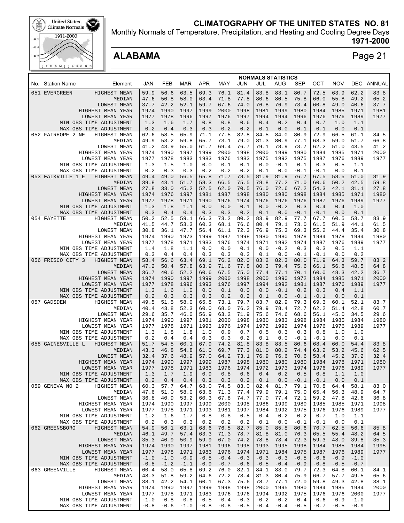

Monthly Normals of Temperature, Precipitation, and Heating and Cooling Degree Days **1971-2000** 

|                   |                                                    |                  |                  |                  |                  |                         |                  | <b>NORMALS STATISTICS</b> |                  |                          |                  |                       |                  |              |
|-------------------|----------------------------------------------------|------------------|------------------|------------------|------------------|-------------------------|------------------|---------------------------|------------------|--------------------------|------------------|-----------------------|------------------|--------------|
| No. Station Name  | Element                                            | JAN              | <b>FEB</b>       | <b>MAR</b>       | <b>APR</b>       | <b>MAY</b>              | <b>JUN</b>       | JUL                       | AUG              | <b>SEP</b>               | OCT              | <b>NOV</b>            |                  | DEC ANNUAL   |
| 051 EVERGREEN     | HIGHEST MEAN                                       | 59.9             | 56.6             | 63.5             | 69.3             | 76.1                    | 81.4             | 83.8                      | 83.1             | 80.7                     | 72.5             | 63.9                  | 62.2             | 83.8         |
|                   | MEDIAN                                             | 47.6             | 50.8             | 58.0             | 63.4             | 71.8                    | 77.8             | 80.6                      | 80.5             | 75.8                     | 66.0             | 55.8                  | 49.2             | 65.2         |
|                   | <b>LOWEST MEAN</b>                                 | 37.7             | 42.2             | 52.1             | 59.7             | 67.6                    | 74.0             | 76.8                      | 76.9             | 73.4                     | 60.8             | 49.0                  | 40.6             | 37.7         |
|                   | HIGHEST MEAN YEAR<br>LOWEST MEAN YEAR              | 1974<br>1977     | 1990<br>1978     | 1997<br>1996     | 1999<br>1997     | 2000<br>1976            | 1998<br>1997     | 1981<br>1994              | 1999<br>1994     | 1980<br>1996             | 1984<br>1976     | 1985<br>1976          | 1971<br>1989     | 1981<br>1977 |
|                   | MIN OBS TIME ADJUSTMENT                            | 1.3              | 1.6              | 1.7              | 0.8              | 0.8                     | 0.6              | 0.4                       | 0.2              | 0.4                      | 0.7              | 1.0                   | 1.1              |              |
|                   | MAX OBS TIME ADJUSTMENT                            | 0.2              | 0.4              | 0.3              | 0.3              | 0.2                     | 0.2              | 0.1                       | 0.0              | $-0.1$                   | $-0.1$           | 0.0                   | 0.1              |              |
| 052 FAIRHOPE 2 NE | HIGHEST MEAN                                       | 62.6             | 58.5             | 65.9             | 71.1             | 77.5                    | 82.8             | 84.5                      | 84.0             | 80.9                     | 72.9             | 66.5                  | 61.1             | 84.5         |
|                   | MEDIAN                                             | 49.9             | 53.2             | 59.8             | 65.7             | 73.1                    | 79.0             | 81.3                      | 80.9             | 77.1                     | 68.3             | 59.0                  | 51.7             | 66.8         |
|                   | <b>LOWEST MEAN</b><br>HIGHEST MEAN YEAR            | 41.2             | 43.9<br>1990     | 55.0<br>1997     | 61.7<br>1999     | 69.4<br>2000            | 76.7<br>1998     | 79.1                      | 78.9<br>1999     | 73.7<br>1980             | 62.2             | 51.0<br>1985          | 43.5             | 41.2<br>2000 |
|                   | LOWEST MEAN YEAR                                   | 1974<br>1977     | 1978             | 1983             | 1983             | 1976                    | 1983             | 2000<br>1975              | 1992             | 1975                     | 1984<br>1987     | 1976                  | 1971<br>1989     | 1977         |
|                   | MIN OBS TIME ADJUSTMENT                            | 1.3              | 1.5              | 1.0              | 0.0              | 0.1                     | 0.1              | 0.0                       | $-0.1$           | 0.1                      | 0.3              | 0.5                   | 1.1              |              |
|                   | MAX OBS TIME ADJUSTMENT                            | 0.2              | 0.3              | 0.3              | 0.2              | 0.2                     | 0.2              | 0.1                       | 0.0              | $-0.1$                   | $-0.1$           | 0.0                   | 0.1              |              |
| 053 FALKVILLE 1 E | <b>HIGHEST MEAN</b>                                | 49.4             | 49.0             | 56.5             | 65.8             | 71.7                    | 78.5             | 81.9                      | 81.9             | 76.7                     | 67.5             | 58.5                  | 51.0             | 81.9         |
|                   | MEDIAN<br><b>LOWEST MEAN</b>                       | 39.8<br>27.8     | 43.1<br>33.0     | 51.7<br>45.2     | 58.3<br>52.5     | 66.5<br>62.0            | 75.5<br>70.5     | 78.8<br>76.0              | 77.2<br>72.6     | 71.0<br>67.2             | 60.6<br>54.3     | 50.2<br>42.1          | 42.5<br>31.1     | 59.8<br>27.8 |
|                   | HIGHEST MEAN YEAR                                  | 1974             | 1976             | 1997             | 1981             | 1987                    | 1998             | 1980                      | 1980             | 1998                     | 1984             | 1985                  | 1971             | 1980         |
|                   | LOWEST MEAN YEAR                                   | 1977             | 1978             | 1971             | 1990             | 1976                    | 1974             | 1976                      | 1976             | 1976                     | 1987             | 1976                  | 1989             | 1977         |
|                   | MIN OBS TIME ADJUSTMENT                            | 1.3              | 1.8              | 1.1              | 0.0              | 0.0                     | 0.1              | 0.0                       | $-0.2$           | 0.3                      | 0.4              | 0.4                   | 1.0              |              |
|                   | MAX OBS TIME ADJUSTMENT                            | 0.3              | 0.4              | 0.4              | 0.3              | 0.3                     | 0.2              | 0.1                       | 0.0              | $-0.1$                   | $-0.1$           | 0.0                   | 0.1              |              |
| 054 FAYETTE       | HIGHEST MEAN<br>MEDIAN                             | 50.2<br>41.5     | 52.5<br>44.7     | 59.1<br>53.3     | 66.3<br>60.3     | 73.2<br>68.1            | 80.2<br>76.6     | 83.9<br>80.4              | 82.9<br>79.1     | 77.7<br>73.0             | 67.7<br>61.5     | 60.5<br>51.9          | 53.7<br>44.1     | 83.9<br>61.5 |
|                   | <b>LOWEST MEAN</b>                                 | 30.8             | 36.1             | 47.7             | 56.4             | 61.1                    | 72.3             | 76.9                      | 75.3             | 69.3                     | 55.2             | 44.4                  | 35.4             | 30.8         |
|                   | HIGHEST MEAN YEAR                                  | 1974             | 1990             | 1973             | 1999             | 1987                    | 1998             | 1980                      | 1980             | 1978                     | 1984             | 1978                  | 1984             | 1980         |
|                   | LOWEST MEAN YEAR                                   | 1977             | 1978             | 1971             | 1983             | 1976                    | 1974             | 1971                      | 1992             | 1974                     | 1987             | 1976                  | 1989             | 1977         |
|                   | MIN OBS TIME ADJUSTMENT                            | 1.4              | 1.8              | 1.1              | 0.0              | 0.0                     | 0.1              | 0.0                       | $-0.2$           | 0.3                      | 0.3              | 0.5                   | 1.1              |              |
| 056 FRISCO CITY 3 | MAX OBS TIME ADJUSTMENT<br>HIGHEST MEAN            | 0.3<br>58.4      | 0.4<br>56.6      | 0.4<br>63.4      | 0.3<br>69.1      | 0.3<br>76.2             | 0.2<br>82.0      | 0.1<br>83.2               | 0.0<br>82.3      | $-0.1$<br>80.0           | $-0.1$<br>71.9   | 0.0<br>64.3           | 0.2<br>59.7      | 83.2         |
|                   | MEDIAN                                             | 47.2             | 50.4             | 57.8             | 63.9             | 71.6                    | 77.8             | 80.3                      | 79.4             | 75.6                     | 66.1             | 56.8                  | 48.5             | 64.8         |
|                   | <b>LOWEST MEAN</b>                                 | 36.7             | 40.6             | 52.2             | 60.6             | 67.5                    | 75.0             | 77.4                      | 77.1             | 70.1                     | 60.0             | 48.3                  | 42.2             | 36.7         |
|                   | HIGHEST MEAN YEAR                                  | 1974             | 1990             | 1997             | 1999             | 2000                    | 1998             | 2000                      | 1990             | 1972                     | 1984             | 1985                  | 1971             | 2000         |
|                   | LOWEST MEAN YEAR                                   | 1977             | 1978             | 1996             | 1993             | 1976                    | 1997             | 1994                      | 1992             | 1981                     | 1987             | 1976                  | 1989             | 1977         |
|                   | MIN OBS TIME ADJUSTMENT<br>MAX OBS TIME ADJUSTMENT | 1.3<br>0.2       | 1.6<br>0.3       | 1.0<br>0.3       | 0.0<br>0.3       | 0.1<br>0.2              | 0.0<br>0.2       | 0.0<br>0.1                | $-0.1$<br>0.0    | 0.2<br>$-0.1$            | 0.3<br>$-0.1$    | 0.4<br>0.0            | 1.1<br>0.1       |              |
| 057 GADSDEN       | <b>HIGHEST MEAN</b>                                | 49.5             | 51.5             | 58.0             | 65.8             | 73.1                    | 79.7             | 83.7                      | 82.9             | 79.3                     | 69.3             | 60.1                  | 52.1             | 83.7         |
|                   | MEDIAN                                             | 40.4             | 43.8             | 52.3             | 60.0             | 68.0                    | 76.2             | 79.9                      | 78.4             | 72.7                     | 62.2             | 51.4                  | 42.8             | 60.7         |
|                   | <b>LOWEST MEAN</b>                                 | 29.6             | 35.7             | 46.0             | 56.9             | 63.2                    | 71.9             | 75.6                      | 74.6             | 68.6                     | 56.1             | 45.0                  | 34.5             | 29.6         |
|                   | HIGHEST MEAN YEAR                                  | 1974<br>1977     | 1990<br>1978     | 1997<br>1971     | 1981<br>1993     | 2000<br>1976            | 1998<br>1974     | 1980<br>1972              | 1983<br>1992     | 1998<br>1974             | 1984<br>1976     | 1985<br>1976          | 1984<br>1989     | 1980<br>1977 |
|                   | LOWEST MEAN YEAR<br>MIN OBS TIME ADJUSTMENT        | 1.3              | 1.8              | 1.8              | 1.0              | 0.9                     | 0.7              | 0.5                       | 0.3              | 0.3                      | 0.8              | 1.0                   | 1.0              |              |
|                   | MAX OBS TIME ADJUSTMENT                            | 0.2              | 0.4              | 0.4              | 0.3              | 0.3                     | 0.2              | 0.1                       | 0.0              | $-0.1$                   | $-0.1$           | 0.0                   | 0.1              |              |
| 058 GAINESVILLE L | <b>HIGHEST MEAN</b>                                | 51.7             | 54.5             | 60.1             | 67.9             | 74.2                    | 81.8             | 83.8                      | 83.5             | 80.6                     | 68.4             | 60.0                  | 54.4             | 83.8         |
|                   | MEDIAN                                             | 43.3             | 46.8             | 54.8             | 61.0             | 69.7                    | 77.3             | 81.0                      | 80.2             | 74.4                     | 63.2             | 53.2                  | 45.6             | 62.5         |
|                   | <b>LOWEST MEAN</b><br>HIGHEST MEAN YEAR            | 32.4<br>1974     | 37.6<br>1990     | 48.9<br>1997     | 57.0<br>1999     | 64.2<br>1987            | 73.1<br>1998     | 76.9<br>1980              | 76.6<br>1980     | 70.6<br>1980             | 58.4<br>1984     | 45.2<br>1978          | 37.2<br>1971     | 32.4<br>1980 |
|                   | LOWEST MEAN YEAR                                   | 1977             | 1978             | 1971             | 1983             | 1976 1974               |                  | 1972                      |                  | 1973 1974 1976 1976 1989 |                  |                       |                  | 1977         |
|                   | MIN OBS TIME ADJUSTMENT                            | 1.3              | 1.7              | 1.9              | 0.9              | 0.8                     | 0.6              | 0.4                       | 0.2              | 0.5                      | 0.8              | 1.1                   | 1.0              |              |
|                   | MAX OBS TIME ADJUSTMENT                            | 0.2              | 0.4              | 0.4              | 0.3              | 0.3                     | 0.2              | 0.1                       | 0.0              | $-0.1$                   | $-0.1$           | 0.0                   | 0.1              |              |
| 059 GENEVA NO 2   | HIGHEST MEAN                                       | 60.3             | 57.7             | 64.7             | 68.0             | 74.5                    | 83.0             | 82.4                      | 81.7             | 79.1                     | 70.8             | 64.4                  | 58.1             | 83.0         |
|                   | MEDIAN<br>LOWEST MEAN                              | 47.6<br>36.8     | 51.0<br>40.9     | 58.0<br>53.2     | 63.6<br>60.3     | 71.3<br>67.8            | 77.4<br>74.7     | 79.9<br>77.0              | 79.1<br>77.4     | 75.0<br>72.1             | 65.4<br>59.2     | 56.3<br>47.8          | 48.9<br>42.6     | 64.7<br>36.8 |
|                   | HIGHEST MEAN YEAR                                  | 1974             | 1990             | 1997             | 1999             | 2000                    | 1998             | 1986                      | 1999             | 1980                     | 1985             | 1985                  | 1971             | 1998         |
|                   | LOWEST MEAN YEAR                                   | 1977             | 1978             | 1971             | 1993             | 1981                    | 1997             | 1984                      | 1992             | 1975                     | 1976             | 1976                  | 1989             | 1977         |
|                   | MIN OBS TIME ADJUSTMENT                            | 1.2              | 1.6              | 1.7              | 0.8              | 0.8                     | 0.5              | 0.4                       | 0.2              | 0.2                      | 0.7              | 1.0                   | 1.1              |              |
|                   | MAX OBS TIME ADJUSTMENT                            | 0.2              | 0.3              | 0.3              | 0.2              | 0.2                     | 0.2              | 0.1                       | 0.0              | $-0.1$                   | $-0.1$           | 0.0                   | 0.1              |              |
| 062 GREENSBORO    | HIGHEST MEAN<br>MEDIAN                             | 54.9<br>46.1     | 56.1<br>49.7     | 63.1<br>57.4     | 68.6<br>63.3     | 76.5<br>71.3            | 82.7<br>78.7     | 85.0<br>81.8              | 85.8<br>81.0     | 80.6<br>76.3             | 70.7<br>65.5     | 62.5<br>55.4          | 56.6<br>48.2     | 85.8<br>64.5 |
|                   | <b>LOWEST MEAN</b>                                 | 35.3             | 40.9             | 50.9             | 59.9             | 67.0                    | 74.2             | 78.8                      | 78.4             | 72.3                     | 59.3             | 48.0                  | 39.8             | 35.3         |
|                   | HIGHEST MEAN YEAR                                  | 1974             | 1990             | 1997             | 1981             | 1996                    | 1998             | 1993                      | 1995             | 1998                     | 1984             | 1985                  | 1984             | 1995         |
|                   | LOWEST MEAN YEAR                                   | 1977             | 1978             | 1971             | 1983             | 1976                    | 1974             | 1971                      | 1984             | 1975                     | 1987             | 1976                  | 1989             | 1977         |
|                   | MIN OBS TIME ADJUSTMENT<br>MAX OBS TIME ADJUSTMENT | $-1.0$<br>$-0.8$ | $-1.0$<br>$-1.2$ | $-0.9$<br>$-1.1$ | $-0.5$<br>$-0.9$ | $\sim0$ . $4$<br>$-0.7$ | $-0.3$<br>$-0.6$ | $-0.3$<br>$-0.5$          | $-0.3$<br>$-0.4$ | $-0.5$<br>$-0.9$         | $-0.6$<br>$-0.8$ | $-0.9$<br>$-0.5$      | $-1.0$<br>$-0.7$ |              |
| 063 GREENVILLE    | HIGHEST MEAN                                       | 60.4             | 58.0             | 65.8             | 69.2             | 76.0                    | 82.1             | 84.1                      | 83.0             | 79.7                     | 72.3             | 64.8                  | 60.1             | 84.1         |
|                   | MEDIAN                                             | 48.3             | 51.8             | 59.2             | 64.6             | 72.2                    | 78.4             | 81.3                      | 80.4             | 75.9                     | 66.7             | 57.7                  | 49.5             | 65.6         |
|                   | LOWEST MEAN                                        | 38.1             | 42.2             | 54.1             | 60.1             | 67.3                    | 75.6             | 78.7                      | 77.1             | 72.0                     | 59.8             | 49.3                  | 42.8             | 38.1         |
|                   | HIGHEST MEAN YEAR                                  | 1974             | 1990             | 1997             | 1999             | 1998                    | 1998             | 2000                      | 1995             | 1980                     | 1984             | 1985                  | 1984             | 2000         |
|                   | LOWEST MEAN YEAR<br>MIN OBS TIME ADJUSTMENT        | 1977<br>$-1.0$   | 1978<br>$-0.8$   | 1971<br>$-0.8$   | 1983<br>$-0.5$   | 1976<br>$-0.4$          | 1976<br>$-0.3$   | 1994<br>$-0.2$            | 1992<br>$-0.2$   | 1975<br>$-0.4$           | 1976<br>$-0.6$   | 1976<br>$\sim0$ . $9$ | 2000<br>$-1.0$   | 1977         |
|                   | MAX OBS TIME ADJUSTMENT                            | $-0.8$           | $-0.6$           | $-1.0$           | $-0.8$           | $-0.8$                  | $-0.5$           | $-0.4$                    | $-0.4$           | $-0.5$                   | $-0.7$           | $-0.5$                | $-0.9$           |              |
|                   |                                                    |                  |                  |                  |                  |                         |                  |                           |                  |                          |                  |                       |                  |              |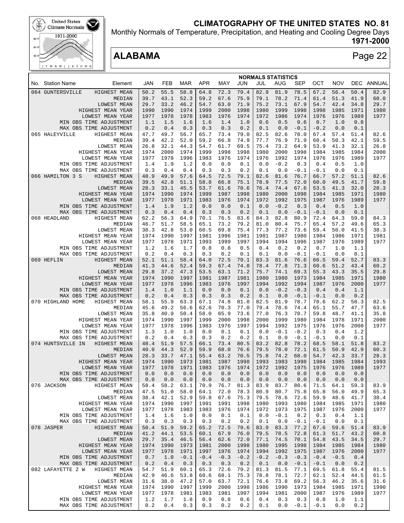

Monthly Normals of Temperature, Precipitation, and Heating and Cooling Degree Days **1971-2000** 

|                   |                                                    |              |              |              |              |              |                   |              | <b>NORMALS STATISTICS</b> |                |                |                   |              |              |
|-------------------|----------------------------------------------------|--------------|--------------|--------------|--------------|--------------|-------------------|--------------|---------------------------|----------------|----------------|-------------------|--------------|--------------|
| No. Station Name  | Element                                            | JAN          | <b>FEB</b>   | <b>MAR</b>   | <b>APR</b>   | <b>MAY</b>   | JUN               | JUL          | AUG                       | <b>SEP</b>     | OCT            | <b>NOV</b>        |              | DEC ANNUAL   |
| 064 GUNTERSVILLE  | HIGHEST MEAN                                       | 50.2         | 55.5         | 58.8         | 64.8         | 72.3         | 79.4              | 82.9         | 81.9                      | 78.5           | 67.2           | 56.4              | 50.4         | 82.9         |
|                   | MEDIAN                                             | 39.7         | 43.1         | 52.3         | 59.2         | 67.6         | 75.9              | 79.1         | 78.2                      | 71.4           | 61.4           | 51.3              | 41.9         | 60.0         |
|                   | <b>LOWEST MEAN</b>                                 | 29.7         | 33.2         | 46.2         | 54.7         | 63.0         | 71.9              | 75.2         | 73.1                      | 67.9           | 54.7           | 42.4              | 34.8         | 29.7         |
|                   | HIGHEST MEAN YEAR<br>LOWEST MEAN YEAR              | 1990<br>1977 | 1990<br>1978 | 1974<br>1978 | 1999<br>1983 | 2000<br>1976 | 1998<br>1974      | 1980<br>1972 | 1999<br>1986              | 1998<br>1974   | 1998<br>1976   | 1985<br>1976      | 1971<br>1989 | 1980<br>1977 |
|                   | MIN OBS TIME ADJUSTMENT                            | 1.1          | 1.5          | 1.6          | 1.6          | 1.4          | 1.0               | 0.6          | 0.5                       | 0.6            | 0.7            | 1.0               | 0.8          |              |
|                   | MAX OBS TIME ADJUSTMENT                            | 0.2          | 0.4          | 0.3          | 0.3          | 0.3          | 0.2               | 0.1          | 0.0                       | $-0.1$         | $-0.2$         | 0.0               | 0.1          |              |
| 065 HALEYVILLE    | HIGHEST MEAN                                       | 47.7         | 49.7         | 56.7         | 65.7         | 73.4         | 79.0              | 82.5         | 82.6                      | 78.0           | 67.4           | 57.4              | 51.4         | 82.6         |
|                   | MEDIAN<br><b>LOWEST MEAN</b>                       | 39.4         | 42.2<br>32.1 | 52.0<br>44.3 | 59.2<br>54.7 | 66.8<br>61.7 | 74.9<br>69.5      | 77.7<br>75.4 | 76.9<br>73.2              | 71.9<br>64.9   | 60.4<br>53.9   | 50.3<br>41.3      | 42.1<br>32.1 | 59.5<br>26.8 |
|                   | HIGHEST MEAN YEAR                                  | 26.8<br>1974 | 2000         | 1974         | 1999         | 1998         | 1998              | 1980         | 2000                      | 1998           | 1984           | 1985              | 1984         | 2000         |
|                   | LOWEST MEAN YEAR                                   | 1977         | 1978         | 1996         | 1983         | 1976         | 1974              | 1976         | 1992                      | 1974           | 1976           | 1976              | 1989         | 1977         |
|                   | MIN OBS TIME ADJUSTMENT                            | 1.4          | 1.9          | 1.2          | 0.0          | 0.0          | 0.1               | 0.0          | $-0.2$                    | 0.3            | 0.4            | 0.5               | 1.0          |              |
|                   | MAX OBS TIME ADJUSTMENT                            | 0.3          | 0.4          | 0.4          | 0.3          | 0.3          | 0.2               | 0.1          | 0.0                       | $-0.1$         | $-0.1$         | 0.0               | 0.1          |              |
| 066 HAMILTON 3 S  | <b>HIGHEST MEAN</b><br>MEDIAN                      | 48.9<br>39.5 | 49.9<br>42.8 | 57.6<br>51.1 | 64.5<br>58.8 | 72.5<br>66.8 | 79.1<br>75.1      | 82.6<br>78.9 | 81.6<br>77.5              | 76.7<br>72.0   | 66.7<br>60.0   | 57.2<br>49.5      | 51.1<br>41.7 | 82.6<br>59.8 |
|                   | <b>LOWEST MEAN</b>                                 | 28.3         | 33.1         | 45.5         | 53.7         | 61.6         | 70.6              | 76.4         | 74.4                      | 67.6           | 53.5           | 41.3              | 32.0         | 28.3         |
|                   | HIGHEST MEAN YEAR                                  | 1974         | 1990         | 1974         | 1999         | 1987         | 1998              | 1980         | 2000                      | 1998           | 1984           | 1985              | 1971         | 1980         |
|                   | LOWEST MEAN YEAR                                   | 1977         | 1978         | 1971         | 1983         | 1976         | 1974              | 1972         | 1992                      | 1975           | 1987           | 1976              | 1989         | 1977         |
|                   | MIN OBS TIME ADJUSTMENT                            | 1.4          | 1.9          | 1.2          | 0.0          | 0.0          | 0.1               | 0.0          | $-0.2$                    | 0.3            | 0.4            | 0.5               | 1.0          |              |
| 068 HEADLAND      | MAX OBS TIME ADJUSTMENT<br>HIGHEST MEAN            | 0.3<br>62.2  | 0.4<br>56.3  | 0.4<br>64.9  | 0.3<br>70.1  | 0.3<br>76.5  | 0.2<br>83.6       | 0.1<br>84.3  | 0.0<br>82.8               | $-0.1$<br>80.9 | $-0.1$<br>72.4 | 0.0<br>64.3       | 0.1<br>59.0  | 84.3         |
|                   | MEDIAN                                             | 46.7         | 51.7         | 58.5         | 65.1         | 73.2         | 79.2              | 81.0         | 80.4                      | 75.7           | 65.4           | 57.2              | 49.6         | 65.3         |
|                   | <b>LOWEST MEAN</b>                                 | 38.3         | 42.8         | 53.0         | 60.5         | 69.8         | 75.4              | 77.3         | 77.2                      | 73.6           | 59.4           | 50.0              | 41.5         | 38.3         |
|                   | HIGHEST MEAN YEAR                                  | 1974         | 1990         | 1997         | 1981         | 1996         | 1981              | 1981         | 1987                      | 1980           | 1984           | 1986              | 1971         | 1981         |
|                   | LOWEST MEAN YEAR                                   | 1977         | 1978         | 1971         | 1993         | 1999         | 1997              | 1994         | 1994                      | 1996           | 1987           | 1976              | 1989         | 1977         |
|                   | MIN OBS TIME ADJUSTMENT<br>MAX OBS TIME ADJUSTMENT | 1.2<br>0.2   | 1.6<br>0.4   | 1.7<br>0.3   | 0.8<br>0.3   | 0.8<br>0.2   | 0.5<br>0.1        | 0.4<br>0.1   | 0.2<br>0.0                | 0.2<br>$-0.1$  | 0.7<br>$-0.1$  | 1.0<br>0.0        | 1.1<br>0.1   |              |
| 069 HEFLIN        | <b>HIGHEST MEAN</b>                                | 52.1         | 51.1         | 58.4         | 64.0         | 72.5         | 79.1              | 83.3         | 81.6                      | 76.6           | 66.5           | 59.4              | 52.7         | 83.3         |
|                   | MEDIAN                                             | 41.3         | 44.6         | 52.4         | 59.3         | 67.4         | 74.8              | 78.4         | 77.8                      | 71.3           | 60.6           | 51.2              | 43.4         | 60.2         |
|                   | <b>LOWEST MEAN</b>                                 | 29.8         | 37.2         | 47.3         | 53.5         | 63.1         | 71.2              | 75.7         | 74.1                      | 69.3           | 55.3           | 43.3              | 35.5         | 29.8         |
|                   | HIGHEST MEAN YEAR                                  | 1974         | 1990         | 1997         | 1981         | 1987         | 1981              | 1980         | 1980                      | 1973           | 1984           | 1985              | 1971         | 1980         |
|                   | LOWEST MEAN YEAR<br>MIN OBS TIME ADJUSTMENT        | 1977<br>1.4  | 1978<br>1.0  | 1996<br>1.1  | 1983<br>0.0  | 1976<br>0.0  | 1997<br>0.1       | 1994<br>0.0  | 1992<br>$-0.2$            | 1994<br>$-0.3$ | 1987<br>0.4    | 1976<br>0.4       | 2000<br>1.1  | 1977         |
|                   | MAX OBS TIME ADJUSTMENT                            | 0.2          | 0.4          | 0.3          | 0.3          | 0.3          | 0.2               | 0.1          | 0.0                       | $-0.1$         | $-0.1$         | 0.0               | 0.2          |              |
| 070 HIGHLAND HOME | HIGHEST MEAN                                       | 58.1         | 55.9         | 63.3         | 67.1         | 74.8         | 81.0              | 82.5         | 81.9                      | 78.7           | 70.6           | 62.2              | 58.3         | 82.5         |
|                   | MEDIAN                                             | 45.6         | 49.2         | 56.6         | 62.6         | 70.3         | 77.0              | 79.4         | 78.6                      | 74.4           | 65.1           | 55.7              | 47.7         | 63.6         |
|                   | <b>LOWEST MEAN</b>                                 | 35.8         | 40.9         | 50.4         | 58.0         | 65.9         | 73.6              | 77.0         | 76.3                      | 70.7           | 59.8           | 48.7              | 41.1         | 35.8         |
|                   | HIGHEST MEAN YEAR<br>LOWEST MEAN YEAR              | 1974<br>1977 | 1990<br>1978 | 1997<br>1996 | 1999<br>1983 | 2000<br>1976 | 1998<br>1997      | 2000<br>1994 | 1999<br>1992              | 1980<br>1975   | 1984<br>1976   | 1978<br>1976      | 1971<br>2000 | 2000<br>1977 |
|                   | MIN OBS TIME ADJUSTMENT                            | 1.3          | 1.0          | 1.0          | 0.0          | 0.1          | 0.1               | 0.0          | $-0.1$                    | $-0.2$         | 0.3            | 0.4               | 1.2          |              |
|                   | MAX OBS TIME ADJUSTMENT                            | 0.2          | 0.4          | 0.3          | 0.3          | 0.2          | 0.2               | 0.1          | 0.0                       | $-0.1$         | $-0.1$         | 0.0               | 0.1          |              |
| 074 HUNTSVILLE IN | HIGHEST MEAN                                       | 48.4         | 51.9         | 57.5         | 66.1         | 73.4         | 80.5              | 83.2         | 82.8                      | 78.2           | 68.5           | 58.1              | 51.8         | 83.2         |
|                   | MEDIAN                                             | 40.0         | 44.3         | 52.9         | 59.9         | 68.0         | 76.6              | 79.5         | 78.0                      | 72.1           | 61.5           | 50.9              | 42.9         | 60.3         |
|                   | <b>LOWEST MEAN</b>                                 | 28.3<br>1974 | 33.7         | 47.1         | 55.4         | 63.2         | 70.5              | 75.8         | 74.2                      | 68.0           | 54.7           | 42.3              | 33.7         | 28.3         |
|                   | HIGHEST MEAN YEAR<br><b>LOWEST MEAN YEAR</b>       | 1977         | 1990<br>1978 | 1973<br>1971 | 1981<br>1983 | 1987         | 1998<br>1976 1974 | 1993<br>1972 | 1983<br>1992 1975 1976    | 1998           | 1984           | 1985<br>1976 1989 | 1984         | 1993<br>1977 |
|                   | MIN OBS TIME ADJUSTMENT                            | 0.0          | 0.0          | 0.0          | 0.0          | 0.0          | 0.0               | 0.0          | 0.0                       | 0.0            | 0.0            | 0.0               | 0.0          |              |
|                   | MAX OBS TIME ADJUSTMENT                            | 0.0          | 0.0          | 0.0          | 0.0          | 0.0          | 0.0               | 0.0          | 0.0                       | 0.0            | 0.0            | 0.0               | 0.0          |              |
| 076 JACKSON       | HIGHEST MEAN                                       | 58.4         | 58.2         | 63.1         | 70.9         | 76.7         | 81.3              | 83.9         | 83.7                      | 80.6           | 71.5           | 64.1              | 59.3         | 83.9         |
|                   | MEDIAN                                             | 47.5         | 51.0         | 58.0         | 64.1         | 72.0<br>67.6 | 78.3<br>75.3      | 80.9         | 80.7<br>78.6              | 75.8           | 65.8           | 56.0              | 49.9         | 65.3         |
|                   | LOWEST MEAN<br>HIGHEST MEAN YEAR                   | 38.4<br>1974 | 42.1<br>1990 | 52.9<br>1997 | 59.8<br>1991 | 1991         | 1998              | 79.5<br>1980 | 1993                      | 72.6<br>1980   | 59.9<br>1984   | 48.6<br>1985      | 41.7<br>1971 | 38.4<br>1980 |
|                   | LOWEST MEAN YEAR                                   | 1977         | 1978         | 1983         | 1983         | 1976         | 1974              | 1972         | 1973                      | 1975           | 1987           | 1976              | 2000         | 1977         |
|                   | MIN OBS TIME ADJUSTMENT                            | 1.4          | 1.6          | 1.0          | 0.0          | 0.1          | 0.1               | 0.0          | $-0.1$                    | 0.2            | 0.3            | 0.4               | 1.1          |              |
|                   | MAX OBS TIME ADJUSTMENT                            | 0.3          | 0.3          | 0.3          | 0.3          | 0.2          | 0.2               | 0.1          | 0.0                       | $-0.1$         | $-0.1$         | 0.0               | 0.1          |              |
| 078 JASPER        | HIGHEST MEAN                                       | 50.4         | 51.9         | 59.2         | 65.2         | 72.5         | 79.6              | 83.9         | 83.3                      | 77.2           | 67.6           | 59.6              | 51.4         | 83.9         |
|                   | MEDIAN<br>LOWEST MEAN                              | 41.2<br>29.7 | 44.1<br>35.4 | 53.5<br>46.5 | 60.1<br>56.4 | 67.9<br>62.6 | 76.0<br>72.0      | 79.5<br>77.1 | 78.5<br>74.5              | 72.8<br>70.1   | 61.3<br>54.8   | 51.7<br>43.5      | 43.2<br>34.5 | 60.8<br>29.7 |
|                   | HIGHEST MEAN YEAR                                  | 1974         | 1990         | 1973         | 1981         | 2000         | 1998              | 1980         | 1995                      | 1998           | 1984           | 1985              | 1984         | 1980         |
|                   | LOWEST MEAN YEAR                                   | 1977         | 1978         | 1971         | 1997         | 1976         | 1974              | 1994         | 1992                      | 1975           | 1987           | 1976              | 2000         | 1977         |
|                   | MIN OBS TIME ADJUSTMENT                            | 0.7          | 1.0          | $-0.1$       | $-0.4$       | $-0.3$       | $-0.2$            | $-0.2$       | $-0.3$                    | $-0.3$         | $-0.4$         | $-0.5$            | 0.4          |              |
|                   | MAX OBS TIME ADJUSTMENT                            | 0.2          | 0.4          | 0.3          | 0.3          | 0.3          | 0.2               | 0.1          | 0.0                       | $-0.1$         | $-0.1$         | 0.0               | 0.2          |              |
| 082 LAFAYETTE 2 W | HIGHEST MEAN<br>MEDIAN                             | 54.7<br>42.9 | 51.9<br>46.6 | 60.1<br>53.8 | 65.3<br>60.6 | 72.6<br>68.1 | 79.2<br>75.3      | 81.3<br>78.8 | 81.5<br>78.1              | 77.1<br>72.7   | 69.5<br>62.1   | 61.8<br>52.4      | 55.4<br>44.5 | 81.5<br>61.5 |
|                   | LOWEST MEAN                                        | 31.6         | 38.0         | 47.2         | 57.0         | 63.7         | 72.1              | 76.6         | 73.8                      | 69.2           | 56.3           | 46.2              | 35.6         | 31.6         |
|                   | HIGHEST MEAN YEAR                                  | 1974         | 1990         | 1997         | 1999         | 2000         | 1998              | 1986         | 1990                      | 1973           | 1984           | 1985              | 1971         | 1990         |
|                   | LOWEST MEAN YEAR                                   | 1977         | 1978         | 1981         | 1983         | 1981         | 1997              | 1994         | 1981                      | 2000           | 1987           | 1976              | 1989         | 1977         |
|                   | MIN OBS TIME ADJUSTMENT                            | 1.2          | 1.7          | 1.8          | 0.9          | 0.8          | 0.6               | 0.4          | 0.3                       | 0.3            | 0.8            | 1.0               | 1.1          |              |
|                   | MAX OBS TIME ADJUSTMENT                            | 0.2          | 0.4          | 0.3          | 0.3          | 0.2          | 0.2               | 0.1          | 0.0                       | $-0.1$         | $-0.1$         | 0.0               | 0.2          |              |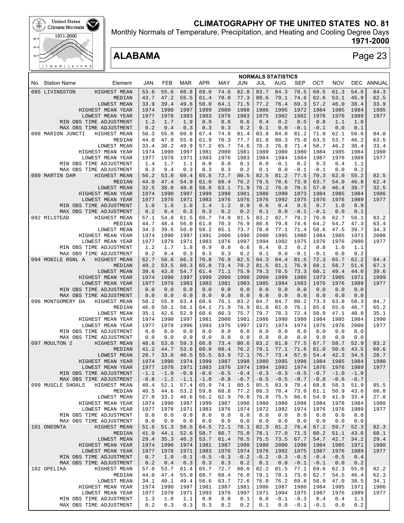

Monthly Normals of Temperature, Precipitation, and Heating and Cooling Degree Days **1971-2000** 

|                   |                                                    |              |              |              |                |              |              |              | <b>NORMALS STATISTICS</b> |                |                |              |              |              |
|-------------------|----------------------------------------------------|--------------|--------------|--------------|----------------|--------------|--------------|--------------|---------------------------|----------------|----------------|--------------|--------------|--------------|
| No. Station Name  | Element                                            | JAN          | FEB          | <b>MAR</b>   | APR            | <b>MAY</b>   | JUN          | JUL          | AUG                       | SEP            | OCT            | <b>NOV</b>   | DEC.         | ANNUAL       |
| 085 LIVINGSTON    | HIGHEST MEAN                                       | 53.6         | 55.6         | 60.8         | 69.0           | 74.6         | 82.0         | 83.7         | 84.3                      | 78.5           | 69.5           | 61.3         | 54.6         | 84.3         |
|                   | MEDIAN                                             | 43.7         | 47.2         | 55.5         | 61.4           | 70.0         | 77.3         | 80.6         | 79.1                      | 74.6           | 62.6           | 53.1         | 45.9         | 62.5         |
|                   | <b>LOWEST MEAN</b>                                 | 33.9         | 39.4         | 49.6         | 58.0           | 64.1         | 71.5         | 77.2         | 76.4                      | 69.3           | 57.2           | 46.0         | 38.4         | 33.9         |
|                   | HIGHEST MEAN YEAR                                  | 1974         | 1990         | 1997         | 1999           | 2000         | 1998         | 1986         | 1995                      | 1972           | 1984           | 1985         | 1984         | 1995         |
|                   | LOWEST MEAN YEAR                                   | 1977         | 1978         | 1983         | 1983           | 1976         | 1983         | 1975         | 1982                      | 1982           | 1976           | 1976         | 1989         | 1977         |
|                   | MIN OBS TIME ADJUSTMENT                            | 1.3          | 1.7          | 1.9          | 0.9            | 0.8          | 0.6          | 0.4          | 0.2                       | 0.5<br>$-0.1$  | 0.8            | 1.1          | 1.0          |              |
| 088 MARION JUNCTI | MAX OBS TIME ADJUSTMENT<br><b>HIGHEST MEAN</b>     | 0.2<br>56.3  | 0.4<br>55.0  | 0.3<br>60.8  | 0.3<br>67.4    | 0.3<br>74.8  | 0.2<br>81.4  | 0.1<br>83.8  | 0.0<br>84.0               | 81.2           | $-0.1$<br>71.0 | 0.0<br>62.1  | 0.1<br>56.6  | 84.0         |
|                   | MEDIAN                                             | 44.0         | 47.9         | 55.8         | 61.9           | 70.3         | 77.7         | 81.0         | 80.3                      | 75.0           | 63.5           | 53.7         | 46.2         | 63.5         |
|                   | <b>LOWEST MEAN</b>                                 | 33.4         | 38.2         | 49.9         | 57.2           | 65.7         | 74.6         | 78.3         | 76.8                      | 71.4           | 58.7           | 46.2         | 38.4         | 33.4         |
|                   | HIGHEST MEAN YEAR                                  | 1974         | 1990         | 1997         | 1981           | 2000         | 1981         | 1980         | 1980                      | 1980           | 1984           | 1985         | 1984         | 1980         |
|                   | <b>LOWEST MEAN YEAR</b>                            | 1977         | 1978         | 1971         | 1983           | 1976         | 1983         | 1984         | 1984                      | 1984           | 1987           | 1976         | 1989         | 1977         |
| MIN               | OBS TIME ADJUSTMENT                                | 1.4          | 1.7          | 1.1          | 0.0            | 0.0          | 0.1          | 0.0          | $-0.1$                    | 0.2            | 0.3            | 0.4          | 1.1          |              |
|                   | MAX OBS TIME ADJUSTMENT                            | 0.3          | 0.4          | 0.3          | 0.3            | 0.3          | 0.2          | 0.1          | 0.0                       | $-0.1$         | $-0.1$         | 0.0          | 0.2          | 82.5         |
| 089 MARTIN DAM    | <b>HIGHEST MEAN</b><br>MEDIAN                      | 56.2<br>44.0 | 53.8<br>47.4 | 60.4<br>54.9 | 65.6<br>61.0   | 72.7<br>68.4 | 80.5<br>76.2 | 82.5<br>79.5 | 81.2<br>78.6              | 77.5<br>73.9   | 70.3<br>63.7   | 62.0<br>54.0 | 55.2<br>46.8 | 62.4         |
|                   | <b>LOWEST MEAN</b>                                 | 32.5         | 38.0         | 48.8         | 56.8           | 63.1         | 71.9         | 76.2         | 76.0                      | 70.5           | 57.6           | 46.4         | 39.7         | 32.5         |
|                   | <b>HIGHEST MEAN YEAR</b>                           | 1974         | 1990         | 1997         | 1999           | 1998         | 1981         | 1986         | 1990                      | 1973           | 1984           | 1985         | 1984         | 1986         |
|                   | LOWEST MEAN YEAR                                   | 1977         | 1978         | 1971         | 1983           | 1976         | 1976         | 1976         | 1992                      | 1975           | 1976           | 1976         | 1989         | 1977         |
|                   | MIN OBS TIME ADJUSTMENT                            | 1.0          | 1.6          | 1.6          | 1.4            | 1.2          | 0.9          | 0.6          | 0.4                       | 0.5            | 0.7            | 1.0          | 0.9          |              |
|                   | MAX OBS TIME ADJUSTMENT                            | 0.2          | 0.4          | 0.3          | 0.3            | 0.2          | 0.2          | 0.1          | 0.0                       | $-0.1$         | $-0.1$         | 0.0          | 0.1          |              |
| 092 MILSTEAD      | <b>HIGHEST MEAN</b>                                | 57.1         | 54.8         | 61.5         | 66.7           | 74.8         | 81.5         | 83.2         | 82.7                      | 79.2           | 70.0           | 62.7         | 56.1         | 83.2         |
|                   | MEDIAN<br><b>LOWEST MEAN</b>                       | 44.7<br>34.3 | 48.4<br>39.6 | 56.0<br>50.0 | 61.8<br>58.2   | 70.3<br>65.1 | 76.9<br>73.7 | 80.6<br>78.0 | 79.8<br>77.1              | 74.6<br>71.4   | 64.2<br>58.6   | 54.7<br>47.5 | 47.3<br>39.7 | 63.4<br>34.3 |
|                   | HIGHEST MEAN YEAR                                  | 1974         | 1990         | 1997         | 1991           | 2000         | 1998         | 2000         | 1995                      | 1980           | 1984           | 1985         | 1971         | 2000         |
|                   | LOWEST MEAN YEAR                                   | 1977         | 1978         | 1971         | 1983           | 1976         | 1997         | 1994         | 1992                      | 1975           | 1976           | 1976         | 2000         | 1977         |
|                   | MIN OBS TIME ADJUSTMENT                            | 1.2          | 1.7          | 1.8          | 0.9            | 0.8          | 0.6          | 0.4          | 0.2                       | 0.2            | 0.8            | 1.0          | 1.1          |              |
|                   | MAX OBS TIME ADJUSTMENT                            | 0.2          | 0.4          | 0.3          | 0.3            | 0.3          | 0.2          | 0.1          | 0.0                       | $-0.1$         | $-0.1$         | 0.0          | 0.2          |              |
| 094 MOBILE RGNL A | <b>HIGHEST MEAN</b>                                | 62.7         | 58.6         | 66.3         | 70.8           | 76.9         | 82.5         | 84.3         | 84.4                      | 81.5           | 72.3           | 65.7         | 62.2         | 84.4         |
|                   | MEDIAN                                             | 49.2         | 53.5         | 60.3         | 65.8           | 73.4         | 79.2         | 81.5         | 81.1                      | 76.9           | 68.1           | 58.7         | 51.6         | 67.1         |
|                   | LOWEST MEAN<br>HIGHEST MEAN YEAR                   | 39.6<br>1974 | 43.8<br>1990 | 54.7<br>1997 | 61.4<br>1999   | 71.1<br>2000 | 75.9<br>1998 | 79.3<br>2000 | 78.5<br>1999              | 73.3<br>1980   | 60.1<br>1973   | 49.4<br>1985 | 44.0<br>1971 | 39.6<br>1999 |
|                   | LOWEST MEAN YEAR                                   | 1977         | 1978         | 1983         | 1983           | 1981         | 1983         | 1985         | 1984                      | 1983           | 1976           | 1976         | 1989         | 1977         |
|                   | MIN OBS TIME ADJUSTMENT                            | 0.0          | 0.0          | 0.0          | 0.0            | 0.0          | 0.0          | 0.0          | 0.0                       | 0.0            | 0.0            | 0.0          | 0.0          |              |
|                   | MAX OBS TIME ADJUSTMENT                            | 0.0          | 0.0          | 0.0          | 0.0            | 0.0          | 0.0          | 0.0          | 0.0                       | 0.0            | 0.0            | 0.0          | 0.0          |              |
| 096 MONTGOMERY DA | <b>HIGHEST MEAN</b>                                | 58.2         | 55.9         | 63.4         | 68.6           | 76.1         | 83.2         | 84.7         | 84.7                      | 80.2           | 73.3           | 63.8         | 58.3         | 84.7         |
|                   | MEDIAN                                             | 46.0         | 50.1         | 58.1         | 64.1           | 71.9         | 78.9         | 81.8         | 81.0                      | 76.1           | 65.6           | 55.6         | 48.7         | 65.2         |
|                   | <b>LOWEST MEAN</b>                                 | 35.1         | 42.6         | 52.9         | 60.6           | 66.3         | 75.7         | 79.7         | 78.3                      | 72.4           | 58.9           | 47.1         | 40.8         | 35.1         |
|                   | HIGHEST MEAN YEAR<br>LOWEST MEAN YEAR              | 1974<br>1977 | 1990<br>1978 | 1997<br>1996 | 1981<br>1993   | 2000<br>1976 | 1981<br>1997 | 1986<br>1971 | 1990<br>1974              | 1980<br>1974   | 1984<br>1976   | 1985<br>1976 | 1984<br>2000 | 1990<br>1977 |
| MIN               | OBS TIME ADJUSTMENT                                | 0.0          | 0.0          | 0.0          | 0.0            | 0.0          | 0.0          | 0.0          | 0.0                       | 0.0            | 0.0            | 0.0          | 0.0          |              |
| MAX               | OBS TIME ADJUSTMENT                                | 0.0          | 0.0          | 0.0          | 0.0            | 0.0          | 0.0          | 0.0          | 0.0                       | 0.0            | 0.0            | 0.0          | 0.0          |              |
| 097 MOULTON 2     | <b>HIGHEST MEAN</b>                                | 48.6         | 53.0         | 59.3         | 66.8           | 73.4         | 80.6         | 83.2         | 81.8                      | 77.5           | 67.7           | 58.7         | 52.9         | 83.2         |
|                   | MEDIAN                                             | 41.2         | 44.7         | 53.6         | 60.8           | 68.4         | 76.2         | 79.1         | 77.1                      | 71.6           | 61.0           | 50.6         | 43.5         | 60.6         |
|                   | LOWEST MEAN                                        | 28.7         | 33.8         | 46.5         | 55.5           | 63.9         | 72.1         | 76.7         | 73.4                      | 67.0           | 54.4           | 42.3         | 34.5         | 28.7         |
|                   | HIGHEST MEAN YEAR<br>LOWEST MEAN YEAR              | 1974<br>1977 | 1990<br>1978 | 1974<br>1971 | 1999           | 1987<br>1976 | 1998<br>1974 | 1980<br>1994 | 1995<br>1992              | 1998<br>1974   | 1984<br>1976   | 1985<br>1976 | 1984<br>1989 | 1980<br>1977 |
|                   | MIN OBS TIME ADJUSTMENT                            | $-1.1$       | $-1.0$       | $-0.9$       | 1983<br>$-0.6$ | $-0.5 -0.4$  |              | $-0.3$       | $-0.3$                    | $-0.5$         | $-0.7$         | $-1.0$       | $-1.0$       |              |
|                   | MAX OBS TIME ADJUSTMENT                            | $-0.8$       | $-1.2$       | $-1.1$       | $-1.0$         | $-0.8$       | $-0.7$       | $-0.5$       | $-0.5$                    | $-0.7$         | $-0.8$         | $-0.6$       | $-0.7$       |              |
| 099 MUSCLE SHOALS | HIGHEST MEAN                                       | 48.4         | 52.1         | 57.4         | 65.9           | 74.1         | 80.5         | 85.5         | 83.9                      | 78.4           | 68.8           | 58.3         | 51.9         | 85.5         |
|                   | MEDIAN                                             | 40.5         | 44.6         | 53.2         | 59.8           | 68.8         | 77.2         | 80.3         | 78.4                      | 73.0           | 61.1           | 50.9         | 43.6         | 60.8         |
|                   | <b>LOWEST MEAN</b>                                 | 27.0         | 33.2         | 46.6         | 56.2           | 62.9         | 70.8         | 76.0         | 75.5                      | 66.6           | 54.9           | 41.9         | 33.4         | 27.0         |
|                   | HIGHEST MEAN YEAR                                  | 1974         | 1990         | 1997         | 1999           | 1987         | 1998         | 1980         | 1980                      | 1998           | 1984           | 1978         | 1984         | 1980         |
|                   | LOWEST MEAN YEAR                                   | 1977         | 1978         | 1971         | 1983           | 1976         | 1974         | 1972         | 1992                      | 1974           | 1976           | 1976         | 1989         | 1977         |
|                   | MIN OBS TIME ADJUSTMENT<br>MAX OBS TIME ADJUSTMENT | 0.0<br>0.0   | 0.0<br>0.0   | 0.0<br>0.0   | 0.0<br>0.0     | 0.0<br>0.0   | 0.0<br>0.0   | 0.0<br>0.0   | 0.0<br>0.0                | 0.0<br>0.0     | 0.0<br>0.0     | 0.0<br>0.0   | 0.0<br>0.0   |              |
| 101 ONEONTA       | HIGHEST MEAN                                       | 51.6         | 51.3         | 58.5         | 64.5           | 72.1         | 78.1         | 82.3         | 81.2                      | 76.4           | 67.2           | 59.7         | 52.3         | 82.3         |
|                   | MEDIAN                                             | 41.0         | 44.1         | 52.6         | 58.7           | 66.7         | 75.0         | 78.1         | 77.0                      | 71.5           | 60.2           | 51.1         | 43.0         | 60.1         |
|                   | LOWEST MEAN                                        | 29.4         | 35.3         | 46.3         | 53.7           | 61.4         | 70.5         | 75.5         | 73.5                      | 67.7           | 54.7           | 42.7         | 34.2         | 29.4         |
|                   | HIGHEST MEAN YEAR                                  | 1974         | 1990         | 1974         | 1981           | 1987         | 1998         | 1980         | 2000                      | 1998           | 1984           | 1985         | 1971         | 1980         |
|                   | LOWEST MEAN YEAR                                   | 1977         | 1978         | 1971         | 1983           | 1976         | 1974         | 1976         | 1992                      | 1975           | 1987           | 1976         | 1989         | 1977         |
|                   | MIN OBS TIME ADJUSTMENT                            | 0.7          | 1.0          | $-0.1$       | $-0.5$         | $-0.3$       | $-0.2$       | $-0.2$       | $-0.3$                    | $-0.5$         | $-0.4$         | $-0.5$       | 0.4          |              |
| 102 OPELIKA       | MAX OBS TIME ADJUSTMENT<br>HIGHEST MEAN            | 0.2<br>57.0  | 0.4<br>53.7  | 0.3<br>61.4  | 0.3<br>65.7    | 0.3<br>72.7  | 0.2<br>80.0  | 0.1<br>82.2  | 0.0<br>81.5               | $-0.1$<br>77.1 | $-0.1$<br>69.6 | 0.0<br>62.3  | 0.2<br>55.0  | 82.2         |
|                   | MEDIAN                                             | 44.0         | 47.4         | 55.0         | 60.7           | 68.4         | 76.0         | 79.1         | 78.1                      | 73.0           | 62.7           | 54.5         | 46.4         | 62.3         |
|                   | <b>LOWEST MEAN</b>                                 | 34.1         | 40.1         | 49.4         | 56.6           | 63.7         | 72.6         | 76.0         | 76.2                      | 69.8           | 56.9           | 47.0         | 38.5         | 34.1         |
|                   | HIGHEST MEAN YEAR                                  | 1974         | 1990         | 1997         | 1981           | 1987         | 1981         | 1986         | 1987                      | 1980           | 1984           | 1985         | 1971         | 1986         |
|                   | LOWEST MEAN YEAR                                   | 1977         | 1978         | 1971         | 1993           | 1976         | 1997         | 1971         | 1994                      | 1975           | 1987           | 1976         | 1989         | 1977         |
|                   | MIN OBS TIME ADJUSTMENT                            | 1.3          | 1.0          | 1.1          | 0.0            | 0.0          | 0.1          | 0.0          | $-0.1$                    | $-0.3$         | 0.4            | 0.4          | 1.1          |              |
|                   | MAX OBS TIME ADJUSTMENT                            | 0.2          | 0.3          | 0.3          | 0.3            | 0.2          | 0.2          | 0.1          |                           | $0.0 - 0.1$    | $-0.1$         | 0.0          | 0.2          |              |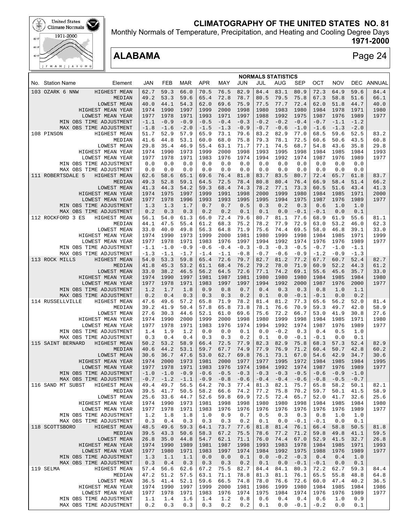

Monthly Normals of Temperature, Precipitation, and Heating and Cooling Degree Days **1971-2000** 

|                                                    |                                         |                |                        |                                |                |                                   |                | <b>NORMALS STATISTICS</b> |                                    |                |                |                                     |                |              |
|----------------------------------------------------|-----------------------------------------|----------------|------------------------|--------------------------------|----------------|-----------------------------------|----------------|---------------------------|------------------------------------|----------------|----------------|-------------------------------------|----------------|--------------|
| No. Station Name                                   | Element                                 | JAN            | <b>FEB</b>             | <b>MAR</b>                     | APR            | <b>MAY</b>                        | <b>JUN</b>     | JUL                       | AUG                                | <b>SEP</b>     | OCT            | <b>NOV</b>                          |                | DEC ANNUAL   |
| 103 OZARK 6 NNW                                    | <b>HIGHEST MEAN</b>                     | 62.7           | 59.3                   | 66.0                           | 70.5           | 76.5                              | 82.9           | 84.4                      | 83.1                               | 80.9           | 72.3           | 64.9                                | 59.6           | 84.4         |
|                                                    | MEDIAN                                  | 49.2           | 53.3                   | 59.6                           | 65.4           | 72.8                              | 78.7           | 80.5                      | 79.5                               | 75.8           | 67.3           | 58.8                                | 51.6           | 66.1         |
|                                                    | <b>LOWEST MEAN</b>                      | 40.0           | 44.1                   | 54.3                           | 62.0           | 69.6                              | 75.9           | 77.5                      | 77.7                               | 72.4           | 62.0           | 51.8                                | 44.7           | 40.0         |
|                                                    | HIGHEST MEAN YEAR                       | 1974           | 1990                   | 1997                           | 1999           | 2000                              | 1998           | 1980                      | 1983                               | 1980           | 1984           | 1978                                | 1971           | 1980         |
| MIN OBS TIME ADJUSTMENT                            | LOWEST MEAN YEAR                        | 1977<br>$-1.1$ | 1978<br>$-0.9$         | 1971<br>$-0.9$                 | 1993<br>$-0.5$ | 1971<br>$-0.4$                    | 1997<br>$-0.3$ | 1988<br>$-0.2$            | 1992<br>$-0.2$                     | 1975<br>$-0.4$ | 1987<br>$-0.7$ | 1976<br>$-1.1$                      | 1989<br>$-1.2$ | 1977         |
| MAX OBS TIME ADJUSTMENT                            |                                         | $-1.8$         | $-1.6$                 | $-2.0$                         | $-1.5$         | $-1.3$                            | $-0.9$         | $-0.7$                    | $-0.6$                             | $-1.0$         | $-1.6$         | $-1.3$                              | $-2.0$         |              |
| 108 PINSON                                         | HIGHEST MEAN                            | 51.7           | 52.9                   | 57.9                           | 65.9           | 73.1                              | 79.6           | 83.2                      | 82.9                               | 77.0           | 68.5           | 59.6                                | 52.5           | 83.2         |
|                                                    | MEDIAN                                  | 41.6           | 44.8                   | 53.1                           | 60.0           | 68.0                              | 75.8           | 79.3                      | 78.1                               | 72.5           | 60.6           | 50.6                                | 43.5           | 60.8         |
|                                                    | <b>LOWEST MEAN</b>                      | 29.8           | 35.4                   | 46.9                           | 55.4           | 63.1                              | 71.7           | 77.1                      | 74.5                               | 68.7           | 54.8           | 43.6                                | 35.8           | 29.8         |
|                                                    | HIGHEST MEAN YEAR<br>LOWEST MEAN YEAR   | 1974           | 1990<br>1978           | 1973                           | 1999           | 2000<br>1976                      | 1998           | 1993                      | 1995                               | 1998           | 1984           | 1985                                | 1984<br>1989   | 1993<br>1977 |
| MIN OBS TIME ADJUSTMENT                            |                                         | 1977<br>0.0    | 0.0                    | 1971<br>0.0                    | 1983<br>0.0    | 0.0                               | 1974<br>0.0    | 1994<br>0.0               | 1992<br>0.0                        | 1974<br>0.0    | 1987<br>0.0    | 1976<br>0.0                         | 0.0            |              |
| MAX OBS TIME ADJUSTMENT                            |                                         | 0.0            | 0.0                    | 0.0                            | 0.0            | $0.0$                             | 0.0            | 0.0                       | 0.0                                | 0.0            | 0.0            | 0.0                                 | 0.0            |              |
| 111 ROBERTSDALE 5                                  | HIGHEST MEAN                            | 62.6           | 58.6                   | 65.1                           | 69.6           | 76.4                              | 81.8           | 83.7                      | 83.5                               | 80.7           | 72.4           | 65.7                                | 61.8           | 83.7         |
|                                                    | MEDIAN                                  | 49.3           | 52.8                   | 59.1                           | 64.5           | 72.5                              | 78.4           | 80.8                      | 80.4                               | 76.4           | 66.9           | 58.4                                | 51.4           | 66.2         |
|                                                    | <b>LOWEST MEAN</b>                      | 41.3           | 44.3                   | 54.2                           | 59.3           | 68.4                              | 74.3           | 78.2                      | 77.1                               | 73.3           | 60.5           | 51.6                                | 43.4           | 41.3         |
|                                                    | HIGHEST MEAN YEAR<br>LOWEST MEAN YEAR   | 1974<br>1977   | 1975<br>1978           | 1997<br>1996                   | 1999<br>1993   | 1991<br>1993                      | 1998<br>1995   | 2000<br>1995              | 1999<br>1994                       | 1980<br>1975   | 1984<br>1987   | 1985<br>1976                        | 1971<br>1989   | 2000<br>1977 |
| MIN OBS TIME ADJUSTMENT                            |                                         | 1.3            | 1.3                    | 1.7                            | 0.7            | 0.7                               | 0.5            | 0.3                       | 0.2                                | 0.3            | 0.6            | 1.0                                 | 1.0            |              |
| MAX OBS TIME ADJUSTMENT                            |                                         | 0.2            | 0.3                    | 0.3                            | 0.2            | 0.2                               | 0.1            | 0.1                       | 0.0                                | $-0.1$         | $-0.1$         | 0.0                                 | 0.1            |              |
| 112 ROCKFORD 3 ES                                  | <b>HIGHEST MEAN</b>                     | 56.1           | 54.0                   | 61.3                           | 66.0           | 72.4                              | 79.6           | 80.7                      | 81.1                               | 77.6           | 68.9           | 61.9                                | 55.6           | 81.1         |
|                                                    | MEDIAN                                  | 44.1           | 47.5                   | 55.4                           | 61.2           | 68.3                              | 75.2           | 78.2                      | 77.9                               | 72.9           | 63.0           | 53.2                                | 46.0           | 62.3         |
|                                                    | <b>LOWEST MEAN</b><br>HIGHEST MEAN YEAR | 33.0<br>1974   | 40.0<br>1990           | 49.8<br>1973                   | 56.3<br>1999   | 64.8<br>2000                      | 71.9<br>1981   | 75.6<br>1980              | 74.4<br>1999                       | 69.5<br>1998   | 58.0<br>1984   | 46.8<br>1985                        | 39.1<br>1971   | 33.0<br>1999 |
|                                                    | LOWEST MEAN YEAR                        | 1977           | 1978                   | 1971                           | 1983           | 1976                              | 1997           | 1994                      | 1992                               | 1974           | 1976           | 1976                                | 1989           | 1977         |
| MIN OBS TIME ADJUSTMENT                            |                                         | $-1.1$         | $-1.0$                 | $-0.9$                         | $-0.6$         | $-0.4$                            | $-0.3$         | $-0.3$                    | $-0.3$                             | $-0.5$         | $-0.7$         | $-1.0$                              | $-1.1$         |              |
| MAX OBS TIME ADJUSTMENT                            |                                         | $-1.3$         | $-1.1$                 | $-1.7$                         | $-1.4$         | $-1.1$                            | $-0.8$         | $-0.7$                    | $-0.6$                             | $-0.9$         | $-1.2$         | $-0.9$                              | $-1.3$         |              |
| 113 ROCK MILLS                                     | HIGHEST MEAN                            | 54.0           | 53.3                   | 59.8                           | 65.4           | 72.6                              | 79.7           | 82.7                      | 81.2                               | 77.2           | 67.7           | 60.7                                | 52.4           | 82.7         |
|                                                    | MEDIAN<br><b>LOWEST MEAN</b>            | 41.8<br>33.0   | 45.3<br>38.2           | 53.2<br>46.5                   | 61.1<br>56.2   | 68.4<br>64.5                      | 76.2<br>72.6   | 79.2<br>77.1              | 78.0<br>74.2                       | 71.9<br>69.1   | 60.9<br>55.6   | 52.2<br>45.6                        | 44.3<br>35.7   | 61.2<br>33.0 |
|                                                    | HIGHEST MEAN YEAR                       | 1974           | 1990                   | 1997                           | 1981           | 1987                              | 1981           | 1980                      | 1980                               | 1980           | 1984           | 1985                                | 1984           | 1980         |
|                                                    | LOWEST MEAN YEAR                        | 1977           | 1978                   | 1971                           | 1983           | 1997                              | 1997           | 1994                      | 1992                               | 2000           | 1987           | 1976                                | 2000           | 1977         |
| MIN OBS TIME ADJUSTMENT                            |                                         | 1.2            | 1.7                    | 1.8                            | 0.9            | 0.8                               | 0.7            | 0.4                       | 0.3                                | 0.3            | 0.8            | 1.0                                 | 1.1            |              |
| MAX OBS TIME ADJUSTMENT                            |                                         | 0.2            | 0.4                    | 0.3                            | 0.3            | 0.3                               | 0.2            | 0.1                       | 0.0                                | $-0.1$         | $-0.1$         | 0.0                                 | 0.2            |              |
| 114 RUSSELLVILLE                                   | <b>HIGHEST MEAN</b><br>MEDIAN           | 47.6<br>39.2   | 49.6<br>41.9           | 57.2<br>50.4                   | 65.8<br>57.8   | 71.9<br>65.8                      | 78.2<br>73.8   | 81.4<br>78.1              | 81.2<br>76.6                       | 77.3<br>70.9   | 65.6<br>59.3   | 56.2<br>49.7                        | 52.0<br>42.0   | 81.4<br>58.9 |
|                                                    | <b>LOWEST MEAN</b>                      | 27.6           | 30.3                   | 44.6                           | 52.1           | 61.0                              | 69.6           | 75.6                      | 72.2                               | 66.7           | 53.0           | 41.9                                | 30.8           | 27.6         |
|                                                    | HIGHEST MEAN YEAR                       | 1974           | 1990                   | 2000                           | 1999           | 2000                              | 1998           | 1980                      | 1999                               | 1998           | 1984           | 1985                                | 1971           | 1980         |
|                                                    | LOWEST MEAN YEAR                        | 1977           | 1978                   | 1971                           | 1983           | 1976                              | 1974           | 1994                      | 1992                               | 1974           | 1987           | 1976                                | 1989           | 1977         |
| MIN OBS TIME ADJUSTMENT                            |                                         | 1.4            | 1.9                    | 1.2                            | 0.0            | 0.0                               | 0.1            | 0.0                       | $-0.2$                             | 0.3            | 0.4            | 0.5                                 | 1.0            |              |
| MAX OBS TIME ADJUSTMENT<br>115 SAINT BERNARD       | HIGHEST MEAN                            | 0.3<br>50.2    | 0.4<br>53.2            | 0.4<br>58.9                    | 0.3<br>66.4    | 0.3<br>72.5                       | 0.2<br>77.9    | 0.1<br>82.3               | 0.0<br>82.9                        | $-0.1$<br>75.8 | $-0.1$<br>68.3 | 0.0<br>57.3                         | 0.1<br>52.4    | 82.9         |
|                                                    | MEDIAN                                  | 40.6           | 44.2                   | 53.1                           | 59.7           | 67.7                              | 74.9           | 77.9                      | 76.9                               | 71.2           | 60.4           | 50.7                                | 42.8           | 60.2         |
|                                                    | LOWEST MEAN                             | 30.6           | 36.7                   | 47.6                           | 53.0           | 62.7                              | 69.8           | 76.1                      | 73.1                               | 67.0           | 54.6           | 42.9                                | 34.7           | 30.6         |
|                                                    | HIGHEST MEAN YEAR                       | 1974           | 2000                   | 1973                           | 1981           | 2000                              | 1977           | 1977                      | 1995                               | 1972           | 1984           | 1985                                | 1984           | 1995         |
|                                                    | LOWEST MEAN YEAR                        |                | 1977 1978              | 1971                           | 1983           | 1976 1974                         |                |                           |                                    | 1984 1992 1974 | 1987           | 1976 1989                           |                | 1977         |
| MIN OBS TIME ADJUSTMENT<br>MAX OBS TIME ADJUSTMENT |                                         | $-1.0$         | $-1.0$                 | $-0.9$<br>$-0.7$ $-1.2$ $-1.1$ | $-0.6$         | $-0.5 -0.3$<br>$-0.9 - 0.8 - 0.6$ |                | $-0.3$                    | $-0.3 - 0.5$<br>$-0.4 - 0.4 - 0.6$ |                | $-0.6$         | $-0.9 -1.0$<br>$-0.8$ $-0.5$ $-0.7$ |                |              |
| 116 SAND MT SUBST                                  | HIGHEST MEAN                            | 49.4           | 49.7                   | 56.5                           | 64.2           | 70.3                              | 77.4           |                           | 81.3 82.1                          | 75.7           | 65.8           |                                     | 58.2 50.1      | 82.1         |
|                                                    | MEDIAN                                  | 39.5           | 41.7                   | 50.5                           | 58.2           | 66.6                              | 74.2           | 77.2                      | 75.8                               | 70.2           | 59.7           |                                     | 50.1 41.5      | 58.9         |
|                                                    | LOWEST MEAN                             | 25.6           | 33.6                   | 44.7                           | 52.6           | 59.8                              | 69.9           | 72.5                      | 72.4                               | 65.7           | 52.0           |                                     | 41.7 32.6      | 25.6         |
|                                                    | HIGHEST MEAN YEAR                       |                | 1974 1990              | 1973                           |                | 1981 1998                         | 1998           |                           | 1980 1980                          | 1998           | 1984           | 1985                                | 1984           | 1980         |
| MIN OBS TIME ADJUSTMENT                            | LOWEST MEAN YEAR                        | 1977<br>1.2    | 1978<br>1.8            | 1971<br>1.8                    | 1983<br>1.0    | 1976<br>0.9                       | 1976<br>0.7    | 1976<br>0.5               | 1976<br>0.3                        | 1976<br>0.3    | 1976<br>0.8    | 1976<br>1.0                         | 1989<br>1.0    | 1977         |
| MAX OBS TIME ADJUSTMENT                            |                                         | 0.3            | 0.4                    | 0.3                            | 0.3            | 0.3                               | 0.2            | 0.1                       | 0.0                                | $-0.1$         | $-0.1$         | 0.0                                 | 0.1            |              |
| 118 SCOTTSBORO HIGHEST MEAN                        |                                         |                | 48.5 49.6              | 59.3                           | 64.1           | 73.7                              | 77.6           | 81.8                      | 81.4                               | 76.1           | 66.4           | 58.8                                | 50.5           | 81.8         |
|                                                    | MEDIAN                                  | 39.5           | 43.3                   | 50.6                           | 58.3           | 67.2                              | 75.5           | 78.6                      | 77.2                               | 71.2           | 59.8           | 49.8                                | 41.1           | 59.5         |
|                                                    | LOWEST MEAN                             |                | 26.8 35.0 44.8         |                                |                | 54.7 62.1                         | 71.1           |                           | 76.0 74.4 67.0                     |                |                | 52.9 41.5                           | 32.7           | 26.8         |
|                                                    | HIGHEST MEAN YEAR<br>LOWEST MEAN YEAR   |                | 1974 1990<br>1977 1980 | 1989<br>1971                   | 1981<br>1983   | 1987 1998<br>1997                 | 1974           | 1993<br>1984              | 1983 1978                          | 1992 1975      | 1984<br>1988   | 1985<br>1976                        | 1971<br>1989   | 1993<br>1977 |
| MIN OBS TIME ADJUSTMENT                            |                                         | 1.3            | 1.1                    | 1.1                            | 0.0            | 0.0                               | 0.1            | 0.0                       | $-0.2$                             | $-0.3$         | 0.4            | 0.4                                 | 1.0            |              |
| MAX OBS TIME ADJUSTMENT                            |                                         | 0.3            | 0.4                    | 0.3                            | 0.3            | 0.3                               | 0.2            | 0.1                       | 0.0                                | $-0.1$         | $-0.1$         | 0.0                                 | 0.1            |              |
| 119 SELMA                                          | HIGHEST MEAN                            | 57.4           | 56.6                   | 62.6                           | 67.2           | 75.5                              | 82.7           | 84.4                      | 84.1                               | 80.3           | 72.2           | 62.7                                | 59.3           | 84.4         |
|                                                    | MEDIAN                                  | 47.2           | 51.2                   | 57.5                           | 63.1           | 71.1                              | 78.8           | 81.3                      | 81.1                               | 76.1           | 65.5           | 55.8                                | 48.8           | 64.8         |
|                                                    | LOWEST MEAN<br>HIGHEST MEAN YEAR        |                | 36.5 41.4<br>1974 1990 | 52.1<br>1997                   | 59.6<br>1999   | 66.5<br>2000                      | 74.8<br>1981   | 78.0                      | 76.6<br>1986 1999 1980             | 72.6           | 60.0<br>1984   | 47.4<br>1985                        | 40.2<br>1984   | 36.5<br>1986 |
|                                                    | LOWEST MEAN YEAR                        |                | 1977 1978              | 1971                           | 1983           | 1976                              | 1974           | 1975                      |                                    | 1984 1974      | 1976           | 1976                                | 1989           | 1977         |
| MIN OBS TIME ADJUSTMENT                            |                                         | 1.1            | 1.4                    | 1.6                            | 1.4            | 1.2                               | 0.8            | 0.6                       | 0.4                                | 0.4            | 0.6            | 1.0                                 | 0.9            |              |
| MAX OBS TIME ADJUSTMENT                            |                                         | 0.2            |                        | $0.3 \t 0.3$                   | 0.3            | 0.2                               | 0.2            | 0.1                       |                                    | $0.0 - 0.1$    | $-0.2$         | 0.0                                 | 0.1            |              |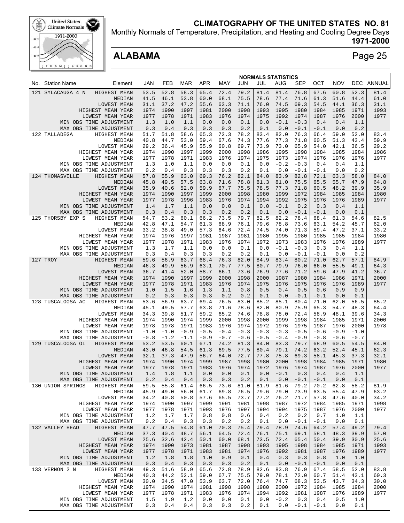

Monthly Normals of Temperature, Precipitation, and Heating and Cooling Degree Days **1971-2000** 

|                                                              | <b>NORMALS STATISTICS</b> |                  |                  |                |                  |                |                |                  |                |                                          |                  |                |                  |              |
|--------------------------------------------------------------|---------------------------|------------------|------------------|----------------|------------------|----------------|----------------|------------------|----------------|------------------------------------------|------------------|----------------|------------------|--------------|
| No. Station Name                                             | Element                   | JAN              | <b>FEB</b>       | <b>MAR</b>     | APR              | MAY            | JUN            | JUL              | AUG            | SEP                                      | OCT              | <b>NOV</b>     |                  | DEC ANNUAL   |
| 121 SYLACAUGA 4 N<br>HIGHEST MEAN                            |                           | 53.5             | 52.8             | 58.3           | 65.4             | 72.4           | 79.2           | 81.4             | 81.4           | 76.8                                     | 67.6             | 60.8           | 52.3             | 81.4         |
| <b>LOWEST MEAN</b>                                           | MEDIAN                    | 41.5<br>31.1     | 46.1<br>37.2     | 53.8<br>47.2   | 60.0<br>55.6     | 68.1<br>63.3   | 75.5<br>71.1   | 78.6<br>76.0     | 77.4<br>74.5   | 71.6<br>69.3                             | 61.3<br>54.5     | 51.6<br>44.1   | 44.4<br>36.3     | 61.0<br>31.1 |
| HIGHEST MEAN YEAR                                            |                           | 1974             | 1990             | 1997           | 1981             | 2000           | 1998           | 1993             | 1995           | 1980                                     | 1984             | 1985           | 1971             | 1993         |
| LOWEST MEAN YEAR                                             |                           | 1977<br>1.3      | 1978             | 1971           | 1983             | 1976           | 1974           | 1975             | 1992           | 1974                                     | 1987             | 1976           | 2000             | 1977         |
| MIN OBS TIME ADJUSTMENT                                      |                           |                  | 1.0<br>0.4       | 1.1<br>0.3     | 0.0<br>0.3       | 0.0<br>0.3     | 0.1<br>0.2     | 0.0<br>0.1       | $-0.1$         | $-0.3$                                   | 0.4<br>$-0.1$    | 0.4            | 1.1              |              |
| MAX OBS TIME ADJUSTMENT<br>HIGHEST MEAN<br>122 TALLADEGA     |                           | 0.3<br>51.7      | 51.8             | 58.6           | 65.3             | 72.3           | 78.2           | 83.4             | 0.0<br>82.0    | $-0.1$<br>76.3                           | 66.4             | 0.0<br>59.0    | 0.2<br>52.0      | 83.4         |
|                                                              | MEDIAN                    | 40.8             | 44.7             | 53.0           | 59.4             | 67.6           | 74.3           | 77.6             | 77.3           | 71.8                                     | 60.5             | 51.3           | 43.4             | 59.9         |
| <b>LOWEST MEAN</b>                                           |                           | 29.2             | 36.4             | 45.9           | 55.9             | 60.8           | 69.7           | 73.9             | 73.0           | 65.9                                     | 54.0             | 42.1           | 36.5             | 29.2         |
| HIGHEST MEAN YEAR                                            |                           | 1974<br>1977     | 1990<br>1978     | 1997<br>1971   | 1999<br>1983     | 2000<br>1976   | 1998<br>1974   | 1986<br>1975     | 1995<br>1973   | 1998<br>1974                             | 1984<br>1976     | 1985<br>1976   | 1984<br>1976     | 1986<br>1977 |
| LOWEST MEAN YEAR<br>MIN OBS TIME ADJUSTMENT                  |                           |                  | 1.0              | 1.1            | 0.0              | 0.0            | 0.1            | 0.0              | $-0.2$         | $-0.3$                                   | 0.4              | 0.4            | 1.1              |              |
| MAX OBS TIME ADJUSTMENT                                      |                           |                  | 0.4              | 0.3            | 0.3              | 0.3            | 0.2            | 0.1              | 0.0            | $-0.1$                                   | $-0.1$           | 0.0            | 0.2              |              |
| 124 THOMASVILLE<br>HIGHEST MEAN                              | MEDIAN                    | 57.8<br>45.8     | 55.9<br>49.5     | 63.0<br>57.5   | 69.3<br>63.8     | 76.2<br>71.6   | 82.1<br>78.8   | 84.0<br>81.3     | 83.9<br>81.0   | 82.8<br>75.5                             | 72.1<br>65.5     | 63.3<br>55.7   | 58.0<br>47.9     | 84.0<br>64.8 |
| <b>LOWEST MEAN</b>                                           |                           | 35.9             | 40.6             | 52.0           | 59.9             | 67.7           | 75.5           | 78.5             | 77.3           | 71.8                                     | 60.5             | 48.2           | 39.9             | 35.9         |
| HIGHEST MEAN YEAR                                            |                           | 1974             | 1990             | 1997           | 1999             | 2000           | 1998           | 1980             | 1999           | 1972                                     | 1984             | 1985           | 1984             | 1980         |
| LOWEST MEAN YEAR<br>MIN OBS TIME ADJUSTMENT                  |                           | 1977<br>1.4      | 1978<br>1.7      | 1996<br>1.1    | 1983<br>0.0      | 1976<br>0.0    | 1974<br>0.1    | 1994<br>0.0      | 1992<br>$-0.1$ | 1975<br>0.2                              | 1976<br>0.3      | 1976<br>0.4    | 1989<br>1.1      | 1977         |
| MAX OBS TIME ADJUSTMENT                                      |                           | 0.3              | 0.4              | 0.3            | 0.3              | 0.2            | 0.2            | 0.1              | 0.0            | $-0.1$                                   | $-0.1$           | 0.0            | 0.1              |              |
| HIGHEST MEAN<br>125 THORSBY EXP S                            |                           | 54.7             | 53.2             | 60.1           | 66.2             | 73.5           | 79.7           | 82.5             | 82.2           | 78.4                                     | 68.4             | 61.3           | 54.6             | 82.5         |
|                                                              | MEDIAN                    | 42.8             | 47.1             | 54.7           | 61.3             | 68.9           | 76.1           | 79.6             | 78.8           | 73.6                                     | 63.1             | 54.2           | 45.7             | 62.0         |
| <b>LOWEST MEAN</b><br>HIGHEST MEAN YEAR                      |                           | 33.2<br>1974     | 38.8<br>1976     | 49.0<br>1997   | 57.3<br>1981     | 64.6<br>1987   | 72.4<br>1981   | 74.5<br>1980     | 74.0<br>1995   | 71.3<br>1980                             | 59.4<br>1985     | 47.2<br>1985   | 37.1<br>1984     | 33.2<br>1980 |
| <b>LOWEST MEAN YEAR</b>                                      |                           | 1977             | 1978             | 1971           | 1983             | 1976           | 1974           | 1972             | 1973           | 1983                                     | 1976             | 1976           | 1989             | 1977         |
| MIN OBS TIME ADJUSTMENT                                      |                           | 1.3              | 1.7              | 1.1            | 0.0              | 0.0            | 0.1            | 0.0              | $-0.1$         | $-0.3$                                   | 0.3              | 0.4            | 1.1              |              |
| MAX OBS TIME ADJUSTMENT<br>127 TROY<br>HIGHEST MEAN          |                           | 0.3<br>59.6      | 0.4<br>56.9      | 0.3<br>63.7    | 0.3<br>68.4      | 0.2<br>76.3    | 0.2<br>82.0    | 0.1<br>84.9      | 0.0<br>83.4    | $-0.1$<br>80.2                           | $-0.1$<br>71.0   | $0.0$<br>62.7  | 0.2<br>57.1      | 84.9         |
|                                                              | MEDIAN                    | 46.3             | 49.9             | 56.9           | 63.1             | 70.7           | 77.5           | 80.7             | 79.9           | 76.0                                     | 66.0             | 55.5           | 49.1             | 64.3         |
| <b>LOWEST MEAN</b>                                           |                           | 36.7             | 41.4             | 52.0           | 58.7             | 66.1           | 73.6           | 76.9             | 77.6           | 71.2                                     | 59.6             | 47.9           | 41.2             | 36.7         |
| HIGHEST MEAN YEAR<br>LOWEST MEAN YEAR                        |                           | 1974<br>1977     | 1990<br>1978     | 1997<br>1971   | 1999<br>1983     | 2000<br>1976   | 1998<br>1974   | 2000<br>1975     | 1987<br>1976   | 1980<br>1975                             | 1984<br>1976     | 1986<br>1976   | 1971<br>1989     | 2000<br>1977 |
| MIN OBS TIME ADJUSTMENT                                      |                           | 1.0              | 1.5              | 1.6            | 1.3              | 1.1            | 0.8            | 0.5              | 0.4            | 0.5                                      | 0.6              | 0.9            | 0.9              |              |
| MAX OBS TIME ADJUSTMENT                                      |                           | 0.2              | 0.3              | 0.3            | 0.3              | 0.2            | 0.2            | 0.1              | 0.0            | $-0.1$                                   | $-0.1$           | 0.0            | 0.1              |              |
| 128 TUSCALOOSA AC<br>HIGHEST MEAN                            | MEDIAN                    | 53.6<br>45.1     | 56.9<br>49.5     | 63.7<br>57.7   | 69.4<br>63.8     | 76.5<br>71.6   | 83.0<br>78.6   | 85.2<br>82.0     | 85.1<br>80.9   | 80.4<br>75.9                             | 71.0<br>65.3     | 62.0<br>54.7   | 56.5<br>48.3     | 85.2<br>64.4 |
| LOWEST MEAN                                                  |                           | 34.3             | 39.8             | 51.7           | 59.2             | 65.2           | 74.6           | 78.8             | 78.0           | 72.4                                     | 58.9             | 48.1           | 39.6             | 34.3         |
| HIGHEST MEAN YEAR                                            |                           | 1974             | 1990             | 1974           | 1999             | 2000           | 1998           | 2000             | 1999           | 1998                                     | 1984             | 1985           | 1971             | 2000         |
| LOWEST MEAN YEAR                                             |                           | 1978             | 1978             | 1971<br>$-0.9$ | 1983             | 1976<br>$-0.4$ | 1974<br>$-0.3$ | 1972             | 1976<br>$-0.3$ | 1975<br>$-0.5$                           | 1987             | 1976<br>$-0.9$ | 2000             | 1978         |
| MIN OBS TIME ADJUSTMENT<br>MAX OBS TIME ADJUSTMENT           |                           | $-1.0$<br>$-0.8$ | $-1.0$<br>$-1.2$ | $-1.1$         | $-0.5$<br>$-0.9$ | $-0.7$         | $-0.6$         | $-0.3$<br>$-0.5$ | $-0.4$         | $-0.9$                                   | $-0.6$<br>$-0.8$ | $-0.6$         | $-1.0$<br>$-0.7$ |              |
| 129 TUSCALOOSA OL<br>HIGHEST MEAN                            |                           | 53.2             | 53.5             | 60.1           | 67.1             | 74.2           | 81.3           | 84.0             | 83.3           | 79.7                                     | 68.9             | 60.5           | 54.5             | 84.0         |
|                                                              | MEDIAN                    | 43.0             | 46.8             | 54.5           | 61.3             | 69.5           | 77.5           | 80.4             | 79.1           | 74.2                                     | 63.2             | 52.4           | 45.1             | 62.3         |
| <b>LOWEST MEAN</b><br>HIGHEST MEAN YEAR                      |                           | 32.1<br>1974     | 37.3<br>1990     | 47.9<br>1974   | 56.7<br>1999     | 64.0<br>1987   | 72.7<br>1998   | 77.8<br>1980     | 75.8<br>2000   | 69.3<br>1998                             | 58.1<br>1984     | 45.3<br>1985   | 37.3<br>1971     | 32.1<br>1980 |
| LOWEST MEAN YEAR                                             |                           | 1977             | 1978             | 1971           |                  | 1983 1976 1974 |                | 1972             |                | 1976 1974                                | 1987             | 1976 2000      |                  | 1977         |
| MIN OBS TIME ADJUSTMENT                                      |                           | 1.4              | 1.8              | 1.1            | 0.0              | 0.0            | 0.1            | 0.0              | $-0.1$         | 0.3                                      | 0.4              | 0.4            | 1.1              |              |
| MAX OBS TIME ADJUSTMENT<br>130 UNION SPRINGS<br>HIGHEST MEAN |                           | 0.2<br>59.5      | 0.4<br>55.8      | 0.4<br>61.4    | 0.3<br>66.5      | 0.3<br>73.6    | 0.2<br>81.0    | 0.1<br>81.9      | 0.0<br>81.6    | $\textcolor{red}{\mathbf{-0.1}}$<br>79.2 | $-0.1$<br>70.2   | 0.0<br>62.8    | 0.1<br>58.2      | 81.9         |
|                                                              | MEDIAN                    | 45.9             | 49.0             | 56.0           | 61.7             | 69.8           | 76.5           | 79.6             | 79.0           | 73.9                                     | 63.5             | 55.4           | 47.9             | 63.2         |
| <b>LOWEST MEAN</b>                                           |                           | 34.2             | 40.8             | 50.8           | 57.6             | 65.5           | 73.7           | 77.2             | 76.2           | 71.7                                     | 57.8             | 47.6           | 40.0             | 34.2         |
| HIGHEST MEAN YEAR<br>LOWEST MEAN YEAR                        |                           | 1974<br>1977     | 1990<br>1978     | 1997<br>1971   | 1999<br>1993     | 1991<br>1976   | 1981<br>1997   | 1998<br>1994     | 1987<br>1994   | 1972<br>1975                             | 1984<br>1987     | 1985<br>1976   | 1971<br>2000     | 1998<br>1977 |
| MIN OBS TIME ADJUSTMENT                                      |                           | 1.2              | 1.7              | 1.7            | 0.8              | 0.8            | 0.6            | 0.4              | 0.2            | 0.2                                      | 0.7              | 1.0            | 1.1              |              |
| MAX OBS TIME ADJUSTMENT                                      |                           | 0.2              | 0.4              | 0.3            | 0.3              | 0.2            | 0.2            | 0.1              | 0.0            | $-0.1$                                   | $-0.1$           | 0.0            | 0.1              |              |
| 132 VALLEY HEAD<br>HIGHEST MEAN                              | MEDIAN                    | 47.7<br>37.3     | 47.5<br>40.4     | 54.8<br>48.7   | 61.0<br>56.1     | 70.3<br>64.5   | 75.4<br>72.4   | 79.4<br>76.1     | 78.9<br>75.1   | 74.6<br>69.1                             | 64.2<br>58.1     | 57.4<br>48.3   | 49.2<br>39.9     | 79.4<br>57.0 |
| <b>LOWEST MEAN</b>                                           |                           | 25.6             | 32.6             | 42.4           | 50.1             | 60.0           | 68.1           | 73.5             | 72.4           | 65.4                                     | 50.4             | 39.9           | 30.9             | 25.6         |
| HIGHEST MEAN YEAR                                            |                           | 1974             | 1990             | 1973           | 1981             | 1987           | 1998           | 1993             | 1995           | 1998                                     | 1984             | 1985           | 1971             | 1993         |
| LOWEST MEAN YEAR                                             |                           | 1977<br>1.2      | 1978             | 1971           | 1983             | 1981           | 1974           | 1976             | 1992           | 1981                                     | 1987             | 1976           | 1989             | 1977         |
| MIN OBS TIME ADJUSTMENT<br>MAX OBS TIME ADJUSTMENT           |                           | 0.3              | 1.8<br>0.4       | 1.8<br>0.3     | 1.0<br>0.3       | 0.9<br>0.3     | 0.1<br>0.2     | 0.4<br>0.1       | 0.3<br>0.0     | 0.3<br>$-0.1$                            | 0.8<br>$-0.1$    | 1.0<br>0.0     | 1.0<br>0.1       |              |
| 133 VERNON 2 N<br>HIGHEST MEAN                               |                           | 49.3             | 51.6             | 58.9           | 65.6             | 72.8           | 78.9           | 82.6             | 83.8           | 76.9                                     | 67.4             | 58.5           | 52.0             | 83.8         |
|                                                              | MEDIAN                    | 40.3             | 44.2             | 52.1           | 59.0             | 67.7           | 75.5           | 79.0             | 78.1           | 72.0                                     | 60.7             | 51.4           | 43.1             | 60.3         |
| LOWEST MEAN<br>HIGHEST MEAN YEAR                             |                           | 30.0<br>1974     | 34.5<br>1990     | 47.0<br>1974   | 53.9<br>1981     | 63.7<br>1998   | 72.0<br>1998   | 76.4<br>1980     | 74.7<br>2000   | 68.3<br>1972                             | 53.5<br>1984     | 43.7<br>1985   | 34.3<br>1984     | 30.0<br>2000 |
| LOWEST MEAN YEAR                                             |                           | 1977             | 1978             | 1971           | 1983             | 1976           | 1974           | 1994             | 1992           | 1981                                     | 1987             | 1976           | 1989             | 1977         |
| MIN OBS TIME ADJUSTMENT                                      |                           | 1.5              | 1.9              | 1.2            | 0.0              | 0.0            | 0.1            | 0.0              | $-0.2$         | 0.3                                      | 0.4              | 0.5            | 1.0              |              |
| MAX OBS TIME ADJUSTMENT                                      |                           | 0.3              | 0.4              | 0.4            | 0.3              | 0.3            | 0.2            | 0.1              | 0.0            | $-0.1$                                   | $-0.1$           | 0.0            | 0.1              |              |